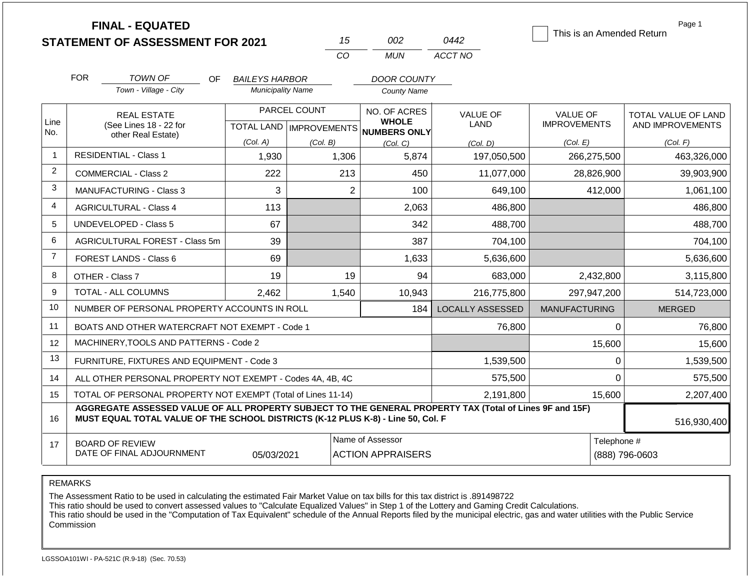|                |                                                                                  | <b>FINAL - EQUATED</b><br><b>STATEMENT OF ASSESSMENT FOR 2021</b>                                        |                                                   | 15                | 002                                          | 0442                           | This is an Amended Return              | Page 1                                         |  |
|----------------|----------------------------------------------------------------------------------|----------------------------------------------------------------------------------------------------------|---------------------------------------------------|-------------------|----------------------------------------------|--------------------------------|----------------------------------------|------------------------------------------------|--|
|                |                                                                                  |                                                                                                          |                                                   | CO                | <b>MUN</b>                                   | ACCT NO                        |                                        |                                                |  |
|                | <b>FOR</b>                                                                       |                                                                                                          |                                                   |                   |                                              |                                |                                        |                                                |  |
|                |                                                                                  | <b>TOWN OF</b><br>OF.<br>Town - Village - City                                                           | <b>BAILEYS HARBOR</b><br><b>Municipality Name</b> |                   | DOOR COUNTY<br><b>County Name</b>            |                                |                                        |                                                |  |
|                |                                                                                  |                                                                                                          |                                                   |                   |                                              |                                |                                        |                                                |  |
| Line           |                                                                                  | <b>REAL ESTATE</b><br>(See Lines 18 - 22 for                                                             |                                                   | PARCEL COUNT      | NO. OF ACRES<br><b>WHOLE</b>                 | <b>VALUE OF</b><br><b>LAND</b> | <b>VALUE OF</b><br><b>IMPROVEMENTS</b> | <b>TOTAL VALUE OF LAND</b><br>AND IMPROVEMENTS |  |
| No.            |                                                                                  | other Real Estate)                                                                                       | (Col. A)                                          |                   | TOTAL LAND MPROVEMENTS NUMBERS ONLY          |                                |                                        |                                                |  |
| $\mathbf{1}$   |                                                                                  | <b>RESIDENTIAL - Class 1</b>                                                                             | 1,930                                             | (Col. B)<br>1,306 | (Col, C)<br>5,874                            | (Col. D)<br>197,050,500        | (Col. E)<br>266,275,500                | (Col. F)<br>463,326,000                        |  |
| 2              |                                                                                  | <b>COMMERCIAL - Class 2</b>                                                                              | 222                                               | 213               | 450                                          | 11,077,000                     | 28.826.900                             | 39,903,900                                     |  |
| 3              |                                                                                  | <b>MANUFACTURING - Class 3</b>                                                                           | 3                                                 |                   | $\overline{2}$<br>100                        | 649,100                        | 412,000                                | 1,061,100                                      |  |
| 4              |                                                                                  |                                                                                                          | 113                                               |                   |                                              |                                |                                        |                                                |  |
|                |                                                                                  | <b>AGRICULTURAL - Class 4</b>                                                                            |                                                   |                   | 2,063                                        | 486,800                        |                                        | 486,800                                        |  |
| 5              |                                                                                  | <b>UNDEVELOPED - Class 5</b>                                                                             | 67                                                |                   | 342                                          | 488,700                        |                                        | 488,700                                        |  |
| 6              |                                                                                  | AGRICULTURAL FOREST - Class 5m                                                                           | 39                                                |                   | 387                                          | 704,100                        |                                        | 704,100                                        |  |
| $\overline{7}$ |                                                                                  | <b>FOREST LANDS - Class 6</b>                                                                            | 69                                                |                   | 1,633                                        | 5,636,600                      |                                        | 5,636,600                                      |  |
| 8              |                                                                                  | OTHER - Class 7                                                                                          | 19                                                |                   | 19<br>94                                     | 683,000                        | 2,432,800                              | 3,115,800                                      |  |
| 9              |                                                                                  | TOTAL - ALL COLUMNS                                                                                      | 2,462                                             | 1,540             | 10,943                                       | 216,775,800                    | 297,947,200                            | 514,723,000                                    |  |
| 10             |                                                                                  | NUMBER OF PERSONAL PROPERTY ACCOUNTS IN ROLL                                                             |                                                   |                   | 184                                          | <b>LOCALLY ASSESSED</b>        | <b>MANUFACTURING</b>                   | <b>MERGED</b>                                  |  |
| 11             |                                                                                  | BOATS AND OTHER WATERCRAFT NOT EXEMPT - Code 1                                                           |                                                   |                   |                                              | 76,800                         | $\Omega$                               | 76,800                                         |  |
| 12             |                                                                                  | MACHINERY, TOOLS AND PATTERNS - Code 2                                                                   |                                                   |                   |                                              |                                | 15,600                                 | 15,600                                         |  |
| 13             |                                                                                  | FURNITURE, FIXTURES AND EQUIPMENT - Code 3                                                               |                                                   |                   |                                              | 1,539,500                      | $\mathbf{0}$                           | 1,539,500                                      |  |
| 14             |                                                                                  | ALL OTHER PERSONAL PROPERTY NOT EXEMPT - Codes 4A, 4B, 4C                                                |                                                   |                   |                                              | 575,500                        | $\Omega$                               | 575,500                                        |  |
| 15             |                                                                                  | TOTAL OF PERSONAL PROPERTY NOT EXEMPT (Total of Lines 11-14)                                             |                                                   |                   |                                              | 2,191,800                      | 15,600                                 | 2,207,400                                      |  |
| 16             | MUST EQUAL TOTAL VALUE OF THE SCHOOL DISTRICTS (K-12 PLUS K-8) - Line 50, Col. F | AGGREGATE ASSESSED VALUE OF ALL PROPERTY SUBJECT TO THE GENERAL PROPERTY TAX (Total of Lines 9F and 15F) | 516,930,400                                       |                   |                                              |                                |                                        |                                                |  |
| 17             |                                                                                  | <b>BOARD OF REVIEW</b><br>DATE OF FINAL ADJOURNMENT                                                      | 05/03/2021                                        |                   | Name of Assessor<br><b>ACTION APPRAISERS</b> |                                |                                        | Telephone #<br>(888) 796-0603                  |  |

The Assessment Ratio to be used in calculating the estimated Fair Market Value on tax bills for this tax district is .891498722

This ratio should be used to convert assessed values to "Calculate Equalized Values" in Step 1 of the Lottery and Gaming Credit Calculations.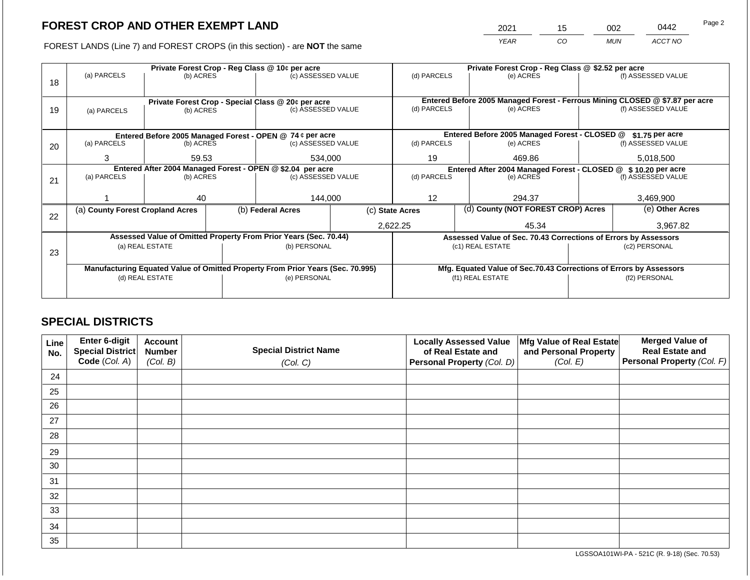2021 15 002 0442

FOREST LANDS (Line 7) and FOREST CROPS (in this section) - are **NOT** the same *YEAR CO MUN ACCT NO*

| 18 | (a) PARCELS                                                                    | (b) ACRES       |  | Private Forest Crop - Reg Class @ 10¢ per acre<br>(c) ASSESSED VALUE           |                                                                              |                   | (d) PARCELS |                                               | Private Forest Crop - Reg Class @ \$2.52 per acre               | (f) ASSESSED VALUE |
|----|--------------------------------------------------------------------------------|-----------------|--|--------------------------------------------------------------------------------|------------------------------------------------------------------------------|-------------------|-------------|-----------------------------------------------|-----------------------------------------------------------------|--------------------|
|    |                                                                                |                 |  |                                                                                | Entered Before 2005 Managed Forest - Ferrous Mining CLOSED @ \$7.87 per acre |                   |             |                                               |                                                                 |                    |
| 19 | Private Forest Crop - Special Class @ 20¢ per acre<br>(b) ACRES<br>(a) PARCELS |                 |  | (c) ASSESSED VALUE                                                             | (d) PARCELS                                                                  |                   | (e) ACRES   |                                               | (f) ASSESSED VALUE                                              |                    |
|    |                                                                                |                 |  | Entered Before 2005 Managed Forest - OPEN @ 74 ¢ per acre                      |                                                                              |                   |             | Entered Before 2005 Managed Forest - CLOSED @ |                                                                 | \$1.75 per acre    |
| 20 | (a) PARCELS                                                                    | (b) ACRES       |  | (c) ASSESSED VALUE                                                             |                                                                              | (d) PARCELS       |             | (e) ACRES                                     |                                                                 | (f) ASSESSED VALUE |
|    | 3                                                                              | 59.53           |  | 534,000                                                                        |                                                                              | 19                |             | 469.86                                        |                                                                 | 5,018,500          |
|    |                                                                                |                 |  | Entered After 2004 Managed Forest - OPEN @ \$2.04 per acre                     | Entered After 2004 Managed Forest - CLOSED @ \$ 10.20 per acre               |                   |             |                                               |                                                                 |                    |
| 21 | (a) PARCELS                                                                    | (b) ACRES       |  | (c) ASSESSED VALUE                                                             | (d) PARCELS                                                                  |                   | (e) ACRES   |                                               | (f) ASSESSED VALUE                                              |                    |
|    |                                                                                | 40              |  | 144.000                                                                        | $12 \overline{ }$                                                            |                   | 294.37      |                                               | 3.469.900                                                       |                    |
|    | (a) County Forest Cropland Acres                                               |                 |  | (b) Federal Acres                                                              | (d) County (NOT FOREST CROP) Acres<br>(c) State Acres                        |                   |             |                                               | (e) Other Acres                                                 |                    |
| 22 |                                                                                |                 |  |                                                                                |                                                                              |                   |             |                                               |                                                                 |                    |
|    |                                                                                |                 |  |                                                                                |                                                                              | 2,622.25<br>45.34 |             |                                               | 3,967.82                                                        |                    |
|    |                                                                                |                 |  | Assessed Value of Omitted Property From Prior Years (Sec. 70.44)               |                                                                              |                   |             |                                               | Assessed Value of Sec. 70.43 Corrections of Errors by Assessors |                    |
| 23 |                                                                                | (a) REAL ESTATE |  | (b) PERSONAL                                                                   |                                                                              | (c1) REAL ESTATE  |             |                                               | (c2) PERSONAL                                                   |                    |
|    |                                                                                |                 |  |                                                                                |                                                                              |                   |             |                                               |                                                                 |                    |
|    |                                                                                |                 |  | Manufacturing Equated Value of Omitted Property From Prior Years (Sec. 70.995) | Mfg. Equated Value of Sec.70.43 Corrections of Errors by Assessors           |                   |             |                                               |                                                                 |                    |
|    |                                                                                | (d) REAL ESTATE |  | (e) PERSONAL                                                                   |                                                                              |                   |             | (f1) REAL ESTATE                              |                                                                 | (f2) PERSONAL      |
|    |                                                                                |                 |  |                                                                                |                                                                              |                   |             |                                               |                                                                 |                    |

### **SPECIAL DISTRICTS**

| Line<br>No. | Enter 6-digit<br>Special District<br>Code (Col. A) | <b>Account</b><br><b>Number</b><br>(Col. B) | <b>Special District Name</b><br>(Col. C) | <b>Locally Assessed Value</b><br>of Real Estate and<br><b>Personal Property (Col. D)</b> | Mfg Value of Real Estate<br>and Personal Property<br>(Col. E) | <b>Merged Value of</b><br><b>Real Estate and</b><br>Personal Property (Col. F) |
|-------------|----------------------------------------------------|---------------------------------------------|------------------------------------------|------------------------------------------------------------------------------------------|---------------------------------------------------------------|--------------------------------------------------------------------------------|
| 24          |                                                    |                                             |                                          |                                                                                          |                                                               |                                                                                |
| 25          |                                                    |                                             |                                          |                                                                                          |                                                               |                                                                                |
| 26          |                                                    |                                             |                                          |                                                                                          |                                                               |                                                                                |
| 27          |                                                    |                                             |                                          |                                                                                          |                                                               |                                                                                |
| 28          |                                                    |                                             |                                          |                                                                                          |                                                               |                                                                                |
| 29          |                                                    |                                             |                                          |                                                                                          |                                                               |                                                                                |
| 30          |                                                    |                                             |                                          |                                                                                          |                                                               |                                                                                |
| 31          |                                                    |                                             |                                          |                                                                                          |                                                               |                                                                                |
| 32          |                                                    |                                             |                                          |                                                                                          |                                                               |                                                                                |
| 33          |                                                    |                                             |                                          |                                                                                          |                                                               |                                                                                |
| 34          |                                                    |                                             |                                          |                                                                                          |                                                               |                                                                                |
| 35          |                                                    |                                             |                                          |                                                                                          |                                                               |                                                                                |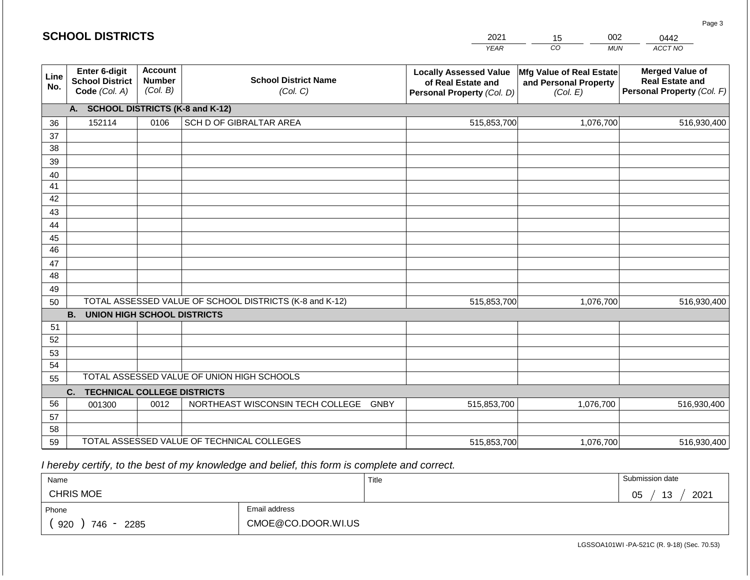#### *YEAR*  2021  $\overline{co}$ 15 *MUN*  002 *ACCT NO*  0442 **Line No. Enter 6-digit School District Code** *(Col. A)* **Account Number** *(Col. B)* **School District Name** *(Col. C)* **Locally Assessed Value of Real Estate and Personal Property** *(Col. D)* **Mfg Value of Real Estate and Personal Property** *(Col. E)* **Merged Value of Real Estate and Personal Property** *(Col. F)* **A. SCHOOL DISTRICTS (K-8 and K-12)** 36 37 38 39 40 41 42 43 44 45 46 47 48 49 50 TOTAL ASSESSED VALUE OF SCHOOL DISTRICTS (K-8 and K-12) **B. UNION HIGH SCHOOL DISTRICTS** 51 52 53 54 55 **C. TECHNICAL COLLEGE DISTRICTS** 56 57 58 59 TOTAL ASSESSED VALUE OF TECHNICAL COLLEGES TOTAL ASSESSED VALUE OF UNION HIGH SCHOOLS 152114 0106 SCH D OF GIBRALTAR AREA 515,853,700 515,853,700 001300 | 0012 | NORTHEAST WISCONSIN TECH COLLEGE GNBY 515,853,700 1,076,700 516,930,400 1,076,700 516,930,400 1,076,700 516,930,400 515,853,700 1,076,700 516,930,400

 *I hereby certify, to the best of my knowledge and belief, this form is complete and correct.*

**SCHOOL DISTRICTS**

| Name                                           |                    | Title | Submission date        |
|------------------------------------------------|--------------------|-------|------------------------|
| <b>CHRIS MOE</b>                               |                    |       | 2021<br>13<br>∩ҕ<br>◡◡ |
| Phone                                          | Email address      |       |                        |
| 920<br>746<br>2285<br>$\overline{\phantom{a}}$ | CMOE@CO.DOOR.WI.US |       |                        |

LGSSOA101WI -PA-521C (R. 9-18) (Sec. 70.53)

Page 3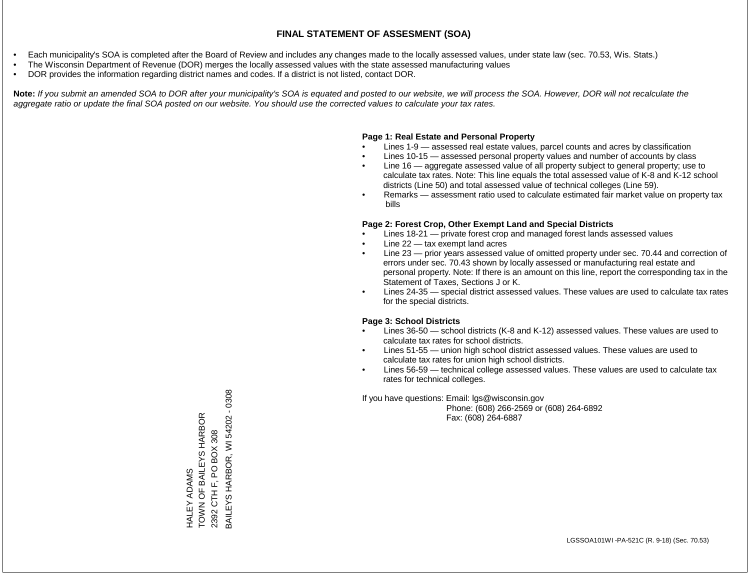- Each municipality's SOA is completed after the Board of Review and includes any changes made to the locally assessed values, under state law (sec. 70.53, Wis. Stats.)
- The Wisconsin Department of Revenue (DOR) merges the locally assessed values with the state assessed manufacturing values
- DOR provides the information regarding district names and codes. If a district is not listed, contact DOR.

Note: If you submit an amended SOA to DOR after your municipality's SOA is equated and posted to our website, we will process the SOA. However, DOR will not recalculate the *aggregate ratio or update the final SOA posted on our website. You should use the corrected values to calculate your tax rates.*

### **Page 1: Real Estate and Personal Property**

- Lines 1-9 assessed real estate values, parcel counts and acres by classification
- Lines 10-15 assessed personal property values and number of accounts by class
- Line 16 aggregate assessed value of all property subject to general property; use to calculate tax rates. Note: This line equals the total assessed value of K-8 and K-12 school districts (Line 50) and total assessed value of technical colleges (Line 59).
- Remarks assessment ratio used to calculate estimated fair market value on property tax bills

### **Page 2: Forest Crop, Other Exempt Land and Special Districts**

- Lines 18-21 private forest crop and managed forest lands assessed values
- Line  $22 -$  tax exempt land acres
- Line 23 prior years assessed value of omitted property under sec. 70.44 and correction of errors under sec. 70.43 shown by locally assessed or manufacturing real estate and personal property. Note: If there is an amount on this line, report the corresponding tax in the Statement of Taxes, Sections J or K.
- Lines 24-35 special district assessed values. These values are used to calculate tax rates for the special districts.

### **Page 3: School Districts**

- Lines 36-50 school districts (K-8 and K-12) assessed values. These values are used to calculate tax rates for school districts.
- Lines 51-55 union high school district assessed values. These values are used to calculate tax rates for union high school districts.
- Lines 56-59 technical college assessed values. These values are used to calculate tax rates for technical colleges.

If you have questions: Email: lgs@wisconsin.gov

 Phone: (608) 266-2569 or (608) 264-6892 Fax: (608) 264-6887

3AILEYS HARBOR, WI 54202 - 0308 BAILEYS HARBOR, WI 54202 - 0308TOWN OF BAILEYS HARBOR HALEY ADAMS<br>TOWN OF BAILEYS HARBOR 2392 CTH F, PO BOX 308 2392 CTH F, PO BOX 308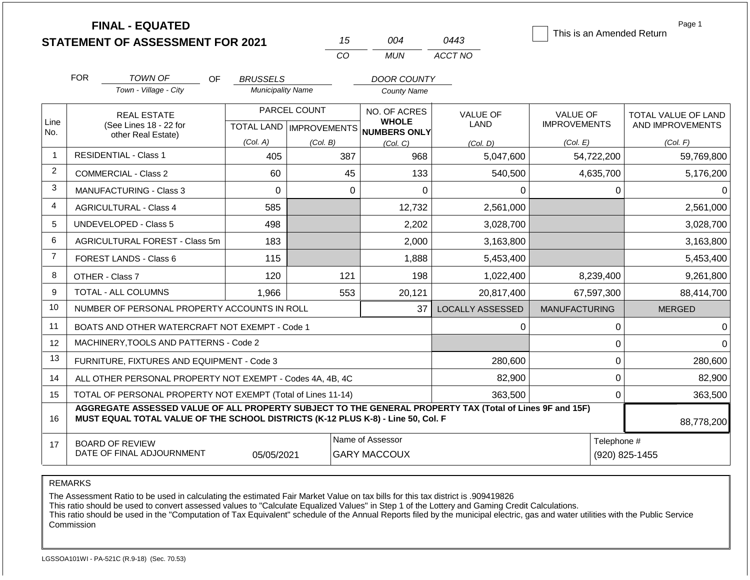|                |            | <b>FINAL - EQUATED</b><br><b>STATEMENT OF ASSESSMENT FOR 2021</b>                                                                                                                            |                          | 15                                        | 004                                                 | 0443                           | This is an Amended Return              | Page 1                                         |
|----------------|------------|----------------------------------------------------------------------------------------------------------------------------------------------------------------------------------------------|--------------------------|-------------------------------------------|-----------------------------------------------------|--------------------------------|----------------------------------------|------------------------------------------------|
|                |            |                                                                                                                                                                                              |                          | CO                                        | <b>MUN</b>                                          | ACCT NO                        |                                        |                                                |
|                | <b>FOR</b> | <b>TOWN OF</b><br>OF.                                                                                                                                                                        | <b>BRUSSELS</b>          |                                           | <b>DOOR COUNTY</b>                                  |                                |                                        |                                                |
|                |            | Town - Village - City                                                                                                                                                                        | <b>Municipality Name</b> |                                           | <b>County Name</b>                                  |                                |                                        |                                                |
| Line<br>No.    |            | <b>REAL ESTATE</b><br>(See Lines 18 - 22 for                                                                                                                                                 |                          | PARCEL COUNT<br>TOTAL LAND   IMPROVEMENTS | NO. OF ACRES<br><b>WHOLE</b><br><b>NUMBERS ONLY</b> | <b>VALUE OF</b><br><b>LAND</b> | <b>VALUE OF</b><br><b>IMPROVEMENTS</b> | <b>TOTAL VALUE OF LAND</b><br>AND IMPROVEMENTS |
|                |            | other Real Estate)                                                                                                                                                                           | (Col. A)                 | (Col. B)                                  | (Col, C)                                            | (Col. D)                       | (Col. E)                               | (Col. F)                                       |
| $\mathbf 1$    |            | <b>RESIDENTIAL - Class 1</b>                                                                                                                                                                 | 405                      |                                           | 387<br>968                                          | 5,047,600                      | 54,722,200                             | 59,769,800                                     |
| 2              |            | <b>COMMERCIAL - Class 2</b>                                                                                                                                                                  | 60                       |                                           | 45<br>133                                           | 540,500                        | 4,635,700                              | 5,176,200                                      |
| 3              |            | <b>MANUFACTURING - Class 3</b>                                                                                                                                                               | $\Omega$                 |                                           | $\Omega$<br>$\Omega$                                | $\Omega$                       | 0                                      | $\Omega$                                       |
| 4              |            | <b>AGRICULTURAL - Class 4</b>                                                                                                                                                                | 585                      |                                           | 12,732                                              | 2,561,000                      |                                        | 2,561,000                                      |
| 5              |            | <b>UNDEVELOPED - Class 5</b>                                                                                                                                                                 | 498                      |                                           | 2,202                                               | 3,028,700                      |                                        | 3,028,700                                      |
| 6              |            | AGRICULTURAL FOREST - Class 5m                                                                                                                                                               | 183                      |                                           | 2,000                                               | 3,163,800                      |                                        | 3,163,800                                      |
| $\overline{7}$ |            | <b>FOREST LANDS - Class 6</b>                                                                                                                                                                | 115                      |                                           | 1,888                                               | 5,453,400                      |                                        | 5,453,400                                      |
| 8              |            | OTHER - Class 7                                                                                                                                                                              | 120                      | 121                                       | 198                                                 | 1,022,400                      | 8,239,400                              | 9,261,800                                      |
| 9              |            | <b>TOTAL - ALL COLUMNS</b>                                                                                                                                                                   | 1,966                    |                                           | 553<br>20,121                                       | 20,817,400                     | 67,597,300                             | 88,414,700                                     |
| 10             |            | NUMBER OF PERSONAL PROPERTY ACCOUNTS IN ROLL                                                                                                                                                 |                          |                                           | 37                                                  | <b>LOCALLY ASSESSED</b>        | <b>MANUFACTURING</b>                   | <b>MERGED</b>                                  |
| 11             |            | BOATS AND OTHER WATERCRAFT NOT EXEMPT - Code 1                                                                                                                                               |                          |                                           |                                                     | 0                              | $\pmb{0}$                              | $\Omega$                                       |
| 12             |            | MACHINERY, TOOLS AND PATTERNS - Code 2                                                                                                                                                       |                          |                                           |                                                     |                                | $\mathbf 0$                            | $\Omega$                                       |
| 13             |            | FURNITURE, FIXTURES AND EQUIPMENT - Code 3                                                                                                                                                   |                          |                                           |                                                     | 280,600                        | $\mathbf 0$                            | 280,600                                        |
| 14             |            | ALL OTHER PERSONAL PROPERTY NOT EXEMPT - Codes 4A, 4B, 4C                                                                                                                                    |                          |                                           |                                                     | 82,900                         | $\mathbf 0$                            | 82,900                                         |
| 15             |            | TOTAL OF PERSONAL PROPERTY NOT EXEMPT (Total of Lines 11-14)                                                                                                                                 |                          |                                           |                                                     | 363,500                        | $\mathbf 0$                            | 363,500                                        |
| 16             |            | AGGREGATE ASSESSED VALUE OF ALL PROPERTY SUBJECT TO THE GENERAL PROPERTY TAX (Total of Lines 9F and 15F)<br>MUST EQUAL TOTAL VALUE OF THE SCHOOL DISTRICTS (K-12 PLUS K-8) - Line 50, Col. F |                          |                                           |                                                     |                                |                                        | 88,778,200                                     |
| 17             |            | <b>BOARD OF REVIEW</b><br>DATE OF FINAL ADJOURNMENT                                                                                                                                          | Telephone #              | (920) 825-1455                            |                                                     |                                |                                        |                                                |

The Assessment Ratio to be used in calculating the estimated Fair Market Value on tax bills for this tax district is .909419826

This ratio should be used to convert assessed values to "Calculate Equalized Values" in Step 1 of the Lottery and Gaming Credit Calculations.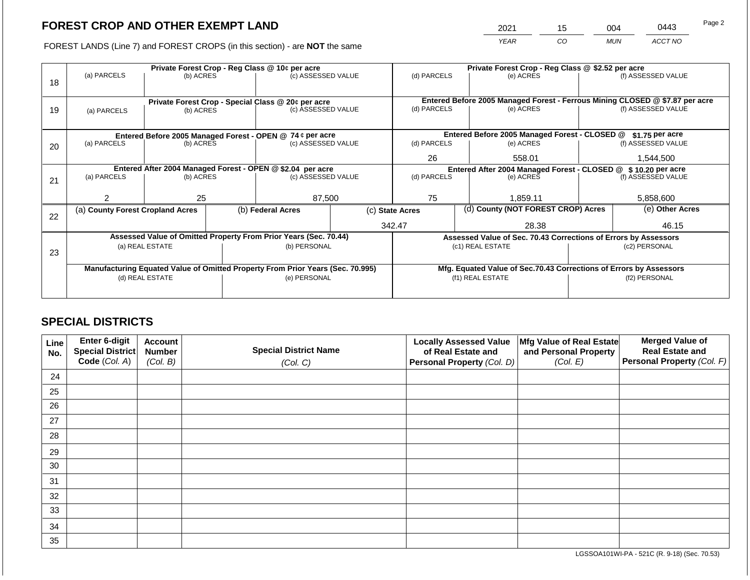2021 15 004 0443 Page 2

FOREST LANDS (Line 7) and FOREST CROPS (in this section) - are **NOT** the same *YEAR CO MUN ACCT NO*

|    |                                                                                                   |                 |  | Private Forest Crop - Reg Class @ 10¢ per acre                   |                                                               |                                                                              |                 | Private Forest Crop - Reg Class @ \$2.52 per acre                  |               |                    |
|----|---------------------------------------------------------------------------------------------------|-----------------|--|------------------------------------------------------------------|---------------------------------------------------------------|------------------------------------------------------------------------------|-----------------|--------------------------------------------------------------------|---------------|--------------------|
|    | (a) PARCELS                                                                                       | (b) ACRES       |  | (c) ASSESSED VALUE                                               |                                                               | (d) PARCELS                                                                  |                 | (e) ACRES                                                          |               | (f) ASSESSED VALUE |
| 18 |                                                                                                   |                 |  |                                                                  |                                                               |                                                                              |                 |                                                                    |               |                    |
|    |                                                                                                   |                 |  |                                                                  |                                                               |                                                                              |                 |                                                                    |               |                    |
|    |                                                                                                   |                 |  | Private Forest Crop - Special Class @ 20¢ per acre               |                                                               | Entered Before 2005 Managed Forest - Ferrous Mining CLOSED @ \$7.87 per acre |                 |                                                                    |               |                    |
| 19 | (a) PARCELS                                                                                       | (b) ACRES       |  | (c) ASSESSED VALUE                                               |                                                               | (d) PARCELS                                                                  |                 | (e) ACRES                                                          |               | (f) ASSESSED VALUE |
|    |                                                                                                   |                 |  |                                                                  |                                                               |                                                                              |                 |                                                                    |               |                    |
|    |                                                                                                   |                 |  | Entered Before 2005 Managed Forest - OPEN @ 74 ¢ per acre        |                                                               |                                                                              |                 | Entered Before 2005 Managed Forest - CLOSED @                      |               | \$1.75 per acre    |
| 20 | (a) PARCELS                                                                                       | (b) ACRES       |  | (c) ASSESSED VALUE                                               |                                                               | (d) PARCELS                                                                  |                 | (e) ACRES                                                          |               | (f) ASSESSED VALUE |
|    |                                                                                                   |                 |  |                                                                  |                                                               |                                                                              |                 |                                                                    |               |                    |
|    |                                                                                                   |                 |  |                                                                  |                                                               | 26                                                                           |                 | 558.01                                                             |               | 1,544,500          |
|    |                                                                                                   |                 |  | Entered After 2004 Managed Forest - OPEN @ \$2.04 per acre       | Entered After 2004 Managed Forest - CLOSED @ \$10.20 per acre |                                                                              |                 |                                                                    |               |                    |
| 21 | (a) PARCELS                                                                                       | (b) ACRES       |  | (c) ASSESSED VALUE                                               |                                                               | (d) PARCELS                                                                  |                 | (e) ACRES                                                          |               | (f) ASSESSED VALUE |
|    |                                                                                                   |                 |  |                                                                  |                                                               |                                                                              |                 |                                                                    |               |                    |
|    | 2                                                                                                 | 25              |  | 87,500                                                           |                                                               | 75                                                                           |                 | 1,859.11                                                           |               | 5,858,600          |
|    | (a) County Forest Cropland Acres                                                                  |                 |  | (b) Federal Acres                                                |                                                               | (c) State Acres                                                              |                 | (d) County (NOT FOREST CROP) Acres                                 |               | (e) Other Acres    |
| 22 |                                                                                                   |                 |  |                                                                  |                                                               |                                                                              |                 |                                                                    |               |                    |
|    |                                                                                                   |                 |  |                                                                  |                                                               |                                                                              | 342.47<br>28.38 |                                                                    | 46.15         |                    |
|    |                                                                                                   |                 |  | Assessed Value of Omitted Property From Prior Years (Sec. 70.44) |                                                               |                                                                              |                 | Assessed Value of Sec. 70.43 Corrections of Errors by Assessors    |               |                    |
|    |                                                                                                   | (a) REAL ESTATE |  | (b) PERSONAL                                                     |                                                               |                                                                              |                 | (c1) REAL ESTATE                                                   |               | (c2) PERSONAL      |
| 23 |                                                                                                   |                 |  |                                                                  |                                                               |                                                                              |                 |                                                                    |               |                    |
|    |                                                                                                   |                 |  |                                                                  |                                                               |                                                                              |                 | Mfg. Equated Value of Sec.70.43 Corrections of Errors by Assessors |               |                    |
|    | Manufacturing Equated Value of Omitted Property From Prior Years (Sec. 70.995)<br>(d) REAL ESTATE |                 |  | (e) PERSONAL                                                     |                                                               | (f1) REAL ESTATE                                                             |                 |                                                                    | (f2) PERSONAL |                    |
|    |                                                                                                   |                 |  |                                                                  |                                                               |                                                                              |                 |                                                                    |               |                    |
|    |                                                                                                   |                 |  |                                                                  |                                                               |                                                                              |                 |                                                                    |               |                    |

### **SPECIAL DISTRICTS**

| Line<br>No. | Enter 6-digit<br>Special District<br>Code (Col. A) | <b>Account</b><br><b>Number</b><br>(Col. B) | <b>Special District Name</b><br>(Col. C) | <b>Locally Assessed Value</b><br>of Real Estate and<br><b>Personal Property (Col. D)</b> | Mfg Value of Real Estate<br>and Personal Property<br>(Col. E) | <b>Merged Value of</b><br><b>Real Estate and</b><br>Personal Property (Col. F) |
|-------------|----------------------------------------------------|---------------------------------------------|------------------------------------------|------------------------------------------------------------------------------------------|---------------------------------------------------------------|--------------------------------------------------------------------------------|
| 24          |                                                    |                                             |                                          |                                                                                          |                                                               |                                                                                |
| 25          |                                                    |                                             |                                          |                                                                                          |                                                               |                                                                                |
| 26          |                                                    |                                             |                                          |                                                                                          |                                                               |                                                                                |
| 27          |                                                    |                                             |                                          |                                                                                          |                                                               |                                                                                |
| 28          |                                                    |                                             |                                          |                                                                                          |                                                               |                                                                                |
| 29          |                                                    |                                             |                                          |                                                                                          |                                                               |                                                                                |
| 30          |                                                    |                                             |                                          |                                                                                          |                                                               |                                                                                |
| 31          |                                                    |                                             |                                          |                                                                                          |                                                               |                                                                                |
| 32          |                                                    |                                             |                                          |                                                                                          |                                                               |                                                                                |
| 33          |                                                    |                                             |                                          |                                                                                          |                                                               |                                                                                |
| 34          |                                                    |                                             |                                          |                                                                                          |                                                               |                                                                                |
| 35          |                                                    |                                             |                                          |                                                                                          |                                                               |                                                                                |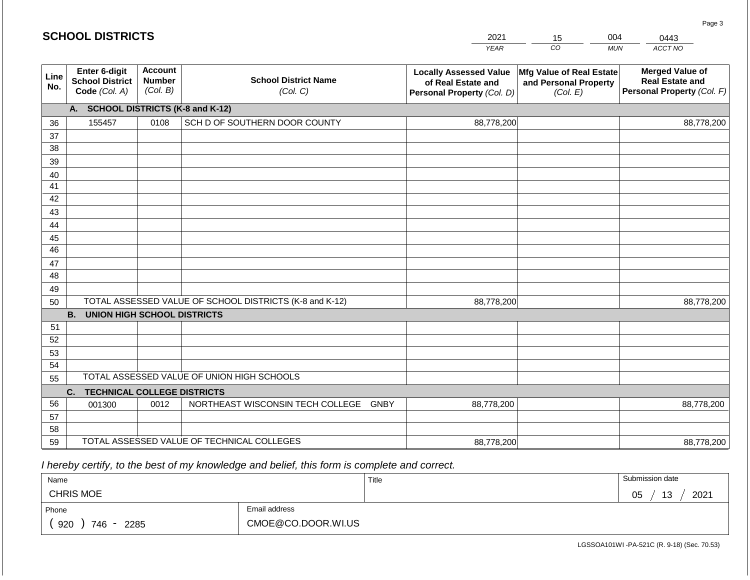|             | <b>SCHOOL DISTRICTS</b>                                  |                                             |                                                         | 2021                                                                              | 15                                                            | 004<br>0443                                                                    |
|-------------|----------------------------------------------------------|---------------------------------------------|---------------------------------------------------------|-----------------------------------------------------------------------------------|---------------------------------------------------------------|--------------------------------------------------------------------------------|
|             |                                                          |                                             |                                                         | <b>YEAR</b>                                                                       | CO                                                            | ACCT NO<br><b>MUN</b>                                                          |
| Line<br>No. | Enter 6-digit<br><b>School District</b><br>Code (Col. A) | <b>Account</b><br><b>Number</b><br>(Col. B) | <b>School District Name</b><br>(Col. C)                 | <b>Locally Assessed Value</b><br>of Real Estate and<br>Personal Property (Col. D) | Mfg Value of Real Estate<br>and Personal Property<br>(Col. E) | <b>Merged Value of</b><br><b>Real Estate and</b><br>Personal Property (Col. F) |
|             | A. SCHOOL DISTRICTS (K-8 and K-12)                       |                                             |                                                         |                                                                                   |                                                               |                                                                                |
| 36          | 155457                                                   | 0108                                        | SCH D OF SOUTHERN DOOR COUNTY                           | 88,778,200                                                                        |                                                               | 88,778,200                                                                     |
| 37          |                                                          |                                             |                                                         |                                                                                   |                                                               |                                                                                |
| 38          |                                                          |                                             |                                                         |                                                                                   |                                                               |                                                                                |
| 39          |                                                          |                                             |                                                         |                                                                                   |                                                               |                                                                                |
| 40          |                                                          |                                             |                                                         |                                                                                   |                                                               |                                                                                |
| 41<br>42    |                                                          |                                             |                                                         |                                                                                   |                                                               |                                                                                |
| 43          |                                                          |                                             |                                                         |                                                                                   |                                                               |                                                                                |
| 44          |                                                          |                                             |                                                         |                                                                                   |                                                               |                                                                                |
| 45          |                                                          |                                             |                                                         |                                                                                   |                                                               |                                                                                |
| 46          |                                                          |                                             |                                                         |                                                                                   |                                                               |                                                                                |
| 47          |                                                          |                                             |                                                         |                                                                                   |                                                               |                                                                                |
| 48          |                                                          |                                             |                                                         |                                                                                   |                                                               |                                                                                |
| 49          |                                                          |                                             |                                                         |                                                                                   |                                                               |                                                                                |
| 50          |                                                          |                                             | TOTAL ASSESSED VALUE OF SCHOOL DISTRICTS (K-8 and K-12) | 88,778,200                                                                        |                                                               | 88,778,200                                                                     |
|             | <b>B. UNION HIGH SCHOOL DISTRICTS</b>                    |                                             |                                                         |                                                                                   |                                                               |                                                                                |
| 51<br>52    |                                                          |                                             |                                                         |                                                                                   |                                                               |                                                                                |
| 53          |                                                          |                                             |                                                         |                                                                                   |                                                               |                                                                                |
| 54          |                                                          |                                             |                                                         |                                                                                   |                                                               |                                                                                |
| 55          |                                                          |                                             | TOTAL ASSESSED VALUE OF UNION HIGH SCHOOLS              |                                                                                   |                                                               |                                                                                |
|             | <b>TECHNICAL COLLEGE DISTRICTS</b><br>C.                 |                                             |                                                         |                                                                                   |                                                               |                                                                                |
| 56          | 001300                                                   | 0012                                        | NORTHEAST WISCONSIN TECH COLLEGE GNBY                   | 88,778,200                                                                        |                                                               | 88,778,200                                                                     |
| 57          |                                                          |                                             |                                                         |                                                                                   |                                                               |                                                                                |
| 58          |                                                          |                                             |                                                         |                                                                                   |                                                               |                                                                                |
| 59          |                                                          |                                             | TOTAL ASSESSED VALUE OF TECHNICAL COLLEGES              | 88,778,200                                                                        |                                                               | 88,778,200                                                                     |

 *I hereby certify, to the best of my knowledge and belief, this form is complete and correct.*

| Name                    |                    | Title | Submission date              |
|-------------------------|--------------------|-------|------------------------------|
| <b>CHRIS MOE</b>        |                    |       | 2021<br>12<br>∩ҕ<br>ט ו<br>◡ |
| Phone                   | Email address      |       |                              |
| 920<br>746<br>2285<br>- | CMOE@CO.DOOR.WI.US |       |                              |

Page 3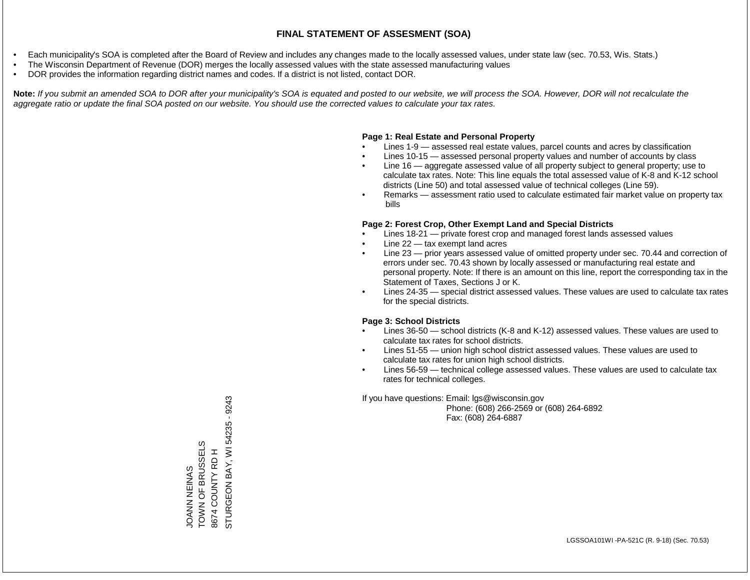- Each municipality's SOA is completed after the Board of Review and includes any changes made to the locally assessed values, under state law (sec. 70.53, Wis. Stats.)
- The Wisconsin Department of Revenue (DOR) merges the locally assessed values with the state assessed manufacturing values
- DOR provides the information regarding district names and codes. If a district is not listed, contact DOR.

Note: If you submit an amended SOA to DOR after your municipality's SOA is equated and posted to our website, we will process the SOA. However, DOR will not recalculate the *aggregate ratio or update the final SOA posted on our website. You should use the corrected values to calculate your tax rates.*

### **Page 1: Real Estate and Personal Property**

- Lines 1-9 assessed real estate values, parcel counts and acres by classification
- Lines 10-15 assessed personal property values and number of accounts by class
- Line 16 aggregate assessed value of all property subject to general property; use to calculate tax rates. Note: This line equals the total assessed value of K-8 and K-12 school districts (Line 50) and total assessed value of technical colleges (Line 59).
- Remarks assessment ratio used to calculate estimated fair market value on property tax bills

### **Page 2: Forest Crop, Other Exempt Land and Special Districts**

- Lines 18-21 private forest crop and managed forest lands assessed values
- Line  $22 -$  tax exempt land acres
- Line 23 prior years assessed value of omitted property under sec. 70.44 and correction of errors under sec. 70.43 shown by locally assessed or manufacturing real estate and personal property. Note: If there is an amount on this line, report the corresponding tax in the Statement of Taxes, Sections J or K.
- Lines 24-35 special district assessed values. These values are used to calculate tax rates for the special districts.

### **Page 3: School Districts**

- Lines 36-50 school districts (K-8 and K-12) assessed values. These values are used to calculate tax rates for school districts.
- Lines 51-55 union high school district assessed values. These values are used to calculate tax rates for union high school districts.
- Lines 56-59 technical college assessed values. These values are used to calculate tax rates for technical colleges.

If you have questions: Email: lgs@wisconsin.gov

 Phone: (608) 266-2569 or (608) 264-6892 Fax: (608) 264-6887

STURGEON BAY, WI 54235 - 9243 STURGEON BAY, WI 54235 - 9243TOWN OF BRUSSELS JOANN NEINAS<br>TOWN OF BRUSSELS 8674 COUNTY RD H 8674 COUNTY RD H JOANN NEINAS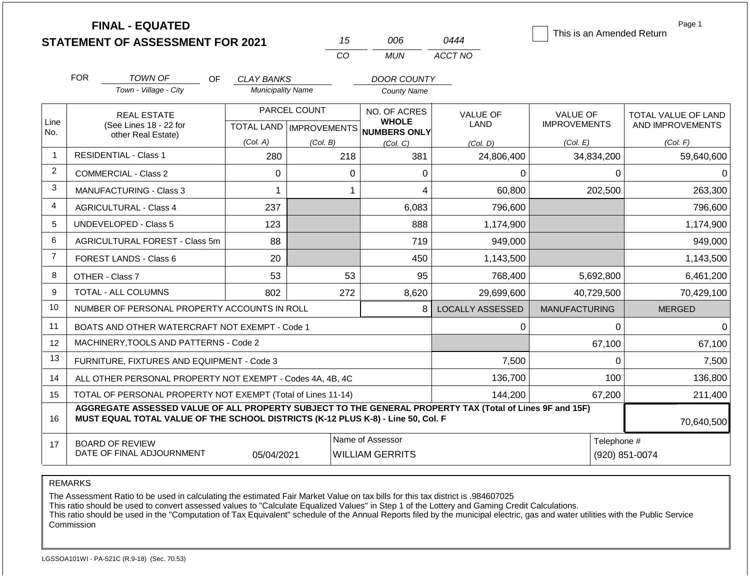|                |            | <b>FINAL - EQUATED</b><br><b>STATEMENT OF ASSESSMENT FOR 2021</b>                                                                                                                            |                          |              | 15                                         | 006                                                                  | 0444                    | This is an Amended Return              | Page 1                                  |  |
|----------------|------------|----------------------------------------------------------------------------------------------------------------------------------------------------------------------------------------------|--------------------------|--------------|--------------------------------------------|----------------------------------------------------------------------|-------------------------|----------------------------------------|-----------------------------------------|--|
|                |            |                                                                                                                                                                                              |                          | CO           |                                            | <b>MUN</b>                                                           | ACCT NO                 |                                        |                                         |  |
|                | <b>FOR</b> | TOWN OF<br>OF.                                                                                                                                                                               | CLAY BANKS               |              |                                            | <b>DOOR COUNTY</b>                                                   |                         |                                        |                                         |  |
|                |            | Town - Village - City                                                                                                                                                                        | <b>Municipality Name</b> |              |                                            | <b>County Name</b>                                                   |                         |                                        |                                         |  |
| Line<br>No.    |            | <b>REAL ESTATE</b><br>(See Lines 18 - 22 for                                                                                                                                                 |                          | PARCEL COUNT |                                            | NO. OF ACRES<br><b>WHOLE</b><br>TOTAL LAND IMPROVEMENTS NUMBERS ONLY | <b>VALUE OF</b><br>LAND | <b>VALUE OF</b><br><b>IMPROVEMENTS</b> | TOTAL VALUE OF LAND<br>AND IMPROVEMENTS |  |
|                |            | other Real Estate)                                                                                                                                                                           | (Col. A)                 | (Col. B)     |                                            | (Col, C)                                                             | (Col. D)                | (Col. E)                               | (Col. F)                                |  |
| $\overline{1}$ |            | <b>RESIDENTIAL - Class 1</b>                                                                                                                                                                 | 280                      |              | 218                                        | 381                                                                  | 24,806,400              | 34,834,200                             | 59,640,600                              |  |
| $\overline{2}$ |            | COMMERCIAL - Class 2                                                                                                                                                                         | 0                        |              | 0                                          | 0                                                                    | 0                       |                                        | $\mathbf{0}$<br>$\Omega$                |  |
| 3              |            | <b>MANUFACTURING - Class 3</b>                                                                                                                                                               | 1                        |              | 1                                          | 4                                                                    | 60,800                  | 202,500                                | 263,300                                 |  |
| $\overline{4}$ |            | <b>AGRICULTURAL - Class 4</b>                                                                                                                                                                | 237                      |              |                                            | 6,083                                                                | 796,600                 |                                        | 796,600                                 |  |
| 5              |            | <b>UNDEVELOPED - Class 5</b>                                                                                                                                                                 | 123                      |              |                                            | 888                                                                  | 1,174,900               |                                        | 1,174,900                               |  |
| 6              |            | AGRICULTURAL FOREST - Class 5m                                                                                                                                                               | 88                       |              |                                            | 719                                                                  | 949,000                 |                                        | 949,000                                 |  |
| $\overline{7}$ |            | FOREST LANDS - Class 6                                                                                                                                                                       | 20                       |              |                                            | 450                                                                  | 1,143,500               |                                        | 1,143,500                               |  |
| 8              |            | OTHER - Class 7                                                                                                                                                                              | 53                       |              | 53                                         | 95                                                                   | 768,400                 | 5,692,800                              | 6,461,200                               |  |
| 9              |            | <b>TOTAL - ALL COLUMNS</b>                                                                                                                                                                   | 802                      |              | 272                                        | 8,620                                                                | 29,699,600              | 40.729.500                             | 70,429,100                              |  |
| 10             |            | NUMBER OF PERSONAL PROPERTY ACCOUNTS IN ROLL                                                                                                                                                 |                          |              |                                            | 8                                                                    | <b>LOCALLY ASSESSED</b> | <b>MANUFACTURING</b>                   | <b>MERGED</b>                           |  |
| 11             |            | BOATS AND OTHER WATERCRAFT NOT EXEMPT - Code 1                                                                                                                                               |                          |              |                                            |                                                                      | 0                       |                                        | $\Omega$<br>$\Omega$                    |  |
| 12             |            | MACHINERY, TOOLS AND PATTERNS - Code 2                                                                                                                                                       |                          |              |                                            |                                                                      |                         | 67,100                                 | 67,100                                  |  |
| 13             |            | FURNITURE, FIXTURES AND EQUIPMENT - Code 3                                                                                                                                                   |                          |              |                                            |                                                                      | 7,500                   |                                        | $\Omega$<br>7,500                       |  |
| 14             |            | ALL OTHER PERSONAL PROPERTY NOT EXEMPT - Codes 4A, 4B, 4C                                                                                                                                    |                          |              |                                            |                                                                      | 136,700                 | 100                                    | 136,800                                 |  |
| 15             |            | TOTAL OF PERSONAL PROPERTY NOT EXEMPT (Total of Lines 11-14)                                                                                                                                 |                          |              |                                            |                                                                      | 144,200                 | 67,200                                 | 211,400                                 |  |
| 16             |            | AGGREGATE ASSESSED VALUE OF ALL PROPERTY SUBJECT TO THE GENERAL PROPERTY TAX (Total of Lines 9F and 15F)<br>MUST EQUAL TOTAL VALUE OF THE SCHOOL DISTRICTS (K-12 PLUS K-8) - Line 50, Col. F |                          | 70,640,500   |                                            |                                                                      |                         |                                        |                                         |  |
| 17             |            | <b>BOARD OF REVIEW</b><br>DATE OF FINAL ADJOURNMENT                                                                                                                                          | 05/04/2021               |              | Name of Assessor<br><b>WILLIAM GERRITS</b> |                                                                      |                         |                                        | Telephone #<br>(920) 851-0074           |  |

The Assessment Ratio to be used in calculating the estimated Fair Market Value on tax bills for this tax district is .984607025

This ratio should be used to convert assessed values to "Calculate Equalized Values" in Step 1 of the Lottery and Gaming Credit Calculations.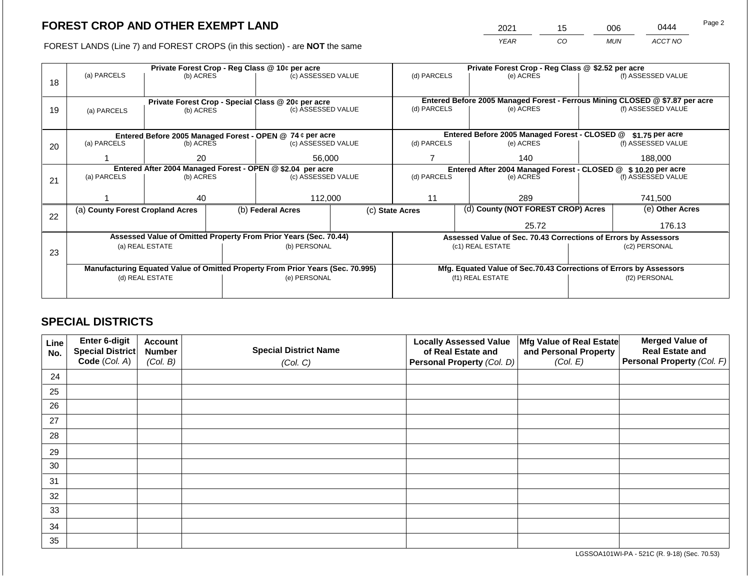2021 15 006 0444

FOREST LANDS (Line 7) and FOREST CROPS (in this section) - are **NOT** the same *YEAR CO MUN ACCT NO*

|    |                                  |                 | Private Forest Crop - Reg Class @ 10¢ per acre                                 |  | Private Forest Crop - Reg Class @ \$2.52 per acre |                                                                              |                                                                    |                                                                 |                    |
|----|----------------------------------|-----------------|--------------------------------------------------------------------------------|--|---------------------------------------------------|------------------------------------------------------------------------------|--------------------------------------------------------------------|-----------------------------------------------------------------|--------------------|
|    | (a) PARCELS                      | (b) ACRES       | (c) ASSESSED VALUE                                                             |  | (d) PARCELS                                       |                                                                              | (e) ACRES                                                          |                                                                 | (f) ASSESSED VALUE |
| 18 |                                  |                 |                                                                                |  |                                                   |                                                                              |                                                                    |                                                                 |                    |
|    |                                  |                 |                                                                                |  |                                                   |                                                                              |                                                                    |                                                                 |                    |
|    |                                  |                 | Private Forest Crop - Special Class @ 20¢ per acre                             |  |                                                   | Entered Before 2005 Managed Forest - Ferrous Mining CLOSED @ \$7.87 per acre |                                                                    |                                                                 |                    |
| 19 | (a) PARCELS                      | (b) ACRES       | (c) ASSESSED VALUE                                                             |  | (d) PARCELS                                       |                                                                              | (e) ACRES                                                          |                                                                 | (f) ASSESSED VALUE |
|    |                                  |                 |                                                                                |  |                                                   |                                                                              |                                                                    |                                                                 |                    |
|    |                                  |                 | Entered Before 2005 Managed Forest - OPEN @ 74 ¢ per acre                      |  |                                                   |                                                                              | Entered Before 2005 Managed Forest - CLOSED @                      |                                                                 | \$1.75 per acre    |
| 20 | (a) PARCELS                      | (b) ACRES       | (c) ASSESSED VALUE                                                             |  | (d) PARCELS                                       |                                                                              | (e) ACRES                                                          |                                                                 | (f) ASSESSED VALUE |
|    |                                  |                 |                                                                                |  |                                                   |                                                                              |                                                                    |                                                                 |                    |
|    |                                  | 20              | 56,000                                                                         |  |                                                   |                                                                              | 140                                                                |                                                                 | 188,000            |
|    |                                  |                 | Entered After 2004 Managed Forest - OPEN @ \$2.04 per acre                     |  |                                                   |                                                                              | Entered After 2004 Managed Forest - CLOSED @ \$10.20 per acre      |                                                                 |                    |
| 21 | (a) PARCELS                      | (b) ACRES       | (c) ASSESSED VALUE                                                             |  | (d) PARCELS                                       |                                                                              | (e) ACRES                                                          |                                                                 | (f) ASSESSED VALUE |
|    |                                  |                 |                                                                                |  |                                                   |                                                                              |                                                                    |                                                                 |                    |
|    |                                  | 40              | 112,000                                                                        |  | 11                                                |                                                                              | 289                                                                |                                                                 | 741,500            |
|    | (a) County Forest Cropland Acres |                 | (b) Federal Acres                                                              |  | (c) State Acres                                   |                                                                              | (d) County (NOT FOREST CROP) Acres                                 |                                                                 | (e) Other Acres    |
| 22 |                                  |                 |                                                                                |  |                                                   |                                                                              |                                                                    |                                                                 |                    |
|    |                                  |                 |                                                                                |  |                                                   |                                                                              | 25.72                                                              | 176.13                                                          |                    |
|    |                                  |                 | Assessed Value of Omitted Property From Prior Years (Sec. 70.44)               |  |                                                   |                                                                              |                                                                    | Assessed Value of Sec. 70.43 Corrections of Errors by Assessors |                    |
|    |                                  | (a) REAL ESTATE | (b) PERSONAL                                                                   |  |                                                   |                                                                              | (c1) REAL ESTATE                                                   | (c2) PERSONAL                                                   |                    |
| 23 |                                  |                 |                                                                                |  |                                                   |                                                                              |                                                                    |                                                                 |                    |
|    |                                  |                 | Manufacturing Equated Value of Omitted Property From Prior Years (Sec. 70.995) |  |                                                   |                                                                              | Mfg. Equated Value of Sec.70.43 Corrections of Errors by Assessors |                                                                 |                    |
|    |                                  | (d) REAL ESTATE | (e) PERSONAL                                                                   |  | (f1) REAL ESTATE                                  |                                                                              |                                                                    | (f2) PERSONAL                                                   |                    |
|    |                                  |                 |                                                                                |  |                                                   |                                                                              |                                                                    |                                                                 |                    |
|    |                                  |                 |                                                                                |  |                                                   |                                                                              |                                                                    |                                                                 |                    |

### **SPECIAL DISTRICTS**

| Line<br>No. | Enter 6-digit<br>Special District<br>Code (Col. A) | <b>Account</b><br><b>Number</b><br>(Col. B) | <b>Special District Name</b><br>(Col. C) | <b>Locally Assessed Value</b><br>of Real Estate and<br><b>Personal Property (Col. D)</b> | Mfg Value of Real Estate<br>and Personal Property<br>(Col. E) | <b>Merged Value of</b><br><b>Real Estate and</b><br>Personal Property (Col. F) |
|-------------|----------------------------------------------------|---------------------------------------------|------------------------------------------|------------------------------------------------------------------------------------------|---------------------------------------------------------------|--------------------------------------------------------------------------------|
| 24          |                                                    |                                             |                                          |                                                                                          |                                                               |                                                                                |
| 25          |                                                    |                                             |                                          |                                                                                          |                                                               |                                                                                |
| 26          |                                                    |                                             |                                          |                                                                                          |                                                               |                                                                                |
| 27          |                                                    |                                             |                                          |                                                                                          |                                                               |                                                                                |
| 28          |                                                    |                                             |                                          |                                                                                          |                                                               |                                                                                |
| 29          |                                                    |                                             |                                          |                                                                                          |                                                               |                                                                                |
| 30          |                                                    |                                             |                                          |                                                                                          |                                                               |                                                                                |
| 31          |                                                    |                                             |                                          |                                                                                          |                                                               |                                                                                |
| 32          |                                                    |                                             |                                          |                                                                                          |                                                               |                                                                                |
| 33          |                                                    |                                             |                                          |                                                                                          |                                                               |                                                                                |
| 34          |                                                    |                                             |                                          |                                                                                          |                                                               |                                                                                |
| 35          |                                                    |                                             |                                          |                                                                                          |                                                               |                                                                                |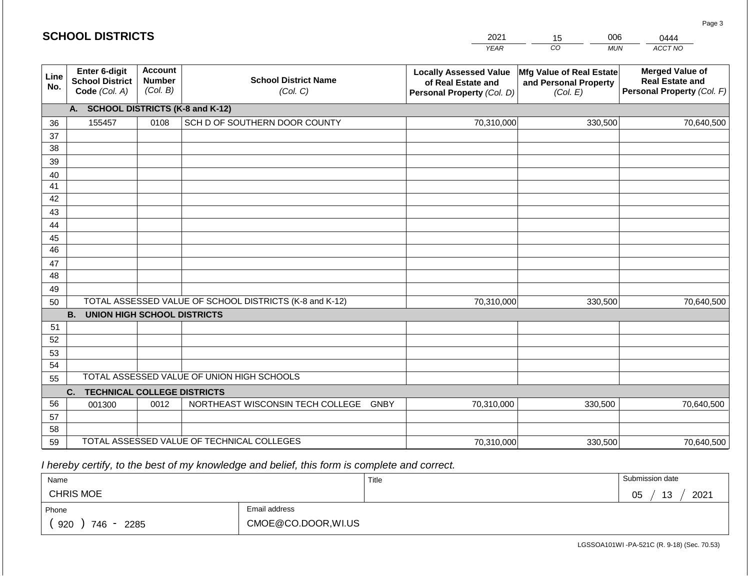|             | <b>SCHOOL DISTRICTS</b>                                  |                                             |                                                         | 2021                                                                              | 006<br>15                                                     | 0444                                                                           |  |
|-------------|----------------------------------------------------------|---------------------------------------------|---------------------------------------------------------|-----------------------------------------------------------------------------------|---------------------------------------------------------------|--------------------------------------------------------------------------------|--|
|             |                                                          |                                             |                                                         | <b>YEAR</b>                                                                       | CO<br><b>MUN</b>                                              | ACCT NO                                                                        |  |
| Line<br>No. | Enter 6-digit<br><b>School District</b><br>Code (Col. A) | <b>Account</b><br><b>Number</b><br>(Col. B) | <b>School District Name</b><br>(Col. C)                 | <b>Locally Assessed Value</b><br>of Real Estate and<br>Personal Property (Col. D) | Mfg Value of Real Estate<br>and Personal Property<br>(Col. E) | <b>Merged Value of</b><br><b>Real Estate and</b><br>Personal Property (Col. F) |  |
|             | A. SCHOOL DISTRICTS (K-8 and K-12)                       |                                             |                                                         |                                                                                   |                                                               |                                                                                |  |
| 36          | 155457                                                   | 0108                                        | SCH D OF SOUTHERN DOOR COUNTY                           | 70,310,000                                                                        | 330,500                                                       | 70,640,500                                                                     |  |
| 37          |                                                          |                                             |                                                         |                                                                                   |                                                               |                                                                                |  |
| 38          |                                                          |                                             |                                                         |                                                                                   |                                                               |                                                                                |  |
| 39          |                                                          |                                             |                                                         |                                                                                   |                                                               |                                                                                |  |
| 40          |                                                          |                                             |                                                         |                                                                                   |                                                               |                                                                                |  |
| 41          |                                                          |                                             |                                                         |                                                                                   |                                                               |                                                                                |  |
| 42          |                                                          |                                             |                                                         |                                                                                   |                                                               |                                                                                |  |
| 43          |                                                          |                                             |                                                         |                                                                                   |                                                               |                                                                                |  |
| 44          |                                                          |                                             |                                                         |                                                                                   |                                                               |                                                                                |  |
| 45<br>46    |                                                          |                                             |                                                         |                                                                                   |                                                               |                                                                                |  |
| 47          |                                                          |                                             |                                                         |                                                                                   |                                                               |                                                                                |  |
| 48          |                                                          |                                             |                                                         |                                                                                   |                                                               |                                                                                |  |
| 49          |                                                          |                                             |                                                         |                                                                                   |                                                               |                                                                                |  |
| 50          |                                                          |                                             | TOTAL ASSESSED VALUE OF SCHOOL DISTRICTS (K-8 and K-12) | 70,310,000                                                                        | 330,500                                                       | 70,640,500                                                                     |  |
|             | <b>B.</b><br><b>UNION HIGH SCHOOL DISTRICTS</b>          |                                             |                                                         |                                                                                   |                                                               |                                                                                |  |
| 51          |                                                          |                                             |                                                         |                                                                                   |                                                               |                                                                                |  |
| 52          |                                                          |                                             |                                                         |                                                                                   |                                                               |                                                                                |  |
| 53          |                                                          |                                             |                                                         |                                                                                   |                                                               |                                                                                |  |
| 54          |                                                          |                                             |                                                         |                                                                                   |                                                               |                                                                                |  |
| 55          |                                                          |                                             | TOTAL ASSESSED VALUE OF UNION HIGH SCHOOLS              |                                                                                   |                                                               |                                                                                |  |
|             | <b>TECHNICAL COLLEGE DISTRICTS</b><br>C.                 |                                             |                                                         |                                                                                   |                                                               |                                                                                |  |
| 56          | 001300                                                   | 0012                                        | NORTHEAST WISCONSIN TECH COLLEGE GNBY                   | 70,310,000                                                                        | 330,500                                                       | 70,640,500                                                                     |  |
| 57          |                                                          |                                             |                                                         |                                                                                   |                                                               |                                                                                |  |
| 58          |                                                          |                                             |                                                         |                                                                                   |                                                               |                                                                                |  |
| 59          |                                                          |                                             | TOTAL ASSESSED VALUE OF TECHNICAL COLLEGES              | 70,310,000                                                                        | 330,500                                                       | 70,640,500                                                                     |  |

 *I hereby certify, to the best of my knowledge and belief, this form is complete and correct.*

| Name               |                     | Title | Submission date              |
|--------------------|---------------------|-------|------------------------------|
| <b>CHRIS MOE</b>   |                     |       | 2021<br>12<br>∩ҕ<br>ب⊦<br>◡◡ |
| Phone              | Email address       |       |                              |
| 920<br>746<br>2285 | CMOE@CO.DOOR, WI.US |       |                              |

Page 3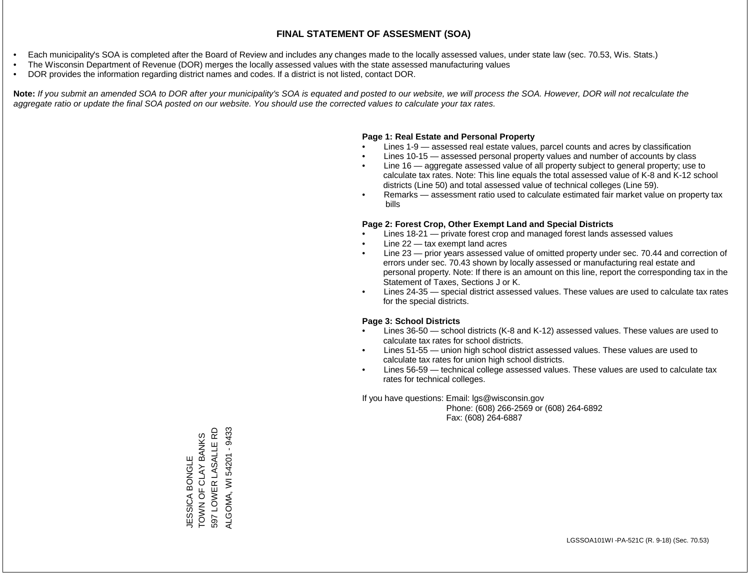- Each municipality's SOA is completed after the Board of Review and includes any changes made to the locally assessed values, under state law (sec. 70.53, Wis. Stats.)
- The Wisconsin Department of Revenue (DOR) merges the locally assessed values with the state assessed manufacturing values
- DOR provides the information regarding district names and codes. If a district is not listed, contact DOR.

Note: If you submit an amended SOA to DOR after your municipality's SOA is equated and posted to our website, we will process the SOA. However, DOR will not recalculate the *aggregate ratio or update the final SOA posted on our website. You should use the corrected values to calculate your tax rates.*

### **Page 1: Real Estate and Personal Property**

- Lines 1-9 assessed real estate values, parcel counts and acres by classification
- Lines 10-15 assessed personal property values and number of accounts by class
- Line 16 aggregate assessed value of all property subject to general property; use to calculate tax rates. Note: This line equals the total assessed value of K-8 and K-12 school districts (Line 50) and total assessed value of technical colleges (Line 59).
- Remarks assessment ratio used to calculate estimated fair market value on property tax bills

### **Page 2: Forest Crop, Other Exempt Land and Special Districts**

- Lines 18-21 private forest crop and managed forest lands assessed values
- Line  $22 -$  tax exempt land acres
- Line 23 prior years assessed value of omitted property under sec. 70.44 and correction of errors under sec. 70.43 shown by locally assessed or manufacturing real estate and personal property. Note: If there is an amount on this line, report the corresponding tax in the Statement of Taxes, Sections J or K.
- Lines 24-35 special district assessed values. These values are used to calculate tax rates for the special districts.

### **Page 3: School Districts**

- Lines 36-50 school districts (K-8 and K-12) assessed values. These values are used to calculate tax rates for school districts.
- Lines 51-55 union high school district assessed values. These values are used to calculate tax rates for union high school districts.
- Lines 56-59 technical college assessed values. These values are used to calculate tax rates for technical colleges.

If you have questions: Email: lgs@wisconsin.gov

 Phone: (608) 266-2569 or (608) 264-6892 Fax: (608) 264-6887

597 LOWER LASALLE RD ALGOMA, WI 54201 - 9433 ALGOMA, WI 54201 - 9433597 LOWER LASALLE RD JESSICA BONGLE<br>TOWN OF CLAY BANKS TOWN OF CLAY BANKS JESSICA BONGLE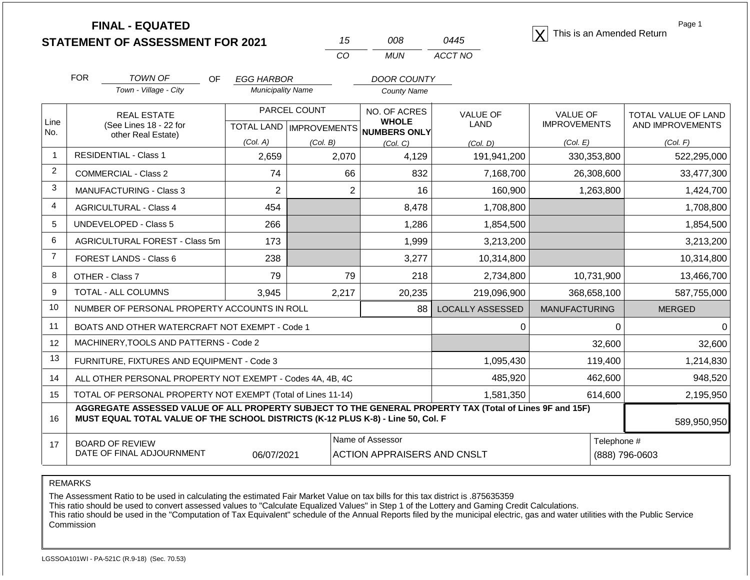|                |                                                                                  | <b>FINAL - EQUATED</b><br><b>STATEMENT OF ASSESSMENT FOR 2021</b> |                          | 15                               | 008                                                                                                      | 0445                    | This is an Amended Return | Page 1                                  |
|----------------|----------------------------------------------------------------------------------|-------------------------------------------------------------------|--------------------------|----------------------------------|----------------------------------------------------------------------------------------------------------|-------------------------|---------------------------|-----------------------------------------|
|                |                                                                                  |                                                                   |                          | CO                               | <b>MUN</b>                                                                                               | ACCT NO                 |                           |                                         |
|                | <b>FOR</b>                                                                       | <b>TOWN OF</b><br><b>OF</b>                                       | <b>EGG HARBOR</b>        |                                  | <b>DOOR COUNTY</b>                                                                                       |                         |                           |                                         |
|                |                                                                                  | Town - Village - City                                             | <b>Municipality Name</b> |                                  | <b>County Name</b>                                                                                       |                         |                           |                                         |
|                |                                                                                  | <b>REAL ESTATE</b>                                                |                          | PARCEL COUNT                     | NO. OF ACRES                                                                                             | <b>VALUE OF</b>         | <b>VALUE OF</b>           | TOTAL VALUE OF LAND<br>AND IMPROVEMENTS |
| Line<br>No.    |                                                                                  | (See Lines 18 - 22 for<br>other Real Estate)                      |                          | <b>TOTAL LAND   IMPROVEMENTS</b> | <b>WHOLE</b><br><b>NUMBERS ONLY</b>                                                                      | LAND                    | <b>IMPROVEMENTS</b>       |                                         |
|                |                                                                                  |                                                                   | (Col. A)                 | (Col. B)                         | (Col. C)                                                                                                 | (Col. D)                | (Col. E)                  | (Col. F)                                |
| 1              |                                                                                  | <b>RESIDENTIAL - Class 1</b>                                      | 2,659                    | 2,070                            | 4,129                                                                                                    | 191,941,200             | 330,353,800               | 522,295,000                             |
| $\overline{2}$ |                                                                                  | COMMERCIAL - Class 2                                              | 74                       |                                  | 66<br>832                                                                                                | 7,168,700               | 26,308,600                | 33,477,300                              |
| 3              |                                                                                  | <b>MANUFACTURING - Class 3</b>                                    | $\overline{c}$           |                                  | $\overline{2}$<br>16                                                                                     | 160,900                 | 1,263,800                 | 1,424,700                               |
| 4              |                                                                                  | <b>AGRICULTURAL - Class 4</b>                                     | 454                      |                                  | 8,478                                                                                                    | 1,708,800               |                           | 1,708,800                               |
| 5              |                                                                                  | <b>UNDEVELOPED - Class 5</b>                                      | 266                      |                                  | 1,286                                                                                                    | 1,854,500               |                           | 1,854,500                               |
| 6              |                                                                                  | AGRICULTURAL FOREST - Class 5m                                    | 173                      |                                  | 1,999                                                                                                    | 3,213,200               |                           | 3,213,200                               |
| $\overline{7}$ |                                                                                  | FOREST LANDS - Class 6                                            | 238                      |                                  | 3,277                                                                                                    | 10,314,800              |                           | 10,314,800                              |
| 8              |                                                                                  | OTHER - Class 7                                                   | 79                       |                                  | 79<br>218                                                                                                | 2,734,800               | 10,731,900                | 13,466,700                              |
| 9              |                                                                                  | TOTAL - ALL COLUMNS                                               | 3,945                    | 2,217                            | 20,235                                                                                                   | 219,096,900             | 368,658,100               | 587,755,000                             |
| 10             |                                                                                  | NUMBER OF PERSONAL PROPERTY ACCOUNTS IN ROLL                      |                          |                                  | 88                                                                                                       | <b>LOCALLY ASSESSED</b> | <b>MANUFACTURING</b>      | <b>MERGED</b>                           |
| 11             |                                                                                  | BOATS AND OTHER WATERCRAFT NOT EXEMPT - Code 1                    |                          |                                  |                                                                                                          | $\Omega$                | 0                         | $\Omega$                                |
| 12             |                                                                                  | MACHINERY, TOOLS AND PATTERNS - Code 2                            |                          |                                  |                                                                                                          |                         | 32,600                    | 32,600                                  |
| 13             |                                                                                  | FURNITURE, FIXTURES AND EQUIPMENT - Code 3                        |                          |                                  |                                                                                                          | 1,095,430               | 119,400                   | 1,214,830                               |
| 14             |                                                                                  | ALL OTHER PERSONAL PROPERTY NOT EXEMPT - Codes 4A, 4B, 4C         |                          |                                  | 485,920                                                                                                  | 462,600                 | 948,520                   |                                         |
| 15             |                                                                                  | TOTAL OF PERSONAL PROPERTY NOT EXEMPT (Total of Lines 11-14)      |                          |                                  |                                                                                                          | 1,581,350               | 614,600                   | 2,195,950                               |
| 16             | MUST EQUAL TOTAL VALUE OF THE SCHOOL DISTRICTS (K-12 PLUS K-8) - Line 50, Col. F |                                                                   |                          |                                  | AGGREGATE ASSESSED VALUE OF ALL PROPERTY SUBJECT TO THE GENERAL PROPERTY TAX (Total of Lines 9F and 15F) |                         |                           | 589,950,950                             |
| 17             |                                                                                  | <b>BOARD OF REVIEW</b><br>DATE OF FINAL ADJOURNMENT               | 06/07/2021               |                                  | Name of Assessor<br>Telephone #<br><b>ACTION APPRAISERS AND CNSLT</b><br>(888) 796-0603                  |                         |                           |                                         |

The Assessment Ratio to be used in calculating the estimated Fair Market Value on tax bills for this tax district is .875635359

This ratio should be used to convert assessed values to "Calculate Equalized Values" in Step 1 of the Lottery and Gaming Credit Calculations.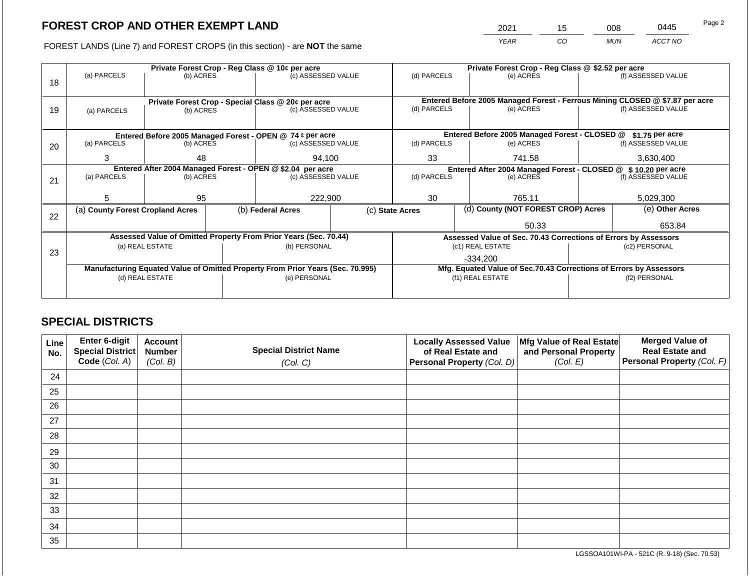2021 15 008 0445 Page 2

FOREST LANDS (Line 7) and FOREST CROPS (in this section) - are **NOT** the same *YEAR CO MUN ACCT NO*

|    |                                                            |                 |  | Private Forest Crop - Reg Class @ 10¢ per acre                                 |  | Private Forest Crop - Reg Class @ \$2.52 per acre                 |       |                                                                                           |           |                    |
|----|------------------------------------------------------------|-----------------|--|--------------------------------------------------------------------------------|--|-------------------------------------------------------------------|-------|-------------------------------------------------------------------------------------------|-----------|--------------------|
|    | (a) PARCELS                                                | (b) ACRES       |  | (c) ASSESSED VALUE                                                             |  | (d) PARCELS                                                       |       | (e) ACRES                                                                                 |           | (f) ASSESSED VALUE |
| 18 |                                                            |                 |  |                                                                                |  |                                                                   |       |                                                                                           |           |                    |
|    |                                                            |                 |  |                                                                                |  |                                                                   |       |                                                                                           |           |                    |
|    |                                                            |                 |  | Private Forest Crop - Special Class @ 20¢ per acre                             |  | (d) PARCELS                                                       |       | Entered Before 2005 Managed Forest - Ferrous Mining CLOSED @ \$7.87 per acre<br>(e) ACRES |           | (f) ASSESSED VALUE |
| 19 | (b) ACRES<br>(a) PARCELS                                   |                 |  | (c) ASSESSED VALUE                                                             |  |                                                                   |       |                                                                                           |           |                    |
|    |                                                            |                 |  |                                                                                |  |                                                                   |       |                                                                                           |           |                    |
|    |                                                            |                 |  | Entered Before 2005 Managed Forest - OPEN @ 74 ¢ per acre                      |  | Entered Before 2005 Managed Forest - CLOSED @<br>$$1.75$ per acre |       |                                                                                           |           |                    |
| 20 | (a) PARCELS                                                | (b) ACRES       |  | (c) ASSESSED VALUE                                                             |  | (d) PARCELS                                                       |       | (e) ACRES                                                                                 |           | (f) ASSESSED VALUE |
|    |                                                            |                 |  |                                                                                |  |                                                                   |       |                                                                                           |           |                    |
|    | 3                                                          | 48              |  | 94,100                                                                         |  | 33                                                                |       | 741.58                                                                                    | 3,630,400 |                    |
|    | Entered After 2004 Managed Forest - OPEN @ \$2.04 per acre |                 |  |                                                                                |  |                                                                   |       | Entered After 2004 Managed Forest - CLOSED @                                              |           | \$10.20 per acre   |
| 21 | (a) PARCELS                                                | (b) ACRES       |  | (c) ASSESSED VALUE                                                             |  | (d) PARCELS                                                       |       | (e) ACRES                                                                                 |           | (f) ASSESSED VALUE |
|    |                                                            |                 |  |                                                                                |  |                                                                   |       |                                                                                           |           |                    |
|    | 5                                                          | 95              |  | 222,900                                                                        |  | 30                                                                |       | 765.11                                                                                    | 5,029,300 |                    |
|    | (a) County Forest Cropland Acres                           |                 |  | (b) Federal Acres                                                              |  | (d) County (NOT FOREST CROP) Acres<br>(c) State Acres             |       |                                                                                           |           | (e) Other Acres    |
| 22 |                                                            |                 |  |                                                                                |  |                                                                   |       |                                                                                           |           |                    |
|    |                                                            |                 |  |                                                                                |  |                                                                   | 50.33 |                                                                                           |           | 653.84             |
|    |                                                            |                 |  | Assessed Value of Omitted Property From Prior Years (Sec. 70.44)               |  | Assessed Value of Sec. 70.43 Corrections of Errors by Assessors   |       |                                                                                           |           |                    |
|    |                                                            | (a) REAL ESTATE |  | (b) PERSONAL                                                                   |  |                                                                   |       | (c1) REAL ESTATE                                                                          |           | (c2) PERSONAL      |
| 23 |                                                            |                 |  |                                                                                |  |                                                                   |       | -334.200                                                                                  |           |                    |
|    |                                                            |                 |  | Manufacturing Equated Value of Omitted Property From Prior Years (Sec. 70.995) |  |                                                                   |       | Mfg. Equated Value of Sec.70.43 Corrections of Errors by Assessors                        |           |                    |
|    |                                                            | (d) REAL ESTATE |  | (e) PERSONAL                                                                   |  |                                                                   |       | (f1) REAL ESTATE                                                                          |           | (f2) PERSONAL      |
|    |                                                            |                 |  |                                                                                |  |                                                                   |       |                                                                                           |           |                    |
|    |                                                            |                 |  |                                                                                |  |                                                                   |       |                                                                                           |           |                    |

### **SPECIAL DISTRICTS**

| Line<br>No. | Enter 6-digit<br>Special District<br>Code (Col. A) | <b>Account</b><br><b>Number</b><br>(Col. B) | <b>Special District Name</b><br>(Col. C) | <b>Locally Assessed Value</b><br>of Real Estate and<br><b>Personal Property (Col. D)</b> | Mfg Value of Real Estate<br>and Personal Property<br>(Col. E) | <b>Merged Value of</b><br><b>Real Estate and</b><br>Personal Property (Col. F) |
|-------------|----------------------------------------------------|---------------------------------------------|------------------------------------------|------------------------------------------------------------------------------------------|---------------------------------------------------------------|--------------------------------------------------------------------------------|
| 24          |                                                    |                                             |                                          |                                                                                          |                                                               |                                                                                |
| 25          |                                                    |                                             |                                          |                                                                                          |                                                               |                                                                                |
| 26          |                                                    |                                             |                                          |                                                                                          |                                                               |                                                                                |
| 27          |                                                    |                                             |                                          |                                                                                          |                                                               |                                                                                |
| 28          |                                                    |                                             |                                          |                                                                                          |                                                               |                                                                                |
| 29          |                                                    |                                             |                                          |                                                                                          |                                                               |                                                                                |
| 30          |                                                    |                                             |                                          |                                                                                          |                                                               |                                                                                |
| 31          |                                                    |                                             |                                          |                                                                                          |                                                               |                                                                                |
| 32          |                                                    |                                             |                                          |                                                                                          |                                                               |                                                                                |
| 33          |                                                    |                                             |                                          |                                                                                          |                                                               |                                                                                |
| 34          |                                                    |                                             |                                          |                                                                                          |                                                               |                                                                                |
| 35          |                                                    |                                             |                                          |                                                                                          |                                                               |                                                                                |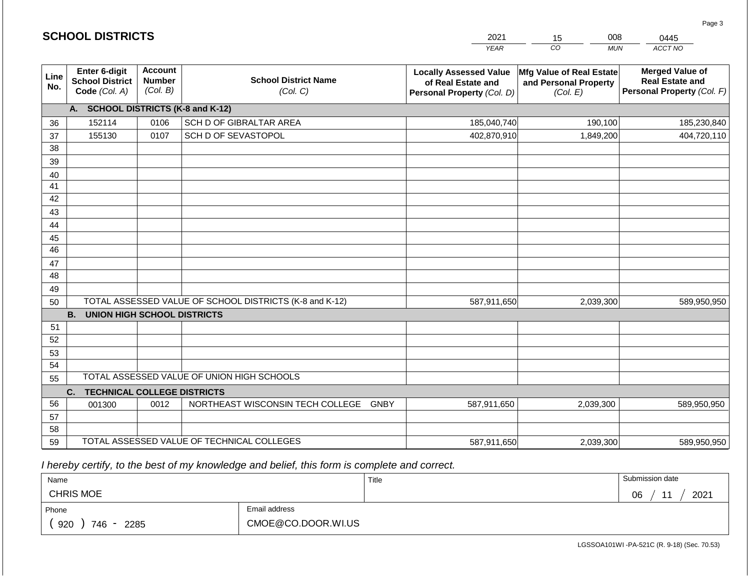|                       | <b>SCHOOL DISTRICTS</b>                                  |                                             |                                                         | 2021                                                                              | 008<br>15                                                     | 0445                                                                           |  |
|-----------------------|----------------------------------------------------------|---------------------------------------------|---------------------------------------------------------|-----------------------------------------------------------------------------------|---------------------------------------------------------------|--------------------------------------------------------------------------------|--|
|                       |                                                          |                                             |                                                         | <b>YEAR</b>                                                                       | CO<br><b>MUN</b>                                              | ACCT NO                                                                        |  |
| Line<br>No.           | Enter 6-digit<br><b>School District</b><br>Code (Col. A) | <b>Account</b><br><b>Number</b><br>(Col. B) | <b>School District Name</b><br>(Col. C)                 | <b>Locally Assessed Value</b><br>of Real Estate and<br>Personal Property (Col. D) | Mfg Value of Real Estate<br>and Personal Property<br>(Col. E) | <b>Merged Value of</b><br><b>Real Estate and</b><br>Personal Property (Col. F) |  |
|                       | A. SCHOOL DISTRICTS (K-8 and K-12)                       |                                             |                                                         |                                                                                   |                                                               |                                                                                |  |
| 36                    | 152114                                                   | 0106                                        | SCH D OF GIBRALTAR AREA                                 | 185,040,740                                                                       | 190,100                                                       | 185,230,840                                                                    |  |
| 37                    | 155130                                                   | 0107                                        | SCH D OF SEVASTOPOL                                     | 402,870,910                                                                       | 1,849,200                                                     | 404,720,110                                                                    |  |
| 38                    |                                                          |                                             |                                                         |                                                                                   |                                                               |                                                                                |  |
| 39                    |                                                          |                                             |                                                         |                                                                                   |                                                               |                                                                                |  |
| 40                    |                                                          |                                             |                                                         |                                                                                   |                                                               |                                                                                |  |
| 41                    |                                                          |                                             |                                                         |                                                                                   |                                                               |                                                                                |  |
| 42                    |                                                          |                                             |                                                         |                                                                                   |                                                               |                                                                                |  |
| 43                    |                                                          |                                             |                                                         |                                                                                   |                                                               |                                                                                |  |
| 44                    |                                                          |                                             |                                                         |                                                                                   |                                                               |                                                                                |  |
| 45<br>$\overline{46}$ |                                                          |                                             |                                                         |                                                                                   |                                                               |                                                                                |  |
| 47                    |                                                          |                                             |                                                         |                                                                                   |                                                               |                                                                                |  |
| 48                    |                                                          |                                             |                                                         |                                                                                   |                                                               |                                                                                |  |
| 49                    |                                                          |                                             |                                                         |                                                                                   |                                                               |                                                                                |  |
| 50                    |                                                          |                                             | TOTAL ASSESSED VALUE OF SCHOOL DISTRICTS (K-8 and K-12) | 587,911,650                                                                       | 2,039,300                                                     | 589,950,950                                                                    |  |
|                       | <b>B.</b><br><b>UNION HIGH SCHOOL DISTRICTS</b>          |                                             |                                                         |                                                                                   |                                                               |                                                                                |  |
| 51                    |                                                          |                                             |                                                         |                                                                                   |                                                               |                                                                                |  |
| 52                    |                                                          |                                             |                                                         |                                                                                   |                                                               |                                                                                |  |
| 53                    |                                                          |                                             |                                                         |                                                                                   |                                                               |                                                                                |  |
| 54                    |                                                          |                                             |                                                         |                                                                                   |                                                               |                                                                                |  |
| 55                    |                                                          |                                             | TOTAL ASSESSED VALUE OF UNION HIGH SCHOOLS              |                                                                                   |                                                               |                                                                                |  |
|                       | C.<br><b>TECHNICAL COLLEGE DISTRICTS</b>                 |                                             |                                                         |                                                                                   |                                                               |                                                                                |  |
| 56                    | 001300                                                   | 0012                                        | NORTHEAST WISCONSIN TECH COLLEGE GNBY                   | 587,911,650                                                                       | 2,039,300                                                     | 589,950,950                                                                    |  |
| 57                    |                                                          |                                             |                                                         |                                                                                   |                                                               |                                                                                |  |
| 58                    |                                                          |                                             |                                                         |                                                                                   |                                                               |                                                                                |  |
| 59                    |                                                          |                                             | TOTAL ASSESSED VALUE OF TECHNICAL COLLEGES              | 587,911,650                                                                       | 2,039,300                                                     | 589,950,950                                                                    |  |

 *I hereby certify, to the best of my knowledge and belief, this form is complete and correct.*

**SCHOOL DISTRICTS**

| Name                 |                    | Title | Submission date  |
|----------------------|--------------------|-------|------------------|
| <b>CHRIS MOE</b>     |                    |       | 2021<br>∩ഭ<br>νv |
| Phone                | Email address      |       |                  |
| 920<br>746 -<br>2285 | CMOE@CO.DOOR.WI.US |       |                  |

Page 3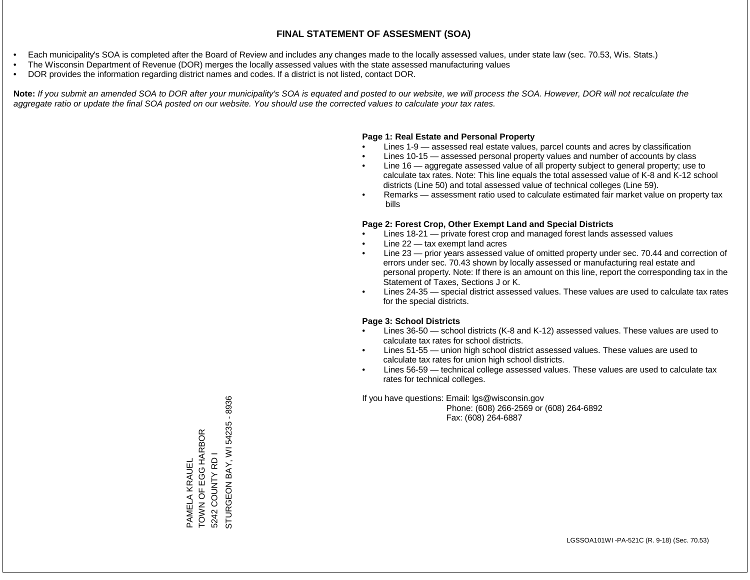- Each municipality's SOA is completed after the Board of Review and includes any changes made to the locally assessed values, under state law (sec. 70.53, Wis. Stats.)
- The Wisconsin Department of Revenue (DOR) merges the locally assessed values with the state assessed manufacturing values
- DOR provides the information regarding district names and codes. If a district is not listed, contact DOR.

Note: If you submit an amended SOA to DOR after your municipality's SOA is equated and posted to our website, we will process the SOA. However, DOR will not recalculate the *aggregate ratio or update the final SOA posted on our website. You should use the corrected values to calculate your tax rates.*

### **Page 1: Real Estate and Personal Property**

- Lines 1-9 assessed real estate values, parcel counts and acres by classification
- Lines 10-15 assessed personal property values and number of accounts by class
- Line 16 aggregate assessed value of all property subject to general property; use to calculate tax rates. Note: This line equals the total assessed value of K-8 and K-12 school districts (Line 50) and total assessed value of technical colleges (Line 59).
- Remarks assessment ratio used to calculate estimated fair market value on property tax bills

### **Page 2: Forest Crop, Other Exempt Land and Special Districts**

- Lines 18-21 private forest crop and managed forest lands assessed values
- Line  $22 -$  tax exempt land acres
- Line 23 prior years assessed value of omitted property under sec. 70.44 and correction of errors under sec. 70.43 shown by locally assessed or manufacturing real estate and personal property. Note: If there is an amount on this line, report the corresponding tax in the Statement of Taxes, Sections J or K.
- Lines 24-35 special district assessed values. These values are used to calculate tax rates for the special districts.

### **Page 3: School Districts**

- Lines 36-50 school districts (K-8 and K-12) assessed values. These values are used to calculate tax rates for school districts.
- Lines 51-55 union high school district assessed values. These values are used to calculate tax rates for union high school districts.
- Lines 56-59 technical college assessed values. These values are used to calculate tax rates for technical colleges.

If you have questions: Email: lgs@wisconsin.gov

 Phone: (608) 266-2569 or (608) 264-6892 Fax: (608) 264-6887

STURGEON BAY, WI 54235 - 8936 STURGEON BAY, WI 54235 - 8936TOWN OF EGG HARBOR TOWN OF EGG HARBOR 5242 COUNTY RD I 5242 COUNTY RD I PAMELA KRAUEL PAMELA KRAUEL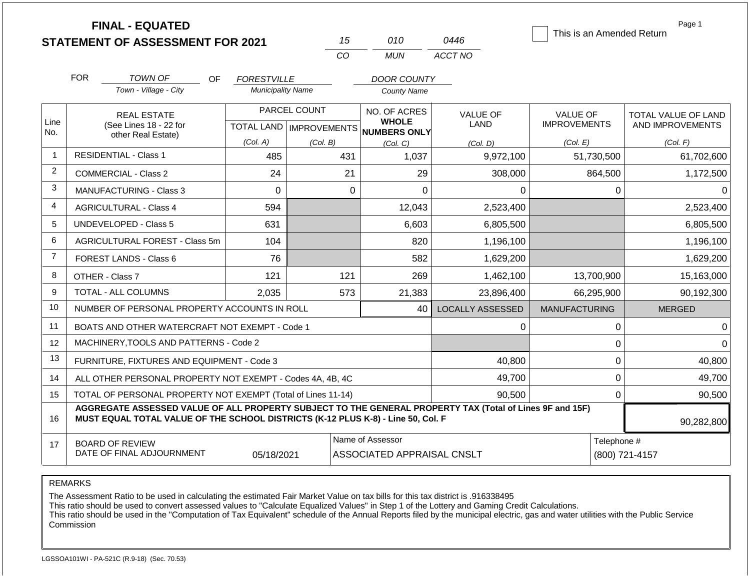|                |                                                                                                                                                                                              | <b>FINAL - EQUATED</b><br><b>STATEMENT OF ASSESSMENT FOR 2021</b> |                          | 15                                        | 010                                            | 0446                           | This is an Amended Return              | Page 1                                  |  |
|----------------|----------------------------------------------------------------------------------------------------------------------------------------------------------------------------------------------|-------------------------------------------------------------------|--------------------------|-------------------------------------------|------------------------------------------------|--------------------------------|----------------------------------------|-----------------------------------------|--|
|                |                                                                                                                                                                                              |                                                                   |                          | CO                                        | <b>MUN</b>                                     | ACCT NO                        |                                        |                                         |  |
|                | <b>FOR</b>                                                                                                                                                                                   | <b>TOWN OF</b><br>OF.                                             | <b>FORESTVILLE</b>       |                                           | <b>DOOR COUNTY</b>                             |                                |                                        |                                         |  |
|                | Town - Village - City                                                                                                                                                                        |                                                                   | <b>Municipality Name</b> |                                           | <b>County Name</b>                             |                                |                                        |                                         |  |
| Line           |                                                                                                                                                                                              | <b>REAL ESTATE</b><br>(See Lines 18 - 22 for                      |                          | PARCEL COUNT<br>TOTAL LAND   IMPROVEMENTS | NO. OF ACRES<br><b>WHOLE</b>                   | <b>VALUE OF</b><br><b>LAND</b> | <b>VALUE OF</b><br><b>IMPROVEMENTS</b> | TOTAL VALUE OF LAND<br>AND IMPROVEMENTS |  |
| No.            |                                                                                                                                                                                              | other Real Estate)                                                | (Col. A)                 | (Col. B)                                  | <b>NUMBERS ONLY</b><br>(Col, C)                | (Col. D)                       | (Col. E)                               | (Col. F)                                |  |
| $\mathbf{1}$   |                                                                                                                                                                                              | <b>RESIDENTIAL - Class 1</b>                                      | 485                      | 431                                       | 1,037                                          | 9,972,100                      | 51,730,500                             | 61,702,600                              |  |
| 2              |                                                                                                                                                                                              | <b>COMMERCIAL - Class 2</b>                                       | 24                       | 21                                        | 29                                             | 308,000                        | 864,500                                | 1,172,500                               |  |
| 3              |                                                                                                                                                                                              | <b>MANUFACTURING - Class 3</b>                                    | $\Omega$                 |                                           | $\mathbf 0$<br>$\overline{0}$                  | $\Omega$                       | 0                                      | $\Omega$                                |  |
| 4              |                                                                                                                                                                                              | <b>AGRICULTURAL - Class 4</b>                                     | 594                      |                                           | 12,043                                         | 2,523,400                      |                                        | 2,523,400                               |  |
| 5              |                                                                                                                                                                                              | <b>UNDEVELOPED - Class 5</b>                                      | 631                      |                                           | 6,603                                          | 6,805,500                      |                                        | 6,805,500                               |  |
| 6              |                                                                                                                                                                                              | AGRICULTURAL FOREST - Class 5m                                    | 104                      |                                           | 820                                            | 1,196,100                      |                                        | 1,196,100                               |  |
| $\overline{7}$ |                                                                                                                                                                                              | FOREST LANDS - Class 6                                            | 76                       |                                           | 582                                            | 1,629,200                      |                                        | 1,629,200                               |  |
| 8              |                                                                                                                                                                                              | OTHER - Class 7                                                   | 121                      | 121                                       | 269                                            | 1,462,100                      | 13,700,900                             | 15,163,000                              |  |
| 9              |                                                                                                                                                                                              | TOTAL - ALL COLUMNS                                               | 2,035                    | 573                                       | 21,383                                         | 23,896,400                     | 66,295,900                             | 90,192,300                              |  |
| 10             |                                                                                                                                                                                              | NUMBER OF PERSONAL PROPERTY ACCOUNTS IN ROLL                      |                          |                                           | 40                                             | <b>LOCALLY ASSESSED</b>        | <b>MANUFACTURING</b>                   | <b>MERGED</b>                           |  |
| 11             |                                                                                                                                                                                              | BOATS AND OTHER WATERCRAFT NOT EXEMPT - Code 1                    |                          |                                           |                                                | $\Omega$                       | 0                                      | $\Omega$                                |  |
| 12             |                                                                                                                                                                                              | MACHINERY, TOOLS AND PATTERNS - Code 2                            |                          |                                           |                                                |                                | 0                                      | $\Omega$                                |  |
| 13             |                                                                                                                                                                                              | FURNITURE, FIXTURES AND EQUIPMENT - Code 3                        |                          |                                           |                                                | 40,800                         | $\mathbf 0$                            | 40,800                                  |  |
| 14             |                                                                                                                                                                                              | ALL OTHER PERSONAL PROPERTY NOT EXEMPT - Codes 4A, 4B, 4C         |                          |                                           |                                                | 49,700                         | $\mathbf 0$                            | 49,700                                  |  |
| 15             | TOTAL OF PERSONAL PROPERTY NOT EXEMPT (Total of Lines 11-14)                                                                                                                                 |                                                                   |                          |                                           |                                                | 90,500                         | 0                                      | 90,500                                  |  |
| 16             | AGGREGATE ASSESSED VALUE OF ALL PROPERTY SUBJECT TO THE GENERAL PROPERTY TAX (Total of Lines 9F and 15F)<br>MUST EQUAL TOTAL VALUE OF THE SCHOOL DISTRICTS (K-12 PLUS K-8) - Line 50, Col. F |                                                                   |                          |                                           |                                                |                                |                                        | 90,282,800                              |  |
| 17             |                                                                                                                                                                                              | <b>BOARD OF REVIEW</b><br>DATE OF FINAL ADJOURNMENT               | 05/18/2021               |                                           | Name of Assessor<br>ASSOCIATED APPRAISAL CNSLT |                                | Telephone #<br>(800) 721-4157          |                                         |  |

The Assessment Ratio to be used in calculating the estimated Fair Market Value on tax bills for this tax district is .916338495

This ratio should be used to convert assessed values to "Calculate Equalized Values" in Step 1 of the Lottery and Gaming Credit Calculations.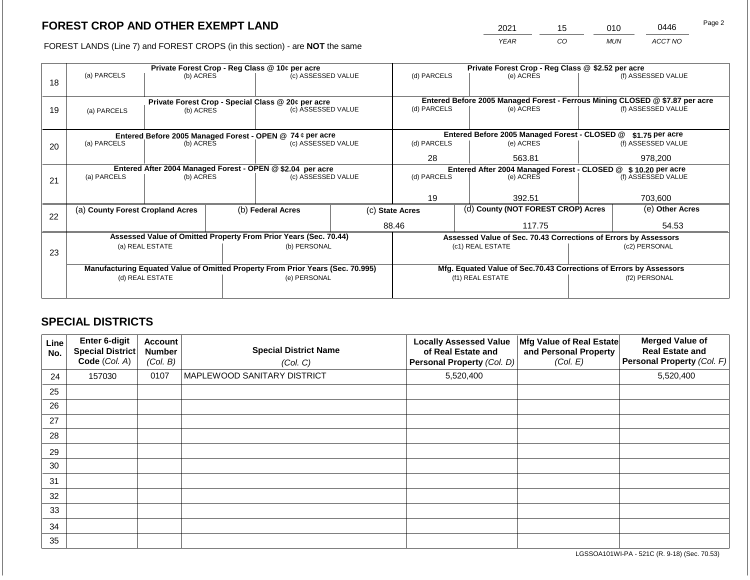2021 15 010 0446

FOREST LANDS (Line 7) and FOREST CROPS (in this section) - are **NOT** the same *YEAR CO MUN ACCT NO*

|    |                                                                                |                 |  | Private Forest Crop - Reg Class @ 10¢ per acre                   |  | Private Forest Crop - Reg Class @ \$2.52 per acre                            |                                                                    |  |                    |  |
|----|--------------------------------------------------------------------------------|-----------------|--|------------------------------------------------------------------|--|------------------------------------------------------------------------------|--------------------------------------------------------------------|--|--------------------|--|
|    | (a) PARCELS                                                                    | (b) ACRES       |  | (c) ASSESSED VALUE                                               |  | (d) PARCELS                                                                  | (e) ACRES                                                          |  | (f) ASSESSED VALUE |  |
| 18 |                                                                                |                 |  |                                                                  |  |                                                                              |                                                                    |  |                    |  |
|    |                                                                                |                 |  |                                                                  |  |                                                                              |                                                                    |  |                    |  |
|    |                                                                                |                 |  | Private Forest Crop - Special Class @ 20¢ per acre               |  | Entered Before 2005 Managed Forest - Ferrous Mining CLOSED @ \$7.87 per acre |                                                                    |  |                    |  |
| 19 | (a) PARCELS                                                                    | (b) ACRES       |  | (c) ASSESSED VALUE                                               |  | (d) PARCELS                                                                  | (e) ACRES                                                          |  | (f) ASSESSED VALUE |  |
|    |                                                                                |                 |  |                                                                  |  |                                                                              |                                                                    |  |                    |  |
|    |                                                                                |                 |  | Entered Before 2005 Managed Forest - OPEN @ 74 ¢ per acre        |  |                                                                              | Entered Before 2005 Managed Forest - CLOSED @                      |  | $$1.75$ per acre   |  |
| 20 | (a) PARCELS                                                                    | (b) ACRES       |  | (c) ASSESSED VALUE                                               |  | (d) PARCELS                                                                  | (e) ACRES                                                          |  | (f) ASSESSED VALUE |  |
|    |                                                                                |                 |  |                                                                  |  |                                                                              |                                                                    |  |                    |  |
|    |                                                                                |                 |  |                                                                  |  | 28                                                                           | 563.81                                                             |  | 978.200            |  |
|    |                                                                                |                 |  | Entered After 2004 Managed Forest - OPEN @ \$2.04 per acre       |  | Entered After 2004 Managed Forest - CLOSED @ \$10.20 per acre                |                                                                    |  |                    |  |
| 21 | (a) PARCELS                                                                    | (b) ACRES       |  | (c) ASSESSED VALUE                                               |  | (d) PARCELS<br>(e) ACRES                                                     |                                                                    |  | (f) ASSESSED VALUE |  |
|    |                                                                                |                 |  |                                                                  |  |                                                                              |                                                                    |  |                    |  |
|    |                                                                                |                 |  |                                                                  |  | 19                                                                           | 392.51                                                             |  | 703,600            |  |
|    | (a) County Forest Cropland Acres                                               |                 |  | (b) Federal Acres                                                |  | (d) County (NOT FOREST CROP) Acres<br>(c) State Acres                        |                                                                    |  | (e) Other Acres    |  |
| 22 |                                                                                |                 |  |                                                                  |  |                                                                              |                                                                    |  |                    |  |
|    |                                                                                |                 |  |                                                                  |  | 88.46                                                                        | 117.75                                                             |  | 54.53              |  |
|    |                                                                                |                 |  | Assessed Value of Omitted Property From Prior Years (Sec. 70.44) |  |                                                                              | Assessed Value of Sec. 70.43 Corrections of Errors by Assessors    |  |                    |  |
|    |                                                                                | (a) REAL ESTATE |  | (b) PERSONAL                                                     |  |                                                                              | (c1) REAL ESTATE                                                   |  | (c2) PERSONAL      |  |
| 23 |                                                                                |                 |  |                                                                  |  |                                                                              |                                                                    |  |                    |  |
|    | Manufacturing Equated Value of Omitted Property From Prior Years (Sec. 70.995) |                 |  |                                                                  |  |                                                                              | Mfg. Equated Value of Sec.70.43 Corrections of Errors by Assessors |  |                    |  |
|    | (d) REAL ESTATE                                                                |                 |  | (e) PERSONAL                                                     |  |                                                                              | (f1) REAL ESTATE                                                   |  | (f2) PERSONAL      |  |
|    |                                                                                |                 |  |                                                                  |  |                                                                              |                                                                    |  |                    |  |
|    |                                                                                |                 |  |                                                                  |  |                                                                              |                                                                    |  |                    |  |

### **SPECIAL DISTRICTS**

| Line<br>No. | <b>Enter 6-digit</b><br>Special District<br>Code (Col. A) | <b>Account</b><br><b>Number</b><br>(Col. B) | <b>Special District Name</b><br>(Col. C) | <b>Locally Assessed Value</b><br>of Real Estate and<br>Personal Property (Col. D) | Mfg Value of Real Estate<br>and Personal Property<br>(Col. E) | <b>Merged Value of</b><br><b>Real Estate and</b><br>Personal Property (Col. F) |
|-------------|-----------------------------------------------------------|---------------------------------------------|------------------------------------------|-----------------------------------------------------------------------------------|---------------------------------------------------------------|--------------------------------------------------------------------------------|
| 24          | 157030                                                    | 0107                                        | MAPLEWOOD SANITARY DISTRICT              | 5,520,400                                                                         |                                                               | 5,520,400                                                                      |
| 25          |                                                           |                                             |                                          |                                                                                   |                                                               |                                                                                |
| 26          |                                                           |                                             |                                          |                                                                                   |                                                               |                                                                                |
| 27          |                                                           |                                             |                                          |                                                                                   |                                                               |                                                                                |
| 28          |                                                           |                                             |                                          |                                                                                   |                                                               |                                                                                |
| 29          |                                                           |                                             |                                          |                                                                                   |                                                               |                                                                                |
| 30          |                                                           |                                             |                                          |                                                                                   |                                                               |                                                                                |
| 31          |                                                           |                                             |                                          |                                                                                   |                                                               |                                                                                |
| 32          |                                                           |                                             |                                          |                                                                                   |                                                               |                                                                                |
| 33          |                                                           |                                             |                                          |                                                                                   |                                                               |                                                                                |
| 34          |                                                           |                                             |                                          |                                                                                   |                                                               |                                                                                |
| 35          |                                                           |                                             |                                          |                                                                                   |                                                               |                                                                                |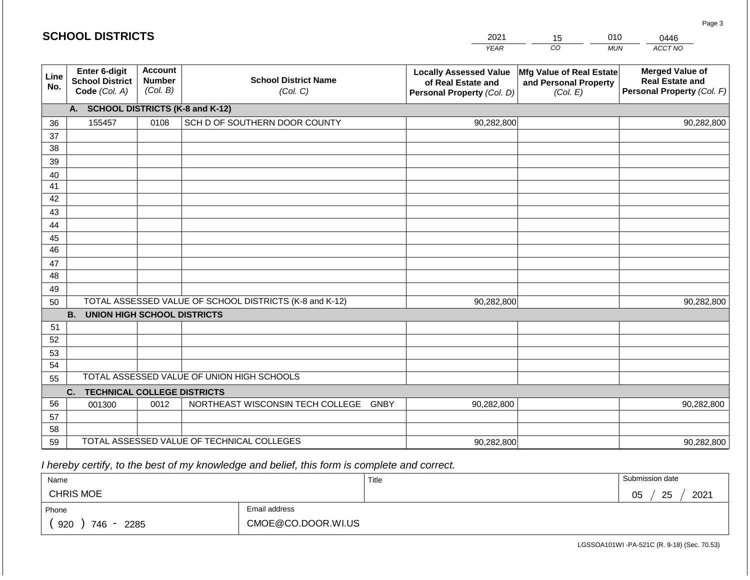|             | <b>SCHOOL DISTRICTS</b>                                         |                                             |                                                         | 2021                                                                              | 15                                                            | 010<br>0446                                                                    |
|-------------|-----------------------------------------------------------------|---------------------------------------------|---------------------------------------------------------|-----------------------------------------------------------------------------------|---------------------------------------------------------------|--------------------------------------------------------------------------------|
|             |                                                                 |                                             |                                                         | <b>YEAR</b>                                                                       | CO                                                            | ACCT NO<br><b>MUN</b>                                                          |
| Line<br>No. | <b>Enter 6-digit</b><br><b>School District</b><br>Code (Col. A) | <b>Account</b><br><b>Number</b><br>(Col. B) | <b>School District Name</b><br>(Col. C)                 | <b>Locally Assessed Value</b><br>of Real Estate and<br>Personal Property (Col. D) | Mfg Value of Real Estate<br>and Personal Property<br>(Col. E) | <b>Merged Value of</b><br><b>Real Estate and</b><br>Personal Property (Col. F) |
|             | A. SCHOOL DISTRICTS (K-8 and K-12)                              |                                             |                                                         |                                                                                   |                                                               |                                                                                |
| 36          | 155457                                                          | 0108                                        | SCH D OF SOUTHERN DOOR COUNTY                           | 90,282,800                                                                        |                                                               | 90,282,800                                                                     |
| 37          |                                                                 |                                             |                                                         |                                                                                   |                                                               |                                                                                |
| 38          |                                                                 |                                             |                                                         |                                                                                   |                                                               |                                                                                |
| 39          |                                                                 |                                             |                                                         |                                                                                   |                                                               |                                                                                |
| 40<br>41    |                                                                 |                                             |                                                         |                                                                                   |                                                               |                                                                                |
| 42          |                                                                 |                                             |                                                         |                                                                                   |                                                               |                                                                                |
| 43          |                                                                 |                                             |                                                         |                                                                                   |                                                               |                                                                                |
| 44          |                                                                 |                                             |                                                         |                                                                                   |                                                               |                                                                                |
| 45          |                                                                 |                                             |                                                         |                                                                                   |                                                               |                                                                                |
| 46          |                                                                 |                                             |                                                         |                                                                                   |                                                               |                                                                                |
| 47          |                                                                 |                                             |                                                         |                                                                                   |                                                               |                                                                                |
| 48          |                                                                 |                                             |                                                         |                                                                                   |                                                               |                                                                                |
| 49          |                                                                 |                                             | TOTAL ASSESSED VALUE OF SCHOOL DISTRICTS (K-8 and K-12) |                                                                                   |                                                               |                                                                                |
| 50          | <b>B. UNION HIGH SCHOOL DISTRICTS</b>                           |                                             |                                                         | 90,282,800                                                                        |                                                               | 90,282,800                                                                     |
| 51          |                                                                 |                                             |                                                         |                                                                                   |                                                               |                                                                                |
| 52          |                                                                 |                                             |                                                         |                                                                                   |                                                               |                                                                                |
| 53          |                                                                 |                                             |                                                         |                                                                                   |                                                               |                                                                                |
| 54          |                                                                 |                                             |                                                         |                                                                                   |                                                               |                                                                                |
| 55          |                                                                 |                                             | TOTAL ASSESSED VALUE OF UNION HIGH SCHOOLS              |                                                                                   |                                                               |                                                                                |
|             | <b>TECHNICAL COLLEGE DISTRICTS</b><br>C.                        |                                             |                                                         |                                                                                   |                                                               |                                                                                |
| 56          | 001300                                                          | 0012                                        | NORTHEAST WISCONSIN TECH COLLEGE GNBY                   | 90,282,800                                                                        |                                                               | 90,282,800                                                                     |
| 57          |                                                                 |                                             |                                                         |                                                                                   |                                                               |                                                                                |
| 58<br>59    |                                                                 |                                             | TOTAL ASSESSED VALUE OF TECHNICAL COLLEGES              | 90,282,800                                                                        |                                                               | 90,282,800                                                                     |
|             |                                                                 |                                             |                                                         |                                                                                   |                                                               |                                                                                |

 *I hereby certify, to the best of my knowledge and belief, this form is complete and correct.*

| Name                    |                    | Title | Submission date       |
|-------------------------|--------------------|-------|-----------------------|
| <b>CHRIS MOE</b>        |                    |       | 2021<br>25<br>∩ҕ<br>◡ |
| Phone                   | Email address      |       |                       |
| 920<br>746<br>2285<br>- | CMOE@CO.DOOR.WI.US |       |                       |

Page 3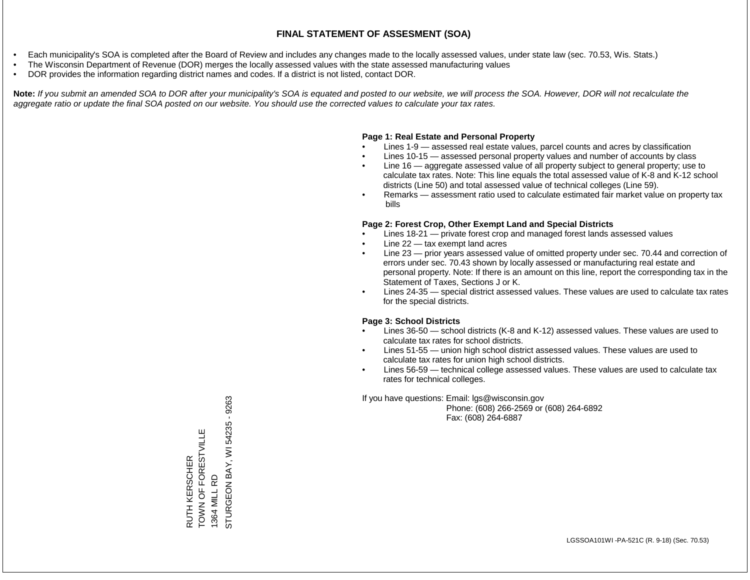- Each municipality's SOA is completed after the Board of Review and includes any changes made to the locally assessed values, under state law (sec. 70.53, Wis. Stats.)
- The Wisconsin Department of Revenue (DOR) merges the locally assessed values with the state assessed manufacturing values
- DOR provides the information regarding district names and codes. If a district is not listed, contact DOR.

Note: If you submit an amended SOA to DOR after your municipality's SOA is equated and posted to our website, we will process the SOA. However, DOR will not recalculate the *aggregate ratio or update the final SOA posted on our website. You should use the corrected values to calculate your tax rates.*

### **Page 1: Real Estate and Personal Property**

- Lines 1-9 assessed real estate values, parcel counts and acres by classification
- Lines 10-15 assessed personal property values and number of accounts by class
- Line 16 aggregate assessed value of all property subject to general property; use to calculate tax rates. Note: This line equals the total assessed value of K-8 and K-12 school districts (Line 50) and total assessed value of technical colleges (Line 59).
- Remarks assessment ratio used to calculate estimated fair market value on property tax bills

### **Page 2: Forest Crop, Other Exempt Land and Special Districts**

- Lines 18-21 private forest crop and managed forest lands assessed values
- Line  $22 -$  tax exempt land acres
- Line 23 prior years assessed value of omitted property under sec. 70.44 and correction of errors under sec. 70.43 shown by locally assessed or manufacturing real estate and personal property. Note: If there is an amount on this line, report the corresponding tax in the Statement of Taxes, Sections J or K.
- Lines 24-35 special district assessed values. These values are used to calculate tax rates for the special districts.

### **Page 3: School Districts**

- Lines 36-50 school districts (K-8 and K-12) assessed values. These values are used to calculate tax rates for school districts.
- Lines 51-55 union high school district assessed values. These values are used to calculate tax rates for union high school districts.
- Lines 56-59 technical college assessed values. These values are used to calculate tax rates for technical colleges.

If you have questions: Email: lgs@wisconsin.gov

 Phone: (608) 266-2569 or (608) 264-6892 Fax: (608) 264-6887

RUTH KERSCHER TOWN OF FORESTVILLE RUTH KERSCHER<br>TOWN OF FORESTVILLE<br>1364 MILL RD<br>STURGEON BAY, WI 54235 - 9263 STURGEON BAY, WI 54235 - 9263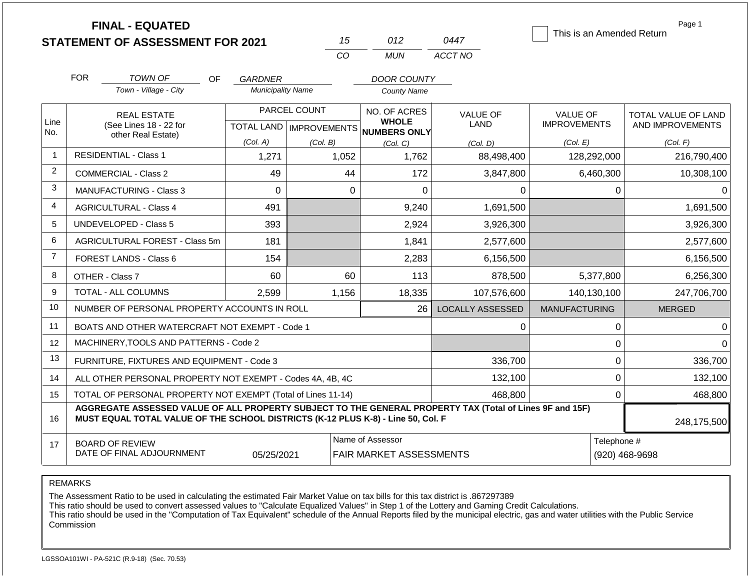|                |                                                                                                                                        | <b>FINAL - EQUATED</b><br><b>STATEMENT OF ASSESSMENT FOR 2021</b>                                                                                                                            |                          | 15                                    | 012                             | 0447                    |                                        |                  | Page 1<br>This is an Amended Return     |
|----------------|----------------------------------------------------------------------------------------------------------------------------------------|----------------------------------------------------------------------------------------------------------------------------------------------------------------------------------------------|--------------------------|---------------------------------------|---------------------------------|-------------------------|----------------------------------------|------------------|-----------------------------------------|
|                |                                                                                                                                        |                                                                                                                                                                                              |                          | CO                                    | <b>MUN</b>                      | ACCT NO                 |                                        |                  |                                         |
|                | <b>FOR</b>                                                                                                                             | <b>TOWN OF</b><br>OF.                                                                                                                                                                        | GARDNER                  |                                       | <b>DOOR COUNTY</b>              |                         |                                        |                  |                                         |
|                |                                                                                                                                        | Town - Village - City                                                                                                                                                                        | <b>Municipality Name</b> |                                       | <b>County Name</b>              |                         |                                        |                  |                                         |
| Line           |                                                                                                                                        | PARCEL COUNT<br><b>REAL ESTATE</b><br>(See Lines 18 - 22 for                                                                                                                                 |                          |                                       | NO. OF ACRES<br><b>WHOLE</b>    | <b>VALUE OF</b><br>LAND | <b>VALUE OF</b><br><b>IMPROVEMENTS</b> |                  | TOTAL VALUE OF LAND<br>AND IMPROVEMENTS |
| No.            | other Real Estate)                                                                                                                     |                                                                                                                                                                                              | (Col. A)                 | TOTAL LAND   IMPROVEMENTS<br>(Col. B) | <b>NUMBERS ONLY</b><br>(Col, C) | (Col, D)                | (Col. E)                               |                  | (Col. F)                                |
| 1              |                                                                                                                                        | <b>RESIDENTIAL - Class 1</b>                                                                                                                                                                 | 1,271                    | 1,052                                 | 1,762                           | 88,498,400              |                                        | 128,292,000      | 216,790,400                             |
| $\overline{2}$ |                                                                                                                                        | <b>COMMERCIAL - Class 2</b>                                                                                                                                                                  | 49                       | 44                                    | 172                             | 3,847,800               |                                        | 6,460,300        | 10,308,100                              |
| 3              |                                                                                                                                        | <b>MANUFACTURING - Class 3</b>                                                                                                                                                               | $\overline{0}$           |                                       | $\mathbf 0$<br>0                | 0                       |                                        | 0                | 0                                       |
| 4              |                                                                                                                                        | <b>AGRICULTURAL - Class 4</b>                                                                                                                                                                | 491                      |                                       | 9,240                           | 1,691,500               |                                        |                  | 1,691,500                               |
| 5              |                                                                                                                                        | <b>UNDEVELOPED - Class 5</b>                                                                                                                                                                 | 393                      |                                       | 2,924                           | 3,926,300               |                                        |                  | 3,926,300                               |
| 6              |                                                                                                                                        | AGRICULTURAL FOREST - Class 5m                                                                                                                                                               | 181                      |                                       | 1,841                           | 2,577,600               |                                        |                  | 2,577,600                               |
| $\overline{7}$ |                                                                                                                                        | <b>FOREST LANDS - Class 6</b>                                                                                                                                                                | 154                      |                                       | 2,283                           | 6,156,500               |                                        |                  | 6,156,500                               |
| 8              |                                                                                                                                        | OTHER - Class 7                                                                                                                                                                              | 60                       | 60                                    | 113                             | 878,500                 |                                        | 5,377,800        | 6,256,300                               |
| 9              |                                                                                                                                        | <b>TOTAL - ALL COLUMNS</b>                                                                                                                                                                   | 2,599                    | 1,156                                 | 18,335                          | 107,576,600             |                                        | 140,130,100      | 247,706,700                             |
| 10             |                                                                                                                                        | NUMBER OF PERSONAL PROPERTY ACCOUNTS IN ROLL                                                                                                                                                 |                          |                                       | 26                              | <b>LOCALLY ASSESSED</b> | <b>MANUFACTURING</b>                   |                  | <b>MERGED</b>                           |
| 11             |                                                                                                                                        | BOATS AND OTHER WATERCRAFT NOT EXEMPT - Code 1                                                                                                                                               |                          |                                       |                                 | 0                       |                                        | 0                | 0                                       |
| 12             |                                                                                                                                        | MACHINERY, TOOLS AND PATTERNS - Code 2                                                                                                                                                       |                          |                                       |                                 |                         |                                        | 0                | $\Omega$                                |
| 13             |                                                                                                                                        | FURNITURE, FIXTURES AND EQUIPMENT - Code 3                                                                                                                                                   |                          |                                       |                                 | 336,700                 |                                        | $\Omega$         | 336,700                                 |
| 14             |                                                                                                                                        | ALL OTHER PERSONAL PROPERTY NOT EXEMPT - Codes 4A, 4B, 4C                                                                                                                                    |                          |                                       |                                 | 132,100                 |                                        | $\boldsymbol{0}$ | 132,100                                 |
| 15             | TOTAL OF PERSONAL PROPERTY NOT EXEMPT (Total of Lines 11-14)<br>468,800                                                                |                                                                                                                                                                                              |                          |                                       |                                 |                         |                                        |                  | 468,800                                 |
| 16             |                                                                                                                                        | AGGREGATE ASSESSED VALUE OF ALL PROPERTY SUBJECT TO THE GENERAL PROPERTY TAX (Total of Lines 9F and 15F)<br>MUST EQUAL TOTAL VALUE OF THE SCHOOL DISTRICTS (K-12 PLUS K-8) - Line 50, Col. F |                          |                                       |                                 |                         |                                        |                  | 248,175,500                             |
| 17             | Name of Assessor<br>Telephone #<br><b>BOARD OF REVIEW</b><br>DATE OF FINAL ADJOURNMENT<br>05/25/2021<br><b>FAIR MARKET ASSESSMENTS</b> |                                                                                                                                                                                              |                          |                                       |                                 |                         |                                        |                  | (920) 468-9698                          |

The Assessment Ratio to be used in calculating the estimated Fair Market Value on tax bills for this tax district is .867297389

This ratio should be used to convert assessed values to "Calculate Equalized Values" in Step 1 of the Lottery and Gaming Credit Calculations.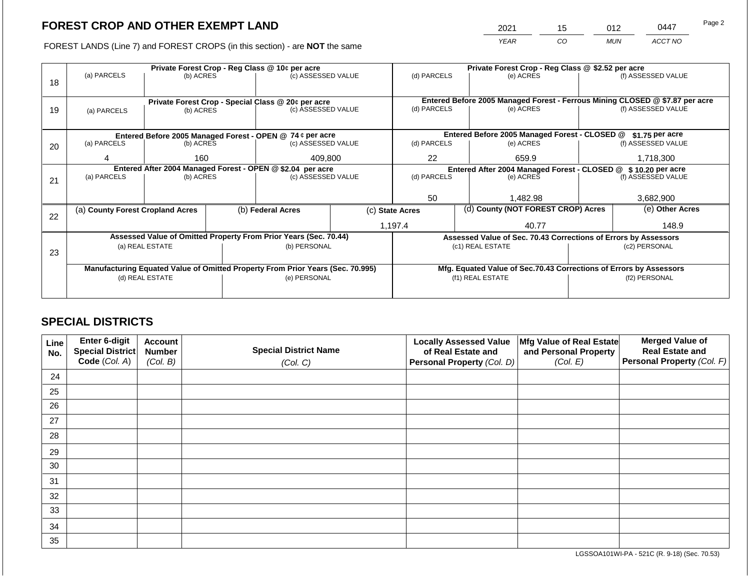2021 15 012 0447 Page 2

FOREST LANDS (Line 7) and FOREST CROPS (in this section) - are **NOT** the same *YEAR CO MUN ACCT NO*

|    |                                                                                                   |                 |  | Private Forest Crop - Reg Class @ 10¢ per acre                           |                                                               |                  |          | Private Forest Crop - Reg Class @ \$2.52 per acre                            |                 |                    |  |  |
|----|---------------------------------------------------------------------------------------------------|-----------------|--|--------------------------------------------------------------------------|---------------------------------------------------------------|------------------|----------|------------------------------------------------------------------------------|-----------------|--------------------|--|--|
| 18 | (a) PARCELS                                                                                       | (b) ACRES       |  | (c) ASSESSED VALUE                                                       |                                                               | (d) PARCELS      |          | (e) ACRES                                                                    |                 | (f) ASSESSED VALUE |  |  |
|    |                                                                                                   |                 |  |                                                                          |                                                               |                  |          |                                                                              |                 |                    |  |  |
|    |                                                                                                   |                 |  |                                                                          |                                                               |                  |          | Entered Before 2005 Managed Forest - Ferrous Mining CLOSED @ \$7.87 per acre |                 |                    |  |  |
| 19 | (a) PARCELS                                                                                       | (b) ACRES       |  | Private Forest Crop - Special Class @ 20¢ per acre<br>(c) ASSESSED VALUE |                                                               | (d) PARCELS      |          | (e) ACRES                                                                    |                 | (f) ASSESSED VALUE |  |  |
|    |                                                                                                   |                 |  |                                                                          |                                                               |                  |          |                                                                              |                 |                    |  |  |
|    |                                                                                                   |                 |  |                                                                          |                                                               |                  |          |                                                                              |                 |                    |  |  |
|    |                                                                                                   |                 |  | Entered Before 2005 Managed Forest - OPEN @ 74 ¢ per acre                |                                                               |                  |          | Entered Before 2005 Managed Forest - CLOSED @                                |                 | \$1.75 per acre    |  |  |
| 20 | (a) PARCELS                                                                                       | (b) ACRES       |  | (c) ASSESSED VALUE                                                       |                                                               | (d) PARCELS      |          | (e) ACRES                                                                    |                 | (f) ASSESSED VALUE |  |  |
|    | 4                                                                                                 | 160             |  | 409,800                                                                  |                                                               | 22               |          | 659.9                                                                        |                 | 1,718,300          |  |  |
|    |                                                                                                   |                 |  |                                                                          |                                                               |                  |          |                                                                              |                 |                    |  |  |
|    |                                                                                                   |                 |  | Entered After 2004 Managed Forest - OPEN @ \$2.04 per acre               | Entered After 2004 Managed Forest - CLOSED @ \$10.20 per acre |                  |          |                                                                              |                 |                    |  |  |
| 21 | (a) PARCELS                                                                                       | (b) ACRES       |  | (c) ASSESSED VALUE                                                       |                                                               | (d) PARCELS      |          | (e) ACRES                                                                    |                 | (f) ASSESSED VALUE |  |  |
|    |                                                                                                   |                 |  |                                                                          |                                                               |                  |          |                                                                              |                 |                    |  |  |
|    |                                                                                                   |                 |  |                                                                          | 50                                                            |                  | 1,482.98 |                                                                              | 3,682,900       |                    |  |  |
|    | (a) County Forest Cropland Acres                                                                  |                 |  | (b) Federal Acres                                                        | (d) County (NOT FOREST CROP) Acres<br>(c) State Acres         |                  |          |                                                                              | (e) Other Acres |                    |  |  |
| 22 |                                                                                                   |                 |  |                                                                          |                                                               |                  |          |                                                                              |                 |                    |  |  |
|    |                                                                                                   |                 |  |                                                                          |                                                               | 1,197.4<br>40.77 |          |                                                                              | 148.9           |                    |  |  |
|    |                                                                                                   |                 |  | Assessed Value of Omitted Property From Prior Years (Sec. 70.44)         |                                                               |                  |          | Assessed Value of Sec. 70.43 Corrections of Errors by Assessors              |                 |                    |  |  |
|    |                                                                                                   | (a) REAL ESTATE |  | (b) PERSONAL                                                             |                                                               |                  |          | (c1) REAL ESTATE                                                             | (c2) PERSONAL   |                    |  |  |
| 23 |                                                                                                   |                 |  |                                                                          |                                                               |                  |          |                                                                              |                 |                    |  |  |
|    |                                                                                                   |                 |  |                                                                          |                                                               |                  |          | Mfg. Equated Value of Sec.70.43 Corrections of Errors by Assessors           |                 |                    |  |  |
|    | Manufacturing Equated Value of Omitted Property From Prior Years (Sec. 70.995)<br>(d) REAL ESTATE |                 |  | (e) PERSONAL                                                             |                                                               |                  |          | (f1) REAL ESTATE                                                             | (f2) PERSONAL   |                    |  |  |
|    |                                                                                                   |                 |  |                                                                          |                                                               |                  |          |                                                                              |                 |                    |  |  |
|    |                                                                                                   |                 |  |                                                                          |                                                               |                  |          |                                                                              |                 |                    |  |  |

### **SPECIAL DISTRICTS**

| Line<br>No. | Enter 6-digit<br>Special District | <b>Account</b><br><b>Number</b> | <b>Special District Name</b> | <b>Locally Assessed Value</b><br>of Real Estate and | Mfg Value of Real Estate<br>and Personal Property | <b>Merged Value of</b><br><b>Real Estate and</b> |
|-------------|-----------------------------------|---------------------------------|------------------------------|-----------------------------------------------------|---------------------------------------------------|--------------------------------------------------|
|             | Code (Col. A)                     | (Col. B)                        | (Col. C)                     | Personal Property (Col. D)                          | (Col. E)                                          | Personal Property (Col. F)                       |
| 24          |                                   |                                 |                              |                                                     |                                                   |                                                  |
| 25          |                                   |                                 |                              |                                                     |                                                   |                                                  |
| 26          |                                   |                                 |                              |                                                     |                                                   |                                                  |
| 27          |                                   |                                 |                              |                                                     |                                                   |                                                  |
| 28          |                                   |                                 |                              |                                                     |                                                   |                                                  |
| 29          |                                   |                                 |                              |                                                     |                                                   |                                                  |
| 30          |                                   |                                 |                              |                                                     |                                                   |                                                  |
| 31          |                                   |                                 |                              |                                                     |                                                   |                                                  |
| 32          |                                   |                                 |                              |                                                     |                                                   |                                                  |
| 33          |                                   |                                 |                              |                                                     |                                                   |                                                  |
| 34          |                                   |                                 |                              |                                                     |                                                   |                                                  |
| 35          |                                   |                                 |                              |                                                     |                                                   |                                                  |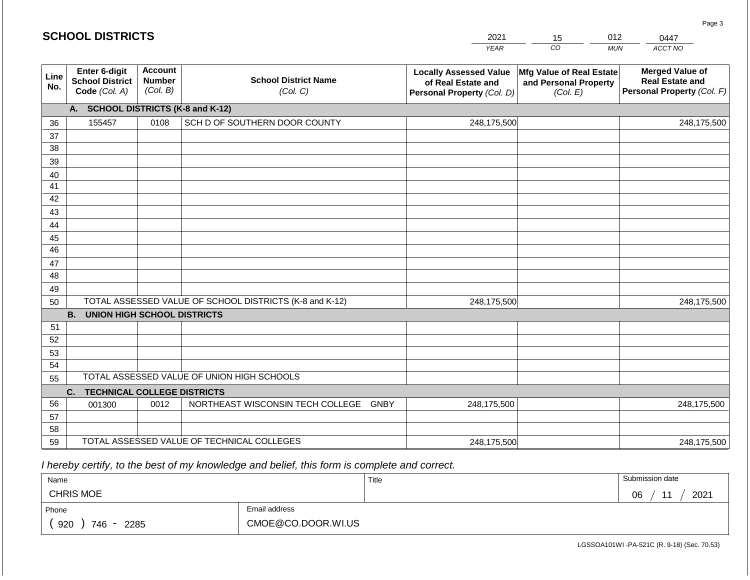|             | <b>SCHOOL DISTRICTS</b>                                         |                                             |                                                         | 2021                                                                              | 15                                                                   | 012        | 0447                                                                           |
|-------------|-----------------------------------------------------------------|---------------------------------------------|---------------------------------------------------------|-----------------------------------------------------------------------------------|----------------------------------------------------------------------|------------|--------------------------------------------------------------------------------|
|             |                                                                 |                                             |                                                         | <b>YEAR</b>                                                                       | CO                                                                   | <b>MUN</b> | ACCT NO                                                                        |
| Line<br>No. | <b>Enter 6-digit</b><br><b>School District</b><br>Code (Col. A) | <b>Account</b><br><b>Number</b><br>(Col. B) | <b>School District Name</b><br>(Col. C)                 | <b>Locally Assessed Value</b><br>of Real Estate and<br>Personal Property (Col. D) | <b>Mfg Value of Real Estate</b><br>and Personal Property<br>(Col. E) |            | <b>Merged Value of</b><br><b>Real Estate and</b><br>Personal Property (Col. F) |
|             | A.                                                              |                                             | <b>SCHOOL DISTRICTS (K-8 and K-12)</b>                  |                                                                                   |                                                                      |            |                                                                                |
| 36          | 155457                                                          | 0108                                        | SCH D OF SOUTHERN DOOR COUNTY                           | 248,175,500                                                                       |                                                                      |            | 248,175,500                                                                    |
| 37          |                                                                 |                                             |                                                         |                                                                                   |                                                                      |            |                                                                                |
| 38          |                                                                 |                                             |                                                         |                                                                                   |                                                                      |            |                                                                                |
| 39          |                                                                 |                                             |                                                         |                                                                                   |                                                                      |            |                                                                                |
| 40          |                                                                 |                                             |                                                         |                                                                                   |                                                                      |            |                                                                                |
| 41<br>42    |                                                                 |                                             |                                                         |                                                                                   |                                                                      |            |                                                                                |
| 43          |                                                                 |                                             |                                                         |                                                                                   |                                                                      |            |                                                                                |
| 44          |                                                                 |                                             |                                                         |                                                                                   |                                                                      |            |                                                                                |
| 45          |                                                                 |                                             |                                                         |                                                                                   |                                                                      |            |                                                                                |
| 46          |                                                                 |                                             |                                                         |                                                                                   |                                                                      |            |                                                                                |
| 47          |                                                                 |                                             |                                                         |                                                                                   |                                                                      |            |                                                                                |
| 48          |                                                                 |                                             |                                                         |                                                                                   |                                                                      |            |                                                                                |
| 49          |                                                                 |                                             |                                                         |                                                                                   |                                                                      |            |                                                                                |
| 50          |                                                                 |                                             | TOTAL ASSESSED VALUE OF SCHOOL DISTRICTS (K-8 and K-12) | 248,175,500                                                                       |                                                                      |            | 248,175,500                                                                    |
|             | <b>B. UNION HIGH SCHOOL DISTRICTS</b>                           |                                             |                                                         |                                                                                   |                                                                      |            |                                                                                |
| 51          |                                                                 |                                             |                                                         |                                                                                   |                                                                      |            |                                                                                |
| 52          |                                                                 |                                             |                                                         |                                                                                   |                                                                      |            |                                                                                |
| 53          |                                                                 |                                             |                                                         |                                                                                   |                                                                      |            |                                                                                |
| 54          |                                                                 |                                             | TOTAL ASSESSED VALUE OF UNION HIGH SCHOOLS              |                                                                                   |                                                                      |            |                                                                                |
| 55          |                                                                 |                                             |                                                         |                                                                                   |                                                                      |            |                                                                                |
|             | C.<br><b>TECHNICAL COLLEGE DISTRICTS</b>                        |                                             |                                                         |                                                                                   |                                                                      |            |                                                                                |
| 56          | 001300                                                          | 0012                                        | NORTHEAST WISCONSIN TECH COLLEGE GNBY                   | 248,175,500                                                                       |                                                                      |            | 248,175,500                                                                    |
| 57<br>58    |                                                                 |                                             |                                                         |                                                                                   |                                                                      |            |                                                                                |
| 59          |                                                                 |                                             | TOTAL ASSESSED VALUE OF TECHNICAL COLLEGES              | 248,175,500                                                                       |                                                                      |            | 248,175,500                                                                    |

 *I hereby certify, to the best of my knowledge and belief, this form is complete and correct.*

| Name                    |                    | Title | Submission date  |
|-------------------------|--------------------|-------|------------------|
| <b>CHRIS MOE</b>        |                    |       | 2021<br>∩ഭ<br>νv |
| Phone                   | Email address      |       |                  |
| 920<br>746<br>2285<br>- | CMOE@CO.DOOR.WI.US |       |                  |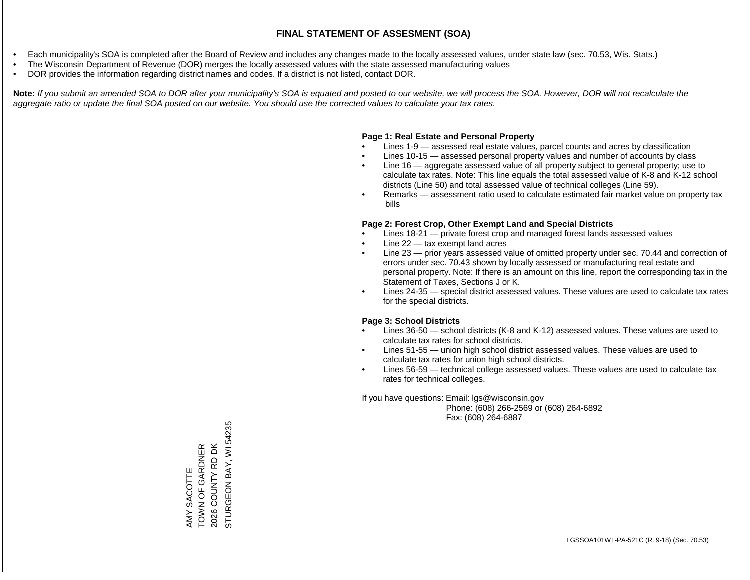- Each municipality's SOA is completed after the Board of Review and includes any changes made to the locally assessed values, under state law (sec. 70.53, Wis. Stats.)
- The Wisconsin Department of Revenue (DOR) merges the locally assessed values with the state assessed manufacturing values
- DOR provides the information regarding district names and codes. If a district is not listed, contact DOR.

Note: If you submit an amended SOA to DOR after your municipality's SOA is equated and posted to our website, we will process the SOA. However, DOR will not recalculate the *aggregate ratio or update the final SOA posted on our website. You should use the corrected values to calculate your tax rates.*

#### **Page 1: Real Estate and Personal Property**

- Lines 1-9 assessed real estate values, parcel counts and acres by classification
- Lines 10-15 assessed personal property values and number of accounts by class
- Line 16 aggregate assessed value of all property subject to general property; use to calculate tax rates. Note: This line equals the total assessed value of K-8 and K-12 school districts (Line 50) and total assessed value of technical colleges (Line 59).
- Remarks assessment ratio used to calculate estimated fair market value on property tax bills

#### **Page 2: Forest Crop, Other Exempt Land and Special Districts**

- Lines 18-21 private forest crop and managed forest lands assessed values
- Line  $22 -$  tax exempt land acres
- Line 23 prior years assessed value of omitted property under sec. 70.44 and correction of errors under sec. 70.43 shown by locally assessed or manufacturing real estate and personal property. Note: If there is an amount on this line, report the corresponding tax in the Statement of Taxes, Sections J or K.
- Lines 24-35 special district assessed values. These values are used to calculate tax rates for the special districts.

#### **Page 3: School Districts**

- Lines 36-50 school districts (K-8 and K-12) assessed values. These values are used to calculate tax rates for school districts.
- Lines 51-55 union high school district assessed values. These values are used to calculate tax rates for union high school districts.
- Lines 56-59 technical college assessed values. These values are used to calculate tax rates for technical colleges.

If you have questions: Email: lgs@wisconsin.gov

 Phone: (608) 266-2569 or (608) 264-6892 Fax: (608) 264-6887

STURGEON BAY, WI 54235 STURGEON BAY, WI 54235AMY SACOTTE<br>TOWN OF GARDNER<br>2026 COUNTY RD DK TOWN OF GARDNER 2026 COUNTY RD DK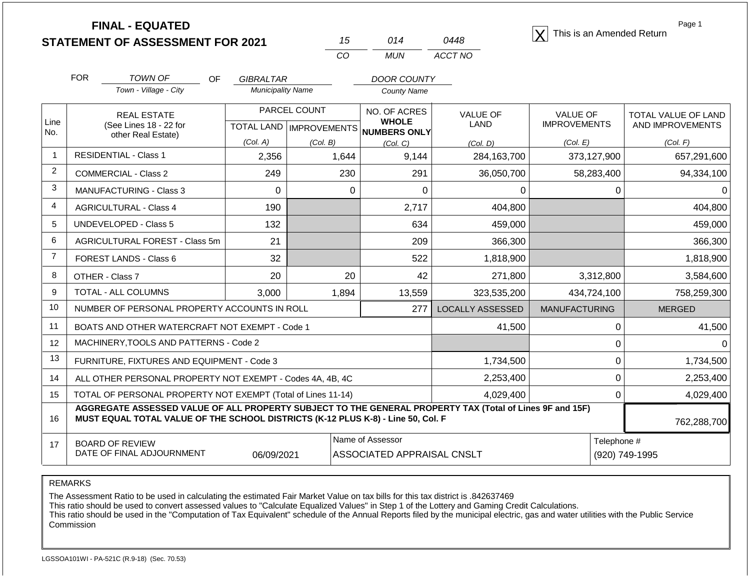|                |                                              | <b>FINAL - EQUATED</b><br><b>STATEMENT OF ASSESSMENT FOR 2021</b>                                                                                                                            |                          | 15                               | 014                                            | 0448             | This is an Amended Return |                               | Page 1              |
|----------------|----------------------------------------------|----------------------------------------------------------------------------------------------------------------------------------------------------------------------------------------------|--------------------------|----------------------------------|------------------------------------------------|------------------|---------------------------|-------------------------------|---------------------|
|                |                                              |                                                                                                                                                                                              |                          | CO                               | <b>MUN</b>                                     | ACCT NO          |                           |                               |                     |
|                | <b>FOR</b>                                   | <b>TOWN OF</b><br><b>OF</b>                                                                                                                                                                  | <b>GIBRALTAR</b>         |                                  | <b>DOOR COUNTY</b>                             |                  |                           |                               |                     |
|                |                                              | Town - Village - City                                                                                                                                                                        | <b>Municipality Name</b> |                                  | <b>County Name</b>                             |                  |                           |                               |                     |
|                |                                              | <b>REAL ESTATE</b>                                                                                                                                                                           |                          | PARCEL COUNT                     | NO. OF ACRES                                   | <b>VALUE OF</b>  | <b>VALUE OF</b>           |                               | TOTAL VALUE OF LAND |
| Line<br>No.    | (See Lines 18 - 22 for<br>other Real Estate) |                                                                                                                                                                                              |                          | <b>TOTAL LAND   IMPROVEMENTS</b> | <b>WHOLE</b><br>NUMBERS ONLY                   | <b>LAND</b>      | <b>IMPROVEMENTS</b>       |                               | AND IMPROVEMENTS    |
|                |                                              |                                                                                                                                                                                              | (Col. A)                 | (Col. B)                         | (Col, C)                                       | (Col, D)         | (Col. E)                  |                               | (Col. F)            |
| $\mathbf{1}$   |                                              | <b>RESIDENTIAL - Class 1</b>                                                                                                                                                                 | 2,356                    | 1,644                            | 9,144                                          | 284,163,700      | 373,127,900               |                               | 657,291,600         |
| $\overline{c}$ |                                              | <b>COMMERCIAL - Class 2</b>                                                                                                                                                                  | 249                      | 230                              | 291                                            | 36,050,700       | 58,283,400                |                               | 94,334,100          |
| 3              |                                              | <b>MANUFACTURING - Class 3</b>                                                                                                                                                               | $\Omega$                 |                                  | $\Omega$<br>0                                  | 0                |                           | 0                             | 0                   |
| 4              |                                              | <b>AGRICULTURAL - Class 4</b>                                                                                                                                                                | 190                      |                                  | 2,717                                          | 404,800          |                           |                               | 404,800             |
| 5              |                                              | <b>UNDEVELOPED - Class 5</b>                                                                                                                                                                 | 132                      |                                  | 634                                            | 459,000          |                           |                               | 459,000             |
| 6              |                                              | <b>AGRICULTURAL FOREST - Class 5m</b>                                                                                                                                                        | 21                       |                                  | 209                                            | 366,300          |                           |                               | 366,300             |
| $\overline{7}$ |                                              | FOREST LANDS - Class 6                                                                                                                                                                       | 32                       |                                  | 522                                            | 1,818,900        |                           |                               | 1,818,900           |
| 8              |                                              | OTHER - Class 7                                                                                                                                                                              | 20                       |                                  | 20<br>42                                       | 271,800          | 3,312,800                 |                               | 3,584,600           |
| 9              |                                              | TOTAL - ALL COLUMNS                                                                                                                                                                          | 3,000                    | 1,894                            | 13,559                                         | 323,535,200      | 434,724,100               |                               | 758,259,300         |
| 10             |                                              | NUMBER OF PERSONAL PROPERTY ACCOUNTS IN ROLL                                                                                                                                                 |                          |                                  | 277                                            | LOCALLY ASSESSED | <b>MANUFACTURING</b>      |                               | <b>MERGED</b>       |
| 11             |                                              | BOATS AND OTHER WATERCRAFT NOT EXEMPT - Code 1                                                                                                                                               |                          |                                  |                                                | 41,500           |                           | 0                             | 41,500              |
| 12             |                                              | MACHINERY, TOOLS AND PATTERNS - Code 2                                                                                                                                                       |                          |                                  |                                                |                  |                           | 0                             | $\Omega$            |
| 13             |                                              | FURNITURE, FIXTURES AND EQUIPMENT - Code 3                                                                                                                                                   |                          |                                  |                                                | 1,734,500        |                           | 0                             | 1,734,500           |
| 14             |                                              | ALL OTHER PERSONAL PROPERTY NOT EXEMPT - Codes 4A, 4B, 4C                                                                                                                                    |                          |                                  |                                                | 2,253,400        |                           | 0                             | 2,253,400           |
| 15             |                                              | TOTAL OF PERSONAL PROPERTY NOT EXEMPT (Total of Lines 11-14)                                                                                                                                 |                          |                                  |                                                | 4,029,400        |                           | 0                             | 4,029,400           |
| 16             |                                              | AGGREGATE ASSESSED VALUE OF ALL PROPERTY SUBJECT TO THE GENERAL PROPERTY TAX (Total of Lines 9F and 15F)<br>MUST EQUAL TOTAL VALUE OF THE SCHOOL DISTRICTS (K-12 PLUS K-8) - Line 50, Col. F |                          |                                  |                                                |                  |                           |                               | 762,288,700         |
| 17             |                                              | <b>BOARD OF REVIEW</b><br>DATE OF FINAL ADJOURNMENT                                                                                                                                          | 06/09/2021               |                                  | Name of Assessor<br>ASSOCIATED APPRAISAL CNSLT |                  |                           | Telephone #<br>(920) 749-1995 |                     |

The Assessment Ratio to be used in calculating the estimated Fair Market Value on tax bills for this tax district is .842637469

This ratio should be used to convert assessed values to "Calculate Equalized Values" in Step 1 of the Lottery and Gaming Credit Calculations.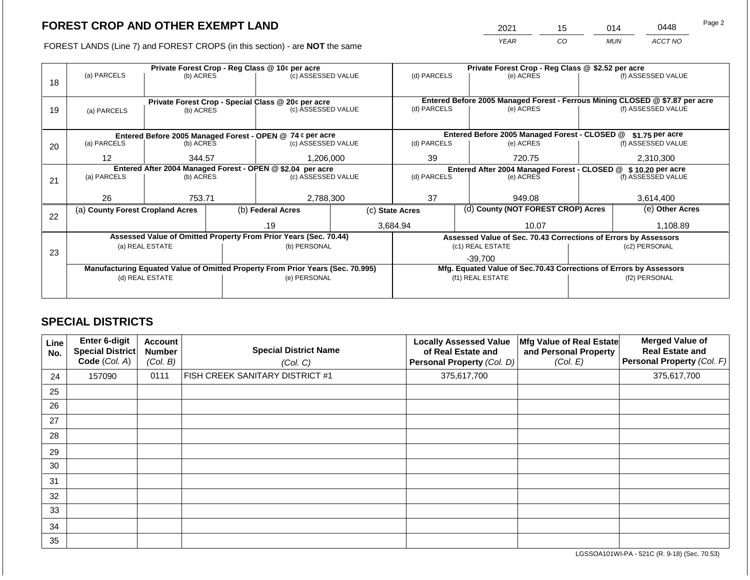2021 15 014 0448

FOREST LANDS (Line 7) and FOREST CROPS (in this section) - are **NOT** the same *YEAR CO MUN ACCT NO*

|    |                                                            |                 |  | Private Forest Crop - Reg Class @ 10¢ per acre                                 | Private Forest Crop - Reg Class @ \$2.52 per acre                            |             |                  |                                                                    |                                                                 |                    |  |
|----|------------------------------------------------------------|-----------------|--|--------------------------------------------------------------------------------|------------------------------------------------------------------------------|-------------|------------------|--------------------------------------------------------------------|-----------------------------------------------------------------|--------------------|--|
| 18 | (a) PARCELS                                                | (b) ACRES       |  | (c) ASSESSED VALUE                                                             |                                                                              | (d) PARCELS |                  | (e) ACRES                                                          |                                                                 | (f) ASSESSED VALUE |  |
|    |                                                            |                 |  | Private Forest Crop - Special Class @ 20¢ per acre                             | Entered Before 2005 Managed Forest - Ferrous Mining CLOSED @ \$7.87 per acre |             |                  |                                                                    |                                                                 |                    |  |
| 19 | (a) PARCELS                                                | (b) ACRES       |  | (c) ASSESSED VALUE                                                             |                                                                              | (d) PARCELS |                  | (e) ACRES                                                          |                                                                 | (f) ASSESSED VALUE |  |
|    |                                                            |                 |  |                                                                                |                                                                              |             |                  | Entered Before 2005 Managed Forest - CLOSED @                      |                                                                 | \$1.75 per acre    |  |
|    |                                                            |                 |  | Entered Before 2005 Managed Forest - OPEN @ 74 ¢ per acre                      |                                                                              |             |                  |                                                                    |                                                                 | (f) ASSESSED VALUE |  |
| 20 | (a) PARCELS<br>(b) ACRES                                   |                 |  | (c) ASSESSED VALUE                                                             |                                                                              | (d) PARCELS |                  | (e) ACRES                                                          |                                                                 |                    |  |
|    | $12 \overline{ }$                                          | 344.57          |  | 1,206,000                                                                      |                                                                              | 39          |                  | 720.75                                                             |                                                                 | 2,310,300          |  |
|    | Entered After 2004 Managed Forest - OPEN @ \$2.04 per acre |                 |  |                                                                                | Entered After 2004 Managed Forest - CLOSED @ \$10.20 per acre                |             |                  |                                                                    |                                                                 |                    |  |
| 21 | (a) PARCELS                                                | (b) ACRES       |  | (c) ASSESSED VALUE                                                             |                                                                              | (d) PARCELS |                  | (e) ACRES                                                          |                                                                 | (f) ASSESSED VALUE |  |
|    |                                                            |                 |  |                                                                                |                                                                              |             |                  |                                                                    |                                                                 |                    |  |
|    | 26                                                         | 753.71          |  | 2,788,300                                                                      | 37                                                                           |             | 949.08           |                                                                    | 3,614,400                                                       |                    |  |
|    | (a) County Forest Cropland Acres                           |                 |  | (b) Federal Acres                                                              | (d) County (NOT FOREST CROP) Acres<br>(c) State Acres                        |             |                  |                                                                    | (e) Other Acres                                                 |                    |  |
| 22 |                                                            |                 |  |                                                                                |                                                                              |             |                  |                                                                    |                                                                 |                    |  |
|    |                                                            |                 |  | .19                                                                            |                                                                              | 3,684.94    |                  | 10.07                                                              |                                                                 | 1,108.89           |  |
|    |                                                            |                 |  | Assessed Value of Omitted Property From Prior Years (Sec. 70.44)               |                                                                              |             |                  |                                                                    | Assessed Value of Sec. 70.43 Corrections of Errors by Assessors |                    |  |
|    |                                                            | (a) REAL ESTATE |  | (b) PERSONAL                                                                   |                                                                              |             |                  | (c1) REAL ESTATE                                                   | (c2) PERSONAL                                                   |                    |  |
| 23 |                                                            |                 |  |                                                                                |                                                                              |             |                  | $-39,700$                                                          |                                                                 |                    |  |
|    |                                                            |                 |  | Manufacturing Equated Value of Omitted Property From Prior Years (Sec. 70.995) |                                                                              |             |                  | Mfg. Equated Value of Sec.70.43 Corrections of Errors by Assessors |                                                                 |                    |  |
|    |                                                            | (d) REAL ESTATE |  | (e) PERSONAL                                                                   |                                                                              |             | (f1) REAL ESTATE | (f2) PERSONAL                                                      |                                                                 |                    |  |
|    |                                                            |                 |  |                                                                                |                                                                              |             |                  |                                                                    |                                                                 |                    |  |
|    |                                                            |                 |  |                                                                                |                                                                              |             |                  |                                                                    |                                                                 |                    |  |

### **SPECIAL DISTRICTS**

| Line<br>No. | <b>Enter 6-digit</b><br>Special District<br>Code (Col. A) | <b>Account</b><br><b>Number</b><br>(Col. B) | <b>Special District Name</b><br>(Col. C) | <b>Locally Assessed Value</b><br>of Real Estate and<br>Personal Property (Col. D) | Mfg Value of Real Estate<br>and Personal Property<br>(Col. E) | <b>Merged Value of</b><br><b>Real Estate and</b><br>Personal Property (Col. F) |
|-------------|-----------------------------------------------------------|---------------------------------------------|------------------------------------------|-----------------------------------------------------------------------------------|---------------------------------------------------------------|--------------------------------------------------------------------------------|
| 24          | 157090                                                    | 0111                                        | <b>FISH CREEK SANITARY DISTRICT #1</b>   | 375,617,700                                                                       |                                                               | 375,617,700                                                                    |
| 25          |                                                           |                                             |                                          |                                                                                   |                                                               |                                                                                |
| 26          |                                                           |                                             |                                          |                                                                                   |                                                               |                                                                                |
| 27          |                                                           |                                             |                                          |                                                                                   |                                                               |                                                                                |
| 28          |                                                           |                                             |                                          |                                                                                   |                                                               |                                                                                |
| 29          |                                                           |                                             |                                          |                                                                                   |                                                               |                                                                                |
| 30          |                                                           |                                             |                                          |                                                                                   |                                                               |                                                                                |
| 31          |                                                           |                                             |                                          |                                                                                   |                                                               |                                                                                |
| 32          |                                                           |                                             |                                          |                                                                                   |                                                               |                                                                                |
| 33          |                                                           |                                             |                                          |                                                                                   |                                                               |                                                                                |
| 34          |                                                           |                                             |                                          |                                                                                   |                                                               |                                                                                |
| 35          |                                                           |                                             |                                          |                                                                                   |                                                               |                                                                                |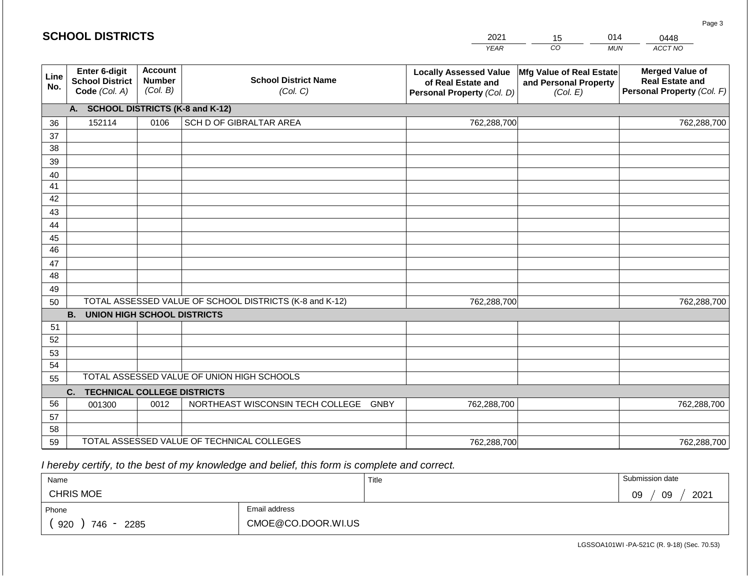|             | <b>SCHOOL DISTRICTS</b>                                  |                                             |                                                         | 2021                                                                              | 15                                                            | 014        | 0448                                                                           |
|-------------|----------------------------------------------------------|---------------------------------------------|---------------------------------------------------------|-----------------------------------------------------------------------------------|---------------------------------------------------------------|------------|--------------------------------------------------------------------------------|
|             |                                                          |                                             |                                                         | <b>YEAR</b>                                                                       | CO                                                            | <b>MUN</b> | ACCT NO                                                                        |
| Line<br>No. | Enter 6-digit<br><b>School District</b><br>Code (Col. A) | <b>Account</b><br><b>Number</b><br>(Col. B) | <b>School District Name</b><br>(Col. C)                 | <b>Locally Assessed Value</b><br>of Real Estate and<br>Personal Property (Col. D) | Mfg Value of Real Estate<br>and Personal Property<br>(Col. E) |            | <b>Merged Value of</b><br><b>Real Estate and</b><br>Personal Property (Col. F) |
|             | A.                                                       |                                             | <b>SCHOOL DISTRICTS (K-8 and K-12)</b>                  |                                                                                   |                                                               |            |                                                                                |
| 36          | 152114                                                   | 0106                                        | SCH D OF GIBRALTAR AREA                                 | 762,288,700                                                                       |                                                               |            | 762,288,700                                                                    |
| 37          |                                                          |                                             |                                                         |                                                                                   |                                                               |            |                                                                                |
| 38          |                                                          |                                             |                                                         |                                                                                   |                                                               |            |                                                                                |
| 39          |                                                          |                                             |                                                         |                                                                                   |                                                               |            |                                                                                |
| 40          |                                                          |                                             |                                                         |                                                                                   |                                                               |            |                                                                                |
| 41          |                                                          |                                             |                                                         |                                                                                   |                                                               |            |                                                                                |
| 42          |                                                          |                                             |                                                         |                                                                                   |                                                               |            |                                                                                |
| 43          |                                                          |                                             |                                                         |                                                                                   |                                                               |            |                                                                                |
| 44          |                                                          |                                             |                                                         |                                                                                   |                                                               |            |                                                                                |
| 45          |                                                          |                                             |                                                         |                                                                                   |                                                               |            |                                                                                |
| 46          |                                                          |                                             |                                                         |                                                                                   |                                                               |            |                                                                                |
| 47<br>48    |                                                          |                                             |                                                         |                                                                                   |                                                               |            |                                                                                |
| 49          |                                                          |                                             |                                                         |                                                                                   |                                                               |            |                                                                                |
| 50          |                                                          |                                             | TOTAL ASSESSED VALUE OF SCHOOL DISTRICTS (K-8 and K-12) | 762,288,700                                                                       |                                                               |            | 762,288,700                                                                    |
|             | <b>B.</b><br><b>UNION HIGH SCHOOL DISTRICTS</b>          |                                             |                                                         |                                                                                   |                                                               |            |                                                                                |
| 51          |                                                          |                                             |                                                         |                                                                                   |                                                               |            |                                                                                |
| 52          |                                                          |                                             |                                                         |                                                                                   |                                                               |            |                                                                                |
| 53          |                                                          |                                             |                                                         |                                                                                   |                                                               |            |                                                                                |
| 54          |                                                          |                                             |                                                         |                                                                                   |                                                               |            |                                                                                |
| 55          |                                                          |                                             | TOTAL ASSESSED VALUE OF UNION HIGH SCHOOLS              |                                                                                   |                                                               |            |                                                                                |
|             | C.<br><b>TECHNICAL COLLEGE DISTRICTS</b>                 |                                             |                                                         |                                                                                   |                                                               |            |                                                                                |
| 56          | 001300                                                   | 0012                                        | NORTHEAST WISCONSIN TECH COLLEGE GNBY                   | 762,288,700                                                                       |                                                               |            | 762,288,700                                                                    |
| 57          |                                                          |                                             |                                                         |                                                                                   |                                                               |            |                                                                                |
| 58          |                                                          |                                             |                                                         |                                                                                   |                                                               |            |                                                                                |
| 59          |                                                          |                                             | TOTAL ASSESSED VALUE OF TECHNICAL COLLEGES              | 762,288,700                                                                       |                                                               |            | 762,288,700                                                                    |

 *I hereby certify, to the best of my knowledge and belief, this form is complete and correct.*

| Name               |                    | Title | Submission date        |
|--------------------|--------------------|-------|------------------------|
| <b>CHRIS MOE</b>   |                    |       | 2021<br>09<br>na<br>ບວ |
| Phone              | Email address      |       |                        |
| 920<br>746<br>2285 | CMOE@CO.DOOR.WI.US |       |                        |

LGSSOA101WI -PA-521C (R. 9-18) (Sec. 70.53)

Page 3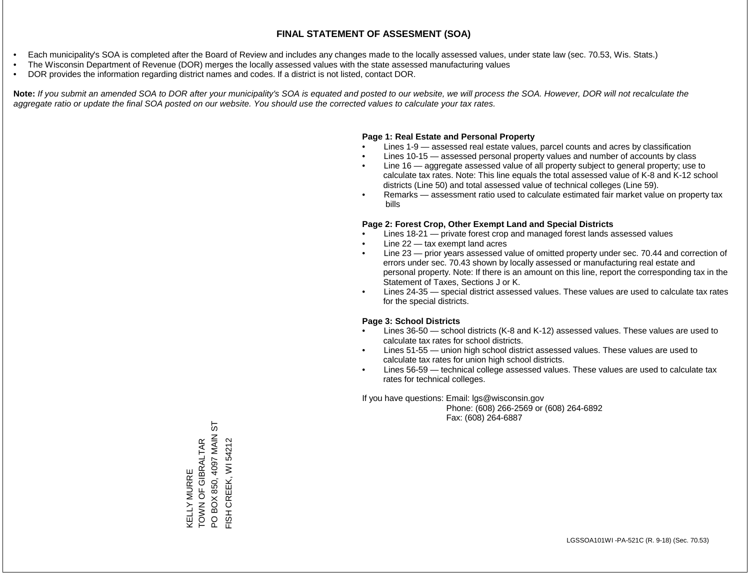- Each municipality's SOA is completed after the Board of Review and includes any changes made to the locally assessed values, under state law (sec. 70.53, Wis. Stats.)
- The Wisconsin Department of Revenue (DOR) merges the locally assessed values with the state assessed manufacturing values
- DOR provides the information regarding district names and codes. If a district is not listed, contact DOR.

Note: If you submit an amended SOA to DOR after your municipality's SOA is equated and posted to our website, we will process the SOA. However, DOR will not recalculate the *aggregate ratio or update the final SOA posted on our website. You should use the corrected values to calculate your tax rates.*

### **Page 1: Real Estate and Personal Property**

- Lines 1-9 assessed real estate values, parcel counts and acres by classification
- Lines 10-15 assessed personal property values and number of accounts by class
- Line 16 aggregate assessed value of all property subject to general property; use to calculate tax rates. Note: This line equals the total assessed value of K-8 and K-12 school districts (Line 50) and total assessed value of technical colleges (Line 59).
- Remarks assessment ratio used to calculate estimated fair market value on property tax bills

### **Page 2: Forest Crop, Other Exempt Land and Special Districts**

- Lines 18-21 private forest crop and managed forest lands assessed values
- Line  $22 -$  tax exempt land acres
- Line 23 prior years assessed value of omitted property under sec. 70.44 and correction of errors under sec. 70.43 shown by locally assessed or manufacturing real estate and personal property. Note: If there is an amount on this line, report the corresponding tax in the Statement of Taxes, Sections J or K.
- Lines 24-35 special district assessed values. These values are used to calculate tax rates for the special districts.

### **Page 3: School Districts**

- Lines 36-50 school districts (K-8 and K-12) assessed values. These values are used to calculate tax rates for school districts.
- Lines 51-55 union high school district assessed values. These values are used to calculate tax rates for union high school districts.
- Lines 56-59 technical college assessed values. These values are used to calculate tax rates for technical colleges.

If you have questions: Email: lgs@wisconsin.gov

 Phone: (608) 266-2569 or (608) 264-6892 Fax: (608) 264-6887

55 PO BOX 850, 4097 MAIN ST KELLY MURRE<br>TOWN OF GIBRALTAR<br>PO BOX 850, 4097 MAIN S TOWN OF GIBRALTAR FISH CREEK, WI 54212 FISH CREEK, WI 54212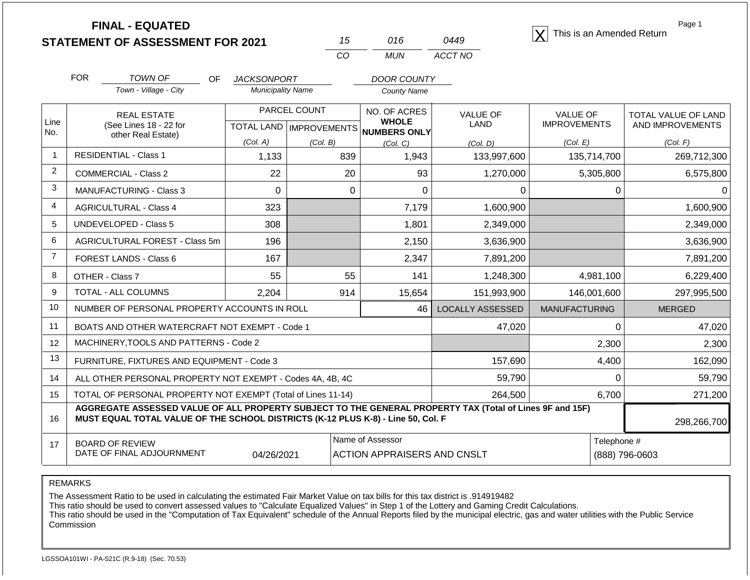|                | <b>FINAL - EQUATED</b><br><b>STATEMENT OF ASSESSMENT FOR 2021</b>                                                                                                                            |                                    |                    |                                                | 15             | 016                                                  | 0449                    | This is an Amended Return |          | Page 1              |
|----------------|----------------------------------------------------------------------------------------------------------------------------------------------------------------------------------------------|------------------------------------|--------------------|------------------------------------------------|----------------|------------------------------------------------------|-------------------------|---------------------------|----------|---------------------|
|                |                                                                                                                                                                                              |                                    |                    |                                                | CO             | <b>MUN</b>                                           | ACCT NO                 |                           |          |                     |
|                | <b>FOR</b><br><b>TOWN OF</b>                                                                                                                                                                 | OF.                                | <b>JACKSONPORT</b> |                                                |                | <b>DOOR COUNTY</b>                                   |                         |                           |          |                     |
|                | Town - Village - City                                                                                                                                                                        |                                    |                    | <b>Municipality Name</b><br><b>County Name</b> |                |                                                      |                         |                           |          |                     |
|                | <b>REAL ESTATE</b>                                                                                                                                                                           |                                    | PARCEL COUNT       |                                                |                | NO. OF ACRES                                         | <b>VALUE OF</b>         | <b>VALUE OF</b>           |          | TOTAL VALUE OF LAND |
| Line<br>No.    | (See Lines 18 - 22 for<br>other Real Estate)                                                                                                                                                 |                                    |                    |                                                |                | <b>WHOLE</b><br>TOTAL LAND IMPROVEMENTS NUMBERS ONLY | LAND                    | <b>IMPROVEMENTS</b>       |          | AND IMPROVEMENTS    |
|                |                                                                                                                                                                                              |                                    | (Col. A)           | (Col. B)                                       |                | (Col, C)                                             | (Col, D)                | (Col. E)                  |          | (Col. F)            |
| 1              | <b>RESIDENTIAL - Class 1</b>                                                                                                                                                                 |                                    | 1,133              |                                                | 839            | 1,943                                                | 133,997,600             | 135,714,700               |          | 269,712,300         |
| $\overline{2}$ | <b>COMMERCIAL - Class 2</b>                                                                                                                                                                  |                                    | 22                 |                                                | 20             | 93                                                   | 1,270,000               | 5,305,800                 |          | 6,575,800           |
| 3              | <b>MANUFACTURING - Class 3</b>                                                                                                                                                               |                                    | $\mathbf 0$        |                                                | $\mathbf 0$    | $\mathbf 0$                                          | 0                       |                           | 0        | 0                   |
| 4              | <b>AGRICULTURAL - Class 4</b>                                                                                                                                                                |                                    | 323                |                                                |                | 7,179                                                | 1,600,900               |                           |          | 1,600,900           |
| 5              | <b>UNDEVELOPED - Class 5</b>                                                                                                                                                                 |                                    | 308                |                                                |                | 1,801                                                | 2,349,000               |                           |          | 2,349,000           |
| 6              | AGRICULTURAL FOREST - Class 5m                                                                                                                                                               |                                    | 196                |                                                |                | 2,150                                                | 3,636,900               |                           |          | 3,636,900           |
| $\overline{7}$ | FOREST LANDS - Class 6                                                                                                                                                                       |                                    | 167                |                                                |                | 2,347                                                | 7,891,200               |                           |          | 7,891,200           |
| 8              | OTHER - Class 7                                                                                                                                                                              |                                    | 55                 |                                                | 55             | 141                                                  | 1,248,300               | 4,981,100                 |          | 6,229,400           |
| 9              | TOTAL - ALL COLUMNS                                                                                                                                                                          |                                    | 2,204              |                                                | 914            | 15,654                                               | 151,993,900             | 146,001,600               |          | 297,995,500         |
| 10             | NUMBER OF PERSONAL PROPERTY ACCOUNTS IN ROLL                                                                                                                                                 |                                    |                    |                                                |                | 46                                                   | <b>LOCALLY ASSESSED</b> | <b>MANUFACTURING</b>      |          | <b>MERGED</b>       |
| 11             | BOATS AND OTHER WATERCRAFT NOT EXEMPT - Code 1                                                                                                                                               |                                    |                    |                                                |                |                                                      | 47,020                  |                           | $\Omega$ | 47,020              |
| 12             | MACHINERY, TOOLS AND PATTERNS - Code 2                                                                                                                                                       |                                    |                    |                                                |                |                                                      |                         |                           | 2,300    | 2,300               |
| 13             | FURNITURE, FIXTURES AND EQUIPMENT - Code 3                                                                                                                                                   |                                    |                    |                                                |                |                                                      | 157,690                 |                           | 4,400    | 162,090             |
| 14             | ALL OTHER PERSONAL PROPERTY NOT EXEMPT - Codes 4A, 4B, 4C                                                                                                                                    |                                    |                    |                                                |                |                                                      | 59,790                  |                           | $\Omega$ | 59,790              |
| 15             | TOTAL OF PERSONAL PROPERTY NOT EXEMPT (Total of Lines 11-14)                                                                                                                                 |                                    |                    |                                                |                |                                                      | 264,500                 |                           | 6,700    | 271,200             |
| 16             | AGGREGATE ASSESSED VALUE OF ALL PROPERTY SUBJECT TO THE GENERAL PROPERTY TAX (Total of Lines 9F and 15F)<br>MUST EQUAL TOTAL VALUE OF THE SCHOOL DISTRICTS (K-12 PLUS K-8) - Line 50, Col. F |                                    |                    |                                                |                |                                                      |                         |                           |          | 298,266,700         |
| 17             | <b>BOARD OF REVIEW</b><br>DATE OF FINAL ADJOURNMENT                                                                                                                                          | <b>ACTION APPRAISERS AND CNSLT</b> |                    | Telephone #                                    | (888) 796-0603 |                                                      |                         |                           |          |                     |

The Assessment Ratio to be used in calculating the estimated Fair Market Value on tax bills for this tax district is .914919482

This ratio should be used to convert assessed values to "Calculate Equalized Values" in Step 1 of the Lottery and Gaming Credit Calculations.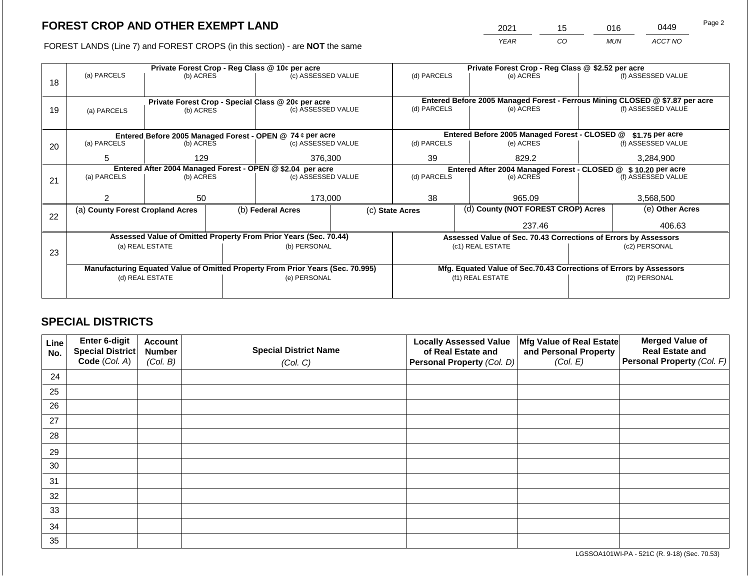2021 15 016 0449

FOREST LANDS (Line 7) and FOREST CROPS (in this section) - are **NOT** the same *YEAR CO MUN ACCT NO*

|    | Private Forest Crop - Reg Class @ 10¢ per acre             |                 |  |                                                                                |  | Private Forest Crop - Reg Class @ \$2.52 per acre                |  |                                                                              |                    |                    |
|----|------------------------------------------------------------|-----------------|--|--------------------------------------------------------------------------------|--|------------------------------------------------------------------|--|------------------------------------------------------------------------------|--------------------|--------------------|
|    | (a) PARCELS                                                | (b) ACRES       |  | (c) ASSESSED VALUE                                                             |  | (d) PARCELS                                                      |  | (e) ACRES                                                                    |                    | (f) ASSESSED VALUE |
| 18 |                                                            |                 |  |                                                                                |  |                                                                  |  |                                                                              |                    |                    |
|    |                                                            |                 |  |                                                                                |  |                                                                  |  |                                                                              |                    |                    |
|    |                                                            |                 |  | Private Forest Crop - Special Class @ 20¢ per acre                             |  |                                                                  |  | Entered Before 2005 Managed Forest - Ferrous Mining CLOSED @ \$7.87 per acre |                    |                    |
| 19 | (a) PARCELS                                                | (b) ACRES       |  | (c) ASSESSED VALUE                                                             |  | (d) PARCELS                                                      |  | (e) ACRES                                                                    |                    | (f) ASSESSED VALUE |
|    |                                                            |                 |  |                                                                                |  |                                                                  |  |                                                                              |                    |                    |
|    |                                                            |                 |  | Entered Before 2005 Managed Forest - OPEN @ 74 ¢ per acre                      |  |                                                                  |  | Entered Before 2005 Managed Forest - CLOSED @                                |                    | $$1.75$ per acre   |
| 20 | (a) PARCELS                                                | (b) ACRES       |  | (c) ASSESSED VALUE                                                             |  | (d) PARCELS                                                      |  | (e) ACRES                                                                    |                    | (f) ASSESSED VALUE |
|    |                                                            |                 |  |                                                                                |  |                                                                  |  |                                                                              |                    |                    |
|    | 5                                                          | 129             |  | 376,300                                                                        |  | 39                                                               |  | 829.2                                                                        |                    | 3,284,900          |
|    | Entered After 2004 Managed Forest - OPEN @ \$2.04 per acre |                 |  |                                                                                |  | Entered After 2004 Managed Forest - CLOSED @<br>\$10.20 per acre |  |                                                                              |                    |                    |
| 21 | (a) PARCELS                                                | (b) ACRES       |  | (c) ASSESSED VALUE                                                             |  | (d) PARCELS                                                      |  | (e) ACRES                                                                    | (f) ASSESSED VALUE |                    |
|    |                                                            |                 |  |                                                                                |  |                                                                  |  |                                                                              |                    |                    |
|    | 2                                                          | 50              |  | 173,000                                                                        |  | 38                                                               |  | 965.09                                                                       |                    | 3,568,500          |
|    | (a) County Forest Cropland Acres                           |                 |  | (b) Federal Acres                                                              |  | (c) State Acres                                                  |  | (d) County (NOT FOREST CROP) Acres                                           |                    | (e) Other Acres    |
| 22 |                                                            |                 |  |                                                                                |  |                                                                  |  |                                                                              |                    |                    |
|    |                                                            |                 |  |                                                                                |  |                                                                  |  | 237.46                                                                       |                    | 406.63             |
|    |                                                            |                 |  | Assessed Value of Omitted Property From Prior Years (Sec. 70.44)               |  |                                                                  |  | Assessed Value of Sec. 70.43 Corrections of Errors by Assessors              |                    |                    |
|    |                                                            | (a) REAL ESTATE |  | (b) PERSONAL                                                                   |  | (c1) REAL ESTATE                                                 |  |                                                                              |                    | (c2) PERSONAL      |
| 23 |                                                            |                 |  |                                                                                |  |                                                                  |  |                                                                              |                    |                    |
|    |                                                            |                 |  | Manufacturing Equated Value of Omitted Property From Prior Years (Sec. 70.995) |  |                                                                  |  | Mfg. Equated Value of Sec.70.43 Corrections of Errors by Assessors           |                    |                    |
|    |                                                            | (d) REAL ESTATE |  | (e) PERSONAL                                                                   |  |                                                                  |  | (f1) REAL ESTATE                                                             | (f2) PERSONAL      |                    |
|    |                                                            |                 |  |                                                                                |  |                                                                  |  |                                                                              |                    |                    |
|    |                                                            |                 |  |                                                                                |  |                                                                  |  |                                                                              |                    |                    |

### **SPECIAL DISTRICTS**

| Line<br>No. | <b>Enter 6-digit</b><br>Special District | <b>Account</b><br><b>Number</b> | <b>Special District Name</b> | <b>Locally Assessed Value</b><br>of Real Estate and | Mfg Value of Real Estate<br>and Personal Property | <b>Merged Value of</b><br><b>Real Estate and</b> |
|-------------|------------------------------------------|---------------------------------|------------------------------|-----------------------------------------------------|---------------------------------------------------|--------------------------------------------------|
|             | Code (Col. A)                            | (Col. B)                        | (Col. C)                     | Personal Property (Col. D)                          | (Col. E)                                          | <b>Personal Property (Col. F)</b>                |
| 24          |                                          |                                 |                              |                                                     |                                                   |                                                  |
| 25          |                                          |                                 |                              |                                                     |                                                   |                                                  |
| 26          |                                          |                                 |                              |                                                     |                                                   |                                                  |
| 27          |                                          |                                 |                              |                                                     |                                                   |                                                  |
| 28          |                                          |                                 |                              |                                                     |                                                   |                                                  |
| 29          |                                          |                                 |                              |                                                     |                                                   |                                                  |
| 30          |                                          |                                 |                              |                                                     |                                                   |                                                  |
| 31          |                                          |                                 |                              |                                                     |                                                   |                                                  |
| 32          |                                          |                                 |                              |                                                     |                                                   |                                                  |
| 33          |                                          |                                 |                              |                                                     |                                                   |                                                  |
| 34          |                                          |                                 |                              |                                                     |                                                   |                                                  |
| 35          |                                          |                                 |                              |                                                     |                                                   |                                                  |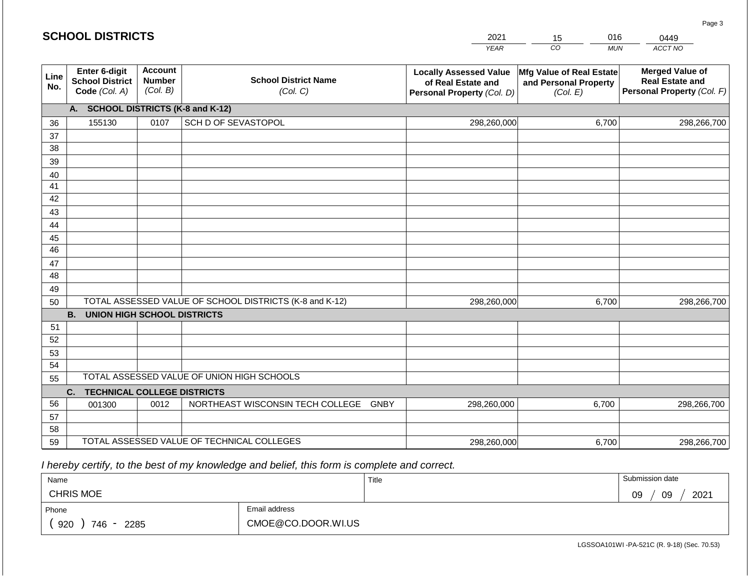|             | <b>SCHOOL DISTRICTS</b>                                  |                                             |                                                         | 2021                                                                              | 016<br>15                                                     | 0449                                                                           |
|-------------|----------------------------------------------------------|---------------------------------------------|---------------------------------------------------------|-----------------------------------------------------------------------------------|---------------------------------------------------------------|--------------------------------------------------------------------------------|
|             |                                                          |                                             |                                                         | <b>YEAR</b>                                                                       | CO<br><b>MUN</b>                                              | ACCT NO                                                                        |
| Line<br>No. | Enter 6-digit<br><b>School District</b><br>Code (Col. A) | <b>Account</b><br><b>Number</b><br>(Col. B) | <b>School District Name</b><br>(Col. C)                 | <b>Locally Assessed Value</b><br>of Real Estate and<br>Personal Property (Col. D) | Mfg Value of Real Estate<br>and Personal Property<br>(Col. E) | <b>Merged Value of</b><br><b>Real Estate and</b><br>Personal Property (Col. F) |
|             | A. SCHOOL DISTRICTS (K-8 and K-12)                       |                                             |                                                         |                                                                                   |                                                               |                                                                                |
| 36          | 155130                                                   | 0107                                        | SCH D OF SEVASTOPOL                                     | 298,260,000                                                                       | 6,700                                                         | 298,266,700                                                                    |
| 37          |                                                          |                                             |                                                         |                                                                                   |                                                               |                                                                                |
| 38          |                                                          |                                             |                                                         |                                                                                   |                                                               |                                                                                |
| 39          |                                                          |                                             |                                                         |                                                                                   |                                                               |                                                                                |
| 40<br>41    |                                                          |                                             |                                                         |                                                                                   |                                                               |                                                                                |
| 42          |                                                          |                                             |                                                         |                                                                                   |                                                               |                                                                                |
| 43          |                                                          |                                             |                                                         |                                                                                   |                                                               |                                                                                |
| 44          |                                                          |                                             |                                                         |                                                                                   |                                                               |                                                                                |
| 45          |                                                          |                                             |                                                         |                                                                                   |                                                               |                                                                                |
| 46          |                                                          |                                             |                                                         |                                                                                   |                                                               |                                                                                |
| 47          |                                                          |                                             |                                                         |                                                                                   |                                                               |                                                                                |
| 48          |                                                          |                                             |                                                         |                                                                                   |                                                               |                                                                                |
| 49          |                                                          |                                             |                                                         |                                                                                   |                                                               |                                                                                |
| 50          |                                                          |                                             | TOTAL ASSESSED VALUE OF SCHOOL DISTRICTS (K-8 and K-12) | 298,260,000                                                                       | 6,700                                                         | 298,266,700                                                                    |
|             | <b>B. UNION HIGH SCHOOL DISTRICTS</b>                    |                                             |                                                         |                                                                                   |                                                               |                                                                                |
| 51          |                                                          |                                             |                                                         |                                                                                   |                                                               |                                                                                |
| 52<br>53    |                                                          |                                             |                                                         |                                                                                   |                                                               |                                                                                |
| 54          |                                                          |                                             |                                                         |                                                                                   |                                                               |                                                                                |
| 55          |                                                          |                                             | TOTAL ASSESSED VALUE OF UNION HIGH SCHOOLS              |                                                                                   |                                                               |                                                                                |
|             | C.<br><b>TECHNICAL COLLEGE DISTRICTS</b>                 |                                             |                                                         |                                                                                   |                                                               |                                                                                |
| 56          | 001300                                                   | 0012                                        | NORTHEAST WISCONSIN TECH COLLEGE GNBY                   | 298,260,000                                                                       | 6,700                                                         | 298,266,700                                                                    |
| 57          |                                                          |                                             |                                                         |                                                                                   |                                                               |                                                                                |
| 58          |                                                          |                                             |                                                         |                                                                                   |                                                               |                                                                                |
| 59          |                                                          |                                             | TOTAL ASSESSED VALUE OF TECHNICAL COLLEGES              | 298,260,000                                                                       | 6,700                                                         | 298,266,700                                                                    |

 *I hereby certify, to the best of my knowledge and belief, this form is complete and correct.*

| Name                    |                    | Title | Submission date  |
|-------------------------|--------------------|-------|------------------|
| <b>CHRIS MOE</b>        |                    |       | 2021<br>09<br>09 |
| Phone                   | Email address      |       |                  |
| 920<br>746<br>2285<br>- | CMOE@CO.DOOR.WI.US |       |                  |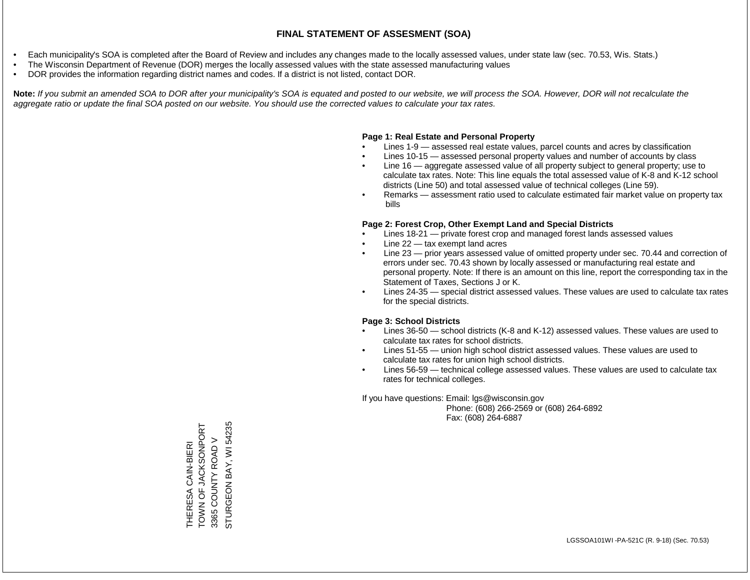- Each municipality's SOA is completed after the Board of Review and includes any changes made to the locally assessed values, under state law (sec. 70.53, Wis. Stats.)
- The Wisconsin Department of Revenue (DOR) merges the locally assessed values with the state assessed manufacturing values
- DOR provides the information regarding district names and codes. If a district is not listed, contact DOR.

Note: If you submit an amended SOA to DOR after your municipality's SOA is equated and posted to our website, we will process the SOA. However, DOR will not recalculate the *aggregate ratio or update the final SOA posted on our website. You should use the corrected values to calculate your tax rates.*

### **Page 1: Real Estate and Personal Property**

- Lines 1-9 assessed real estate values, parcel counts and acres by classification
- Lines 10-15 assessed personal property values and number of accounts by class
- Line 16 aggregate assessed value of all property subject to general property; use to calculate tax rates. Note: This line equals the total assessed value of K-8 and K-12 school districts (Line 50) and total assessed value of technical colleges (Line 59).
- Remarks assessment ratio used to calculate estimated fair market value on property tax bills

### **Page 2: Forest Crop, Other Exempt Land and Special Districts**

- Lines 18-21 private forest crop and managed forest lands assessed values
- Line  $22 -$  tax exempt land acres
- Line 23 prior years assessed value of omitted property under sec. 70.44 and correction of errors under sec. 70.43 shown by locally assessed or manufacturing real estate and personal property. Note: If there is an amount on this line, report the corresponding tax in the Statement of Taxes, Sections J or K.
- Lines 24-35 special district assessed values. These values are used to calculate tax rates for the special districts.

### **Page 3: School Districts**

- Lines 36-50 school districts (K-8 and K-12) assessed values. These values are used to calculate tax rates for school districts.
- Lines 51-55 union high school district assessed values. These values are used to calculate tax rates for union high school districts.
- Lines 56-59 technical college assessed values. These values are used to calculate tax rates for technical colleges.

If you have questions: Email: lgs@wisconsin.gov

 Phone: (608) 266-2569 or (608) 264-6892 Fax: (608) 264-6887

THERESA CAIN-BIERI<br>TOWN OF JACKSONPORT<br>3365 COUNTY ROAD V TOWN OF JACKSONPORT BAY, WI 54235 STURGEON BAY, WI 542353365 COUNTY ROAD V THERESA CAIN-BIERI **STURGEON**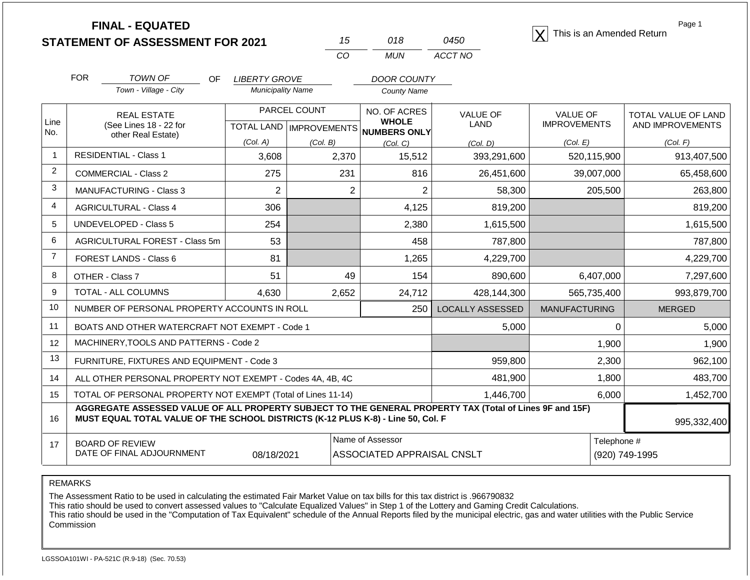|                |                                | <b>FINAL - EQUATED</b><br><b>STATEMENT OF ASSESSMENT FOR 2021</b>                |                             |                                  | 15             | 018                                                                  | 0450                                                                                                     |                      |             | Page 1<br>This is an Amended Return |
|----------------|--------------------------------|----------------------------------------------------------------------------------|-----------------------------|----------------------------------|----------------|----------------------------------------------------------------------|----------------------------------------------------------------------------------------------------------|----------------------|-------------|-------------------------------------|
|                |                                |                                                                                  |                             |                                  | CO             | <b>MUN</b>                                                           | ACCT NO                                                                                                  |                      |             |                                     |
|                | <b>FOR</b>                     | <b>TOWN OF</b>                                                                   | <b>LIBERTY GROVE</b><br>OF. |                                  |                | <b>DOOR COUNTY</b>                                                   |                                                                                                          |                      |             |                                     |
|                |                                | Town - Village - City                                                            | <b>Municipality Name</b>    |                                  |                | <b>County Name</b>                                                   |                                                                                                          |                      |             |                                     |
|                |                                | <b>REAL ESTATE</b>                                                               |                             | PARCEL COUNT                     | NO. OF ACRES   |                                                                      | <b>VALUE OF</b>                                                                                          | <b>VALUE OF</b>      |             | TOTAL VALUE OF LAND                 |
| Line<br>No.    |                                | (See Lines 18 - 22 for<br>other Real Estate)                                     |                             | <b>TOTAL LAND   IMPROVEMENTS</b> |                | <b>WHOLE</b><br>NUMBERS ONLY                                         | <b>LAND</b>                                                                                              | <b>IMPROVEMENTS</b>  |             | AND IMPROVEMENTS                    |
|                |                                |                                                                                  | (Col. A)                    | (Col. B)                         |                | (Col, C)                                                             | (Col, D)                                                                                                 | (Col. E)             |             | (Col. F)                            |
| $\mathbf{1}$   | <b>RESIDENTIAL - Class 1</b>   |                                                                                  | 3,608                       |                                  | 2,370          | 15,512                                                               | 393,291,600                                                                                              |                      | 520,115,900 | 913,407,500                         |
| $\overline{2}$ | <b>COMMERCIAL - Class 2</b>    |                                                                                  | 275                         |                                  | 231            | 816                                                                  | 26,451,600                                                                                               |                      | 39,007,000  | 65,458,600                          |
| 3              | <b>MANUFACTURING - Class 3</b> |                                                                                  | $\overline{2}$              |                                  | $\overline{2}$ | $\overline{2}$                                                       | 58,300                                                                                                   |                      | 205,500     | 263,800                             |
| 4              | <b>AGRICULTURAL - Class 4</b>  |                                                                                  | 306                         |                                  |                | 4,125                                                                | 819,200                                                                                                  |                      |             | 819,200                             |
| 5              | UNDEVELOPED - Class 5          |                                                                                  | 254                         |                                  |                | 2,380                                                                | 1,615,500                                                                                                |                      |             | 1,615,500                           |
| 6              |                                | AGRICULTURAL FOREST - Class 5m                                                   | 53                          |                                  |                | 458                                                                  | 787,800                                                                                                  |                      |             | 787,800                             |
| $\overline{7}$ | FOREST LANDS - Class 6         |                                                                                  | 81                          |                                  |                | 1,265                                                                | 4,229,700                                                                                                |                      |             | 4,229,700                           |
| 8              | OTHER - Class 7                |                                                                                  | 51                          |                                  | 49             | 154                                                                  | 890,600                                                                                                  |                      | 6,407,000   | 7,297,600                           |
| 9              | TOTAL - ALL COLUMNS            |                                                                                  | 4,630                       |                                  | 2,652          | 24,712                                                               | 428,144,300                                                                                              |                      | 565,735,400 | 993,879,700                         |
| 10             |                                | NUMBER OF PERSONAL PROPERTY ACCOUNTS IN ROLL                                     |                             |                                  |                | 250                                                                  | <b>LOCALLY ASSESSED</b>                                                                                  | <b>MANUFACTURING</b> |             | <b>MERGED</b>                       |
| 11             |                                | BOATS AND OTHER WATERCRAFT NOT EXEMPT - Code 1                                   |                             |                                  |                |                                                                      | 5,000                                                                                                    |                      | 0           | 5,000                               |
| 12             |                                | MACHINERY, TOOLS AND PATTERNS - Code 2                                           |                             |                                  |                |                                                                      |                                                                                                          |                      | 1,900       | 1,900                               |
| 13             |                                | FURNITURE, FIXTURES AND EQUIPMENT - Code 3                                       |                             |                                  |                |                                                                      | 959,800                                                                                                  |                      | 2,300       | 962,100                             |
| 14             |                                | ALL OTHER PERSONAL PROPERTY NOT EXEMPT - Codes 4A, 4B, 4C                        |                             |                                  |                |                                                                      | 481,900                                                                                                  |                      | 1,800       | 483,700                             |
| 15             |                                | TOTAL OF PERSONAL PROPERTY NOT EXEMPT (Total of Lines 11-14)                     |                             |                                  |                |                                                                      | 1,446,700                                                                                                |                      | 6,000       | 1,452,700                           |
| 16             |                                | MUST EQUAL TOTAL VALUE OF THE SCHOOL DISTRICTS (K-12 PLUS K-8) - Line 50, Col. F |                             |                                  |                |                                                                      | AGGREGATE ASSESSED VALUE OF ALL PROPERTY SUBJECT TO THE GENERAL PROPERTY TAX (Total of Lines 9F and 15F) |                      |             | 995,332,400                         |
| 17             | <b>BOARD OF REVIEW</b>         | DATE OF FINAL ADJOURNMENT                                                        | 08/18/2021                  |                                  |                | Name of Assessor<br>Telephone #<br><b>ASSOCIATED APPRAISAL CNSLT</b> |                                                                                                          |                      |             | (920) 749-1995                      |

The Assessment Ratio to be used in calculating the estimated Fair Market Value on tax bills for this tax district is .966790832

This ratio should be used to convert assessed values to "Calculate Equalized Values" in Step 1 of the Lottery and Gaming Credit Calculations.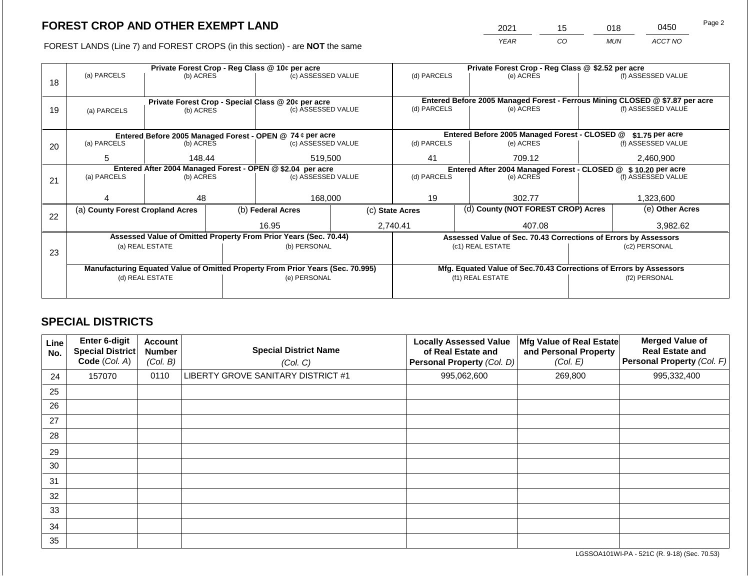2021 15 018 0450 Page 2

FOREST LANDS (Line 7) and FOREST CROPS (in this section) - are **NOT** the same *YEAR CO MUN ACCT NO*

|    | Private Forest Crop - Reg Class @ 10¢ per acre |                 |  |                                                                                |                    |                                                                  | Private Forest Crop - Reg Class @ \$2.52 per acre |                                                                    |               |                                                                                                    |
|----|------------------------------------------------|-----------------|--|--------------------------------------------------------------------------------|--------------------|------------------------------------------------------------------|---------------------------------------------------|--------------------------------------------------------------------|---------------|----------------------------------------------------------------------------------------------------|
|    | (a) PARCELS                                    | (b) ACRES       |  | (c) ASSESSED VALUE                                                             |                    | (d) PARCELS                                                      |                                                   | (e) ACRES                                                          |               | (f) ASSESSED VALUE                                                                                 |
| 18 |                                                |                 |  |                                                                                |                    |                                                                  |                                                   |                                                                    |               |                                                                                                    |
|    |                                                |                 |  |                                                                                |                    |                                                                  |                                                   |                                                                    |               |                                                                                                    |
|    |                                                |                 |  | Private Forest Crop - Special Class @ 20¢ per acre                             |                    | (d) PARCELS                                                      |                                                   |                                                                    |               | Entered Before 2005 Managed Forest - Ferrous Mining CLOSED @ \$7.87 per acre<br>(f) ASSESSED VALUE |
| 19 | (a) PARCELS                                    | (b) ACRES       |  | (c) ASSESSED VALUE                                                             |                    |                                                                  |                                                   | (e) ACRES                                                          |               |                                                                                                    |
|    |                                                |                 |  |                                                                                |                    |                                                                  |                                                   |                                                                    |               |                                                                                                    |
|    |                                                |                 |  | Entered Before 2005 Managed Forest - OPEN @ 74 ¢ per acre                      |                    |                                                                  |                                                   | Entered Before 2005 Managed Forest - CLOSED @                      |               | $$1.75$ per acre                                                                                   |
| 20 | (a) PARCELS                                    | (b) ACRES       |  | (c) ASSESSED VALUE                                                             |                    | (d) PARCELS                                                      |                                                   | (e) ACRES                                                          |               | (f) ASSESSED VALUE                                                                                 |
|    |                                                |                 |  |                                                                                |                    |                                                                  |                                                   |                                                                    |               |                                                                                                    |
|    | 5                                              | 148.44          |  | 519,500                                                                        |                    | 41                                                               |                                                   | 709.12                                                             |               | 2,460,900                                                                                          |
|    |                                                |                 |  | Entered After 2004 Managed Forest - OPEN @ \$2.04 per acre                     |                    | Entered After 2004 Managed Forest - CLOSED @<br>\$10.20 per acre |                                                   |                                                                    |               |                                                                                                    |
| 21 | (a) PARCELS                                    | (b) ACRES       |  |                                                                                | (c) ASSESSED VALUE |                                                                  | (d) PARCELS<br>(e) ACRES                          |                                                                    |               | (f) ASSESSED VALUE                                                                                 |
|    |                                                |                 |  |                                                                                |                    |                                                                  |                                                   |                                                                    |               |                                                                                                    |
|    |                                                | 48              |  | 168,000                                                                        |                    | 19                                                               |                                                   | 302.77                                                             |               | 1,323,600                                                                                          |
|    | (a) County Forest Cropland Acres               |                 |  | (b) Federal Acres                                                              |                    | (d) County (NOT FOREST CROP) Acres<br>(c) State Acres            |                                                   |                                                                    |               | (e) Other Acres                                                                                    |
| 22 |                                                |                 |  |                                                                                |                    |                                                                  |                                                   |                                                                    |               |                                                                                                    |
|    |                                                |                 |  | 16.95                                                                          |                    | 2,740.41<br>407.08                                               |                                                   |                                                                    | 3,982.62      |                                                                                                    |
|    |                                                |                 |  | Assessed Value of Omitted Property From Prior Years (Sec. 70.44)               |                    |                                                                  |                                                   | Assessed Value of Sec. 70.43 Corrections of Errors by Assessors    |               |                                                                                                    |
|    |                                                | (a) REAL ESTATE |  | (b) PERSONAL                                                                   |                    |                                                                  |                                                   | (c1) REAL ESTATE                                                   |               | (c2) PERSONAL                                                                                      |
| 23 |                                                |                 |  |                                                                                |                    |                                                                  |                                                   |                                                                    |               |                                                                                                    |
|    |                                                |                 |  | Manufacturing Equated Value of Omitted Property From Prior Years (Sec. 70.995) |                    |                                                                  |                                                   | Mfg. Equated Value of Sec.70.43 Corrections of Errors by Assessors |               |                                                                                                    |
|    |                                                | (d) REAL ESTATE |  | (e) PERSONAL                                                                   |                    |                                                                  |                                                   | (f1) REAL ESTATE                                                   | (f2) PERSONAL |                                                                                                    |
|    |                                                |                 |  |                                                                                |                    |                                                                  |                                                   |                                                                    |               |                                                                                                    |
|    |                                                |                 |  |                                                                                |                    |                                                                  |                                                   |                                                                    |               |                                                                                                    |

### **SPECIAL DISTRICTS**

| Line<br>No. | <b>Enter 6-digit</b><br>Special District<br>Code (Col. A) | <b>Account</b><br><b>Number</b><br>(Col. B) | <b>Special District Name</b><br>(Col. C) | <b>Locally Assessed Value</b><br>of Real Estate and<br>Personal Property (Col. D) | Mfg Value of Real Estate<br>and Personal Property<br>(Col. E) | <b>Merged Value of</b><br><b>Real Estate and</b><br>Personal Property (Col. F) |
|-------------|-----------------------------------------------------------|---------------------------------------------|------------------------------------------|-----------------------------------------------------------------------------------|---------------------------------------------------------------|--------------------------------------------------------------------------------|
| 24          | 157070                                                    | 0110                                        | LIBERTY GROVE SANITARY DISTRICT #1       | 995,062,600                                                                       | 269,800                                                       | 995,332,400                                                                    |
| 25          |                                                           |                                             |                                          |                                                                                   |                                                               |                                                                                |
| 26          |                                                           |                                             |                                          |                                                                                   |                                                               |                                                                                |
| 27          |                                                           |                                             |                                          |                                                                                   |                                                               |                                                                                |
| 28          |                                                           |                                             |                                          |                                                                                   |                                                               |                                                                                |
| 29          |                                                           |                                             |                                          |                                                                                   |                                                               |                                                                                |
| 30          |                                                           |                                             |                                          |                                                                                   |                                                               |                                                                                |
| 31          |                                                           |                                             |                                          |                                                                                   |                                                               |                                                                                |
| 32          |                                                           |                                             |                                          |                                                                                   |                                                               |                                                                                |
| 33          |                                                           |                                             |                                          |                                                                                   |                                                               |                                                                                |
| 34          |                                                           |                                             |                                          |                                                                                   |                                                               |                                                                                |
| 35          |                                                           |                                             |                                          |                                                                                   |                                                               |                                                                                |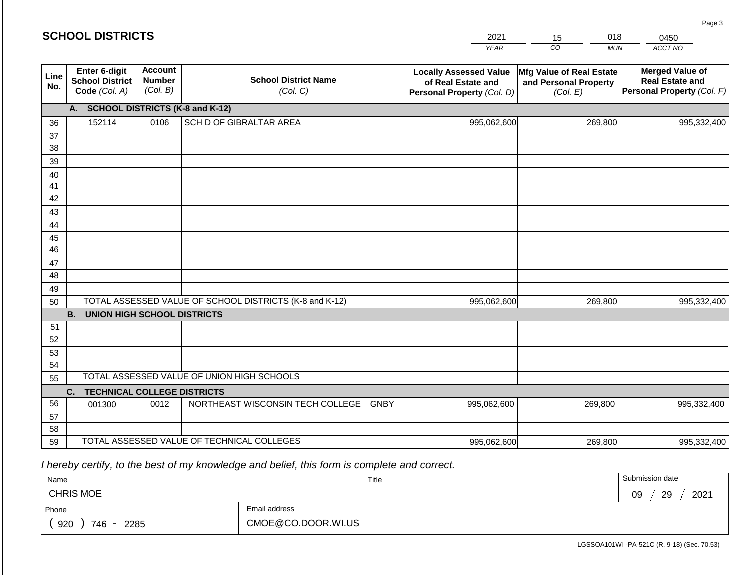#### *YEAR*   $\overline{co}$ *MUN ACCT NO*  **Line No. Enter 6-digit School District Code** *(Col. A)* **Account Number** *(Col. B)* **School District Name** *(Col. C)* **Locally Assessed Value of Real Estate and Personal Property** *(Col. D)* **Mfg Value of Real Estate and Personal Property** *(Col. E)* **Merged Value of Real Estate and Personal Property** *(Col. F)* **A. SCHOOL DISTRICTS (K-8 and K-12)** 36 37 38 39 40 41 42 43 44 45 46 47 48 49 50 TOTAL ASSESSED VALUE OF SCHOOL DISTRICTS (K-8 and K-12) **B. UNION HIGH SCHOOL DISTRICTS** 51 52 53 54 55 **C. TECHNICAL COLLEGE DISTRICTS** 56 57 58 59 TOTAL ASSESSED VALUE OF TECHNICAL COLLEGES TOTAL ASSESSED VALUE OF UNION HIGH SCHOOLS 152114 0106 SCH D OF GIBRALTAR AREA 995,062,600 995,062,600 001300 | 0012 | NORTHEAST WISCONSIN TECH COLLEGE GNBY 995,062,600 269,800 995,332,400 269,800 995,332,400 269,800 995,332,400 995,062,600 269,800 269,800 995,332,400

 *I hereby certify, to the best of my knowledge and belief, this form is complete and correct.*

| Name             |             |                    | Title | Submission date  |
|------------------|-------------|--------------------|-------|------------------|
| <b>CHRIS MOE</b> |             |                    |       | 2021<br>29<br>09 |
| Phone            |             | Email address      |       |                  |
| 920              | 746<br>2285 | CMOE@CO.DOOR.WI.US |       |                  |

Page 3

| <b>SCHOOL DISTRICTS</b> |  |  |  |  |  |  |  |
|-------------------------|--|--|--|--|--|--|--|
|-------------------------|--|--|--|--|--|--|--|

2021 15 018

0450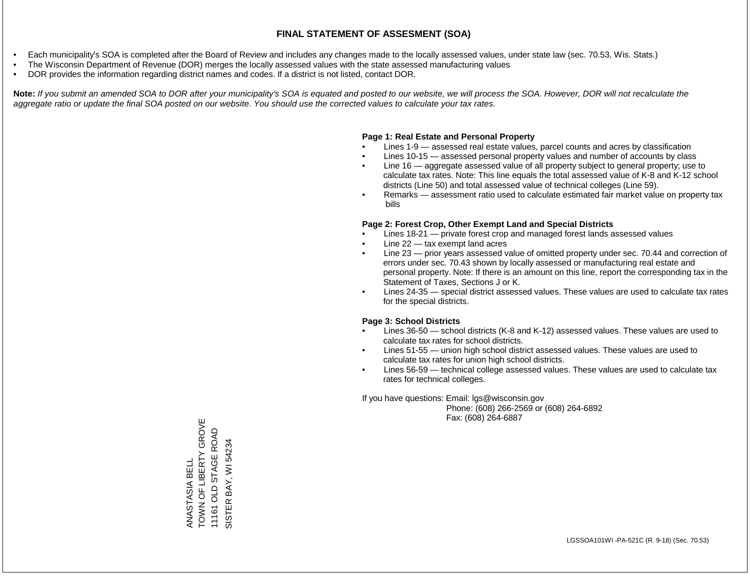- Each municipality's SOA is completed after the Board of Review and includes any changes made to the locally assessed values, under state law (sec. 70.53, Wis. Stats.)
- The Wisconsin Department of Revenue (DOR) merges the locally assessed values with the state assessed manufacturing values
- DOR provides the information regarding district names and codes. If a district is not listed, contact DOR.

Note: If you submit an amended SOA to DOR after your municipality's SOA is equated and posted to our website, we will process the SOA. However, DOR will not recalculate the *aggregate ratio or update the final SOA posted on our website. You should use the corrected values to calculate your tax rates.*

#### **Page 1: Real Estate and Personal Property**

- Lines 1-9 assessed real estate values, parcel counts and acres by classification
- Lines 10-15 assessed personal property values and number of accounts by class
- Line 16 aggregate assessed value of all property subject to general property; use to calculate tax rates. Note: This line equals the total assessed value of K-8 and K-12 school districts (Line 50) and total assessed value of technical colleges (Line 59).
- Remarks assessment ratio used to calculate estimated fair market value on property tax bills

#### **Page 2: Forest Crop, Other Exempt Land and Special Districts**

- Lines 18-21 private forest crop and managed forest lands assessed values
- Line  $22 -$  tax exempt land acres
- Line 23 prior years assessed value of omitted property under sec. 70.44 and correction of errors under sec. 70.43 shown by locally assessed or manufacturing real estate and personal property. Note: If there is an amount on this line, report the corresponding tax in the Statement of Taxes, Sections J or K.
- Lines 24-35 special district assessed values. These values are used to calculate tax rates for the special districts.

#### **Page 3: School Districts**

- Lines 36-50 school districts (K-8 and K-12) assessed values. These values are used to calculate tax rates for school districts.
- Lines 51-55 union high school district assessed values. These values are used to calculate tax rates for union high school districts.
- Lines 56-59 technical college assessed values. These values are used to calculate tax rates for technical colleges.

If you have questions: Email: lgs@wisconsin.gov

 Phone: (608) 266-2569 or (608) 264-6892 Fax: (608) 264-6887

TOWN OF LIBERTY GROVE ANASTASIA BELL<br>TOWN OF LIBERTY GROVE 11161 OLD STAGE ROAD 11161 OLD STAGE ROAD SISTER BAY, WI 54234 SISTER BAY, WI 54234ANASTASIA BELL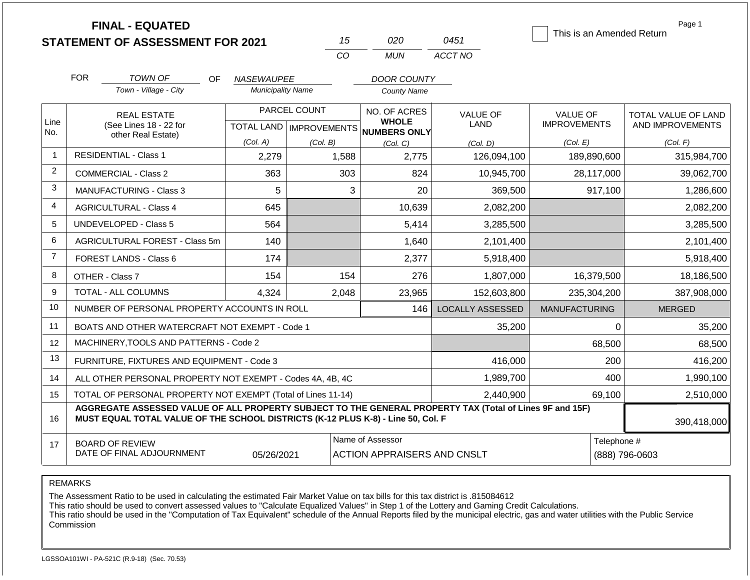|                |                                    | <b>FINAL - EQUATED</b><br><b>STATEMENT OF ASSESSMENT FOR 2021</b>                                                                                                                            |                          |              | 15                                                     | 020                                                  | 0451                    | This is an Amended Return |          | Page 1                        |  |
|----------------|------------------------------------|----------------------------------------------------------------------------------------------------------------------------------------------------------------------------------------------|--------------------------|--------------|--------------------------------------------------------|------------------------------------------------------|-------------------------|---------------------------|----------|-------------------------------|--|
|                |                                    |                                                                                                                                                                                              |                          |              | CO                                                     | <b>MUN</b>                                           | ACCT NO                 |                           |          |                               |  |
|                | <b>FOR</b>                         | <b>TOWN OF</b><br>OF.                                                                                                                                                                        | <b>NASEWAUPEE</b>        |              |                                                        | <b>DOOR COUNTY</b>                                   |                         |                           |          |                               |  |
|                |                                    | Town - Village - City                                                                                                                                                                        | <b>Municipality Name</b> |              | <b>County Name</b>                                     |                                                      |                         |                           |          |                               |  |
|                |                                    | <b>REAL ESTATE</b>                                                                                                                                                                           |                          | PARCEL COUNT | NO. OF ACRES                                           |                                                      | <b>VALUE OF</b>         | <b>VALUE OF</b>           |          | TOTAL VALUE OF LAND           |  |
| Line<br>No.    |                                    | (See Lines 18 - 22 for<br>other Real Estate)                                                                                                                                                 |                          |              |                                                        | <b>WHOLE</b><br>TOTAL LAND IMPROVEMENTS NUMBERS ONLY | <b>LAND</b>             | <b>IMPROVEMENTS</b>       |          | AND IMPROVEMENTS              |  |
|                |                                    |                                                                                                                                                                                              | (Col. A)                 | (Col. B)     |                                                        | (Col, C)                                             | (Col, D)                | (Col. E)                  |          | (Col. F)                      |  |
| $\mathbf{1}$   |                                    | <b>RESIDENTIAL - Class 1</b>                                                                                                                                                                 | 2,279                    |              | 1,588                                                  | 2,775                                                | 126,094,100             | 189,890,600               |          | 315,984,700                   |  |
| $\overline{2}$ | <b>COMMERCIAL - Class 2</b><br>363 |                                                                                                                                                                                              |                          |              |                                                        | 824                                                  | 10,945,700              | 28,117,000                |          | 39,062,700                    |  |
| 3              |                                    | MANUFACTURING - Class 3                                                                                                                                                                      | 5                        |              | 3                                                      | 20                                                   | 369,500                 |                           | 917,100  | 1,286,600                     |  |
| $\overline{4}$ |                                    | <b>AGRICULTURAL - Class 4</b>                                                                                                                                                                | 645                      |              |                                                        | 10,639                                               | 2,082,200               |                           |          | 2,082,200                     |  |
| 5              |                                    | <b>UNDEVELOPED - Class 5</b>                                                                                                                                                                 | 564                      |              |                                                        | 5,414                                                | 3,285,500               |                           |          | 3,285,500                     |  |
| 6              |                                    | AGRICULTURAL FOREST - Class 5m                                                                                                                                                               | 140                      |              |                                                        | 1,640                                                | 2,101,400               |                           |          | 2,101,400                     |  |
| $\overline{7}$ |                                    | FOREST LANDS - Class 6                                                                                                                                                                       | 174                      |              |                                                        | 2,377                                                | 5,918,400               |                           |          | 5,918,400                     |  |
| 8              |                                    | OTHER - Class 7                                                                                                                                                                              | 154                      |              | 154                                                    | 276                                                  | 1,807,000               | 16,379,500                |          | 18,186,500                    |  |
| 9              |                                    | <b>TOTAL - ALL COLUMNS</b>                                                                                                                                                                   | 4,324                    |              | 2,048                                                  | 23,965                                               | 152,603,800             | 235,304,200               |          | 387,908,000                   |  |
| 10             |                                    | NUMBER OF PERSONAL PROPERTY ACCOUNTS IN ROLL                                                                                                                                                 |                          |              |                                                        | 146                                                  | <b>LOCALLY ASSESSED</b> | <b>MANUFACTURING</b>      |          | <b>MERGED</b>                 |  |
| 11             |                                    | BOATS AND OTHER WATERCRAFT NOT EXEMPT - Code 1                                                                                                                                               |                          |              |                                                        |                                                      | 35,200                  |                           | $\Omega$ | 35,200                        |  |
| 12             |                                    | MACHINERY, TOOLS AND PATTERNS - Code 2                                                                                                                                                       |                          |              |                                                        |                                                      |                         |                           | 68,500   | 68,500                        |  |
| 13             |                                    | FURNITURE, FIXTURES AND EQUIPMENT - Code 3                                                                                                                                                   |                          |              |                                                        |                                                      | 416,000                 |                           | 200      | 416,200                       |  |
| 14             |                                    | ALL OTHER PERSONAL PROPERTY NOT EXEMPT - Codes 4A, 4B, 4C                                                                                                                                    |                          |              |                                                        |                                                      | 1,989,700               |                           | 400      | 1,990,100                     |  |
| 15             |                                    | TOTAL OF PERSONAL PROPERTY NOT EXEMPT (Total of Lines 11-14)                                                                                                                                 |                          |              |                                                        |                                                      | 2,440,900               |                           | 69,100   | 2,510,000                     |  |
| 16             |                                    | AGGREGATE ASSESSED VALUE OF ALL PROPERTY SUBJECT TO THE GENERAL PROPERTY TAX (Total of Lines 9F and 15F)<br>MUST EQUAL TOTAL VALUE OF THE SCHOOL DISTRICTS (K-12 PLUS K-8) - Line 50, Col. F |                          |              |                                                        |                                                      |                         |                           |          | 390,418,000                   |  |
| 17             |                                    | <b>BOARD OF REVIEW</b><br>DATE OF FINAL ADJOURNMENT                                                                                                                                          | 05/26/2021               |              | Name of Assessor<br><b>ACTION APPRAISERS AND CNSLT</b> |                                                      |                         |                           |          | Telephone #<br>(888) 796-0603 |  |

The Assessment Ratio to be used in calculating the estimated Fair Market Value on tax bills for this tax district is .815084612

This ratio should be used to convert assessed values to "Calculate Equalized Values" in Step 1 of the Lottery and Gaming Credit Calculations.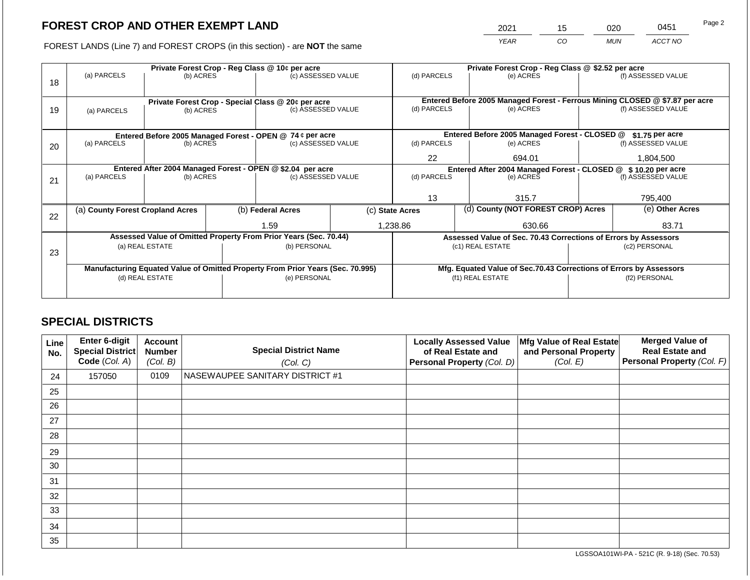2021 15 020 0451

FOREST LANDS (Line 7) and FOREST CROPS (in this section) - are **NOT** the same *YEAR CO MUN ACCT NO*

|    |                                                                                |           |  | Private Forest Crop - Reg Class @ 10¢ per acre                   |                                                               |                 |                                                                              | Private Forest Crop - Reg Class @ \$2.52 per acre                  |                    |                    |
|----|--------------------------------------------------------------------------------|-----------|--|------------------------------------------------------------------|---------------------------------------------------------------|-----------------|------------------------------------------------------------------------------|--------------------------------------------------------------------|--------------------|--------------------|
| 18 | (a) PARCELS                                                                    | (b) ACRES |  | (c) ASSESSED VALUE                                               |                                                               | (d) PARCELS     |                                                                              | (e) ACRES                                                          |                    | (f) ASSESSED VALUE |
|    |                                                                                |           |  | Private Forest Crop - Special Class @ 20¢ per acre               |                                                               |                 | Entered Before 2005 Managed Forest - Ferrous Mining CLOSED @ \$7.87 per acre |                                                                    |                    |                    |
| 19 | (a) PARCELS                                                                    | (b) ACRES |  | (c) ASSESSED VALUE                                               |                                                               | (d) PARCELS     |                                                                              | (e) ACRES                                                          |                    | (f) ASSESSED VALUE |
|    |                                                                                |           |  |                                                                  |                                                               |                 |                                                                              |                                                                    |                    |                    |
|    |                                                                                |           |  | Entered Before 2005 Managed Forest - OPEN @ 74 ¢ per acre        |                                                               |                 | Entered Before 2005 Managed Forest - CLOSED @                                |                                                                    | $$1.75$ per acre   |                    |
| 20 | (a) PARCELS                                                                    | (b) ACRES |  | (c) ASSESSED VALUE                                               | (d) PARCELS                                                   |                 | (e) ACRES                                                                    |                                                                    | (f) ASSESSED VALUE |                    |
|    |                                                                                |           |  |                                                                  |                                                               | 22              |                                                                              | 694.01                                                             |                    | 1,804,500          |
|    | Entered After 2004 Managed Forest - OPEN @ \$2.04 per acre                     |           |  |                                                                  | Entered After 2004 Managed Forest - CLOSED @ \$10.20 per acre |                 |                                                                              |                                                                    |                    |                    |
| 21 | (a) PARCELS<br>(b) ACRES                                                       |           |  | (c) ASSESSED VALUE                                               |                                                               | (d) PARCELS     |                                                                              | (e) ACRES                                                          |                    | (f) ASSESSED VALUE |
|    |                                                                                |           |  |                                                                  |                                                               |                 |                                                                              |                                                                    |                    |                    |
|    |                                                                                |           |  |                                                                  |                                                               | 13              |                                                                              | 315.7                                                              |                    | 795,400            |
|    | (a) County Forest Cropland Acres                                               |           |  | (b) Federal Acres                                                |                                                               | (c) State Acres |                                                                              | (d) County (NOT FOREST CROP) Acres                                 |                    | (e) Other Acres    |
| 22 |                                                                                |           |  | 1.59                                                             |                                                               |                 |                                                                              | 630.66                                                             |                    | 83.71              |
|    |                                                                                |           |  |                                                                  |                                                               | 1,238.86        |                                                                              |                                                                    |                    |                    |
|    |                                                                                |           |  | Assessed Value of Omitted Property From Prior Years (Sec. 70.44) |                                                               |                 |                                                                              | Assessed Value of Sec. 70.43 Corrections of Errors by Assessors    |                    |                    |
| 23 | (a) REAL ESTATE                                                                |           |  | (b) PERSONAL                                                     |                                                               |                 |                                                                              | (c1) REAL ESTATE                                                   | (c2) PERSONAL      |                    |
|    |                                                                                |           |  |                                                                  |                                                               |                 |                                                                              |                                                                    |                    |                    |
|    | Manufacturing Equated Value of Omitted Property From Prior Years (Sec. 70.995) |           |  |                                                                  |                                                               |                 |                                                                              | Mfg. Equated Value of Sec.70.43 Corrections of Errors by Assessors |                    |                    |
|    | (d) REAL ESTATE                                                                |           |  | (e) PERSONAL                                                     |                                                               |                 | (f1) REAL ESTATE                                                             | (f2) PERSONAL                                                      |                    |                    |
|    |                                                                                |           |  |                                                                  |                                                               |                 |                                                                              |                                                                    |                    |                    |
|    |                                                                                |           |  |                                                                  |                                                               |                 |                                                                              |                                                                    |                    |                    |

## **SPECIAL DISTRICTS**

| Line<br>No. | <b>Enter 6-digit</b><br>Special District<br>Code (Col. A) | <b>Account</b><br><b>Number</b><br>(Col. B) | <b>Special District Name</b><br>(Col. C) | <b>Locally Assessed Value</b><br>of Real Estate and<br>Personal Property (Col. D) | Mfg Value of Real Estate<br>and Personal Property<br>(Col. E) | <b>Merged Value of</b><br><b>Real Estate and</b><br>Personal Property (Col. F) |
|-------------|-----------------------------------------------------------|---------------------------------------------|------------------------------------------|-----------------------------------------------------------------------------------|---------------------------------------------------------------|--------------------------------------------------------------------------------|
| 24          | 157050                                                    | 0109                                        | NASEWAUPEE SANITARY DISTRICT #1          |                                                                                   |                                                               |                                                                                |
| 25          |                                                           |                                             |                                          |                                                                                   |                                                               |                                                                                |
| 26          |                                                           |                                             |                                          |                                                                                   |                                                               |                                                                                |
| 27          |                                                           |                                             |                                          |                                                                                   |                                                               |                                                                                |
| 28          |                                                           |                                             |                                          |                                                                                   |                                                               |                                                                                |
| 29          |                                                           |                                             |                                          |                                                                                   |                                                               |                                                                                |
| 30          |                                                           |                                             |                                          |                                                                                   |                                                               |                                                                                |
| 31          |                                                           |                                             |                                          |                                                                                   |                                                               |                                                                                |
| 32          |                                                           |                                             |                                          |                                                                                   |                                                               |                                                                                |
| 33          |                                                           |                                             |                                          |                                                                                   |                                                               |                                                                                |
| 34          |                                                           |                                             |                                          |                                                                                   |                                                               |                                                                                |
| 35          |                                                           |                                             |                                          |                                                                                   |                                                               |                                                                                |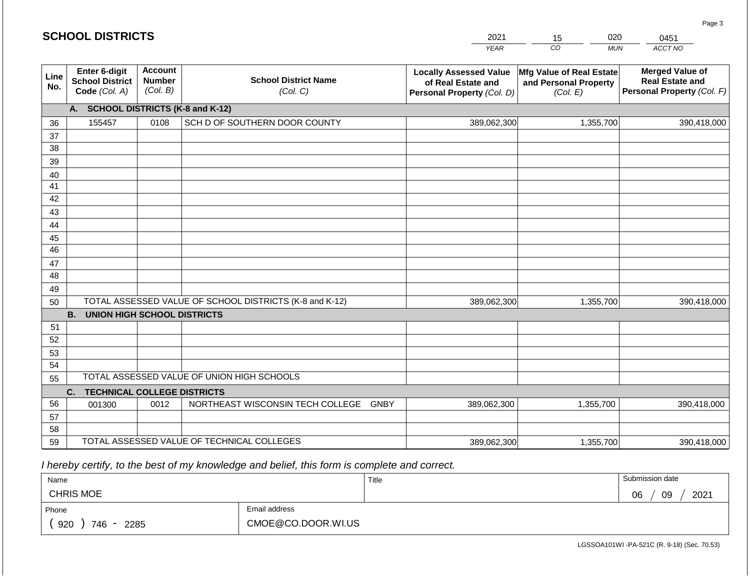|             | <b>SCHOOL DISTRICTS</b>                                  |                                             |                                                         | 2021                                                                              | 020<br>15                                                     | 0451                                                                           |
|-------------|----------------------------------------------------------|---------------------------------------------|---------------------------------------------------------|-----------------------------------------------------------------------------------|---------------------------------------------------------------|--------------------------------------------------------------------------------|
|             |                                                          |                                             |                                                         | <b>YEAR</b>                                                                       | CO<br><b>MUN</b>                                              | ACCT NO                                                                        |
| Line<br>No. | Enter 6-digit<br><b>School District</b><br>Code (Col. A) | <b>Account</b><br><b>Number</b><br>(Col. B) | <b>School District Name</b><br>(Col. C)                 | <b>Locally Assessed Value</b><br>of Real Estate and<br>Personal Property (Col. D) | Mfg Value of Real Estate<br>and Personal Property<br>(Col. E) | <b>Merged Value of</b><br><b>Real Estate and</b><br>Personal Property (Col. F) |
|             | A. SCHOOL DISTRICTS (K-8 and K-12)                       |                                             |                                                         |                                                                                   |                                                               |                                                                                |
| 36          | 155457                                                   | 0108                                        | SCH D OF SOUTHERN DOOR COUNTY                           | 389,062,300                                                                       | 1,355,700                                                     | 390,418,000                                                                    |
| 37          |                                                          |                                             |                                                         |                                                                                   |                                                               |                                                                                |
| 38          |                                                          |                                             |                                                         |                                                                                   |                                                               |                                                                                |
| 39          |                                                          |                                             |                                                         |                                                                                   |                                                               |                                                                                |
| 40          |                                                          |                                             |                                                         |                                                                                   |                                                               |                                                                                |
| 41<br>42    |                                                          |                                             |                                                         |                                                                                   |                                                               |                                                                                |
| 43          |                                                          |                                             |                                                         |                                                                                   |                                                               |                                                                                |
| 44          |                                                          |                                             |                                                         |                                                                                   |                                                               |                                                                                |
| 45          |                                                          |                                             |                                                         |                                                                                   |                                                               |                                                                                |
| 46          |                                                          |                                             |                                                         |                                                                                   |                                                               |                                                                                |
| 47          |                                                          |                                             |                                                         |                                                                                   |                                                               |                                                                                |
| 48          |                                                          |                                             |                                                         |                                                                                   |                                                               |                                                                                |
| 49          |                                                          |                                             |                                                         |                                                                                   |                                                               |                                                                                |
| 50          |                                                          |                                             | TOTAL ASSESSED VALUE OF SCHOOL DISTRICTS (K-8 and K-12) | 389,062,300                                                                       | 1,355,700                                                     | 390,418,000                                                                    |
|             | <b>B.</b><br><b>UNION HIGH SCHOOL DISTRICTS</b>          |                                             |                                                         |                                                                                   |                                                               |                                                                                |
| 51          |                                                          |                                             |                                                         |                                                                                   |                                                               |                                                                                |
| 52          |                                                          |                                             |                                                         |                                                                                   |                                                               |                                                                                |
| 53          |                                                          |                                             |                                                         |                                                                                   |                                                               |                                                                                |
| 54          |                                                          |                                             | TOTAL ASSESSED VALUE OF UNION HIGH SCHOOLS              |                                                                                   |                                                               |                                                                                |
| 55          |                                                          |                                             |                                                         |                                                                                   |                                                               |                                                                                |
| 56          | C.<br><b>TECHNICAL COLLEGE DISTRICTS</b><br>001300       | 0012                                        | NORTHEAST WISCONSIN TECH COLLEGE GNBY                   | 389,062,300                                                                       | 1,355,700                                                     | 390,418,000                                                                    |
| 57          |                                                          |                                             |                                                         |                                                                                   |                                                               |                                                                                |
| 58          |                                                          |                                             |                                                         |                                                                                   |                                                               |                                                                                |
| 59          |                                                          |                                             | TOTAL ASSESSED VALUE OF TECHNICAL COLLEGES              | 389,062,300                                                                       | 1,355,700                                                     | 390,418,000                                                                    |

 *I hereby certify, to the best of my knowledge and belief, this form is complete and correct.*

| Name               |                    | Title | Submission date  |
|--------------------|--------------------|-------|------------------|
| <b>CHRIS MOE</b>   |                    |       | 2021<br>06<br>09 |
| Phone              | Email address      |       |                  |
| 920<br>746<br>2285 | CMOE@CO.DOOR.WI.US |       |                  |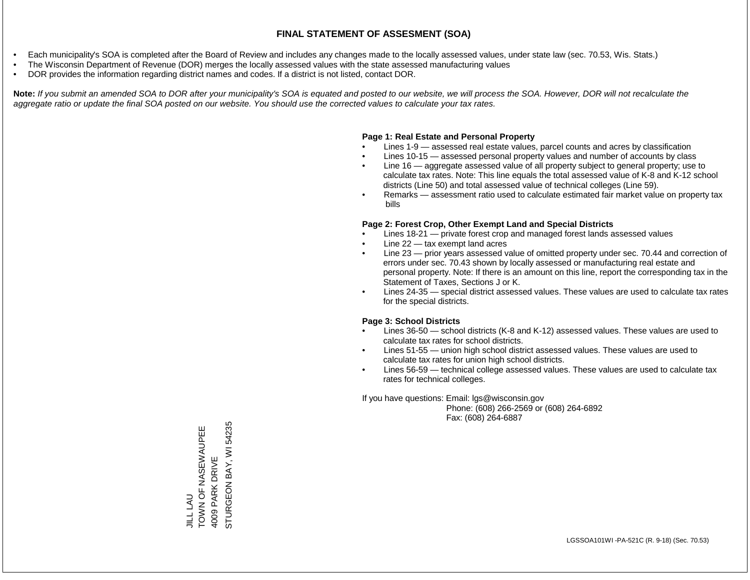- Each municipality's SOA is completed after the Board of Review and includes any changes made to the locally assessed values, under state law (sec. 70.53, Wis. Stats.)
- The Wisconsin Department of Revenue (DOR) merges the locally assessed values with the state assessed manufacturing values
- DOR provides the information regarding district names and codes. If a district is not listed, contact DOR.

Note: If you submit an amended SOA to DOR after your municipality's SOA is equated and posted to our website, we will process the SOA. However, DOR will not recalculate the *aggregate ratio or update the final SOA posted on our website. You should use the corrected values to calculate your tax rates.*

#### **Page 1: Real Estate and Personal Property**

- Lines 1-9 assessed real estate values, parcel counts and acres by classification
- Lines 10-15 assessed personal property values and number of accounts by class
- Line 16 aggregate assessed value of all property subject to general property; use to calculate tax rates. Note: This line equals the total assessed value of K-8 and K-12 school districts (Line 50) and total assessed value of technical colleges (Line 59).
- Remarks assessment ratio used to calculate estimated fair market value on property tax bills

#### **Page 2: Forest Crop, Other Exempt Land and Special Districts**

- Lines 18-21 private forest crop and managed forest lands assessed values
- Line  $22 -$  tax exempt land acres
- Line 23 prior years assessed value of omitted property under sec. 70.44 and correction of errors under sec. 70.43 shown by locally assessed or manufacturing real estate and personal property. Note: If there is an amount on this line, report the corresponding tax in the Statement of Taxes, Sections J or K.
- Lines 24-35 special district assessed values. These values are used to calculate tax rates for the special districts.

#### **Page 3: School Districts**

- Lines 36-50 school districts (K-8 and K-12) assessed values. These values are used to calculate tax rates for school districts.
- Lines 51-55 union high school district assessed values. These values are used to calculate tax rates for union high school districts.
- Lines 56-59 technical college assessed values. These values are used to calculate tax rates for technical colleges.

If you have questions: Email: lgs@wisconsin.gov

 Phone: (608) 266-2569 or (608) 264-6892 Fax: (608) 264-6887

STURGEON BAY, WI 54235 STURGEON BAY, WI 54235EE NASEWAN AO Z NOOF JILL LAU<br>TOWN OF NASEWAUPEE 4009 PARK DRIVE 4009 PARK DRIVE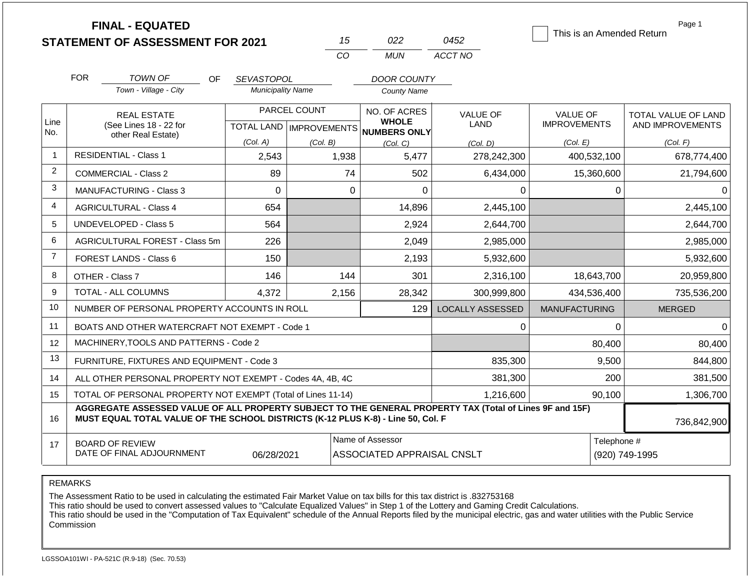|                |            | <b>FINAL - EQUATED</b><br><b>STATEMENT OF ASSESSMENT FOR 2021</b>                                                                                                                            |                          |              | 15                                                                       | 022                | 0452                    | This is an Amended Return              |          | Page 1                                  |
|----------------|------------|----------------------------------------------------------------------------------------------------------------------------------------------------------------------------------------------|--------------------------|--------------|--------------------------------------------------------------------------|--------------------|-------------------------|----------------------------------------|----------|-----------------------------------------|
|                |            |                                                                                                                                                                                              |                          | CO           |                                                                          | <b>MUN</b>         | ACCT NO                 |                                        |          |                                         |
|                | <b>FOR</b> | <b>TOWN OF</b><br>OF.                                                                                                                                                                        | SEVASTOPOL               |              |                                                                          | <b>DOOR COUNTY</b> |                         |                                        |          |                                         |
|                |            | Town - Village - City                                                                                                                                                                        | <b>Municipality Name</b> |              |                                                                          | <b>County Name</b> |                         |                                        |          |                                         |
| Line           |            | <b>REAL ESTATE</b><br>(See Lines 18 - 22 for                                                                                                                                                 |                          | PARCEL COUNT | NO. OF ACRES<br><b>WHOLE</b><br>TOTAL LAND   IMPROVEMENTS   NUMBERS ONLY |                    | <b>VALUE OF</b><br>LAND | <b>VALUE OF</b><br><b>IMPROVEMENTS</b> |          | TOTAL VALUE OF LAND<br>AND IMPROVEMENTS |
| No.            |            | other Real Estate)                                                                                                                                                                           | (Col. A)                 | (Col. B)     |                                                                          | (Col. C)           | (Col. D)                | (Col. E)                               |          | (Col. F)                                |
| $\overline{1}$ |            | <b>RESIDENTIAL - Class 1</b>                                                                                                                                                                 | 2,543                    | 1,938        |                                                                          | 5,477              | 278,242,300             | 400,532,100                            |          | 678,774,400                             |
| $\overline{2}$ |            | <b>COMMERCIAL - Class 2</b>                                                                                                                                                                  | 89                       |              | 74                                                                       | 502                | 6,434,000               | 15,360,600                             |          | 21,794,600                              |
| 3              |            | <b>MANUFACTURING - Class 3</b>                                                                                                                                                               | $\Omega$                 |              | $\mathbf 0$                                                              | $\Omega$           | 0                       |                                        | 0        | 0                                       |
| $\overline{4}$ |            | <b>AGRICULTURAL - Class 4</b>                                                                                                                                                                | 654                      |              |                                                                          | 14,896             | 2,445,100               |                                        |          | 2,445,100                               |
| 5              |            | UNDEVELOPED - Class 5<br>564                                                                                                                                                                 |                          |              |                                                                          | 2,924              | 2,644,700               |                                        |          | 2,644,700                               |
| 6              |            | <b>AGRICULTURAL FOREST - Class 5m</b>                                                                                                                                                        | 226                      |              |                                                                          | 2,049              | 2,985,000               |                                        |          | 2,985,000                               |
| $\overline{7}$ |            | <b>FOREST LANDS - Class 6</b>                                                                                                                                                                | 150                      |              |                                                                          | 2,193              | 5,932,600               |                                        |          | 5,932,600                               |
| 8              |            | OTHER - Class 7                                                                                                                                                                              | 146                      |              | 144                                                                      | 301                | 2,316,100               | 18,643,700                             |          | 20,959,800                              |
| 9              |            | TOTAL - ALL COLUMNS                                                                                                                                                                          | 4,372                    | 2,156        |                                                                          | 28,342             | 300,999,800             | 434,536,400                            |          | 735,536,200                             |
| 10             |            | NUMBER OF PERSONAL PROPERTY ACCOUNTS IN ROLL                                                                                                                                                 |                          |              |                                                                          | 129                | <b>LOCALLY ASSESSED</b> | <b>MANUFACTURING</b>                   |          | <b>MERGED</b>                           |
| 11             |            | BOATS AND OTHER WATERCRAFT NOT EXEMPT - Code 1                                                                                                                                               |                          |              |                                                                          |                    | 0                       |                                        | $\Omega$ | $\Omega$                                |
| 12             |            | MACHINERY, TOOLS AND PATTERNS - Code 2                                                                                                                                                       |                          |              |                                                                          |                    |                         |                                        | 80,400   | 80,400                                  |
| 13             |            | FURNITURE, FIXTURES AND EQUIPMENT - Code 3                                                                                                                                                   |                          |              |                                                                          |                    | 835,300                 |                                        | 9,500    | 844,800                                 |
| 14             |            | ALL OTHER PERSONAL PROPERTY NOT EXEMPT - Codes 4A, 4B, 4C                                                                                                                                    |                          |              |                                                                          |                    | 381,300                 |                                        | 200      | 381,500                                 |
| 15             |            | TOTAL OF PERSONAL PROPERTY NOT EXEMPT (Total of Lines 11-14)                                                                                                                                 |                          |              |                                                                          |                    | 1,216,600               |                                        | 90,100   | 1,306,700                               |
| 16             |            | AGGREGATE ASSESSED VALUE OF ALL PROPERTY SUBJECT TO THE GENERAL PROPERTY TAX (Total of Lines 9F and 15F)<br>MUST EQUAL TOTAL VALUE OF THE SCHOOL DISTRICTS (K-12 PLUS K-8) - Line 50, Col. F |                          |              |                                                                          |                    |                         |                                        |          | 736,842,900                             |
| 17             |            | <b>BOARD OF REVIEW</b><br>DATE OF FINAL ADJOURNMENT                                                                                                                                          | 06/28/2021               |              | Name of Assessor<br>Telephone #<br>ASSOCIATED APPRAISAL CNSLT            |                    |                         |                                        |          | (920) 749-1995                          |

The Assessment Ratio to be used in calculating the estimated Fair Market Value on tax bills for this tax district is .832753168

This ratio should be used to convert assessed values to "Calculate Equalized Values" in Step 1 of the Lottery and Gaming Credit Calculations.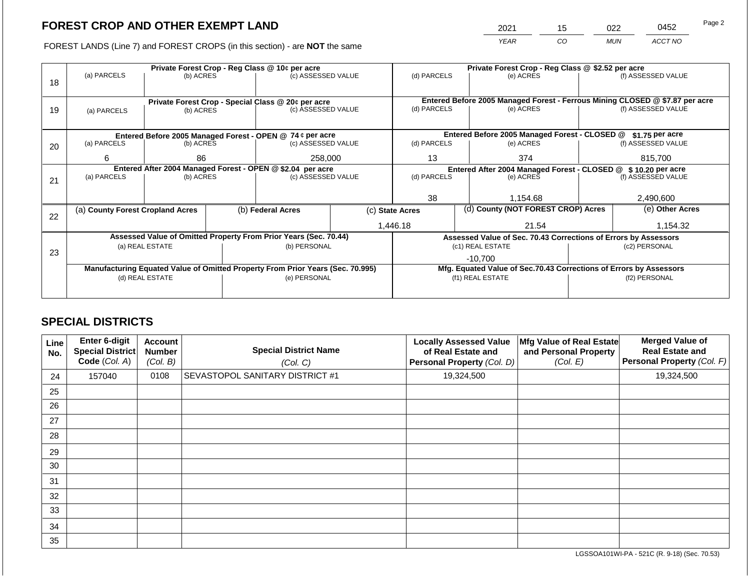2021 15 022 0452

FOREST LANDS (Line 7) and FOREST CROPS (in this section) - are **NOT** the same *YEAR CO MUN ACCT NO*

|    |                                                                                |                 |  | Private Forest Crop - Reg Class @ 10¢ per acre                           |                                                                | Private Forest Crop - Reg Class @ \$2.52 per acre |                                                                              |                                                                    |                                                                 |                    |  |
|----|--------------------------------------------------------------------------------|-----------------|--|--------------------------------------------------------------------------|----------------------------------------------------------------|---------------------------------------------------|------------------------------------------------------------------------------|--------------------------------------------------------------------|-----------------------------------------------------------------|--------------------|--|
| 18 | (a) PARCELS                                                                    | (b) ACRES       |  | (c) ASSESSED VALUE                                                       |                                                                | (d) PARCELS                                       |                                                                              | (e) ACRES                                                          |                                                                 | (f) ASSESSED VALUE |  |
|    |                                                                                |                 |  |                                                                          |                                                                |                                                   |                                                                              |                                                                    |                                                                 |                    |  |
|    |                                                                                |                 |  |                                                                          |                                                                |                                                   | Entered Before 2005 Managed Forest - Ferrous Mining CLOSED @ \$7.87 per acre |                                                                    |                                                                 |                    |  |
| 19 |                                                                                | (b) ACRES       |  | Private Forest Crop - Special Class @ 20¢ per acre<br>(c) ASSESSED VALUE |                                                                | (d) PARCELS<br>(e) ACRES                          |                                                                              |                                                                    | (f) ASSESSED VALUE                                              |                    |  |
|    | (a) PARCELS                                                                    |                 |  |                                                                          |                                                                |                                                   |                                                                              |                                                                    |                                                                 |                    |  |
|    |                                                                                |                 |  |                                                                          |                                                                |                                                   |                                                                              |                                                                    |                                                                 |                    |  |
|    |                                                                                |                 |  | Entered Before 2005 Managed Forest - OPEN @ 74 ¢ per acre                |                                                                |                                                   |                                                                              | Entered Before 2005 Managed Forest - CLOSED @                      |                                                                 | $$1.75$ per acre   |  |
| 20 | (a) PARCELS                                                                    | (b) ACRES       |  | (c) ASSESSED VALUE                                                       | (d) PARCELS                                                    |                                                   | (e) ACRES                                                                    |                                                                    | (f) ASSESSED VALUE                                              |                    |  |
|    |                                                                                |                 |  | 258,000                                                                  | 13                                                             |                                                   | 374                                                                          |                                                                    | 815,700                                                         |                    |  |
|    | 6<br>86                                                                        |                 |  |                                                                          |                                                                |                                                   |                                                                              |                                                                    |                                                                 |                    |  |
|    | Entered After 2004 Managed Forest - OPEN @ \$2.04 per acre                     |                 |  |                                                                          | Entered After 2004 Managed Forest - CLOSED @ \$ 10.20 per acre |                                                   |                                                                              |                                                                    |                                                                 |                    |  |
| 21 | (a) PARCELS<br>(b) ACRES                                                       |                 |  | (c) ASSESSED VALUE                                                       |                                                                | (d) PARCELS                                       |                                                                              | (e) ACRES                                                          |                                                                 | (f) ASSESSED VALUE |  |
|    |                                                                                |                 |  |                                                                          |                                                                |                                                   |                                                                              |                                                                    |                                                                 |                    |  |
|    |                                                                                |                 |  |                                                                          | 38                                                             |                                                   | 1.154.68                                                                     |                                                                    | 2,490,600                                                       |                    |  |
|    | (a) County Forest Cropland Acres                                               |                 |  | (b) Federal Acres                                                        |                                                                | (c) State Acres                                   |                                                                              | (d) County (NOT FOREST CROP) Acres                                 |                                                                 | (e) Other Acres    |  |
| 22 |                                                                                |                 |  |                                                                          |                                                                |                                                   |                                                                              |                                                                    |                                                                 |                    |  |
|    |                                                                                |                 |  |                                                                          |                                                                | 1,446.18<br>21.54                                 |                                                                              |                                                                    |                                                                 | 1,154.32           |  |
|    |                                                                                |                 |  | Assessed Value of Omitted Property From Prior Years (Sec. 70.44)         |                                                                |                                                   |                                                                              |                                                                    | Assessed Value of Sec. 70.43 Corrections of Errors by Assessors |                    |  |
|    |                                                                                | (a) REAL ESTATE |  | (b) PERSONAL                                                             |                                                                |                                                   |                                                                              | (c1) REAL ESTATE                                                   | (c2) PERSONAL                                                   |                    |  |
| 23 |                                                                                |                 |  |                                                                          |                                                                |                                                   |                                                                              | $-10.700$                                                          |                                                                 |                    |  |
|    | Manufacturing Equated Value of Omitted Property From Prior Years (Sec. 70.995) |                 |  |                                                                          |                                                                |                                                   |                                                                              | Mfg. Equated Value of Sec.70.43 Corrections of Errors by Assessors |                                                                 |                    |  |
|    | (d) REAL ESTATE                                                                |                 |  | (e) PERSONAL                                                             | (f1) REAL ESTATE                                               |                                                   |                                                                              | (f2) PERSONAL                                                      |                                                                 |                    |  |
|    |                                                                                |                 |  |                                                                          |                                                                |                                                   |                                                                              |                                                                    |                                                                 |                    |  |
|    |                                                                                |                 |  |                                                                          |                                                                |                                                   |                                                                              |                                                                    |                                                                 |                    |  |

## **SPECIAL DISTRICTS**

| Line<br>No. | Enter 6-digit<br><b>Special District</b><br>Code (Col. A) | Account<br><b>Number</b><br>(Col. B) | <b>Special District Name</b><br>(Col. C) | <b>Locally Assessed Value</b><br>of Real Estate and<br>Personal Property (Col. D) | Mfg Value of Real Estate<br>and Personal Property<br>(Col. E) | <b>Merged Value of</b><br><b>Real Estate and</b><br>Personal Property (Col. F) |
|-------------|-----------------------------------------------------------|--------------------------------------|------------------------------------------|-----------------------------------------------------------------------------------|---------------------------------------------------------------|--------------------------------------------------------------------------------|
| 24          | 157040                                                    | 0108                                 | <b>SEVASTOPOL SANITARY DISTRICT #1</b>   | 19,324,500                                                                        |                                                               | 19,324,500                                                                     |
| 25          |                                                           |                                      |                                          |                                                                                   |                                                               |                                                                                |
| 26          |                                                           |                                      |                                          |                                                                                   |                                                               |                                                                                |
| 27          |                                                           |                                      |                                          |                                                                                   |                                                               |                                                                                |
| 28          |                                                           |                                      |                                          |                                                                                   |                                                               |                                                                                |
| 29          |                                                           |                                      |                                          |                                                                                   |                                                               |                                                                                |
| 30          |                                                           |                                      |                                          |                                                                                   |                                                               |                                                                                |
| 31          |                                                           |                                      |                                          |                                                                                   |                                                               |                                                                                |
| 32          |                                                           |                                      |                                          |                                                                                   |                                                               |                                                                                |
| 33          |                                                           |                                      |                                          |                                                                                   |                                                               |                                                                                |
| 34          |                                                           |                                      |                                          |                                                                                   |                                                               |                                                                                |
| 35          |                                                           |                                      |                                          |                                                                                   |                                                               |                                                                                |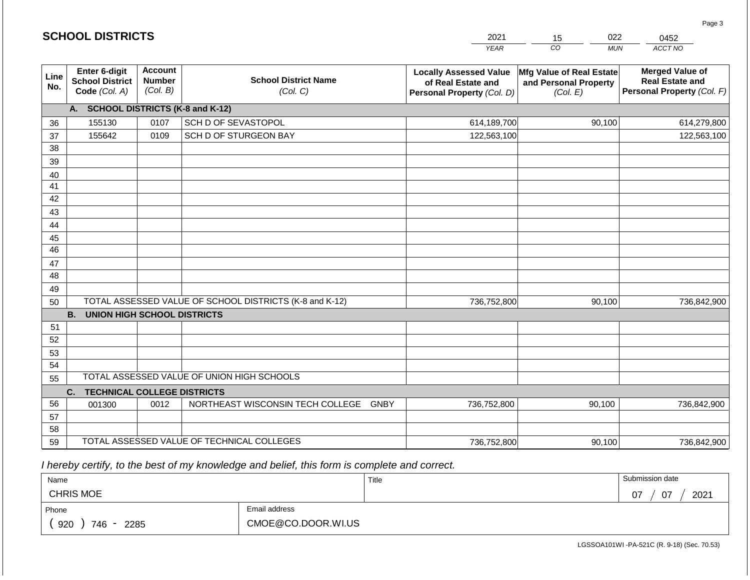|             | <b>SCHOOL DISTRICTS</b>                                  |                                             |                                                         | 2021                                                                              | 022<br>15                                                     | 0452                                                                           |
|-------------|----------------------------------------------------------|---------------------------------------------|---------------------------------------------------------|-----------------------------------------------------------------------------------|---------------------------------------------------------------|--------------------------------------------------------------------------------|
|             |                                                          |                                             |                                                         | <b>YEAR</b>                                                                       | CO <sub>.</sub><br><b>MUN</b>                                 | ACCT NO                                                                        |
| Line<br>No. | Enter 6-digit<br><b>School District</b><br>Code (Col. A) | <b>Account</b><br><b>Number</b><br>(Col. B) | <b>School District Name</b><br>(Col. C)                 | <b>Locally Assessed Value</b><br>of Real Estate and<br>Personal Property (Col. D) | Mfg Value of Real Estate<br>and Personal Property<br>(Col. E) | <b>Merged Value of</b><br><b>Real Estate and</b><br>Personal Property (Col. F) |
|             | A. SCHOOL DISTRICTS (K-8 and K-12)                       |                                             |                                                         |                                                                                   |                                                               |                                                                                |
| 36          | 155130                                                   | 0107                                        | SCH D OF SEVASTOPOL                                     | 614,189,700                                                                       | 90,100                                                        | 614,279,800                                                                    |
| 37          | 155642                                                   | 0109                                        | SCH D OF STURGEON BAY                                   | 122,563,100                                                                       |                                                               | 122,563,100                                                                    |
| 38          |                                                          |                                             |                                                         |                                                                                   |                                                               |                                                                                |
| 39          |                                                          |                                             |                                                         |                                                                                   |                                                               |                                                                                |
| 40          |                                                          |                                             |                                                         |                                                                                   |                                                               |                                                                                |
| 41          |                                                          |                                             |                                                         |                                                                                   |                                                               |                                                                                |
| 42          |                                                          |                                             |                                                         |                                                                                   |                                                               |                                                                                |
| 43          |                                                          |                                             |                                                         |                                                                                   |                                                               |                                                                                |
| 44          |                                                          |                                             |                                                         |                                                                                   |                                                               |                                                                                |
| 45<br>46    |                                                          |                                             |                                                         |                                                                                   |                                                               |                                                                                |
| 47          |                                                          |                                             |                                                         |                                                                                   |                                                               |                                                                                |
| 48          |                                                          |                                             |                                                         |                                                                                   |                                                               |                                                                                |
| 49          |                                                          |                                             |                                                         |                                                                                   |                                                               |                                                                                |
| 50          |                                                          |                                             | TOTAL ASSESSED VALUE OF SCHOOL DISTRICTS (K-8 and K-12) | 736,752,800                                                                       | 90,100                                                        | 736,842,900                                                                    |
|             | <b>B.</b><br><b>UNION HIGH SCHOOL DISTRICTS</b>          |                                             |                                                         |                                                                                   |                                                               |                                                                                |
| 51          |                                                          |                                             |                                                         |                                                                                   |                                                               |                                                                                |
| 52          |                                                          |                                             |                                                         |                                                                                   |                                                               |                                                                                |
| 53          |                                                          |                                             |                                                         |                                                                                   |                                                               |                                                                                |
| 54          |                                                          |                                             |                                                         |                                                                                   |                                                               |                                                                                |
| 55          |                                                          |                                             | TOTAL ASSESSED VALUE OF UNION HIGH SCHOOLS              |                                                                                   |                                                               |                                                                                |
|             | <b>TECHNICAL COLLEGE DISTRICTS</b><br>C.                 |                                             |                                                         |                                                                                   |                                                               |                                                                                |
| 56          | 001300                                                   | 0012                                        | NORTHEAST WISCONSIN TECH COLLEGE GNBY                   | 736,752,800                                                                       | 90,100                                                        | 736,842,900                                                                    |
| 57          |                                                          |                                             |                                                         |                                                                                   |                                                               |                                                                                |
| 58          |                                                          |                                             |                                                         |                                                                                   |                                                               |                                                                                |
| 59          |                                                          |                                             | TOTAL ASSESSED VALUE OF TECHNICAL COLLEGES              | 736,752,800                                                                       | 90,100                                                        | 736,842,900                                                                    |

 *I hereby certify, to the best of my knowledge and belief, this form is complete and correct.*

| Name                    |                    | Title | Submission date  |
|-------------------------|--------------------|-------|------------------|
| <b>CHRIS MOE</b>        |                    |       | 2021<br>07<br>07 |
| Phone                   | Email address      |       |                  |
| 920<br>746<br>2285<br>- | CMOE@CO.DOOR.WI.US |       |                  |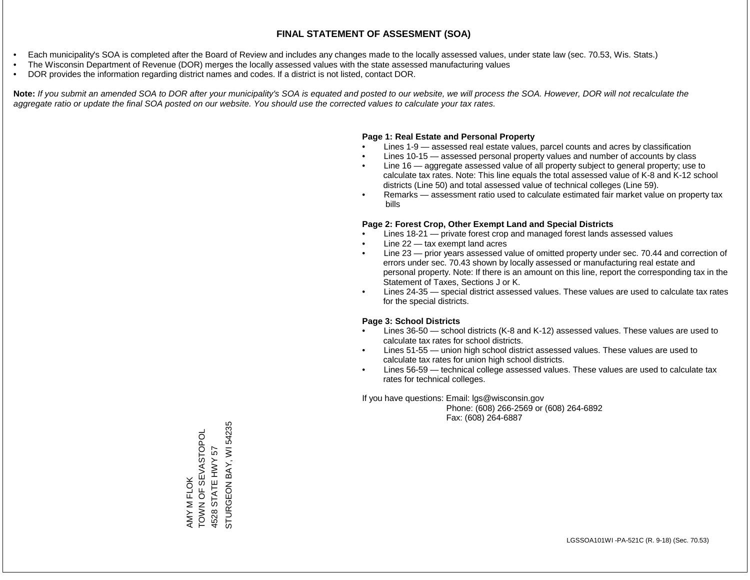- Each municipality's SOA is completed after the Board of Review and includes any changes made to the locally assessed values, under state law (sec. 70.53, Wis. Stats.)
- The Wisconsin Department of Revenue (DOR) merges the locally assessed values with the state assessed manufacturing values
- DOR provides the information regarding district names and codes. If a district is not listed, contact DOR.

Note: If you submit an amended SOA to DOR after your municipality's SOA is equated and posted to our website, we will process the SOA. However, DOR will not recalculate the *aggregate ratio or update the final SOA posted on our website. You should use the corrected values to calculate your tax rates.*

#### **Page 1: Real Estate and Personal Property**

- Lines 1-9 assessed real estate values, parcel counts and acres by classification
- Lines 10-15 assessed personal property values and number of accounts by class
- Line 16 aggregate assessed value of all property subject to general property; use to calculate tax rates. Note: This line equals the total assessed value of K-8 and K-12 school districts (Line 50) and total assessed value of technical colleges (Line 59).
- Remarks assessment ratio used to calculate estimated fair market value on property tax bills

#### **Page 2: Forest Crop, Other Exempt Land and Special Districts**

- Lines 18-21 private forest crop and managed forest lands assessed values
- Line  $22 -$  tax exempt land acres
- Line 23 prior years assessed value of omitted property under sec. 70.44 and correction of errors under sec. 70.43 shown by locally assessed or manufacturing real estate and personal property. Note: If there is an amount on this line, report the corresponding tax in the Statement of Taxes, Sections J or K.
- Lines 24-35 special district assessed values. These values are used to calculate tax rates for the special districts.

#### **Page 3: School Districts**

- Lines 36-50 school districts (K-8 and K-12) assessed values. These values are used to calculate tax rates for school districts.
- Lines 51-55 union high school district assessed values. These values are used to calculate tax rates for union high school districts.
- Lines 56-59 technical college assessed values. These values are used to calculate tax rates for technical colleges.

If you have questions: Email: lgs@wisconsin.gov

 Phone: (608) 266-2569 or (608) 264-6892 Fax: (608) 264-6887

STURGEON BAY, WI 54235 STURGEON BAY, WI 54235TOWN OF SEVASTOPOL AMY M FLOK<br>TOWN OF SEVASTOPOL STATE HWY 57 4528 STATE HWY 57 4528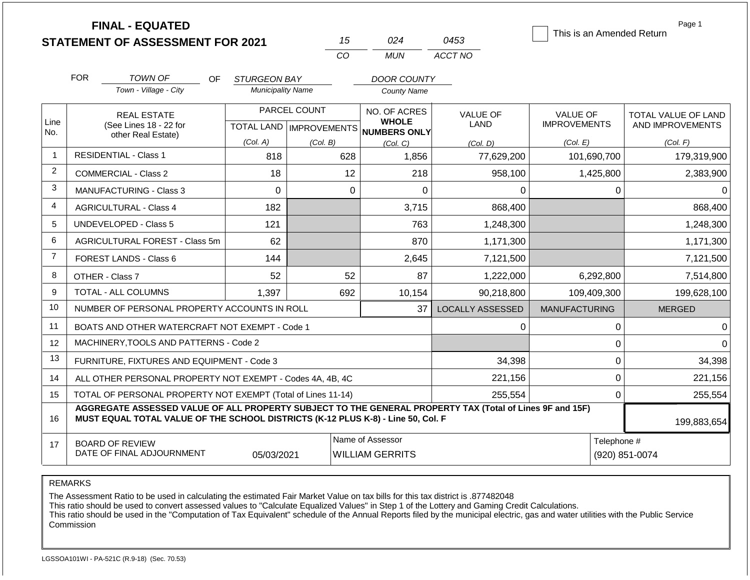|                |                                            | <b>FINAL - EQUATED</b><br><b>STATEMENT OF ASSESSMENT FOR 2021</b>                                                                                                                            |                          |              | 15                                         | 024                                                  | 0453                    | This is an Amended Return |              | Page 1                        |  |
|----------------|--------------------------------------------|----------------------------------------------------------------------------------------------------------------------------------------------------------------------------------------------|--------------------------|--------------|--------------------------------------------|------------------------------------------------------|-------------------------|---------------------------|--------------|-------------------------------|--|
|                |                                            |                                                                                                                                                                                              |                          |              | CO                                         | <b>MUN</b>                                           | ACCT NO                 |                           |              |                               |  |
|                | <b>FOR</b>                                 | TOWN OF<br>OF.                                                                                                                                                                               | STURGEON BAY             |              |                                            | <b>DOOR COUNTY</b>                                   |                         |                           |              |                               |  |
|                |                                            | Town - Village - City                                                                                                                                                                        | <b>Municipality Name</b> |              | <b>County Name</b>                         |                                                      |                         |                           |              |                               |  |
|                |                                            | <b>REAL ESTATE</b>                                                                                                                                                                           |                          | PARCEL COUNT | NO. OF ACRES                               |                                                      | <b>VALUE OF</b>         | <b>VALUE OF</b>           |              | TOTAL VALUE OF LAND           |  |
| Line<br>No.    |                                            | (See Lines 18 - 22 for                                                                                                                                                                       |                          |              |                                            | <b>WHOLE</b><br>TOTAL LAND IMPROVEMENTS NUMBERS ONLY | <b>LAND</b>             | <b>IMPROVEMENTS</b>       |              | AND IMPROVEMENTS              |  |
|                |                                            | other Real Estate)                                                                                                                                                                           | (Col. A)                 | (Col. B)     |                                            | (Col. C)                                             | (Col. D)                | (Col. E)                  |              | (Col. F)                      |  |
| $\overline{1}$ |                                            | <b>RESIDENTIAL - Class 1</b>                                                                                                                                                                 | 818                      |              | 628                                        | 1,856                                                | 77,629,200              | 101,690,700               |              | 179,319,900                   |  |
| $\overline{2}$ |                                            | 18<br>COMMERCIAL - Class 2                                                                                                                                                                   |                          |              |                                            | 218                                                  | 958,100                 |                           | 1,425,800    | 2,383,900                     |  |
| 3              | <b>MANUFACTURING - Class 3</b><br>$\Omega$ |                                                                                                                                                                                              |                          |              |                                            | $\Omega$                                             | $\Omega$                |                           | $\Omega$     | $\Omega$                      |  |
| $\overline{4}$ |                                            | <b>AGRICULTURAL - Class 4</b>                                                                                                                                                                | 182                      |              |                                            | 3,715                                                | 868,400                 |                           |              | 868,400                       |  |
| 5              |                                            | <b>UNDEVELOPED - Class 5</b>                                                                                                                                                                 | 121                      |              |                                            | 763                                                  | 1,248,300               |                           |              | 1,248,300                     |  |
| 6              |                                            | AGRICULTURAL FOREST - Class 5m                                                                                                                                                               | 62                       |              |                                            | 870                                                  | 1,171,300               |                           |              | 1,171,300                     |  |
| $\overline{7}$ |                                            | FOREST LANDS - Class 6                                                                                                                                                                       | 144                      |              |                                            | 2,645                                                | 7,121,500               |                           |              | 7,121,500                     |  |
| 8              |                                            | OTHER - Class 7                                                                                                                                                                              | 52                       |              | 52                                         | 87                                                   | 1,222,000               |                           | 6,292,800    | 7,514,800                     |  |
| 9              |                                            | <b>TOTAL - ALL COLUMNS</b>                                                                                                                                                                   | 1,397                    |              | 692                                        | 10,154                                               | 90,218,800              | 109,409,300               |              | 199,628,100                   |  |
| 10             |                                            | NUMBER OF PERSONAL PROPERTY ACCOUNTS IN ROLL                                                                                                                                                 |                          |              |                                            | 37                                                   | <b>LOCALLY ASSESSED</b> | <b>MANUFACTURING</b>      |              | <b>MERGED</b>                 |  |
| 11             |                                            | BOATS AND OTHER WATERCRAFT NOT EXEMPT - Code 1                                                                                                                                               |                          |              |                                            |                                                      | 0                       |                           | 0            | $\Omega$                      |  |
| 12             |                                            | MACHINERY, TOOLS AND PATTERNS - Code 2                                                                                                                                                       |                          |              |                                            |                                                      |                         |                           | $\mathbf 0$  | $\Omega$                      |  |
| 13             |                                            | FURNITURE, FIXTURES AND EQUIPMENT - Code 3                                                                                                                                                   |                          |              |                                            |                                                      | 34,398                  |                           | $\mathbf 0$  | 34,398                        |  |
| 14             |                                            | ALL OTHER PERSONAL PROPERTY NOT EXEMPT - Codes 4A, 4B, 4C                                                                                                                                    |                          |              |                                            |                                                      | 221,156                 |                           | $\mathbf 0$  | 221,156                       |  |
| 15             |                                            | TOTAL OF PERSONAL PROPERTY NOT EXEMPT (Total of Lines 11-14)                                                                                                                                 |                          |              |                                            |                                                      | 255,554                 |                           | $\mathbf{0}$ | 255,554                       |  |
| 16             |                                            | AGGREGATE ASSESSED VALUE OF ALL PROPERTY SUBJECT TO THE GENERAL PROPERTY TAX (Total of Lines 9F and 15F)<br>MUST EQUAL TOTAL VALUE OF THE SCHOOL DISTRICTS (K-12 PLUS K-8) - Line 50, Col. F |                          |              |                                            |                                                      |                         |                           |              | 199,883,654                   |  |
| 17             |                                            | <b>BOARD OF REVIEW</b><br>DATE OF FINAL ADJOURNMENT                                                                                                                                          | 05/03/2021               |              | Name of Assessor<br><b>WILLIAM GERRITS</b> |                                                      |                         |                           |              | Telephone #<br>(920) 851-0074 |  |

The Assessment Ratio to be used in calculating the estimated Fair Market Value on tax bills for this tax district is .877482048

This ratio should be used to convert assessed values to "Calculate Equalized Values" in Step 1 of the Lottery and Gaming Credit Calculations.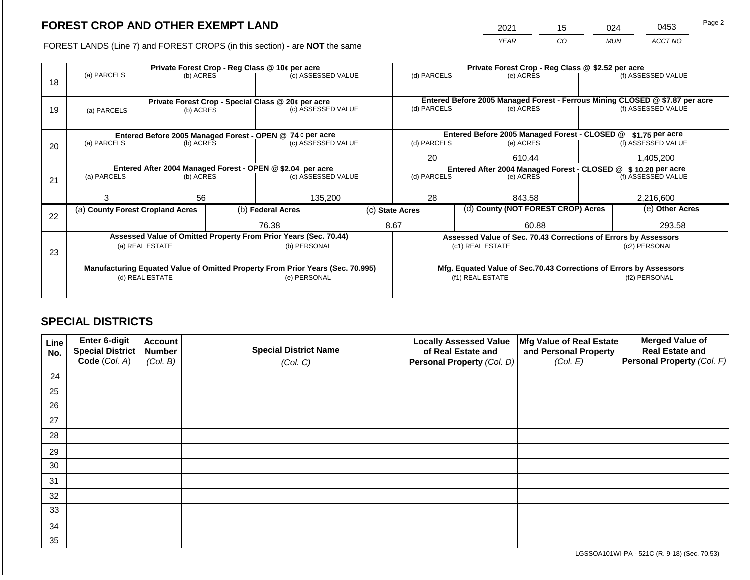2021 15 024 0453

FOREST LANDS (Line 7) and FOREST CROPS (in this section) - are **NOT** the same *YEAR CO MUN ACCT NO*

|    |                                                                                |                 |  | Private Forest Crop - Reg Class @ 10¢ per acre                   |                                                               |                                                                              |                                               | Private Forest Crop - Reg Class @ \$2.52 per acre                  |                  |                    |
|----|--------------------------------------------------------------------------------|-----------------|--|------------------------------------------------------------------|---------------------------------------------------------------|------------------------------------------------------------------------------|-----------------------------------------------|--------------------------------------------------------------------|------------------|--------------------|
| 18 | (a) PARCELS                                                                    | (b) ACRES       |  | (c) ASSESSED VALUE                                               |                                                               | (d) PARCELS                                                                  |                                               | (e) ACRES                                                          |                  | (f) ASSESSED VALUE |
|    |                                                                                |                 |  | Private Forest Crop - Special Class @ 20¢ per acre               |                                                               | Entered Before 2005 Managed Forest - Ferrous Mining CLOSED @ \$7.87 per acre |                                               |                                                                    |                  |                    |
| 19 | (a) PARCELS                                                                    | (b) ACRES       |  | (c) ASSESSED VALUE                                               |                                                               | (d) PARCELS                                                                  |                                               | (e) ACRES                                                          |                  | (f) ASSESSED VALUE |
|    |                                                                                |                 |  |                                                                  |                                                               |                                                                              |                                               |                                                                    |                  |                    |
|    |                                                                                |                 |  | Entered Before 2005 Managed Forest - OPEN @ 74 ¢ per acre        |                                                               |                                                                              | Entered Before 2005 Managed Forest - CLOSED @ |                                                                    | $$1.75$ per acre |                    |
| 20 | (a) PARCELS                                                                    | (b) ACRES       |  | (c) ASSESSED VALUE                                               |                                                               |                                                                              |                                               | (e) ACRES                                                          |                  | (f) ASSESSED VALUE |
|    |                                                                                |                 |  |                                                                  |                                                               | 20                                                                           |                                               | 610.44                                                             |                  | 1,405,200          |
|    | Entered After 2004 Managed Forest - OPEN @ \$2.04 per acre                     |                 |  |                                                                  | Entered After 2004 Managed Forest - CLOSED @ \$10.20 per acre |                                                                              |                                               |                                                                    |                  |                    |
| 21 | (a) PARCELS<br>(b) ACRES                                                       |                 |  | (c) ASSESSED VALUE                                               |                                                               | (d) PARCELS                                                                  |                                               | (e) ACRES                                                          |                  | (f) ASSESSED VALUE |
|    |                                                                                |                 |  |                                                                  |                                                               |                                                                              |                                               |                                                                    |                  |                    |
|    | 3                                                                              | 56              |  | 135,200                                                          |                                                               | 28                                                                           |                                               | 843.58                                                             |                  | 2,216,600          |
| 22 | (a) County Forest Cropland Acres                                               |                 |  | (b) Federal Acres                                                |                                                               | (c) State Acres                                                              |                                               | (d) County (NOT FOREST CROP) Acres                                 |                  | (e) Other Acres    |
|    |                                                                                |                 |  | 76.38                                                            |                                                               | 8.67                                                                         |                                               | 60.88                                                              |                  | 293.58             |
|    |                                                                                |                 |  | Assessed Value of Omitted Property From Prior Years (Sec. 70.44) |                                                               |                                                                              |                                               | Assessed Value of Sec. 70.43 Corrections of Errors by Assessors    |                  |                    |
|    |                                                                                | (a) REAL ESTATE |  | (b) PERSONAL                                                     |                                                               |                                                                              |                                               | (c1) REAL ESTATE                                                   | (c2) PERSONAL    |                    |
| 23 |                                                                                |                 |  |                                                                  |                                                               |                                                                              |                                               |                                                                    |                  |                    |
|    | Manufacturing Equated Value of Omitted Property From Prior Years (Sec. 70.995) |                 |  |                                                                  |                                                               |                                                                              |                                               | Mfg. Equated Value of Sec.70.43 Corrections of Errors by Assessors |                  |                    |
|    | (d) REAL ESTATE                                                                |                 |  | (e) PERSONAL                                                     | (f1) REAL ESTATE                                              |                                                                              |                                               | (f2) PERSONAL                                                      |                  |                    |
|    |                                                                                |                 |  |                                                                  |                                                               |                                                                              |                                               |                                                                    |                  |                    |
|    |                                                                                |                 |  |                                                                  |                                                               |                                                                              |                                               |                                                                    |                  |                    |

## **SPECIAL DISTRICTS**

| Line<br>No. | Enter 6-digit<br>Special District<br>Code (Col. A) | <b>Account</b><br><b>Number</b><br>(Col. B) | <b>Special District Name</b><br>(Col. C) | <b>Locally Assessed Value</b><br>of Real Estate and<br><b>Personal Property (Col. D)</b> | Mfg Value of Real Estate<br>and Personal Property<br>(Col. E) | <b>Merged Value of</b><br><b>Real Estate and</b><br>Personal Property (Col. F) |
|-------------|----------------------------------------------------|---------------------------------------------|------------------------------------------|------------------------------------------------------------------------------------------|---------------------------------------------------------------|--------------------------------------------------------------------------------|
| 24          |                                                    |                                             |                                          |                                                                                          |                                                               |                                                                                |
| 25          |                                                    |                                             |                                          |                                                                                          |                                                               |                                                                                |
| 26          |                                                    |                                             |                                          |                                                                                          |                                                               |                                                                                |
| 27          |                                                    |                                             |                                          |                                                                                          |                                                               |                                                                                |
| 28          |                                                    |                                             |                                          |                                                                                          |                                                               |                                                                                |
| 29          |                                                    |                                             |                                          |                                                                                          |                                                               |                                                                                |
| 30          |                                                    |                                             |                                          |                                                                                          |                                                               |                                                                                |
| 31          |                                                    |                                             |                                          |                                                                                          |                                                               |                                                                                |
| 32          |                                                    |                                             |                                          |                                                                                          |                                                               |                                                                                |
| 33          |                                                    |                                             |                                          |                                                                                          |                                                               |                                                                                |
| 34          |                                                    |                                             |                                          |                                                                                          |                                                               |                                                                                |
| 35          |                                                    |                                             |                                          |                                                                                          |                                                               |                                                                                |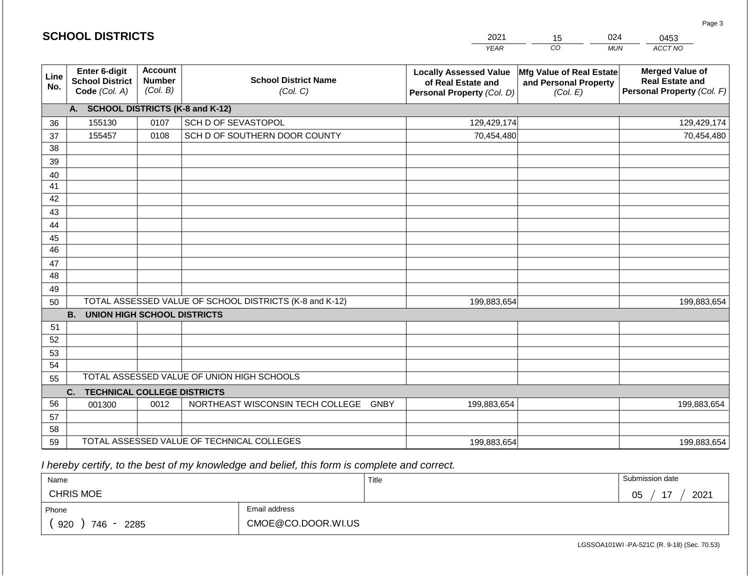|                 | <b>SCHOOL DISTRICTS</b>                                         |                                             |                                                         | 2021                                                                              | 15                                                            | 024<br>0453                                                                    |
|-----------------|-----------------------------------------------------------------|---------------------------------------------|---------------------------------------------------------|-----------------------------------------------------------------------------------|---------------------------------------------------------------|--------------------------------------------------------------------------------|
|                 |                                                                 |                                             |                                                         | <b>YEAR</b>                                                                       | CO                                                            | ACCT NO<br><b>MUN</b>                                                          |
| Line<br>No.     | <b>Enter 6-digit</b><br><b>School District</b><br>Code (Col. A) | <b>Account</b><br><b>Number</b><br>(Col. B) | <b>School District Name</b><br>(Col. C)                 | <b>Locally Assessed Value</b><br>of Real Estate and<br>Personal Property (Col. D) | Mfg Value of Real Estate<br>and Personal Property<br>(Col. E) | <b>Merged Value of</b><br><b>Real Estate and</b><br>Personal Property (Col. F) |
|                 | A. SCHOOL DISTRICTS (K-8 and K-12)                              |                                             |                                                         |                                                                                   |                                                               |                                                                                |
| 36              | 155130                                                          | 0107                                        | SCH D OF SEVASTOPOL                                     | 129,429,174                                                                       |                                                               | 129,429,174                                                                    |
| 37              | 155457                                                          | 0108                                        | SCH D OF SOUTHERN DOOR COUNTY                           | 70,454,480                                                                        |                                                               | 70,454,480                                                                     |
| $\overline{38}$ |                                                                 |                                             |                                                         |                                                                                   |                                                               |                                                                                |
| 39              |                                                                 |                                             |                                                         |                                                                                   |                                                               |                                                                                |
| 40              |                                                                 |                                             |                                                         |                                                                                   |                                                               |                                                                                |
| 41<br>42        |                                                                 |                                             |                                                         |                                                                                   |                                                               |                                                                                |
| 43              |                                                                 |                                             |                                                         |                                                                                   |                                                               |                                                                                |
| 44              |                                                                 |                                             |                                                         |                                                                                   |                                                               |                                                                                |
| 45              |                                                                 |                                             |                                                         |                                                                                   |                                                               |                                                                                |
| 46              |                                                                 |                                             |                                                         |                                                                                   |                                                               |                                                                                |
| 47              |                                                                 |                                             |                                                         |                                                                                   |                                                               |                                                                                |
| 48              |                                                                 |                                             |                                                         |                                                                                   |                                                               |                                                                                |
| 49              |                                                                 |                                             |                                                         |                                                                                   |                                                               |                                                                                |
| 50              |                                                                 |                                             | TOTAL ASSESSED VALUE OF SCHOOL DISTRICTS (K-8 and K-12) | 199,883,654                                                                       |                                                               | 199,883,654                                                                    |
|                 | <b>B.</b><br><b>UNION HIGH SCHOOL DISTRICTS</b>                 |                                             |                                                         |                                                                                   |                                                               |                                                                                |
| 51              |                                                                 |                                             |                                                         |                                                                                   |                                                               |                                                                                |
| 52              |                                                                 |                                             |                                                         |                                                                                   |                                                               |                                                                                |
| 53              |                                                                 |                                             |                                                         |                                                                                   |                                                               |                                                                                |
| 54              |                                                                 |                                             | TOTAL ASSESSED VALUE OF UNION HIGH SCHOOLS              |                                                                                   |                                                               |                                                                                |
| 55              |                                                                 |                                             |                                                         |                                                                                   |                                                               |                                                                                |
|                 | C.<br><b>TECHNICAL COLLEGE DISTRICTS</b>                        |                                             |                                                         |                                                                                   |                                                               |                                                                                |
| 56              | 001300                                                          | 0012                                        | NORTHEAST WISCONSIN TECH COLLEGE GNBY                   | 199,883,654                                                                       |                                                               | 199,883,654                                                                    |
| 57<br>58        |                                                                 |                                             |                                                         |                                                                                   |                                                               |                                                                                |
| 59              |                                                                 |                                             | TOTAL ASSESSED VALUE OF TECHNICAL COLLEGES              | 199,883,654                                                                       |                                                               | 199,883,654                                                                    |

 *I hereby certify, to the best of my knowledge and belief, this form is complete and correct.*

| Name               |                    | Title | Submission date       |
|--------------------|--------------------|-------|-----------------------|
| <b>CHRIS MOE</b>   |                    |       | 2021<br>—<br>∩ҕ<br>◡◡ |
| Phone              | Email address      |       |                       |
| 920<br>746<br>2285 | CMOE@CO.DOOR.WI.US |       |                       |

Page 3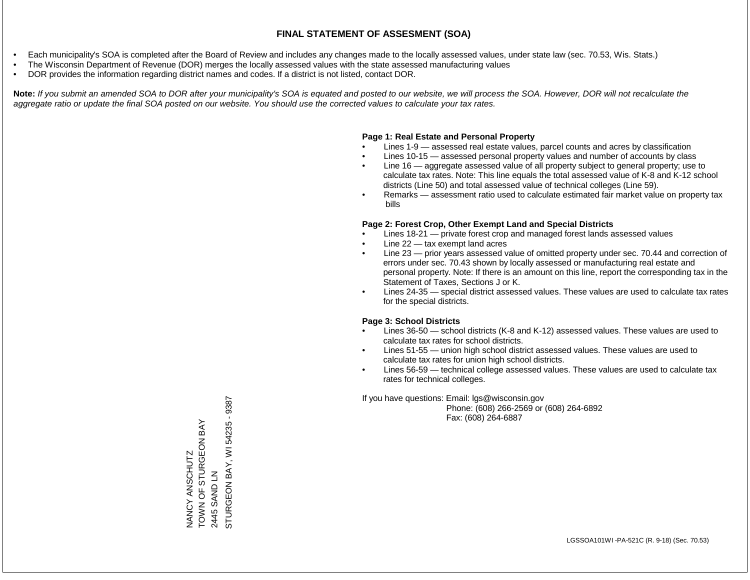- Each municipality's SOA is completed after the Board of Review and includes any changes made to the locally assessed values, under state law (sec. 70.53, Wis. Stats.)
- The Wisconsin Department of Revenue (DOR) merges the locally assessed values with the state assessed manufacturing values
- DOR provides the information regarding district names and codes. If a district is not listed, contact DOR.

Note: If you submit an amended SOA to DOR after your municipality's SOA is equated and posted to our website, we will process the SOA. However, DOR will not recalculate the *aggregate ratio or update the final SOA posted on our website. You should use the corrected values to calculate your tax rates.*

### **Page 1: Real Estate and Personal Property**

- Lines 1-9 assessed real estate values, parcel counts and acres by classification
- Lines 10-15 assessed personal property values and number of accounts by class
- Line 16 aggregate assessed value of all property subject to general property; use to calculate tax rates. Note: This line equals the total assessed value of K-8 and K-12 school districts (Line 50) and total assessed value of technical colleges (Line 59).
- Remarks assessment ratio used to calculate estimated fair market value on property tax bills

### **Page 2: Forest Crop, Other Exempt Land and Special Districts**

- Lines 18-21 private forest crop and managed forest lands assessed values
- Line  $22 -$  tax exempt land acres
- Line 23 prior years assessed value of omitted property under sec. 70.44 and correction of errors under sec. 70.43 shown by locally assessed or manufacturing real estate and personal property. Note: If there is an amount on this line, report the corresponding tax in the Statement of Taxes, Sections J or K.
- Lines 24-35 special district assessed values. These values are used to calculate tax rates for the special districts.

### **Page 3: School Districts**

- Lines 36-50 school districts (K-8 and K-12) assessed values. These values are used to calculate tax rates for school districts.
- Lines 51-55 union high school district assessed values. These values are used to calculate tax rates for union high school districts.
- Lines 56-59 technical college assessed values. These values are used to calculate tax rates for technical colleges.

If you have questions: Email: lgs@wisconsin.gov

 Phone: (608) 266-2569 or (608) 264-6892 Fax: (608) 264-6887

2445 SAND LN<br>STURGEON BAY, WI 54235 - 9387 STURGEON BAY, WI 54235 - 9387TOWN OF STURGEON BAY NANCY ANSCHUTZ<br>TOWN OF STURGEON BAY NANCY ANSCHUTZ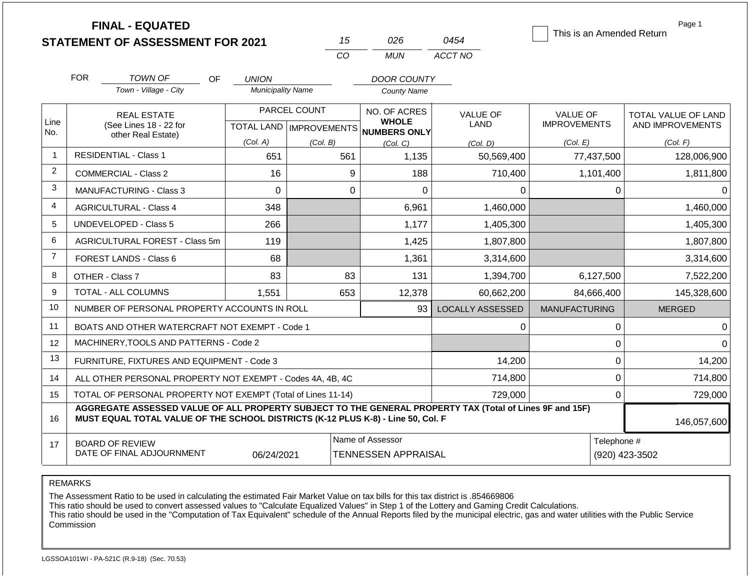|                |                                         | <b>FINAL - EQUATED</b><br><b>STATEMENT OF ASSESSMENT FOR 2021</b>                                                                                                                            |                                          | 15                        | 026                                      | 0454                    | This is an Amended Return | Page 1              |
|----------------|-----------------------------------------|----------------------------------------------------------------------------------------------------------------------------------------------------------------------------------------------|------------------------------------------|---------------------------|------------------------------------------|-------------------------|---------------------------|---------------------|
|                |                                         |                                                                                                                                                                                              |                                          | CO                        | <b>MUN</b>                               | ACCT NO                 |                           |                     |
|                |                                         |                                                                                                                                                                                              |                                          |                           |                                          |                         |                           |                     |
|                | <b>FOR</b>                              | <b>TOWN OF</b><br>OF.<br>Town - Village - City                                                                                                                                               | <b>UNION</b><br><b>Municipality Name</b> |                           | <b>DOOR COUNTY</b><br><b>County Name</b> |                         |                           |                     |
|                |                                         |                                                                                                                                                                                              |                                          |                           |                                          |                         |                           |                     |
| Line           |                                         | <b>REAL ESTATE</b>                                                                                                                                                                           |                                          | PARCEL COUNT              | NO. OF ACRES<br><b>WHOLE</b>             | <b>VALUE OF</b>         | <b>VALUE OF</b>           | TOTAL VALUE OF LAND |
| No.            |                                         | (See Lines 18 - 22 for<br>other Real Estate)                                                                                                                                                 |                                          | TOTAL LAND   IMPROVEMENTS | <b>NUMBERS ONLY</b>                      | <b>LAND</b>             | <b>IMPROVEMENTS</b>       | AND IMPROVEMENTS    |
|                |                                         |                                                                                                                                                                                              | (Col. A)                                 | (Col. B)                  | (Col, C)                                 | (Col. D)                | (Col. E)                  | (Col. F)            |
| $\mathbf{1}$   |                                         | <b>RESIDENTIAL - Class 1</b>                                                                                                                                                                 | 651                                      | 561                       | 1,135                                    | 50,569,400              | 77,437,500                | 128,006,900         |
| 2              | <b>COMMERCIAL - Class 2</b>             |                                                                                                                                                                                              | 16                                       | 9                         | 188                                      | 710,400                 | 1,101,400                 | 1,811,800           |
| 3              |                                         | MANUFACTURING - Class 3                                                                                                                                                                      | $\Omega$                                 | $\mathbf 0$               | $\overline{0}$                           | $\Omega$                | 0                         | $\Omega$            |
| 4              |                                         | <b>AGRICULTURAL - Class 4</b>                                                                                                                                                                | 348                                      |                           | 6,961                                    | 1,460,000               |                           | 1,460,000           |
| 5              |                                         | <b>UNDEVELOPED - Class 5</b>                                                                                                                                                                 | 266                                      |                           | 1,177                                    | 1,405,300               |                           | 1,405,300           |
| 6              |                                         | AGRICULTURAL FOREST - Class 5m                                                                                                                                                               | 119                                      |                           | 1,425                                    | 1,807,800               |                           | 1,807,800           |
| $\overline{7}$ |                                         | FOREST LANDS - Class 6                                                                                                                                                                       | 68                                       |                           | 1,361                                    | 3,314,600               |                           | 3,314,600           |
| 8              |                                         | OTHER - Class 7                                                                                                                                                                              | 83                                       | 83                        | 131                                      | 1,394,700               | 6,127,500                 | 7,522,200           |
| 9              |                                         | TOTAL - ALL COLUMNS                                                                                                                                                                          | 1,551                                    | 653                       | 12,378                                   | 60,662,200              | 84,666,400                | 145,328,600         |
| 10             |                                         | NUMBER OF PERSONAL PROPERTY ACCOUNTS IN ROLL                                                                                                                                                 |                                          |                           | 93                                       | <b>LOCALLY ASSESSED</b> | <b>MANUFACTURING</b>      | <b>MERGED</b>       |
| 11             |                                         | BOATS AND OTHER WATERCRAFT NOT EXEMPT - Code 1                                                                                                                                               |                                          |                           |                                          | $\Omega$                | 0                         | $\Omega$            |
| 12             |                                         | MACHINERY, TOOLS AND PATTERNS - Code 2                                                                                                                                                       |                                          |                           |                                          |                         | 0                         | $\Omega$            |
| 13             |                                         | FURNITURE, FIXTURES AND EQUIPMENT - Code 3                                                                                                                                                   |                                          |                           |                                          | 14,200                  | $\mathbf 0$               | 14,200              |
| 14             |                                         | ALL OTHER PERSONAL PROPERTY NOT EXEMPT - Codes 4A, 4B, 4C                                                                                                                                    |                                          |                           |                                          | 714,800                 | $\mathbf 0$               | 714,800             |
| 15             |                                         | TOTAL OF PERSONAL PROPERTY NOT EXEMPT (Total of Lines 11-14)                                                                                                                                 |                                          |                           |                                          | 729,000                 | 0                         | 729,000             |
| 16             |                                         | AGGREGATE ASSESSED VALUE OF ALL PROPERTY SUBJECT TO THE GENERAL PROPERTY TAX (Total of Lines 9F and 15F)<br>MUST EQUAL TOTAL VALUE OF THE SCHOOL DISTRICTS (K-12 PLUS K-8) - Line 50, Col. F |                                          |                           |                                          |                         |                           | 146,057,600         |
| 17             |                                         | <b>BOARD OF REVIEW</b>                                                                                                                                                                       |                                          |                           | Name of Assessor                         |                         | Telephone #               |                     |
|                | DATE OF FINAL ADJOURNMENT<br>06/24/2021 |                                                                                                                                                                                              |                                          |                           | <b>TENNESSEN APPRAISAL</b>               |                         |                           | (920) 423-3502      |

The Assessment Ratio to be used in calculating the estimated Fair Market Value on tax bills for this tax district is .854669806

This ratio should be used to convert assessed values to "Calculate Equalized Values" in Step 1 of the Lottery and Gaming Credit Calculations.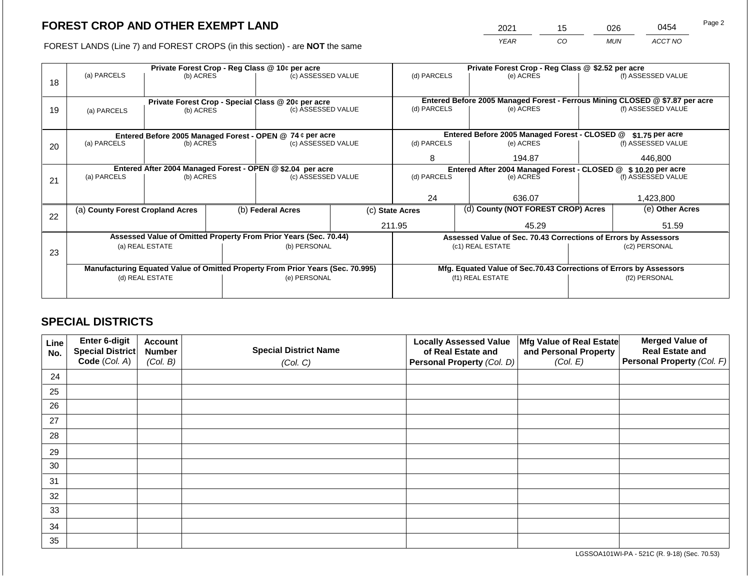2021 15 026 0454

FOREST LANDS (Line 7) and FOREST CROPS (in this section) - are **NOT** the same *YEAR CO MUN ACCT NO*

| 18 | Private Forest Crop - Reg Class @ 10¢ per acre<br>(a) PARCELS<br>(b) ACRES     |                                                                        |  | (c) ASSESSED VALUE                                                               |                                                                    | (d) PARCELS                                           |                 | Private Forest Crop - Reg Class @ \$2.52 per acre<br>(e) ACRES             |                 | (f) ASSESSED VALUE                                                                                 |
|----|--------------------------------------------------------------------------------|------------------------------------------------------------------------|--|----------------------------------------------------------------------------------|--------------------------------------------------------------------|-------------------------------------------------------|-----------------|----------------------------------------------------------------------------|-----------------|----------------------------------------------------------------------------------------------------|
| 19 | (a) PARCELS                                                                    | Private Forest Crop - Special Class @ 20¢ per acre<br>(b) ACRES        |  | (c) ASSESSED VALUE                                                               |                                                                    | (d) PARCELS                                           |                 | (e) ACRES                                                                  |                 | Entered Before 2005 Managed Forest - Ferrous Mining CLOSED @ \$7.87 per acre<br>(f) ASSESSED VALUE |
|    |                                                                                |                                                                        |  |                                                                                  | Entered Before 2005 Managed Forest - CLOSED @                      |                                                       | \$1.75 per acre |                                                                            |                 |                                                                                                    |
| 20 | (a) PARCELS                                                                    | Entered Before 2005 Managed Forest - OPEN @ 74 ¢ per acre<br>(b) ACRES |  | (c) ASSESSED VALUE                                                               |                                                                    | (d) PARCELS                                           |                 | (e) ACRES                                                                  |                 | (f) ASSESSED VALUE                                                                                 |
|    |                                                                                |                                                                        |  |                                                                                  |                                                                    | 8                                                     |                 | 194.87                                                                     |                 | 446,800                                                                                            |
| 21 | (a) PARCELS                                                                    | (b) ACRES                                                              |  | Entered After 2004 Managed Forest - OPEN @ \$2.04 per acre<br>(c) ASSESSED VALUE |                                                                    | (d) PARCELS                                           |                 | Entered After 2004 Managed Forest - CLOSED @ \$10.20 per acre<br>(e) ACRES |                 | (f) ASSESSED VALUE                                                                                 |
|    |                                                                                |                                                                        |  |                                                                                  |                                                                    | 24                                                    |                 | 636.07                                                                     |                 | 1,423,800                                                                                          |
|    | (a) County Forest Cropland Acres                                               |                                                                        |  | (b) Federal Acres                                                                |                                                                    | (d) County (NOT FOREST CROP) Acres<br>(c) State Acres |                 |                                                                            | (e) Other Acres |                                                                                                    |
| 22 |                                                                                |                                                                        |  |                                                                                  |                                                                    | 211.95<br>45.29                                       |                 |                                                                            |                 | 51.59                                                                                              |
|    |                                                                                |                                                                        |  | Assessed Value of Omitted Property From Prior Years (Sec. 70.44)                 |                                                                    |                                                       |                 | Assessed Value of Sec. 70.43 Corrections of Errors by Assessors            |                 |                                                                                                    |
| 23 | (a) REAL ESTATE                                                                |                                                                        |  | (b) PERSONAL                                                                     |                                                                    | (c1) REAL ESTATE                                      |                 |                                                                            | (c2) PERSONAL   |                                                                                                    |
|    | Manufacturing Equated Value of Omitted Property From Prior Years (Sec. 70.995) |                                                                        |  |                                                                                  | Mfg. Equated Value of Sec.70.43 Corrections of Errors by Assessors |                                                       |                 |                                                                            |                 |                                                                                                    |
|    |                                                                                | (d) REAL ESTATE                                                        |  | (e) PERSONAL                                                                     |                                                                    | (f1) REAL ESTATE                                      |                 |                                                                            | (f2) PERSONAL   |                                                                                                    |
|    |                                                                                |                                                                        |  |                                                                                  |                                                                    |                                                       |                 |                                                                            |                 |                                                                                                    |

## **SPECIAL DISTRICTS**

| Line<br>No. | Enter 6-digit<br>Special District<br>Code (Col. A) | <b>Account</b><br><b>Number</b><br>(Col. B) | <b>Special District Name</b><br>(Col. C) | <b>Locally Assessed Value</b><br>of Real Estate and<br><b>Personal Property (Col. D)</b> | Mfg Value of Real Estate<br>and Personal Property<br>(Col. E) | <b>Merged Value of</b><br><b>Real Estate and</b><br>Personal Property (Col. F) |
|-------------|----------------------------------------------------|---------------------------------------------|------------------------------------------|------------------------------------------------------------------------------------------|---------------------------------------------------------------|--------------------------------------------------------------------------------|
| 24          |                                                    |                                             |                                          |                                                                                          |                                                               |                                                                                |
| 25          |                                                    |                                             |                                          |                                                                                          |                                                               |                                                                                |
| 26          |                                                    |                                             |                                          |                                                                                          |                                                               |                                                                                |
| 27          |                                                    |                                             |                                          |                                                                                          |                                                               |                                                                                |
| 28          |                                                    |                                             |                                          |                                                                                          |                                                               |                                                                                |
| 29          |                                                    |                                             |                                          |                                                                                          |                                                               |                                                                                |
| 30          |                                                    |                                             |                                          |                                                                                          |                                                               |                                                                                |
| 31          |                                                    |                                             |                                          |                                                                                          |                                                               |                                                                                |
| 32          |                                                    |                                             |                                          |                                                                                          |                                                               |                                                                                |
| 33          |                                                    |                                             |                                          |                                                                                          |                                                               |                                                                                |
| 34          |                                                    |                                             |                                          |                                                                                          |                                                               |                                                                                |
| 35          |                                                    |                                             |                                          |                                                                                          |                                                               |                                                                                |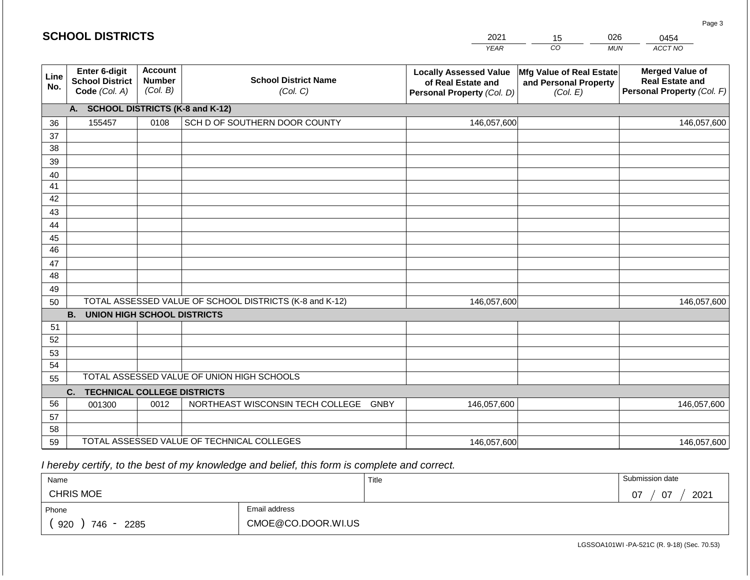|             | <b>SCHOOL DISTRICTS</b>                                  |                                             |                                                         | 2021                                                                              | 15                                                            | 026        | 0454                                                                           |
|-------------|----------------------------------------------------------|---------------------------------------------|---------------------------------------------------------|-----------------------------------------------------------------------------------|---------------------------------------------------------------|------------|--------------------------------------------------------------------------------|
|             |                                                          |                                             |                                                         | <b>YEAR</b>                                                                       | CO                                                            | <b>MUN</b> | ACCT NO                                                                        |
| Line<br>No. | Enter 6-digit<br><b>School District</b><br>Code (Col. A) | <b>Account</b><br><b>Number</b><br>(Col. B) | <b>School District Name</b><br>(Col. C)                 | <b>Locally Assessed Value</b><br>of Real Estate and<br>Personal Property (Col. D) | Mfg Value of Real Estate<br>and Personal Property<br>(Col. E) |            | <b>Merged Value of</b><br><b>Real Estate and</b><br>Personal Property (Col. F) |
|             | A. SCHOOL DISTRICTS (K-8 and K-12)                       |                                             |                                                         |                                                                                   |                                                               |            |                                                                                |
| 36          | 155457                                                   | 0108                                        | SCH D OF SOUTHERN DOOR COUNTY                           | 146,057,600                                                                       |                                                               |            | 146,057,600                                                                    |
| 37          |                                                          |                                             |                                                         |                                                                                   |                                                               |            |                                                                                |
| 38          |                                                          |                                             |                                                         |                                                                                   |                                                               |            |                                                                                |
| 39          |                                                          |                                             |                                                         |                                                                                   |                                                               |            |                                                                                |
| 40          |                                                          |                                             |                                                         |                                                                                   |                                                               |            |                                                                                |
| 41<br>42    |                                                          |                                             |                                                         |                                                                                   |                                                               |            |                                                                                |
| 43          |                                                          |                                             |                                                         |                                                                                   |                                                               |            |                                                                                |
| 44          |                                                          |                                             |                                                         |                                                                                   |                                                               |            |                                                                                |
| 45          |                                                          |                                             |                                                         |                                                                                   |                                                               |            |                                                                                |
| 46          |                                                          |                                             |                                                         |                                                                                   |                                                               |            |                                                                                |
| 47          |                                                          |                                             |                                                         |                                                                                   |                                                               |            |                                                                                |
| 48          |                                                          |                                             |                                                         |                                                                                   |                                                               |            |                                                                                |
| 49          |                                                          |                                             |                                                         |                                                                                   |                                                               |            |                                                                                |
| 50          |                                                          |                                             | TOTAL ASSESSED VALUE OF SCHOOL DISTRICTS (K-8 and K-12) | 146,057,600                                                                       |                                                               |            | 146,057,600                                                                    |
|             | <b>B. UNION HIGH SCHOOL DISTRICTS</b>                    |                                             |                                                         |                                                                                   |                                                               |            |                                                                                |
| 51          |                                                          |                                             |                                                         |                                                                                   |                                                               |            |                                                                                |
| 52          |                                                          |                                             |                                                         |                                                                                   |                                                               |            |                                                                                |
| 53<br>54    |                                                          |                                             |                                                         |                                                                                   |                                                               |            |                                                                                |
| 55          |                                                          |                                             | TOTAL ASSESSED VALUE OF UNION HIGH SCHOOLS              |                                                                                   |                                                               |            |                                                                                |
|             | C.<br><b>TECHNICAL COLLEGE DISTRICTS</b>                 |                                             |                                                         |                                                                                   |                                                               |            |                                                                                |
| 56          | 001300                                                   | 0012                                        | NORTHEAST WISCONSIN TECH COLLEGE GNBY                   | 146,057,600                                                                       |                                                               |            | 146,057,600                                                                    |
| 57          |                                                          |                                             |                                                         |                                                                                   |                                                               |            |                                                                                |
| 58          |                                                          |                                             |                                                         |                                                                                   |                                                               |            |                                                                                |
| 59          |                                                          |                                             | TOTAL ASSESSED VALUE OF TECHNICAL COLLEGES              | 146,057,600                                                                       |                                                               |            | 146,057,600                                                                    |

 *I hereby certify, to the best of my knowledge and belief, this form is complete and correct.*

| Name                    |                    | Title | Submission date  |
|-------------------------|--------------------|-------|------------------|
| <b>CHRIS MOE</b>        |                    |       | 2021<br>07<br>07 |
| Phone                   | Email address      |       |                  |
| 920<br>746<br>2285<br>- | CMOE@CO.DOOR.WI.US |       |                  |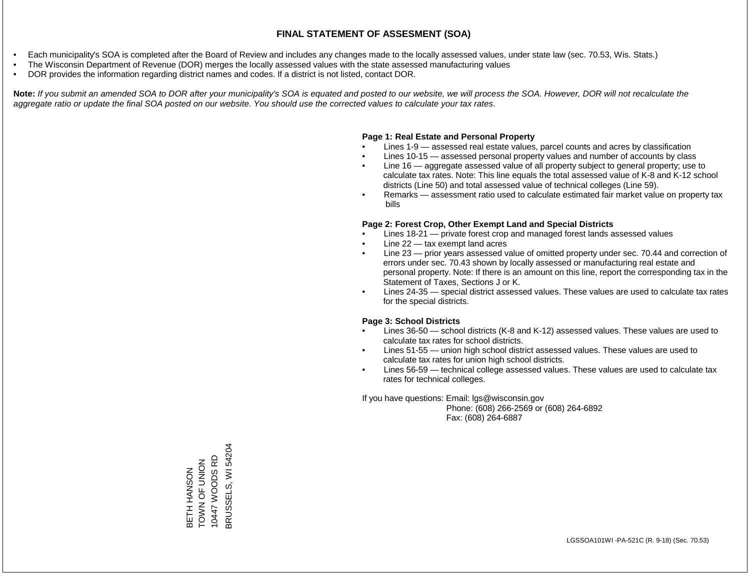- Each municipality's SOA is completed after the Board of Review and includes any changes made to the locally assessed values, under state law (sec. 70.53, Wis. Stats.)
- The Wisconsin Department of Revenue (DOR) merges the locally assessed values with the state assessed manufacturing values
- DOR provides the information regarding district names and codes. If a district is not listed, contact DOR.

Note: If you submit an amended SOA to DOR after your municipality's SOA is equated and posted to our website, we will process the SOA. However, DOR will not recalculate the *aggregate ratio or update the final SOA posted on our website. You should use the corrected values to calculate your tax rates.*

### **Page 1: Real Estate and Personal Property**

- Lines 1-9 assessed real estate values, parcel counts and acres by classification
- Lines 10-15 assessed personal property values and number of accounts by class
- Line 16 aggregate assessed value of all property subject to general property; use to calculate tax rates. Note: This line equals the total assessed value of K-8 and K-12 school districts (Line 50) and total assessed value of technical colleges (Line 59).
- Remarks assessment ratio used to calculate estimated fair market value on property tax bills

### **Page 2: Forest Crop, Other Exempt Land and Special Districts**

- Lines 18-21 private forest crop and managed forest lands assessed values
- Line  $22 -$  tax exempt land acres
- Line 23 prior years assessed value of omitted property under sec. 70.44 and correction of errors under sec. 70.43 shown by locally assessed or manufacturing real estate and personal property. Note: If there is an amount on this line, report the corresponding tax in the Statement of Taxes, Sections J or K.
- Lines 24-35 special district assessed values. These values are used to calculate tax rates for the special districts.

### **Page 3: School Districts**

- Lines 36-50 school districts (K-8 and K-12) assessed values. These values are used to calculate tax rates for school districts.
- Lines 51-55 union high school district assessed values. These values are used to calculate tax rates for union high school districts.
- Lines 56-59 technical college assessed values. These values are used to calculate tax rates for technical colleges.

If you have questions: Email: lgs@wisconsin.gov

 Phone: (608) 266-2569 or (608) 264-6892 Fax: (608) 264-6887

BRUSSELS, WI 54204 BRUSSELS, WI 54204BETH HANSON<br>TOWN OF UNION<br>10447 WOODS RD 10447 WOODS RD TOWN OF UNION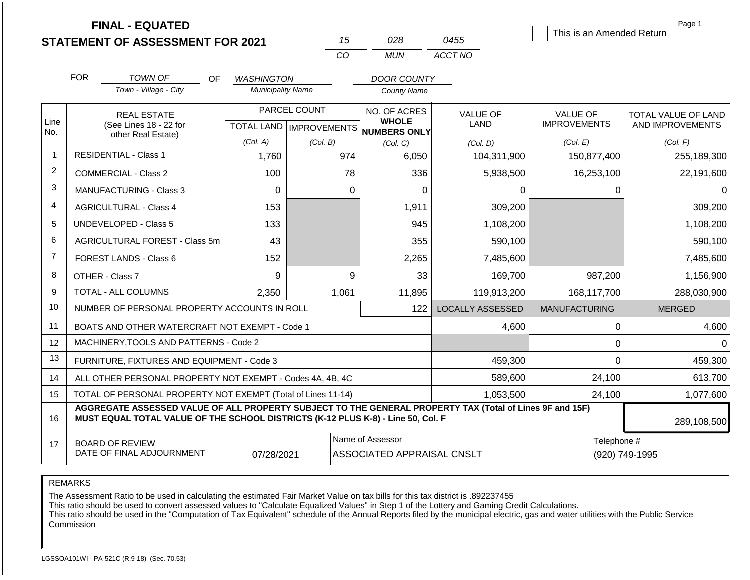|                |                                                                                                                                                                                              | <b>FINAL - EQUATED</b><br><b>STATEMENT OF ASSESSMENT FOR 2021</b> |                          |              | 15          | 028                                                                 | 0455                    | This is an Amended Return              | Page 1                                  |
|----------------|----------------------------------------------------------------------------------------------------------------------------------------------------------------------------------------------|-------------------------------------------------------------------|--------------------------|--------------|-------------|---------------------------------------------------------------------|-------------------------|----------------------------------------|-----------------------------------------|
|                |                                                                                                                                                                                              |                                                                   |                          |              | CO          | <b>MUN</b>                                                          | ACCT NO                 |                                        |                                         |
|                | <b>FOR</b>                                                                                                                                                                                   | <b>TOWN OF</b><br>OF.                                             | <b>WASHINGTON</b>        |              |             | <b>DOOR COUNTY</b>                                                  |                         |                                        |                                         |
|                |                                                                                                                                                                                              | Town - Village - City                                             | <b>Municipality Name</b> |              |             | <b>County Name</b>                                                  |                         |                                        |                                         |
| Line<br>No.    | <b>REAL ESTATE</b><br>(See Lines 18 - 22 for                                                                                                                                                 |                                                                   |                          | PARCEL COUNT |             | NO. OF ACRES<br><b>WHOLE</b><br>TOTAL LAND MPROVEMENTS NUMBERS ONLY | <b>VALUE OF</b><br>LAND | <b>VALUE OF</b><br><b>IMPROVEMENTS</b> | TOTAL VALUE OF LAND<br>AND IMPROVEMENTS |
|                |                                                                                                                                                                                              | other Real Estate)                                                | (Col. A)                 | (Col. B)     |             | (Col, C)                                                            | (Col. D)                | (Col. E)                               | (Col. F)                                |
| $\overline{1}$ | <b>RESIDENTIAL - Class 1</b>                                                                                                                                                                 |                                                                   | 1,760                    |              | 974         | 6,050                                                               | 104,311,900             | 150,877,400                            | 255,189,300                             |
| 2              |                                                                                                                                                                                              | <b>COMMERCIAL - Class 2</b>                                       | 100                      |              | 78          | 336                                                                 | 5,938,500               | 16,253,100                             | 22,191,600                              |
| 3              |                                                                                                                                                                                              | <b>MANUFACTURING - Class 3</b>                                    | $\mathbf 0$              |              | $\mathbf 0$ | 0                                                                   | 0                       | 0                                      | 0                                       |
| $\overline{4}$ |                                                                                                                                                                                              | <b>AGRICULTURAL - Class 4</b>                                     | 153                      |              |             | 1,911                                                               | 309,200                 |                                        | 309,200                                 |
| 5              |                                                                                                                                                                                              | UNDEVELOPED - Class 5                                             | 133                      |              |             | 945                                                                 | 1,108,200               |                                        | 1,108,200                               |
| 6              |                                                                                                                                                                                              | AGRICULTURAL FOREST - Class 5m                                    | 43                       |              |             | 355<br>590,100                                                      |                         |                                        | 590,100                                 |
| $\overline{7}$ |                                                                                                                                                                                              | <b>FOREST LANDS - Class 6</b>                                     | 152                      |              |             | 2,265                                                               | 7,485,600               |                                        | 7,485,600                               |
| 8              |                                                                                                                                                                                              | OTHER - Class 7                                                   | 9                        |              | 9           | 33                                                                  | 169,700                 | 987,200                                | 1,156,900                               |
| 9              |                                                                                                                                                                                              | <b>TOTAL - ALL COLUMNS</b>                                        | 2,350                    |              | 1,061       | 11,895                                                              | 119,913,200             | 168,117,700                            | 288,030,900                             |
| 10             |                                                                                                                                                                                              | NUMBER OF PERSONAL PROPERTY ACCOUNTS IN ROLL                      |                          |              |             | 122                                                                 | <b>LOCALLY ASSESSED</b> | <b>MANUFACTURING</b>                   | <b>MERGED</b>                           |
| 11             |                                                                                                                                                                                              | BOATS AND OTHER WATERCRAFT NOT EXEMPT - Code 1                    |                          |              |             |                                                                     | 4,600                   | $\mathbf 0$                            | 4,600                                   |
| 12             |                                                                                                                                                                                              | MACHINERY, TOOLS AND PATTERNS - Code 2                            |                          |              |             |                                                                     |                         | $\mathbf 0$                            | $\Omega$                                |
| 13             |                                                                                                                                                                                              | FURNITURE, FIXTURES AND EQUIPMENT - Code 3                        |                          |              |             |                                                                     | 459,300                 | $\mathbf 0$                            | 459,300                                 |
| 14             |                                                                                                                                                                                              | ALL OTHER PERSONAL PROPERTY NOT EXEMPT - Codes 4A, 4B, 4C         |                          |              |             |                                                                     | 589,600                 | 24,100                                 | 613,700                                 |
| 15             |                                                                                                                                                                                              | TOTAL OF PERSONAL PROPERTY NOT EXEMPT (Total of Lines 11-14)      |                          |              | 1,053,500   |                                                                     |                         | 24,100                                 | 1,077,600                               |
| 16             | AGGREGATE ASSESSED VALUE OF ALL PROPERTY SUBJECT TO THE GENERAL PROPERTY TAX (Total of Lines 9F and 15F)<br>MUST EQUAL TOTAL VALUE OF THE SCHOOL DISTRICTS (K-12 PLUS K-8) - Line 50, Col. F |                                                                   |                          |              |             |                                                                     |                         |                                        | 289,108,500                             |
| 17             | <b>BOARD OF REVIEW</b><br>DATE OF FINAL ADJOURNMENT<br>07/28/2021                                                                                                                            |                                                                   |                          |              |             | Name of Assessor<br>ASSOCIATED APPRAISAL CNSLT                      |                         |                                        | Telephone #<br>(920) 749-1995           |

The Assessment Ratio to be used in calculating the estimated Fair Market Value on tax bills for this tax district is .892237455

This ratio should be used to convert assessed values to "Calculate Equalized Values" in Step 1 of the Lottery and Gaming Credit Calculations.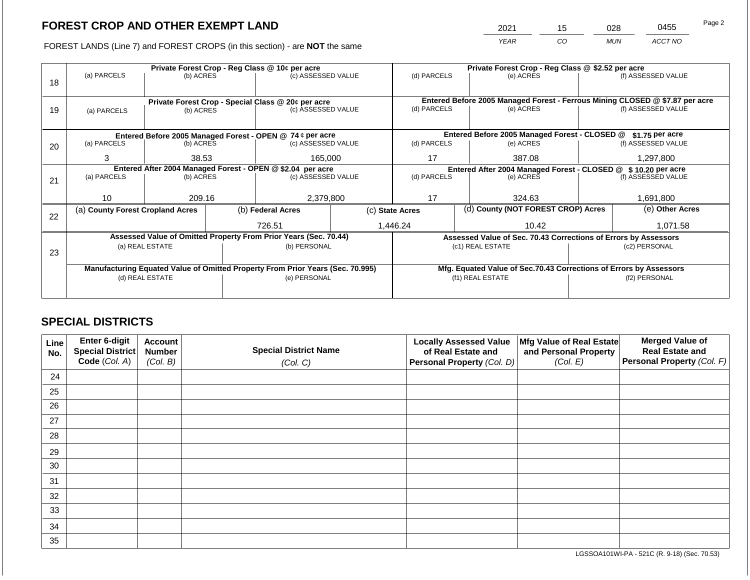2021 15 028 0455 Page 2

FOREST LANDS (Line 7) and FOREST CROPS (in this section) - are **NOT** the same *YEAR CO MUN ACCT NO*

|    |                                                                                |           |                                                           | Private Forest Crop - Reg Class @ 10¢ per acre                   |                 | Private Forest Crop - Reg Class @ \$2.52 per acre |                                               |                                                                    |                  |                                                                              |
|----|--------------------------------------------------------------------------------|-----------|-----------------------------------------------------------|------------------------------------------------------------------|-----------------|---------------------------------------------------|-----------------------------------------------|--------------------------------------------------------------------|------------------|------------------------------------------------------------------------------|
|    | (a) PARCELS                                                                    | (b) ACRES |                                                           | (c) ASSESSED VALUE                                               |                 | (d) PARCELS                                       |                                               | (e) ACRES                                                          |                  | (f) ASSESSED VALUE                                                           |
| 18 |                                                                                |           |                                                           |                                                                  |                 |                                                   |                                               |                                                                    |                  |                                                                              |
|    |                                                                                |           |                                                           |                                                                  |                 |                                                   |                                               |                                                                    |                  |                                                                              |
|    |                                                                                |           |                                                           | Private Forest Crop - Special Class @ 20¢ per acre               |                 |                                                   |                                               |                                                                    |                  | Entered Before 2005 Managed Forest - Ferrous Mining CLOSED @ \$7.87 per acre |
| 19 | (a) PARCELS                                                                    | (b) ACRES |                                                           | (c) ASSESSED VALUE                                               |                 | (d) PARCELS                                       |                                               | (e) ACRES                                                          |                  | (f) ASSESSED VALUE                                                           |
|    |                                                                                |           |                                                           |                                                                  |                 |                                                   |                                               |                                                                    |                  |                                                                              |
|    |                                                                                |           | Entered Before 2005 Managed Forest - OPEN @ 74 ¢ per acre |                                                                  |                 |                                                   | Entered Before 2005 Managed Forest - CLOSED @ |                                                                    | $$1.75$ per acre |                                                                              |
| 20 | (a) PARCELS                                                                    | (b) ACRES |                                                           | (c) ASSESSED VALUE                                               |                 | (d) PARCELS                                       |                                               | (e) ACRES                                                          |                  | (f) ASSESSED VALUE                                                           |
|    |                                                                                |           |                                                           |                                                                  |                 |                                                   |                                               |                                                                    |                  |                                                                              |
|    | 3                                                                              | 38.53     |                                                           | 165,000                                                          |                 | 17                                                |                                               | 387.08                                                             |                  | 1,297,800                                                                    |
|    | Entered After 2004 Managed Forest - OPEN @ \$2.04 per acre                     |           |                                                           |                                                                  |                 | Entered After 2004 Managed Forest - CLOSED @      |                                               |                                                                    | \$10.20 per acre |                                                                              |
| 21 | (a) PARCELS                                                                    | (b) ACRES |                                                           | (c) ASSESSED VALUE                                               |                 | (d) PARCELS                                       |                                               | (e) ACRES                                                          |                  | (f) ASSESSED VALUE                                                           |
|    |                                                                                |           |                                                           |                                                                  |                 |                                                   |                                               |                                                                    |                  |                                                                              |
|    | 10 <sup>1</sup>                                                                | 209.16    |                                                           | 2,379,800                                                        |                 | 17                                                |                                               | 324.63                                                             |                  | 1,691,800                                                                    |
|    | (a) County Forest Cropland Acres                                               |           |                                                           | (b) Federal Acres                                                | (c) State Acres |                                                   |                                               | (d) County (NOT FOREST CROP) Acres                                 |                  | (e) Other Acres                                                              |
| 22 |                                                                                |           |                                                           |                                                                  |                 |                                                   |                                               |                                                                    |                  |                                                                              |
|    |                                                                                |           |                                                           | 726.51                                                           |                 | 1,446.24                                          |                                               | 10.42                                                              |                  | 1,071.58                                                                     |
|    |                                                                                |           |                                                           | Assessed Value of Omitted Property From Prior Years (Sec. 70.44) |                 |                                                   |                                               | Assessed Value of Sec. 70.43 Corrections of Errors by Assessors    |                  |                                                                              |
|    | (a) REAL ESTATE                                                                |           |                                                           | (b) PERSONAL                                                     |                 |                                                   |                                               | (c1) REAL ESTATE                                                   | (c2) PERSONAL    |                                                                              |
| 23 |                                                                                |           |                                                           |                                                                  |                 |                                                   |                                               |                                                                    |                  |                                                                              |
|    | Manufacturing Equated Value of Omitted Property From Prior Years (Sec. 70.995) |           |                                                           |                                                                  |                 |                                                   |                                               | Mfg. Equated Value of Sec.70.43 Corrections of Errors by Assessors |                  |                                                                              |
|    | (d) REAL ESTATE                                                                |           |                                                           | (e) PERSONAL                                                     |                 | (f1) REAL ESTATE                                  |                                               |                                                                    | (f2) PERSONAL    |                                                                              |
|    |                                                                                |           |                                                           |                                                                  |                 |                                                   |                                               |                                                                    |                  |                                                                              |
|    |                                                                                |           |                                                           |                                                                  |                 |                                                   |                                               |                                                                    |                  |                                                                              |

## **SPECIAL DISTRICTS**

| Line<br>No. | <b>Enter 6-digit</b><br>Special District | <b>Account</b><br><b>Number</b> | <b>Special District Name</b> | <b>Locally Assessed Value</b><br>of Real Estate and | Mfg Value of Real Estate<br>and Personal Property | <b>Merged Value of</b><br><b>Real Estate and</b> |
|-------------|------------------------------------------|---------------------------------|------------------------------|-----------------------------------------------------|---------------------------------------------------|--------------------------------------------------|
|             | Code (Col. A)                            | (Col. B)                        | (Col. C)                     | Personal Property (Col. D)                          | (Col. E)                                          | Personal Property (Col. F)                       |
| 24          |                                          |                                 |                              |                                                     |                                                   |                                                  |
| 25          |                                          |                                 |                              |                                                     |                                                   |                                                  |
| 26          |                                          |                                 |                              |                                                     |                                                   |                                                  |
| 27          |                                          |                                 |                              |                                                     |                                                   |                                                  |
| 28          |                                          |                                 |                              |                                                     |                                                   |                                                  |
| 29          |                                          |                                 |                              |                                                     |                                                   |                                                  |
| 30          |                                          |                                 |                              |                                                     |                                                   |                                                  |
| 31          |                                          |                                 |                              |                                                     |                                                   |                                                  |
| 32          |                                          |                                 |                              |                                                     |                                                   |                                                  |
| 33          |                                          |                                 |                              |                                                     |                                                   |                                                  |
| 34          |                                          |                                 |                              |                                                     |                                                   |                                                  |
| 35          |                                          |                                 |                              |                                                     |                                                   |                                                  |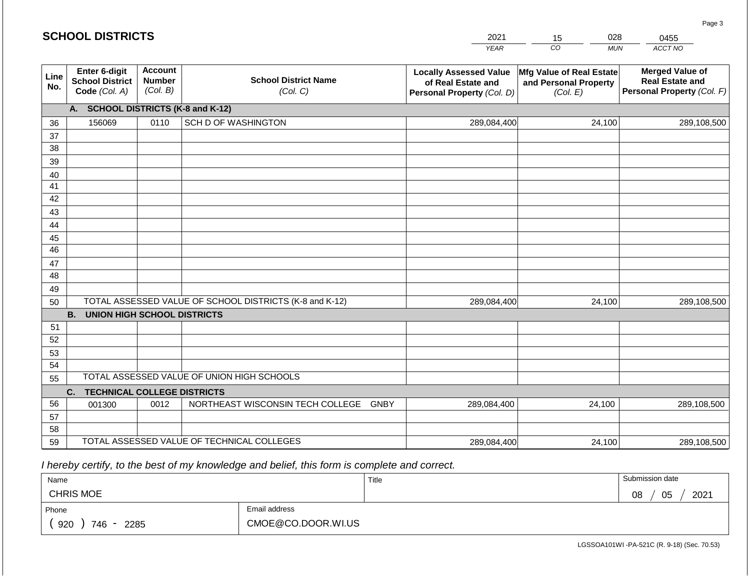|             | <b>SCHOOL DISTRICTS</b>                                  |                                             |                                                         | 2021                                                                              | 028<br>15                                                     | 0455                                                                           |
|-------------|----------------------------------------------------------|---------------------------------------------|---------------------------------------------------------|-----------------------------------------------------------------------------------|---------------------------------------------------------------|--------------------------------------------------------------------------------|
|             |                                                          |                                             |                                                         | <b>YEAR</b>                                                                       | CO<br><b>MUN</b>                                              | ACCT NO                                                                        |
| Line<br>No. | Enter 6-digit<br><b>School District</b><br>Code (Col. A) | <b>Account</b><br><b>Number</b><br>(Col. B) | <b>School District Name</b><br>(Col. C)                 | <b>Locally Assessed Value</b><br>of Real Estate and<br>Personal Property (Col. D) | Mfg Value of Real Estate<br>and Personal Property<br>(Col. E) | <b>Merged Value of</b><br><b>Real Estate and</b><br>Personal Property (Col. F) |
|             | A. SCHOOL DISTRICTS (K-8 and K-12)                       |                                             |                                                         |                                                                                   |                                                               |                                                                                |
| 36          | 156069                                                   | 0110                                        | SCH D OF WASHINGTON                                     | 289,084,400                                                                       | 24,100                                                        | 289,108,500                                                                    |
| 37          |                                                          |                                             |                                                         |                                                                                   |                                                               |                                                                                |
| 38          |                                                          |                                             |                                                         |                                                                                   |                                                               |                                                                                |
| 39          |                                                          |                                             |                                                         |                                                                                   |                                                               |                                                                                |
| 40<br>41    |                                                          |                                             |                                                         |                                                                                   |                                                               |                                                                                |
| 42          |                                                          |                                             |                                                         |                                                                                   |                                                               |                                                                                |
| 43          |                                                          |                                             |                                                         |                                                                                   |                                                               |                                                                                |
| 44          |                                                          |                                             |                                                         |                                                                                   |                                                               |                                                                                |
| 45          |                                                          |                                             |                                                         |                                                                                   |                                                               |                                                                                |
| 46          |                                                          |                                             |                                                         |                                                                                   |                                                               |                                                                                |
| 47          |                                                          |                                             |                                                         |                                                                                   |                                                               |                                                                                |
| 48          |                                                          |                                             |                                                         |                                                                                   |                                                               |                                                                                |
| 49<br>50    |                                                          |                                             | TOTAL ASSESSED VALUE OF SCHOOL DISTRICTS (K-8 and K-12) | 289,084,400                                                                       | 24,100                                                        | 289,108,500                                                                    |
|             | <b>B. UNION HIGH SCHOOL DISTRICTS</b>                    |                                             |                                                         |                                                                                   |                                                               |                                                                                |
| 51          |                                                          |                                             |                                                         |                                                                                   |                                                               |                                                                                |
| 52          |                                                          |                                             |                                                         |                                                                                   |                                                               |                                                                                |
| 53          |                                                          |                                             |                                                         |                                                                                   |                                                               |                                                                                |
| 54          |                                                          |                                             |                                                         |                                                                                   |                                                               |                                                                                |
| 55          |                                                          |                                             | TOTAL ASSESSED VALUE OF UNION HIGH SCHOOLS              |                                                                                   |                                                               |                                                                                |
|             | <b>TECHNICAL COLLEGE DISTRICTS</b><br>C.                 |                                             |                                                         |                                                                                   |                                                               |                                                                                |
| 56<br>57    | 001300                                                   | 0012                                        | NORTHEAST WISCONSIN TECH COLLEGE GNBY                   | 289,084,400                                                                       | 24,100                                                        | 289,108,500                                                                    |
| 58          |                                                          |                                             |                                                         |                                                                                   |                                                               |                                                                                |
| 59          |                                                          |                                             | TOTAL ASSESSED VALUE OF TECHNICAL COLLEGES              | 289,084,400                                                                       | 24,100                                                        | 289,108,500                                                                    |

 *I hereby certify, to the best of my knowledge and belief, this form is complete and correct.*

| Name               |                    | Title | Submission date  |
|--------------------|--------------------|-------|------------------|
| <b>CHRIS MOE</b>   |                    |       | 2021<br>05<br>08 |
| Phone              | Email address      |       |                  |
| 920<br>746<br>2285 | CMOE@CO.DOOR.WI.US |       |                  |

Page 3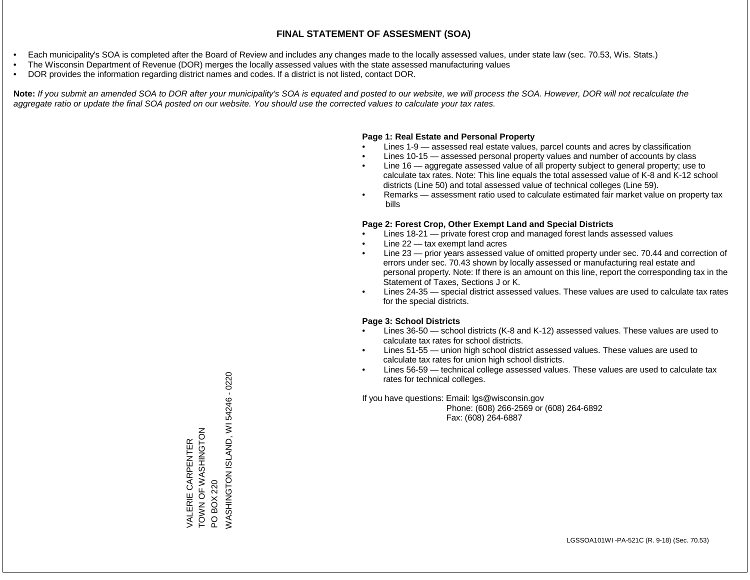- Each municipality's SOA is completed after the Board of Review and includes any changes made to the locally assessed values, under state law (sec. 70.53, Wis. Stats.)
- The Wisconsin Department of Revenue (DOR) merges the locally assessed values with the state assessed manufacturing values
- DOR provides the information regarding district names and codes. If a district is not listed, contact DOR.

Note: If you submit an amended SOA to DOR after your municipality's SOA is equated and posted to our website, we will process the SOA. However, DOR will not recalculate the *aggregate ratio or update the final SOA posted on our website. You should use the corrected values to calculate your tax rates.*

### **Page 1: Real Estate and Personal Property**

- Lines 1-9 assessed real estate values, parcel counts and acres by classification
- Lines 10-15 assessed personal property values and number of accounts by class
- Line 16 aggregate assessed value of all property subject to general property; use to calculate tax rates. Note: This line equals the total assessed value of K-8 and K-12 school districts (Line 50) and total assessed value of technical colleges (Line 59).
- Remarks assessment ratio used to calculate estimated fair market value on property tax bills

### **Page 2: Forest Crop, Other Exempt Land and Special Districts**

- Lines 18-21 private forest crop and managed forest lands assessed values
- Line  $22 -$  tax exempt land acres
- Line 23 prior years assessed value of omitted property under sec. 70.44 and correction of errors under sec. 70.43 shown by locally assessed or manufacturing real estate and personal property. Note: If there is an amount on this line, report the corresponding tax in the Statement of Taxes, Sections J or K.
- Lines 24-35 special district assessed values. These values are used to calculate tax rates for the special districts.

### **Page 3: School Districts**

- Lines 36-50 school districts (K-8 and K-12) assessed values. These values are used to calculate tax rates for school districts.
- Lines 51-55 union high school district assessed values. These values are used to calculate tax rates for union high school districts.
- Lines 56-59 technical college assessed values. These values are used to calculate tax rates for technical colleges.

If you have questions: Email: lgs@wisconsin.gov

 Phone: (608) 266-2569 or (608) 264-6892 Fax: (608) 264-6887

/VASHINGTON ISLAND, WI 54246 - 0220 0220 - 04246 INGHAND, WI 50220 ZOLUNIHSY N LO N NOL VALERIE CARPENTER<br>TOWN OF WASHINGTON VALERIE CARPENTER PO BOX 220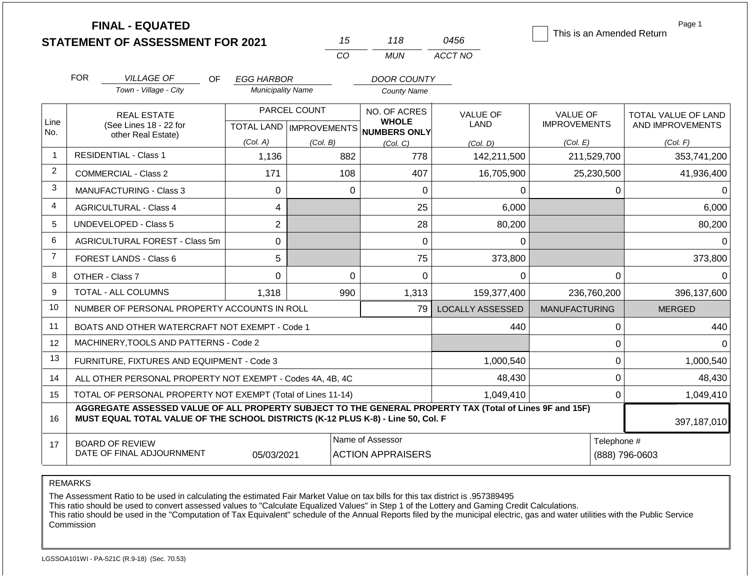|                | <b>FINAL - EQUATED</b><br><b>STATEMENT OF ASSESSMENT FOR 2021</b>                                                                                                                            |                          | 15                                        | 118                                                 | 0456                    | This is an Amended Return              | Page 1                                         |
|----------------|----------------------------------------------------------------------------------------------------------------------------------------------------------------------------------------------|--------------------------|-------------------------------------------|-----------------------------------------------------|-------------------------|----------------------------------------|------------------------------------------------|
|                |                                                                                                                                                                                              |                          | CO                                        | <b>MUN</b>                                          | ACCT NO                 |                                        |                                                |
|                | <b>FOR</b><br><b>VILLAGE OF</b><br>OF.                                                                                                                                                       | <b>EGG HARBOR</b>        |                                           | <b>DOOR COUNTY</b>                                  |                         |                                        |                                                |
|                | Town - Village - City                                                                                                                                                                        | <b>Municipality Name</b> |                                           | <b>County Name</b>                                  |                         |                                        |                                                |
| Line<br>No.    | <b>REAL ESTATE</b><br>(See Lines 18 - 22 for                                                                                                                                                 |                          | PARCEL COUNT<br>TOTAL LAND   IMPROVEMENTS | NO. OF ACRES<br><b>WHOLE</b><br><b>NUMBERS ONLY</b> | <b>VALUE OF</b><br>LAND | <b>VALUE OF</b><br><b>IMPROVEMENTS</b> | <b>TOTAL VALUE OF LAND</b><br>AND IMPROVEMENTS |
|                | other Real Estate)                                                                                                                                                                           | (Col. A)                 | (Col. B)                                  | (Col, C)                                            | (Col. D)                | (Col. E)                               | (Col. F)                                       |
| $\overline{1}$ | <b>RESIDENTIAL - Class 1</b>                                                                                                                                                                 | 1,136                    | 882                                       | 778                                                 | 142,211,500             | 211,529,700                            | 353,741,200                                    |
| 2              | <b>COMMERCIAL - Class 2</b>                                                                                                                                                                  | 171                      | 108                                       | 407                                                 | 16,705,900              | 25,230,500                             | 41,936,400                                     |
| 3              | MANUFACTURING - Class 3                                                                                                                                                                      | $\overline{0}$           | $\Omega$                                  | 0                                                   | 0                       | $\mathbf{0}$                           | $\Omega$                                       |
| 4              | <b>AGRICULTURAL - Class 4</b>                                                                                                                                                                | 4                        |                                           | 25                                                  | 6,000                   |                                        | 6,000                                          |
| 5              | UNDEVELOPED - Class 5                                                                                                                                                                        | $\overline{2}$           |                                           | 28                                                  | 80,200                  |                                        | 80,200                                         |
| 6              | AGRICULTURAL FOREST - Class 5m                                                                                                                                                               | 0                        |                                           | 0                                                   | 0                       |                                        | $\Omega$                                       |
| $\overline{7}$ | <b>FOREST LANDS - Class 6</b>                                                                                                                                                                | 5                        |                                           | 75                                                  | 373,800                 |                                        | 373,800                                        |
| 8              | OTHER - Class 7                                                                                                                                                                              | $\Omega$                 | $\Omega$                                  | $\Omega$                                            | $\Omega$                | $\Omega$                               | $\Omega$                                       |
| 9              | <b>TOTAL - ALL COLUMNS</b>                                                                                                                                                                   | 1.318                    | 990                                       | 1,313                                               | 159,377,400             | 236,760,200                            | 396,137,600                                    |
| 10             | NUMBER OF PERSONAL PROPERTY ACCOUNTS IN ROLL                                                                                                                                                 |                          |                                           | 79                                                  | <b>LOCALLY ASSESSED</b> | <b>MANUFACTURING</b>                   | <b>MERGED</b>                                  |
| 11             | BOATS AND OTHER WATERCRAFT NOT EXEMPT - Code 1                                                                                                                                               |                          |                                           |                                                     | 440                     | 0                                      | 440                                            |
| 12             | MACHINERY, TOOLS AND PATTERNS - Code 2                                                                                                                                                       |                          |                                           |                                                     |                         | 0                                      | $\Omega$                                       |
| 13             | FURNITURE, FIXTURES AND EQUIPMENT - Code 3                                                                                                                                                   |                          |                                           |                                                     | 1,000,540               | 0                                      | 1,000,540                                      |
| 14             | ALL OTHER PERSONAL PROPERTY NOT EXEMPT - Codes 4A, 4B, 4C                                                                                                                                    |                          | 48,430                                    |                                                     | $\mathbf 0$             | 48,430                                 |                                                |
| 15             | TOTAL OF PERSONAL PROPERTY NOT EXEMPT (Total of Lines 11-14)                                                                                                                                 |                          | 1,049,410                                 |                                                     | $\mathbf 0$             | 1,049,410                              |                                                |
| 16             | AGGREGATE ASSESSED VALUE OF ALL PROPERTY SUBJECT TO THE GENERAL PROPERTY TAX (Total of Lines 9F and 15F)<br>MUST EQUAL TOTAL VALUE OF THE SCHOOL DISTRICTS (K-12 PLUS K-8) - Line 50, Col. F |                          |                                           |                                                     |                         |                                        | 397,187,010                                    |
| 17             | <b>BOARD OF REVIEW</b><br>DATE OF FINAL ADJOURNMENT                                                                                                                                          | 05/03/2021               |                                           | Name of Assessor<br><b>ACTION APPRAISERS</b>        |                         | Telephone #                            | (888) 796-0603                                 |

The Assessment Ratio to be used in calculating the estimated Fair Market Value on tax bills for this tax district is .957389495

This ratio should be used to convert assessed values to "Calculate Equalized Values" in Step 1 of the Lottery and Gaming Credit Calculations.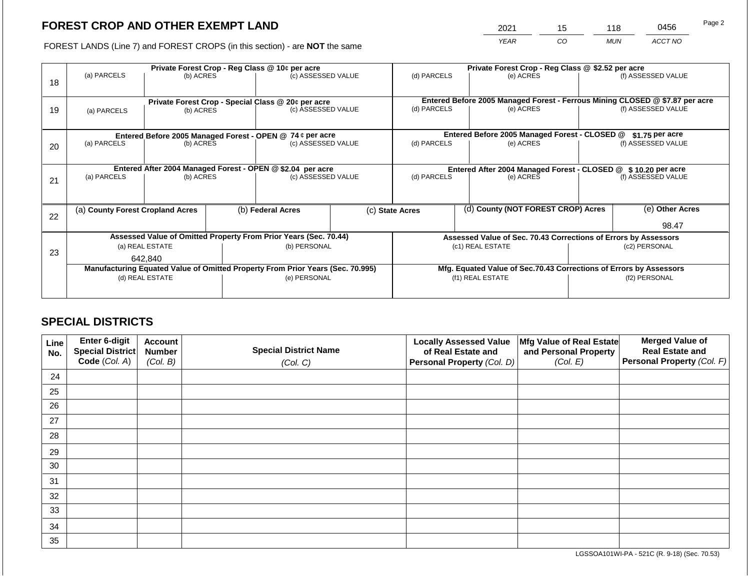2021 15 118 0456

FOREST LANDS (Line 7) and FOREST CROPS (in this section) - are **NOT** the same *YEAR CO MUN ACCT NO*

|    | Private Forest Crop - Reg Class @ 10¢ per acre             |                 |  |                                                                                | Private Forest Crop - Reg Class @ \$2.52 per acre |                                                                    |  |                                                                              |               |                    |
|----|------------------------------------------------------------|-----------------|--|--------------------------------------------------------------------------------|---------------------------------------------------|--------------------------------------------------------------------|--|------------------------------------------------------------------------------|---------------|--------------------|
| 18 | (a) PARCELS                                                | (b) ACRES       |  | (c) ASSESSED VALUE                                                             |                                                   | (d) PARCELS                                                        |  | (e) ACRES                                                                    |               | (f) ASSESSED VALUE |
|    |                                                            |                 |  | Private Forest Crop - Special Class @ 20¢ per acre                             |                                                   |                                                                    |  | Entered Before 2005 Managed Forest - Ferrous Mining CLOSED @ \$7.87 per acre |               |                    |
| 19 | (a) PARCELS                                                | (b) ACRES       |  | (c) ASSESSED VALUE                                                             |                                                   | (d) PARCELS                                                        |  | (e) ACRES                                                                    |               | (f) ASSESSED VALUE |
|    |                                                            |                 |  |                                                                                |                                                   |                                                                    |  |                                                                              |               |                    |
|    |                                                            |                 |  | Entered Before 2005 Managed Forest - OPEN @ 74 ¢ per acre                      |                                                   |                                                                    |  | Entered Before 2005 Managed Forest - CLOSED @                                |               | $$1.75$ per acre   |
| 20 | (a) PARCELS                                                | (b) ACRES       |  | (c) ASSESSED VALUE                                                             |                                                   | (d) PARCELS                                                        |  | (e) ACRES                                                                    |               | (f) ASSESSED VALUE |
|    |                                                            |                 |  |                                                                                |                                                   |                                                                    |  |                                                                              |               |                    |
|    | Entered After 2004 Managed Forest - OPEN @ \$2.04 per acre |                 |  |                                                                                |                                                   | Entered After 2004 Managed Forest - CLOSED @ \$10.20 per acre      |  |                                                                              |               |                    |
| 21 | (a) PARCELS<br>(b) ACRES                                   |                 |  | (c) ASSESSED VALUE                                                             |                                                   | (d) PARCELS                                                        |  | (e) ACRES                                                                    |               | (f) ASSESSED VALUE |
|    |                                                            |                 |  |                                                                                |                                                   |                                                                    |  |                                                                              |               |                    |
|    | (a) County Forest Cropland Acres                           |                 |  | (b) Federal Acres                                                              |                                                   | (c) State Acres                                                    |  | (d) County (NOT FOREST CROP) Acres                                           |               | (e) Other Acres    |
| 22 |                                                            |                 |  |                                                                                |                                                   |                                                                    |  |                                                                              |               | 98.47              |
|    |                                                            |                 |  |                                                                                |                                                   |                                                                    |  |                                                                              |               |                    |
|    |                                                            |                 |  | Assessed Value of Omitted Property From Prior Years (Sec. 70.44)               |                                                   | Assessed Value of Sec. 70.43 Corrections of Errors by Assessors    |  |                                                                              |               |                    |
| 23 |                                                            | (a) REAL ESTATE |  | (b) PERSONAL                                                                   |                                                   | (c1) REAL ESTATE                                                   |  |                                                                              | (c2) PERSONAL |                    |
|    |                                                            | 642.840         |  |                                                                                |                                                   |                                                                    |  |                                                                              |               |                    |
|    |                                                            |                 |  | Manufacturing Equated Value of Omitted Property From Prior Years (Sec. 70.995) |                                                   | Mfg. Equated Value of Sec.70.43 Corrections of Errors by Assessors |  |                                                                              |               |                    |
|    |                                                            | (d) REAL ESTATE |  | (e) PERSONAL                                                                   |                                                   |                                                                    |  | (f1) REAL ESTATE                                                             | (f2) PERSONAL |                    |
|    |                                                            |                 |  |                                                                                |                                                   |                                                                    |  |                                                                              |               |                    |
|    |                                                            |                 |  |                                                                                |                                                   |                                                                    |  |                                                                              |               |                    |

## **SPECIAL DISTRICTS**

| Line<br>No. | Enter 6-digit<br>Special District<br>Code (Col. A) | <b>Account</b><br><b>Number</b><br>(Col. B) | <b>Special District Name</b><br>(Col. C) | <b>Locally Assessed Value</b><br>of Real Estate and<br><b>Personal Property (Col. D)</b> | Mfg Value of Real Estate<br>and Personal Property<br>(Col. E) | <b>Merged Value of</b><br><b>Real Estate and</b><br>Personal Property (Col. F) |
|-------------|----------------------------------------------------|---------------------------------------------|------------------------------------------|------------------------------------------------------------------------------------------|---------------------------------------------------------------|--------------------------------------------------------------------------------|
| 24          |                                                    |                                             |                                          |                                                                                          |                                                               |                                                                                |
| 25          |                                                    |                                             |                                          |                                                                                          |                                                               |                                                                                |
| 26          |                                                    |                                             |                                          |                                                                                          |                                                               |                                                                                |
| 27          |                                                    |                                             |                                          |                                                                                          |                                                               |                                                                                |
| 28          |                                                    |                                             |                                          |                                                                                          |                                                               |                                                                                |
| 29          |                                                    |                                             |                                          |                                                                                          |                                                               |                                                                                |
| 30          |                                                    |                                             |                                          |                                                                                          |                                                               |                                                                                |
| 31          |                                                    |                                             |                                          |                                                                                          |                                                               |                                                                                |
| 32          |                                                    |                                             |                                          |                                                                                          |                                                               |                                                                                |
| 33          |                                                    |                                             |                                          |                                                                                          |                                                               |                                                                                |
| 34          |                                                    |                                             |                                          |                                                                                          |                                                               |                                                                                |
| 35          |                                                    |                                             |                                          |                                                                                          |                                                               |                                                                                |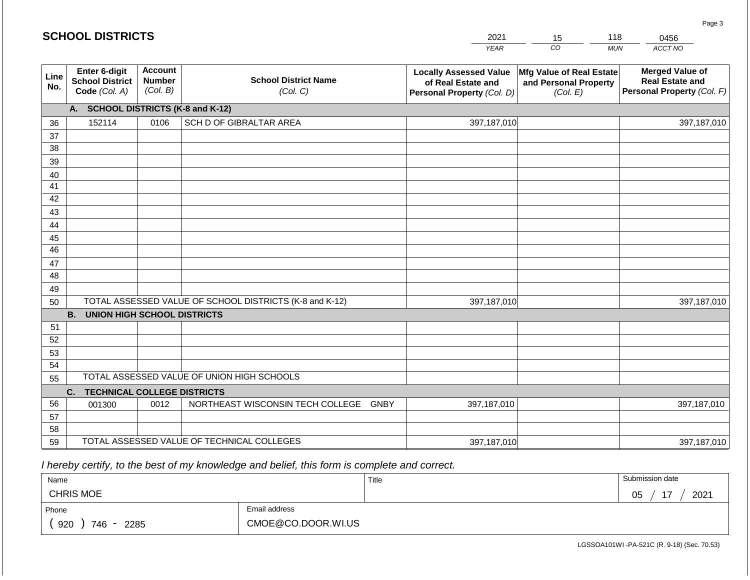#### *YEAR*  2021  $\overline{co}$ *MUN*  118 *ACCT NO*  0456 **Line No. Enter 6-digit School District Code** *(Col. A)* **Account Number** *(Col. B)* **School District Name** *(Col. C)* **Locally Assessed Value of Real Estate and Personal Property** *(Col. D)* **Mfg Value of Real Estate and Personal Property** *(Col. E)* **Merged Value of Real Estate and Personal Property** *(Col. F)* **A. SCHOOL DISTRICTS (K-8 and K-12)** 36 37 38 39 40 41 42 43 44 45 46 47 48 49 50 TOTAL ASSESSED VALUE OF SCHOOL DISTRICTS (K-8 and K-12) **B. UNION HIGH SCHOOL DISTRICTS** 51 52 53 54 55 **C. TECHNICAL COLLEGE DISTRICTS** 56 57 58 59 TOTAL ASSESSED VALUE OF TECHNICAL COLLEGES TOTAL ASSESSED VALUE OF UNION HIGH SCHOOLS 152114 0106 SCH D OF GIBRALTAR AREA 397,187,010 397,187,010 001300 | 0012 | NORTHEAST WISCONSIN TECH COLLEGE GNBY 397,187,010 397,187,010 397,187,010 397,187,010 397,187,010 397,187,010

 *I hereby certify, to the best of my knowledge and belief, this form is complete and correct.*

| Name               |                    | Title | Submission date  |
|--------------------|--------------------|-------|------------------|
| <b>CHRIS MOE</b>   |                    |       | 2021<br>17<br>05 |
| Phone              | Email address      |       |                  |
| 920<br>746<br>2285 | CMOE@CO.DOOR.WI.US |       |                  |

LGSSOA101WI -PA-521C (R. 9-18) (Sec. 70.53)

Page 3

15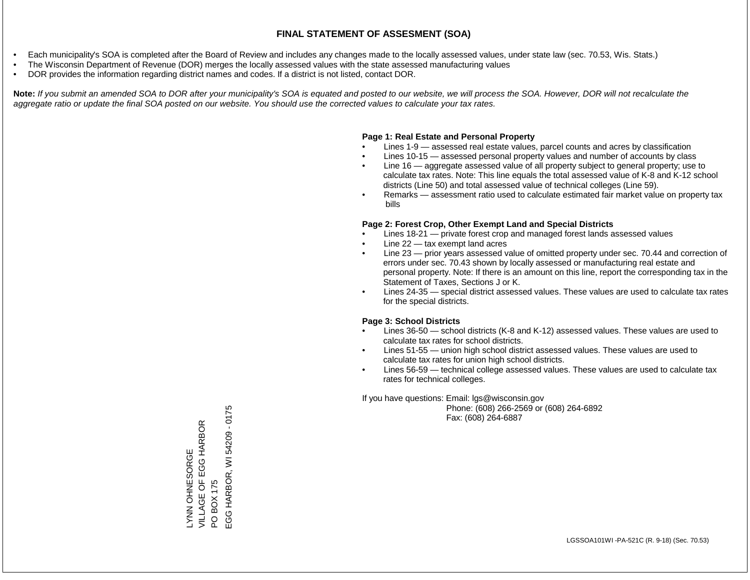- Each municipality's SOA is completed after the Board of Review and includes any changes made to the locally assessed values, under state law (sec. 70.53, Wis. Stats.)
- The Wisconsin Department of Revenue (DOR) merges the locally assessed values with the state assessed manufacturing values
- DOR provides the information regarding district names and codes. If a district is not listed, contact DOR.

Note: If you submit an amended SOA to DOR after your municipality's SOA is equated and posted to our website, we will process the SOA. However, DOR will not recalculate the *aggregate ratio or update the final SOA posted on our website. You should use the corrected values to calculate your tax rates.*

### **Page 1: Real Estate and Personal Property**

- Lines 1-9 assessed real estate values, parcel counts and acres by classification
- Lines 10-15 assessed personal property values and number of accounts by class
- Line 16 aggregate assessed value of all property subject to general property; use to calculate tax rates. Note: This line equals the total assessed value of K-8 and K-12 school districts (Line 50) and total assessed value of technical colleges (Line 59).
- Remarks assessment ratio used to calculate estimated fair market value on property tax bills

### **Page 2: Forest Crop, Other Exempt Land and Special Districts**

- Lines 18-21 private forest crop and managed forest lands assessed values
- Line  $22 -$  tax exempt land acres
- Line 23 prior years assessed value of omitted property under sec. 70.44 and correction of errors under sec. 70.43 shown by locally assessed or manufacturing real estate and personal property. Note: If there is an amount on this line, report the corresponding tax in the Statement of Taxes, Sections J or K.
- Lines 24-35 special district assessed values. These values are used to calculate tax rates for the special districts.

### **Page 3: School Districts**

- Lines 36-50 school districts (K-8 and K-12) assessed values. These values are used to calculate tax rates for school districts.
- Lines 51-55 union high school district assessed values. These values are used to calculate tax rates for union high school districts.
- Lines 56-59 technical college assessed values. These values are used to calculate tax rates for technical colleges.

If you have questions: Email: lgs@wisconsin.gov

 Phone: (608) 266-2569 or (608) 264-6892 Fax: (608) 264-6887

PO BOX 175<br>EGG HARBOR, WI 54209 - 0175 EGG HARBOR, WI 54209 - 0175VILLAGE OF EGG HARBOR LYNN OHNESORGE<br>VILLAGE OF EGG HARBOR LYNN OHNESORGE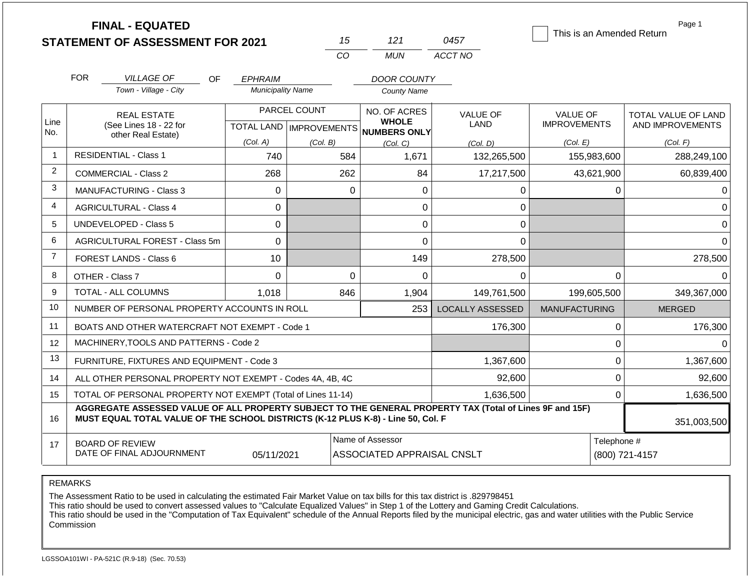|                | <b>FINAL - EQUATED</b>                                                                                                                                                                       |                          |                                           |                                                |                                | This is an Amended Return              | Page 1                                  |
|----------------|----------------------------------------------------------------------------------------------------------------------------------------------------------------------------------------------|--------------------------|-------------------------------------------|------------------------------------------------|--------------------------------|----------------------------------------|-----------------------------------------|
|                | <b>STATEMENT OF ASSESSMENT FOR 2021</b>                                                                                                                                                      |                          | 15                                        | 121                                            | 0457                           |                                        |                                         |
|                |                                                                                                                                                                                              |                          | CO                                        | <b>MUN</b>                                     | ACCT NO                        |                                        |                                         |
|                | <b>FOR</b><br><b>VILLAGE OF</b><br><b>OF</b>                                                                                                                                                 | <b>EPHRAIM</b>           |                                           | <b>DOOR COUNTY</b>                             |                                |                                        |                                         |
|                | Town - Village - City                                                                                                                                                                        | <b>Municipality Name</b> |                                           | <b>County Name</b>                             |                                |                                        |                                         |
| Line           | <b>REAL ESTATE</b><br>(See Lines 18 - 22 for                                                                                                                                                 |                          | PARCEL COUNT<br>TOTAL LAND   IMPROVEMENTS | NO. OF ACRES<br><b>WHOLE</b>                   | <b>VALUE OF</b><br><b>LAND</b> | <b>VALUE OF</b><br><b>IMPROVEMENTS</b> | TOTAL VALUE OF LAND<br>AND IMPROVEMENTS |
| No.            | other Real Estate)                                                                                                                                                                           | (Col. A)                 | (Col. B)                                  | <b>NUMBERS ONLY</b><br>(Col. C)                | (Col, D)                       | (Col. E)                               | (Col. F)                                |
| $\mathbf{1}$   | <b>RESIDENTIAL - Class 1</b>                                                                                                                                                                 | 740                      | 584                                       | 1,671                                          | 132,265,500                    | 155,983,600                            | 288,249,100                             |
| $\overline{2}$ | <b>COMMERCIAL - Class 2</b>                                                                                                                                                                  | 268                      | 262                                       | 84                                             | 17,217,500                     | 43,621,900                             | 60,839,400                              |
| 3              | <b>MANUFACTURING - Class 3</b>                                                                                                                                                               | $\mathbf 0$              | $\Omega$                                  | $\Omega$                                       | 0                              | $\Omega$                               |                                         |
| 4              | <b>AGRICULTURAL - Class 4</b>                                                                                                                                                                | 0                        |                                           | 0                                              | 0                              |                                        | 0                                       |
| 5              | <b>UNDEVELOPED - Class 5</b>                                                                                                                                                                 | 0                        |                                           | 0                                              | 0                              |                                        | $\Omega$                                |
| 6              | AGRICULTURAL FOREST - Class 5m                                                                                                                                                               | $\mathbf 0$              |                                           | $\overline{0}$                                 | 0                              |                                        | $\Omega$                                |
| $\overline{7}$ | <b>FOREST LANDS - Class 6</b>                                                                                                                                                                | 10                       |                                           | 149                                            | 278,500                        |                                        | 278,500                                 |
| 8              | OTHER - Class 7                                                                                                                                                                              | $\Omega$                 | $\Omega$                                  | 0                                              | $\Omega$                       | $\mathbf 0$                            | $\Omega$                                |
| 9              | <b>TOTAL - ALL COLUMNS</b>                                                                                                                                                                   | 1,018                    | 846                                       | 1,904                                          | 149,761,500                    | 199,605,500                            | 349,367,000                             |
| 10             | NUMBER OF PERSONAL PROPERTY ACCOUNTS IN ROLL                                                                                                                                                 |                          |                                           | 253                                            | <b>LOCALLY ASSESSED</b>        | <b>MANUFACTURING</b>                   | <b>MERGED</b>                           |
| 11             | BOATS AND OTHER WATERCRAFT NOT EXEMPT - Code 1                                                                                                                                               |                          |                                           |                                                | 176,300                        | 0                                      | 176,300                                 |
| 12             | MACHINERY, TOOLS AND PATTERNS - Code 2                                                                                                                                                       |                          |                                           |                                                |                                | $\mathbf 0$                            | $\Omega$                                |
| 13             | FURNITURE, FIXTURES AND EQUIPMENT - Code 3                                                                                                                                                   |                          |                                           |                                                | 1,367,600                      | $\mathbf 0$<br>1,367,600               |                                         |
| 14             | ALL OTHER PERSONAL PROPERTY NOT EXEMPT - Codes 4A, 4B, 4C                                                                                                                                    |                          |                                           |                                                | 92,600                         | $\mathbf 0$                            | 92,600                                  |
| 15             | TOTAL OF PERSONAL PROPERTY NOT EXEMPT (Total of Lines 11-14)                                                                                                                                 |                          |                                           | 1,636,500                                      | 0                              | 1,636,500                              |                                         |
| 16             | AGGREGATE ASSESSED VALUE OF ALL PROPERTY SUBJECT TO THE GENERAL PROPERTY TAX (Total of Lines 9F and 15F)<br>MUST EQUAL TOTAL VALUE OF THE SCHOOL DISTRICTS (K-12 PLUS K-8) - Line 50, Col. F |                          |                                           |                                                |                                |                                        |                                         |
| 17             | <b>BOARD OF REVIEW</b><br>DATE OF FINAL ADJOURNMENT                                                                                                                                          | 05/11/2021               |                                           | Name of Assessor<br>ASSOCIATED APPRAISAL CNSLT |                                |                                        | Telephone #<br>(800) 721-4157           |

The Assessment Ratio to be used in calculating the estimated Fair Market Value on tax bills for this tax district is .829798451

This ratio should be used to convert assessed values to "Calculate Equalized Values" in Step 1 of the Lottery and Gaming Credit Calculations.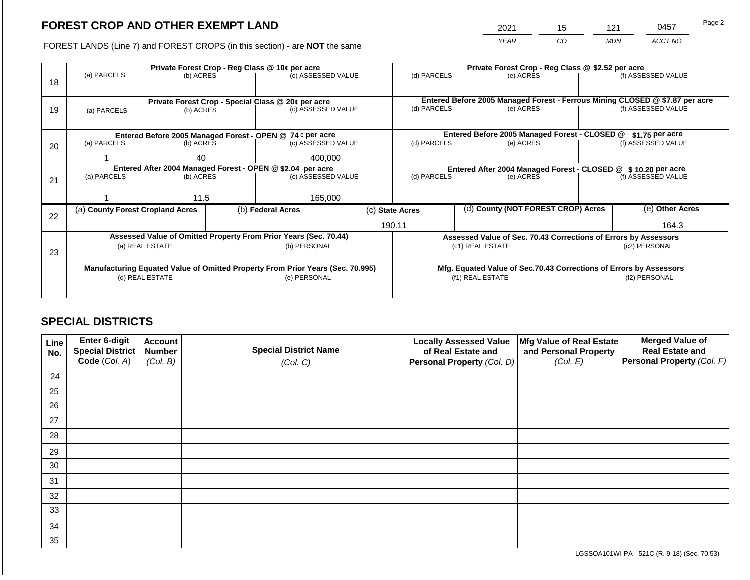2021 15 121 0457

FOREST LANDS (Line 7) and FOREST CROPS (in this section) - are **NOT** the same *YEAR CO MUN ACCT NO*

|    |                                                                                |                 |  | Private Forest Crop - Reg Class @ 10¢ per acre                           |                                                                    |                                                                 |  | Private Forest Crop - Reg Class @ \$2.52 per acre                            |                    |                    |
|----|--------------------------------------------------------------------------------|-----------------|--|--------------------------------------------------------------------------|--------------------------------------------------------------------|-----------------------------------------------------------------|--|------------------------------------------------------------------------------|--------------------|--------------------|
|    | (a) PARCELS                                                                    | (b) ACRES       |  | (c) ASSESSED VALUE                                                       |                                                                    | (d) PARCELS                                                     |  | (e) ACRES                                                                    |                    | (f) ASSESSED VALUE |
| 18 |                                                                                |                 |  |                                                                          |                                                                    |                                                                 |  |                                                                              |                    |                    |
|    |                                                                                |                 |  |                                                                          |                                                                    |                                                                 |  | Entered Before 2005 Managed Forest - Ferrous Mining CLOSED @ \$7.87 per acre |                    |                    |
|    |                                                                                |                 |  | Private Forest Crop - Special Class @ 20¢ per acre<br>(c) ASSESSED VALUE |                                                                    | (d) PARCELS                                                     |  | (e) ACRES                                                                    |                    | (f) ASSESSED VALUE |
| 19 | (a) PARCELS                                                                    | (b) ACRES       |  |                                                                          |                                                                    |                                                                 |  |                                                                              |                    |                    |
|    |                                                                                |                 |  |                                                                          |                                                                    |                                                                 |  |                                                                              |                    |                    |
|    |                                                                                |                 |  | Entered Before 2005 Managed Forest - OPEN @ 74 ¢ per acre                |                                                                    |                                                                 |  | Entered Before 2005 Managed Forest - CLOSED @                                |                    | \$1.75 per acre    |
| 20 | (a) PARCELS                                                                    | (b) ACRES       |  | (c) ASSESSED VALUE                                                       |                                                                    | (d) PARCELS                                                     |  | (e) ACRES                                                                    |                    | (f) ASSESSED VALUE |
|    |                                                                                |                 |  |                                                                          |                                                                    |                                                                 |  |                                                                              |                    |                    |
|    |                                                                                | 40              |  | 400,000                                                                  |                                                                    |                                                                 |  |                                                                              |                    |                    |
|    | Entered After 2004 Managed Forest - OPEN @ \$2.04 per acre                     |                 |  |                                                                          | Entered After 2004 Managed Forest - CLOSED @ \$ 10.20 per acre     |                                                                 |  |                                                                              | (f) ASSESSED VALUE |                    |
| 21 | (a) PARCELS                                                                    | (b) ACRES       |  | (c) ASSESSED VALUE                                                       |                                                                    | (d) PARCELS                                                     |  | (e) ACRES                                                                    |                    |                    |
|    |                                                                                |                 |  |                                                                          |                                                                    |                                                                 |  |                                                                              |                    |                    |
|    |                                                                                | 11.5            |  | 165,000                                                                  |                                                                    |                                                                 |  |                                                                              |                    |                    |
|    | (a) County Forest Cropland Acres                                               |                 |  | (b) Federal Acres                                                        |                                                                    | (c) State Acres                                                 |  | (d) County (NOT FOREST CROP) Acres                                           |                    | (e) Other Acres    |
| 22 |                                                                                |                 |  |                                                                          |                                                                    |                                                                 |  |                                                                              |                    |                    |
|    |                                                                                |                 |  |                                                                          |                                                                    | 190.11                                                          |  |                                                                              |                    | 164.3              |
|    |                                                                                |                 |  | Assessed Value of Omitted Property From Prior Years (Sec. 70.44)         |                                                                    | Assessed Value of Sec. 70.43 Corrections of Errors by Assessors |  |                                                                              |                    |                    |
|    |                                                                                | (a) REAL ESTATE |  | (b) PERSONAL                                                             |                                                                    | (c1) REAL ESTATE                                                |  |                                                                              | (c2) PERSONAL      |                    |
| 23 |                                                                                |                 |  |                                                                          |                                                                    |                                                                 |  |                                                                              |                    |                    |
|    | Manufacturing Equated Value of Omitted Property From Prior Years (Sec. 70.995) |                 |  |                                                                          | Mfg. Equated Value of Sec.70.43 Corrections of Errors by Assessors |                                                                 |  |                                                                              |                    |                    |
|    |                                                                                | (d) REAL ESTATE |  | (e) PERSONAL                                                             |                                                                    | (f1) REAL ESTATE                                                |  |                                                                              | (f2) PERSONAL      |                    |
|    |                                                                                |                 |  |                                                                          |                                                                    |                                                                 |  |                                                                              |                    |                    |
|    |                                                                                |                 |  |                                                                          |                                                                    |                                                                 |  |                                                                              |                    |                    |

## **SPECIAL DISTRICTS**

| Line<br>No. | Enter 6-digit<br>Special District<br>Code (Col. A) | <b>Account</b><br><b>Number</b><br>(Col. B) | <b>Special District Name</b><br>(Col. C) | <b>Locally Assessed Value</b><br>of Real Estate and<br><b>Personal Property (Col. D)</b> | Mfg Value of Real Estate<br>and Personal Property<br>(Col. E) | <b>Merged Value of</b><br><b>Real Estate and</b><br>Personal Property (Col. F) |
|-------------|----------------------------------------------------|---------------------------------------------|------------------------------------------|------------------------------------------------------------------------------------------|---------------------------------------------------------------|--------------------------------------------------------------------------------|
| 24          |                                                    |                                             |                                          |                                                                                          |                                                               |                                                                                |
| 25          |                                                    |                                             |                                          |                                                                                          |                                                               |                                                                                |
| 26          |                                                    |                                             |                                          |                                                                                          |                                                               |                                                                                |
| 27          |                                                    |                                             |                                          |                                                                                          |                                                               |                                                                                |
| 28          |                                                    |                                             |                                          |                                                                                          |                                                               |                                                                                |
| 29          |                                                    |                                             |                                          |                                                                                          |                                                               |                                                                                |
| 30          |                                                    |                                             |                                          |                                                                                          |                                                               |                                                                                |
| 31          |                                                    |                                             |                                          |                                                                                          |                                                               |                                                                                |
| 32          |                                                    |                                             |                                          |                                                                                          |                                                               |                                                                                |
| 33          |                                                    |                                             |                                          |                                                                                          |                                                               |                                                                                |
| 34          |                                                    |                                             |                                          |                                                                                          |                                                               |                                                                                |
| 35          |                                                    |                                             |                                          |                                                                                          |                                                               |                                                                                |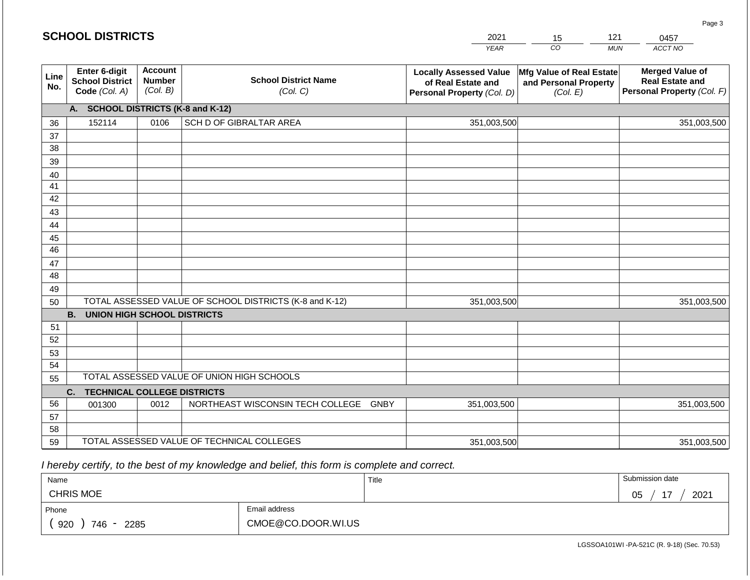#### *YEAR CO MUN ACCT NO*  0457 **Line No. Enter 6-digit School District Code** *(Col. A)* **Account Number** *(Col. B)* **School District Name** *(Col. C)* **Locally Assessed Value of Real Estate and Personal Property** *(Col. D)* **Mfg Value of Real Estate and Personal Property** *(Col. E)* **Merged Value of Real Estate and Personal Property** *(Col. F)* **A. SCHOOL DISTRICTS (K-8 and K-12)** 36 37 38 39 40 41 42 43 44 45 46 47 48 49 50 TOTAL ASSESSED VALUE OF SCHOOL DISTRICTS (K-8 and K-12) **B. UNION HIGH SCHOOL DISTRICTS** 51 52 53 54 55 **C. TECHNICAL COLLEGE DISTRICTS** 56 57 58 59 TOTAL ASSESSED VALUE OF TECHNICAL COLLEGES TOTAL ASSESSED VALUE OF UNION HIGH SCHOOLS 152114 0106 SCH D OF GIBRALTAR AREA 351,003,500 351,003,500 001300 | 0012 | NORTHEAST WISCONSIN TECH COLLEGE GNBY 351,003,500 351,003,500 351,003,500 351,003,500 351,003,500 351,003,500

 *I hereby certify, to the best of my knowledge and belief, this form is complete and correct.*

| Name               |                    | Title | Submission date  |
|--------------------|--------------------|-------|------------------|
| <b>CHRIS MOE</b>   |                    |       | 17<br>2021<br>05 |
| Phone              | Email address      |       |                  |
| 920<br>746<br>2285 | CMOE@CO.DOOR.WI.US |       |                  |

LGSSOA101WI -PA-521C (R. 9-18) (Sec. 70.53)

Page 3

| 2021        |          |              |  |
|-------------|----------|--------------|--|
| <b>VFAR</b> | $\cdots$ | <b>MI IN</b> |  |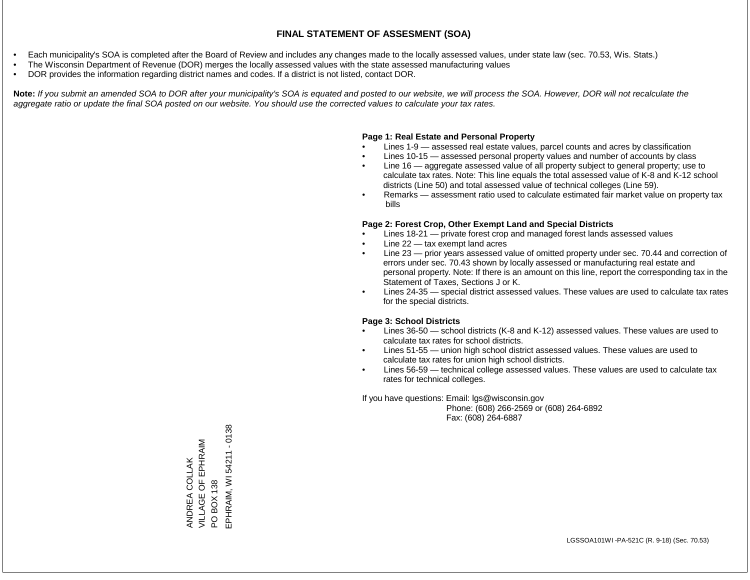- Each municipality's SOA is completed after the Board of Review and includes any changes made to the locally assessed values, under state law (sec. 70.53, Wis. Stats.)
- The Wisconsin Department of Revenue (DOR) merges the locally assessed values with the state assessed manufacturing values
- DOR provides the information regarding district names and codes. If a district is not listed, contact DOR.

Note: If you submit an amended SOA to DOR after your municipality's SOA is equated and posted to our website, we will process the SOA. However, DOR will not recalculate the *aggregate ratio or update the final SOA posted on our website. You should use the corrected values to calculate your tax rates.*

#### **Page 1: Real Estate and Personal Property**

- Lines 1-9 assessed real estate values, parcel counts and acres by classification
- Lines 10-15 assessed personal property values and number of accounts by class
- Line 16 aggregate assessed value of all property subject to general property; use to calculate tax rates. Note: This line equals the total assessed value of K-8 and K-12 school districts (Line 50) and total assessed value of technical colleges (Line 59).
- Remarks assessment ratio used to calculate estimated fair market value on property tax bills

#### **Page 2: Forest Crop, Other Exempt Land and Special Districts**

- Lines 18-21 private forest crop and managed forest lands assessed values
- Line  $22 -$  tax exempt land acres
- Line 23 prior years assessed value of omitted property under sec. 70.44 and correction of errors under sec. 70.43 shown by locally assessed or manufacturing real estate and personal property. Note: If there is an amount on this line, report the corresponding tax in the Statement of Taxes, Sections J or K.
- Lines 24-35 special district assessed values. These values are used to calculate tax rates for the special districts.

#### **Page 3: School Districts**

- Lines 36-50 school districts (K-8 and K-12) assessed values. These values are used to calculate tax rates for school districts.
- Lines 51-55 union high school district assessed values. These values are used to calculate tax rates for union high school districts.
- Lines 56-59 technical college assessed values. These values are used to calculate tax rates for technical colleges.

If you have questions: Email: lgs@wisconsin.gov

 Phone: (608) 266-2569 or (608) 264-6892 Fax: (608) 264-6887

PO BOX 138<br>EPHRAIM, WI 54211 - 0138 EPHRAIM, WI 54211 - 0138VILLAGE OF EPHRAIM ANDREA COLLAK<br>VILLAGE OF EPHRAIM ANDREA COLLAK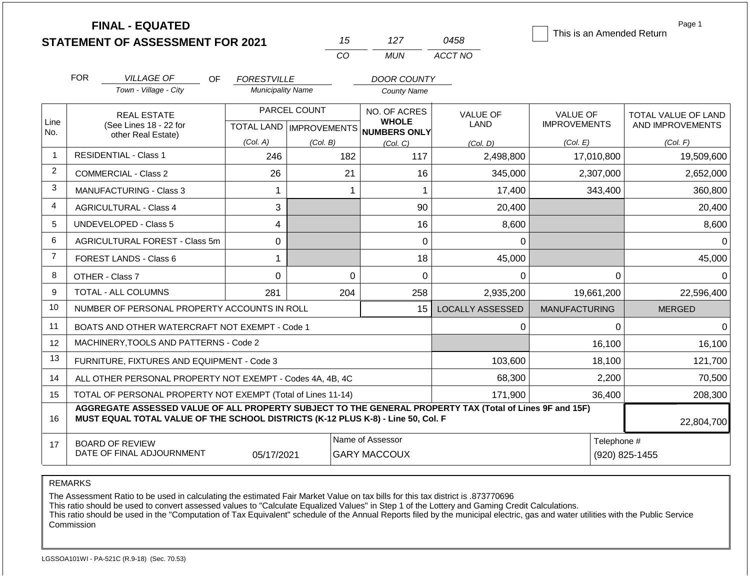|                |                                                                                                                                                                                              | <b>FINAL - EQUATED</b><br><b>STATEMENT OF ASSESSMENT FOR 2021</b> |                                                |                           | 15       | 127                                      | 0458                    | This is an Amended Return              | Page 1                                         |
|----------------|----------------------------------------------------------------------------------------------------------------------------------------------------------------------------------------------|-------------------------------------------------------------------|------------------------------------------------|---------------------------|----------|------------------------------------------|-------------------------|----------------------------------------|------------------------------------------------|
|                |                                                                                                                                                                                              |                                                                   |                                                | CO                        |          | <b>MUN</b>                               | ACCT NO                 |                                        |                                                |
|                | <b>FOR</b>                                                                                                                                                                                   |                                                                   |                                                |                           |          |                                          |                         |                                        |                                                |
|                |                                                                                                                                                                                              | <b>VILLAGE OF</b><br>OF.<br>Town - Village - City                 | <b>FORESTVILLE</b><br><b>Municipality Name</b> |                           |          | <b>DOOR COUNTY</b><br><b>County Name</b> |                         |                                        |                                                |
|                |                                                                                                                                                                                              |                                                                   |                                                |                           |          |                                          |                         |                                        |                                                |
| Line           |                                                                                                                                                                                              | <b>REAL ESTATE</b><br>(See Lines 18 - 22 for                      | PARCEL COUNT                                   |                           |          | NO. OF ACRES<br><b>WHOLE</b>             | <b>VALUE OF</b><br>LAND | <b>VALUE OF</b><br><b>IMPROVEMENTS</b> | <b>TOTAL VALUE OF LAND</b><br>AND IMPROVEMENTS |
| No.            |                                                                                                                                                                                              | other Real Estate)                                                |                                                | TOTAL LAND   IMPROVEMENTS |          | <b>NUMBERS ONLY</b>                      |                         |                                        |                                                |
| $\overline{1}$ |                                                                                                                                                                                              | <b>RESIDENTIAL - Class 1</b>                                      | (Col. A)<br>246                                | (Col. B)                  | 182      | (Col, C)<br>117                          | (Col. D)<br>2,498,800   | (Col. E)<br>17,010,800                 | (Col. F)<br>19,509,600                         |
| 2              |                                                                                                                                                                                              |                                                                   |                                                |                           |          |                                          |                         |                                        |                                                |
| 3              |                                                                                                                                                                                              | <b>COMMERCIAL - Class 2</b>                                       | 26                                             |                           | 21       | 16                                       | 345,000                 | 2,307,000                              | 2,652,000                                      |
|                |                                                                                                                                                                                              | MANUFACTURING - Class 3                                           | $\mathbf{1}$                                   |                           | 1        | 1                                        | 17,400                  | 343,400                                | 360,800                                        |
| 4              | 3<br><b>AGRICULTURAL - Class 4</b>                                                                                                                                                           |                                                                   |                                                |                           | 90       | 20,400                                   |                         | 20,400                                 |                                                |
| 5              |                                                                                                                                                                                              | UNDEVELOPED - Class 5                                             | 4                                              |                           |          | 16                                       | 8,600                   |                                        | 8,600                                          |
| 6              |                                                                                                                                                                                              | AGRICULTURAL FOREST - Class 5m                                    | 0                                              |                           |          | 0                                        | 0                       |                                        | $\Omega$                                       |
| $\overline{7}$ |                                                                                                                                                                                              | <b>FOREST LANDS - Class 6</b>                                     | 1                                              |                           |          | 18                                       | 45,000                  |                                        | 45,000                                         |
| 8              |                                                                                                                                                                                              | OTHER - Class 7                                                   | $\mathbf 0$                                    |                           | $\Omega$ | 0                                        | $\Omega$                | $\Omega$                               | $\Omega$                                       |
| 9              |                                                                                                                                                                                              | <b>TOTAL - ALL COLUMNS</b>                                        | 281                                            |                           | 204      | 258                                      | 2,935,200               | 19,661,200                             | 22,596,400                                     |
| 10             |                                                                                                                                                                                              | NUMBER OF PERSONAL PROPERTY ACCOUNTS IN ROLL                      |                                                |                           |          | 15                                       | <b>LOCALLY ASSESSED</b> | <b>MANUFACTURING</b>                   | <b>MERGED</b>                                  |
| 11             |                                                                                                                                                                                              | BOATS AND OTHER WATERCRAFT NOT EXEMPT - Code 1                    |                                                |                           |          |                                          | 0                       | $\Omega$                               | $\Omega$                                       |
| 12             |                                                                                                                                                                                              | MACHINERY, TOOLS AND PATTERNS - Code 2                            |                                                |                           |          |                                          |                         | 16,100                                 | 16,100                                         |
| 13             |                                                                                                                                                                                              | FURNITURE, FIXTURES AND EQUIPMENT - Code 3                        |                                                |                           |          |                                          | 103,600                 | 18,100                                 | 121,700                                        |
| 14             |                                                                                                                                                                                              | ALL OTHER PERSONAL PROPERTY NOT EXEMPT - Codes 4A, 4B, 4C         |                                                |                           |          |                                          | 68,300                  | 2,200                                  | 70,500                                         |
| 15             | TOTAL OF PERSONAL PROPERTY NOT EXEMPT (Total of Lines 11-14)                                                                                                                                 |                                                                   |                                                |                           |          |                                          | 171,900                 | 36,400                                 | 208,300                                        |
| 16             | AGGREGATE ASSESSED VALUE OF ALL PROPERTY SUBJECT TO THE GENERAL PROPERTY TAX (Total of Lines 9F and 15F)<br>MUST EQUAL TOTAL VALUE OF THE SCHOOL DISTRICTS (K-12 PLUS K-8) - Line 50, Col. F |                                                                   |                                                |                           |          |                                          |                         |                                        | 22,804,700                                     |
| 17             |                                                                                                                                                                                              | <b>BOARD OF REVIEW</b><br>DATE OF FINAL ADJOURNMENT               | 05/17/2021                                     |                           |          | Name of Assessor<br><b>GARY MACCOUX</b>  |                         | Telephone #                            | (920) 825-1455                                 |

The Assessment Ratio to be used in calculating the estimated Fair Market Value on tax bills for this tax district is .873770696

This ratio should be used to convert assessed values to "Calculate Equalized Values" in Step 1 of the Lottery and Gaming Credit Calculations.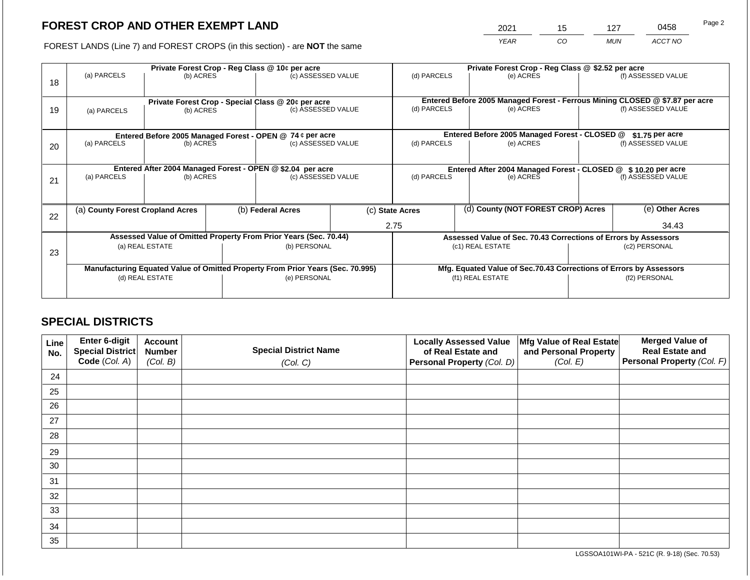2021 15 127 0458

FOREST LANDS (Line 7) and FOREST CROPS (in this section) - are **NOT** the same *YEAR CO MUN ACCT NO*

| 18 | (a) PARCELS<br>(b) ACRES         |           |  | Private Forest Crop - Reg Class @ 10¢ per acre<br>(c) ASSESSED VALUE           |      | (d) PARCELS                                                   |                                                                    | Private Forest Crop - Reg Class @ \$2.52 per acre<br>(e) ACRES  |                 | (f) ASSESSED VALUE                                                                                 |  |
|----|----------------------------------|-----------|--|--------------------------------------------------------------------------------|------|---------------------------------------------------------------|--------------------------------------------------------------------|-----------------------------------------------------------------|-----------------|----------------------------------------------------------------------------------------------------|--|
| 19 | (a) PARCELS                      | (b) ACRES |  | Private Forest Crop - Special Class @ 20¢ per acre<br>(c) ASSESSED VALUE       |      | (d) PARCELS                                                   |                                                                    | (e) ACRES                                                       |                 | Entered Before 2005 Managed Forest - Ferrous Mining CLOSED @ \$7.87 per acre<br>(f) ASSESSED VALUE |  |
|    |                                  |           |  | Entered Before 2005 Managed Forest - OPEN @ 74 ¢ per acre                      |      |                                                               |                                                                    | Entered Before 2005 Managed Forest - CLOSED @                   |                 | $$1.75$ per acre                                                                                   |  |
| 20 | (a) PARCELS                      | (b) ACRES |  | (c) ASSESSED VALUE                                                             |      | (d) PARCELS                                                   |                                                                    | (e) ACRES                                                       |                 | (f) ASSESSED VALUE                                                                                 |  |
|    |                                  |           |  | Entered After 2004 Managed Forest - OPEN @ \$2.04 per acre                     |      | Entered After 2004 Managed Forest - CLOSED @ \$10.20 per acre |                                                                    |                                                                 |                 |                                                                                                    |  |
| 21 | (a) PARCELS                      | (b) ACRES |  | (c) ASSESSED VALUE                                                             |      | (d) PARCELS                                                   |                                                                    | (e) ACRES                                                       |                 | (f) ASSESSED VALUE                                                                                 |  |
|    |                                  |           |  |                                                                                |      |                                                               |                                                                    |                                                                 |                 |                                                                                                    |  |
| 22 | (a) County Forest Cropland Acres |           |  | (b) Federal Acres                                                              |      | (d) County (NOT FOREST CROP) Acres<br>(c) State Acres         |                                                                    |                                                                 | (e) Other Acres |                                                                                                    |  |
|    |                                  |           |  |                                                                                | 2.75 |                                                               |                                                                    |                                                                 | 34.43           |                                                                                                    |  |
|    |                                  |           |  | Assessed Value of Omitted Property From Prior Years (Sec. 70.44)               |      |                                                               |                                                                    | Assessed Value of Sec. 70.43 Corrections of Errors by Assessors |                 |                                                                                                    |  |
| 23 | (a) REAL ESTATE                  |           |  | (b) PERSONAL                                                                   |      | (c1) REAL ESTATE                                              |                                                                    |                                                                 | (c2) PERSONAL   |                                                                                                    |  |
|    |                                  |           |  |                                                                                |      |                                                               |                                                                    |                                                                 |                 |                                                                                                    |  |
|    |                                  |           |  | Manufacturing Equated Value of Omitted Property From Prior Years (Sec. 70.995) |      |                                                               | Mfg. Equated Value of Sec.70.43 Corrections of Errors by Assessors |                                                                 |                 |                                                                                                    |  |
|    | (d) REAL ESTATE                  |           |  | (e) PERSONAL                                                                   |      | (f1) REAL ESTATE                                              |                                                                    |                                                                 | (f2) PERSONAL   |                                                                                                    |  |
|    |                                  |           |  |                                                                                |      |                                                               |                                                                    |                                                                 |                 |                                                                                                    |  |

## **SPECIAL DISTRICTS**

| Line<br>No. | <b>Enter 6-digit</b><br>Special District | <b>Account</b><br><b>Number</b> | <b>Special District Name</b> | <b>Locally Assessed Value</b><br>of Real Estate and | Mfg Value of Real Estate<br>and Personal Property | <b>Merged Value of</b><br><b>Real Estate and</b> |
|-------------|------------------------------------------|---------------------------------|------------------------------|-----------------------------------------------------|---------------------------------------------------|--------------------------------------------------|
|             | Code (Col. A)                            | (Col. B)                        | (Col. C)                     | Personal Property (Col. D)                          | (Col. E)                                          | <b>Personal Property (Col. F)</b>                |
| 24          |                                          |                                 |                              |                                                     |                                                   |                                                  |
| 25          |                                          |                                 |                              |                                                     |                                                   |                                                  |
| 26          |                                          |                                 |                              |                                                     |                                                   |                                                  |
| 27          |                                          |                                 |                              |                                                     |                                                   |                                                  |
| 28          |                                          |                                 |                              |                                                     |                                                   |                                                  |
| 29          |                                          |                                 |                              |                                                     |                                                   |                                                  |
| 30          |                                          |                                 |                              |                                                     |                                                   |                                                  |
| 31          |                                          |                                 |                              |                                                     |                                                   |                                                  |
| 32          |                                          |                                 |                              |                                                     |                                                   |                                                  |
| 33          |                                          |                                 |                              |                                                     |                                                   |                                                  |
| 34          |                                          |                                 |                              |                                                     |                                                   |                                                  |
| 35          |                                          |                                 |                              |                                                     |                                                   |                                                  |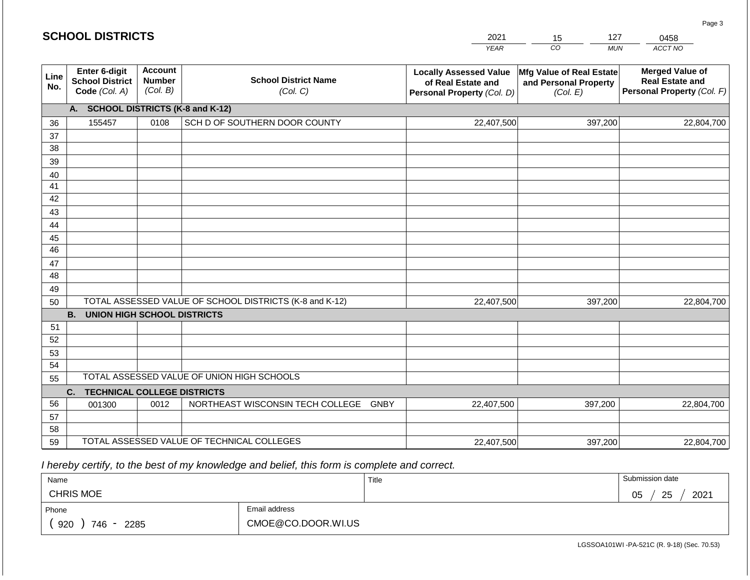|             | <b>SCHOOL DISTRICTS</b>                                  |                                             |                                                         | 2021                                                                              | 127<br>15                                                     | 0458                                                                           |
|-------------|----------------------------------------------------------|---------------------------------------------|---------------------------------------------------------|-----------------------------------------------------------------------------------|---------------------------------------------------------------|--------------------------------------------------------------------------------|
|             |                                                          |                                             |                                                         | <b>YEAR</b>                                                                       | CO<br><b>MUN</b>                                              | ACCT NO                                                                        |
| Line<br>No. | Enter 6-digit<br><b>School District</b><br>Code (Col. A) | <b>Account</b><br><b>Number</b><br>(Col. B) | <b>School District Name</b><br>(Col. C)                 | <b>Locally Assessed Value</b><br>of Real Estate and<br>Personal Property (Col. D) | Mfg Value of Real Estate<br>and Personal Property<br>(Col. E) | <b>Merged Value of</b><br><b>Real Estate and</b><br>Personal Property (Col. F) |
|             | A.                                                       |                                             | <b>SCHOOL DISTRICTS (K-8 and K-12)</b>                  |                                                                                   |                                                               |                                                                                |
| 36          | 155457                                                   | 0108                                        | SCH D OF SOUTHERN DOOR COUNTY                           | 22,407,500                                                                        | 397,200                                                       | 22,804,700                                                                     |
| 37          |                                                          |                                             |                                                         |                                                                                   |                                                               |                                                                                |
| 38          |                                                          |                                             |                                                         |                                                                                   |                                                               |                                                                                |
| 39          |                                                          |                                             |                                                         |                                                                                   |                                                               |                                                                                |
| 40          |                                                          |                                             |                                                         |                                                                                   |                                                               |                                                                                |
| 41          |                                                          |                                             |                                                         |                                                                                   |                                                               |                                                                                |
| 42          |                                                          |                                             |                                                         |                                                                                   |                                                               |                                                                                |
| 43          |                                                          |                                             |                                                         |                                                                                   |                                                               |                                                                                |
| 44<br>45    |                                                          |                                             |                                                         |                                                                                   |                                                               |                                                                                |
| 46          |                                                          |                                             |                                                         |                                                                                   |                                                               |                                                                                |
| 47          |                                                          |                                             |                                                         |                                                                                   |                                                               |                                                                                |
| 48          |                                                          |                                             |                                                         |                                                                                   |                                                               |                                                                                |
| 49          |                                                          |                                             |                                                         |                                                                                   |                                                               |                                                                                |
| 50          |                                                          |                                             | TOTAL ASSESSED VALUE OF SCHOOL DISTRICTS (K-8 and K-12) | 22,407,500                                                                        | 397,200                                                       | 22,804,700                                                                     |
|             | <b>B.</b><br><b>UNION HIGH SCHOOL DISTRICTS</b>          |                                             |                                                         |                                                                                   |                                                               |                                                                                |
| 51          |                                                          |                                             |                                                         |                                                                                   |                                                               |                                                                                |
| 52          |                                                          |                                             |                                                         |                                                                                   |                                                               |                                                                                |
| 53          |                                                          |                                             |                                                         |                                                                                   |                                                               |                                                                                |
| 54          |                                                          |                                             |                                                         |                                                                                   |                                                               |                                                                                |
| 55          |                                                          |                                             | TOTAL ASSESSED VALUE OF UNION HIGH SCHOOLS              |                                                                                   |                                                               |                                                                                |
|             | <b>TECHNICAL COLLEGE DISTRICTS</b><br>C.                 |                                             |                                                         |                                                                                   |                                                               |                                                                                |
| 56          | 001300                                                   | 0012                                        | NORTHEAST WISCONSIN TECH COLLEGE GNBY                   | 22,407,500                                                                        | 397,200                                                       | 22,804,700                                                                     |
| 57          |                                                          |                                             |                                                         |                                                                                   |                                                               |                                                                                |
| 58          |                                                          |                                             | TOTAL ASSESSED VALUE OF TECHNICAL COLLEGES              |                                                                                   |                                                               |                                                                                |
| 59          |                                                          |                                             |                                                         | 22,407,500                                                                        | 397,200                                                       | 22,804,700                                                                     |

 *I hereby certify, to the best of my knowledge and belief, this form is complete and correct.*

| Name               |                    | Title | Submission date        |
|--------------------|--------------------|-------|------------------------|
| <b>CHRIS MOE</b>   |                    |       | 2021<br>25<br>∩ҕ<br>◡◡ |
| Phone              | Email address      |       |                        |
| 920<br>746<br>2285 | CMOE@CO.DOOR.WI.US |       |                        |

LGSSOA101WI -PA-521C (R. 9-18) (Sec. 70.53)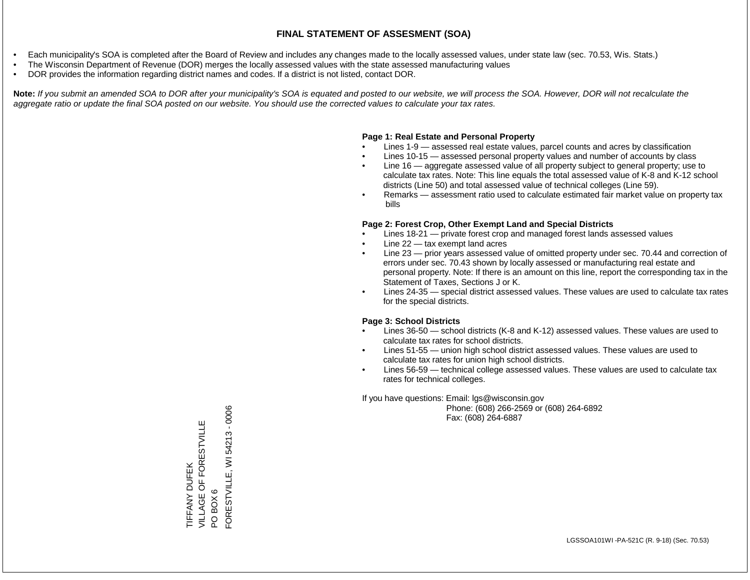- Each municipality's SOA is completed after the Board of Review and includes any changes made to the locally assessed values, under state law (sec. 70.53, Wis. Stats.)
- The Wisconsin Department of Revenue (DOR) merges the locally assessed values with the state assessed manufacturing values
- DOR provides the information regarding district names and codes. If a district is not listed, contact DOR.

Note: If you submit an amended SOA to DOR after your municipality's SOA is equated and posted to our website, we will process the SOA. However, DOR will not recalculate the *aggregate ratio or update the final SOA posted on our website. You should use the corrected values to calculate your tax rates.*

### **Page 1: Real Estate and Personal Property**

- Lines 1-9 assessed real estate values, parcel counts and acres by classification
- Lines 10-15 assessed personal property values and number of accounts by class
- Line 16 aggregate assessed value of all property subject to general property; use to calculate tax rates. Note: This line equals the total assessed value of K-8 and K-12 school districts (Line 50) and total assessed value of technical colleges (Line 59).
- Remarks assessment ratio used to calculate estimated fair market value on property tax bills

### **Page 2: Forest Crop, Other Exempt Land and Special Districts**

- Lines 18-21 private forest crop and managed forest lands assessed values
- Line  $22 -$  tax exempt land acres
- Line 23 prior years assessed value of omitted property under sec. 70.44 and correction of errors under sec. 70.43 shown by locally assessed or manufacturing real estate and personal property. Note: If there is an amount on this line, report the corresponding tax in the Statement of Taxes, Sections J or K.
- Lines 24-35 special district assessed values. These values are used to calculate tax rates for the special districts.

### **Page 3: School Districts**

- Lines 36-50 school districts (K-8 and K-12) assessed values. These values are used to calculate tax rates for school districts.
- Lines 51-55 union high school district assessed values. These values are used to calculate tax rates for union high school districts.
- Lines 56-59 technical college assessed values. These values are used to calculate tax rates for technical colleges.

If you have questions: Email: lgs@wisconsin.gov

 Phone: (608) 266-2569 or (608) 264-6892 Fax: (608) 264-6887

PO BOX 6<br>FORESTVILLE, WI 54213 - 0006 FORESTVILLE, WI 54213 - 0006VILLAGE OF FORESTVILLE TIFFANY DUFEK<br>VILLAGE OF FORESTVILLE TIFFANY DUFEK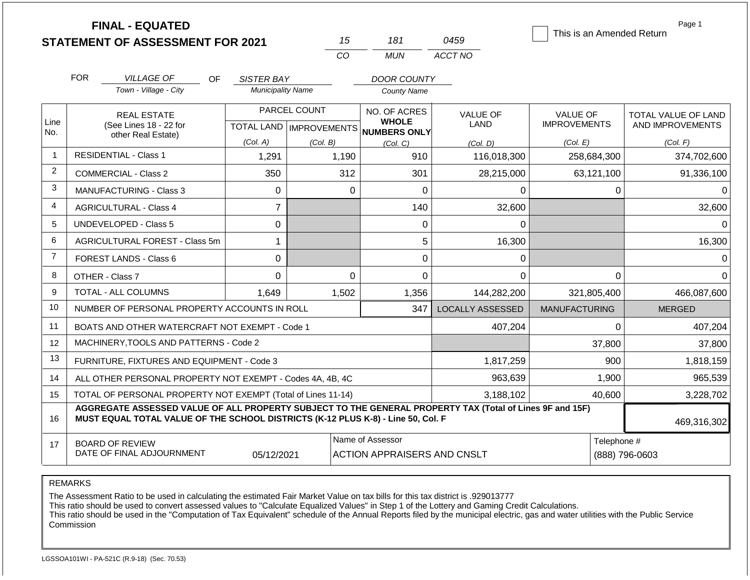|                |                               | <b>FINAL - EQUATED</b><br><b>STATEMENT OF ASSESSMENT FOR 2021</b>                                                                                                                            |                          | 15           | 181                                                                 | 0459                           | This is an Amended Return              | Page 1                                         |
|----------------|-------------------------------|----------------------------------------------------------------------------------------------------------------------------------------------------------------------------------------------|--------------------------|--------------|---------------------------------------------------------------------|--------------------------------|----------------------------------------|------------------------------------------------|
|                |                               |                                                                                                                                                                                              |                          | CO           | <b>MUN</b>                                                          | ACCT NO                        |                                        |                                                |
|                | <b>FOR</b>                    | <b>VILLAGE OF</b><br><b>OF</b>                                                                                                                                                               | SISTER BAY               |              | <b>DOOR COUNTY</b>                                                  |                                |                                        |                                                |
|                |                               | Town - Village - City                                                                                                                                                                        | <b>Municipality Name</b> |              | <b>County Name</b>                                                  |                                |                                        |                                                |
| Line<br>No.    |                               | <b>REAL ESTATE</b><br>(See Lines 18 - 22 for<br>other Real Estate)                                                                                                                           |                          | PARCEL COUNT | NO. OF ACRES<br><b>WHOLE</b><br>TOTAL LAND MPROVEMENTS NUMBERS ONLY | <b>VALUE OF</b><br><b>LAND</b> | <b>VALUE OF</b><br><b>IMPROVEMENTS</b> | <b>TOTAL VALUE OF LAND</b><br>AND IMPROVEMENTS |
|                |                               |                                                                                                                                                                                              | (Col. A)                 | (Col. B)     | (Col, C)                                                            | (Col. D)                       | (Col. E)                               | (Col. F)                                       |
| $\mathbf{1}$   |                               | <b>RESIDENTIAL - Class 1</b>                                                                                                                                                                 | 1,291                    | 1,190        | 910                                                                 | 116,018,300                    | 258,684,300                            | 374,702,600                                    |
| 2              |                               | <b>COMMERCIAL - Class 2</b>                                                                                                                                                                  | 350                      | 312          | 301                                                                 | 28,215,000                     | 63,121,100                             | 91,336,100                                     |
| 3              |                               | <b>MANUFACTURING - Class 3</b>                                                                                                                                                               | 0                        |              | $\overline{0}$<br>$\Omega$                                          | 0                              | $\Omega$                               | 0                                              |
| 4              | <b>AGRICULTURAL - Class 4</b> |                                                                                                                                                                                              | $\overline{7}$           |              | 140                                                                 | 32,600                         |                                        | 32,600                                         |
| 5              | <b>UNDEVELOPED - Class 5</b>  |                                                                                                                                                                                              | 0                        |              | $\Omega$                                                            | $\Omega$                       |                                        | $\Omega$                                       |
| 6              |                               | AGRICULTURAL FOREST - Class 5m                                                                                                                                                               | $\mathbf{1}$             |              | 5                                                                   | 16,300                         |                                        | 16,300                                         |
| $\overline{7}$ |                               | <b>FOREST LANDS - Class 6</b>                                                                                                                                                                | 0                        |              | $\overline{0}$                                                      | 0                              |                                        | $\Omega$                                       |
| 8              |                               | OTHER - Class 7                                                                                                                                                                              | 0                        |              | $\Omega$<br>$\Omega$                                                | $\Omega$                       | 0                                      | $\Omega$                                       |
| 9              |                               | <b>TOTAL - ALL COLUMNS</b>                                                                                                                                                                   | 1.649                    | 1,502        | 1,356                                                               | 144,282,200                    | 321,805,400                            | 466,087,600                                    |
| 10             |                               | NUMBER OF PERSONAL PROPERTY ACCOUNTS IN ROLL                                                                                                                                                 |                          |              | 347                                                                 | <b>LOCALLY ASSESSED</b>        | <b>MANUFACTURING</b>                   | <b>MERGED</b>                                  |
| 11             |                               | BOATS AND OTHER WATERCRAFT NOT EXEMPT - Code 1                                                                                                                                               |                          |              |                                                                     | 407,204                        | $\Omega$                               | 407,204                                        |
| 12             |                               | MACHINERY, TOOLS AND PATTERNS - Code 2                                                                                                                                                       |                          |              |                                                                     |                                | 37,800                                 | 37,800                                         |
| 13             |                               | FURNITURE, FIXTURES AND EQUIPMENT - Code 3                                                                                                                                                   |                          |              |                                                                     | 1,817,259                      | 900                                    | 1,818,159                                      |
| 14             |                               | ALL OTHER PERSONAL PROPERTY NOT EXEMPT - Codes 4A, 4B, 4C                                                                                                                                    |                          |              |                                                                     | 963,639                        | 1,900                                  | 965,539                                        |
| 15             |                               | TOTAL OF PERSONAL PROPERTY NOT EXEMPT (Total of Lines 11-14)                                                                                                                                 |                          |              |                                                                     | 3,188,102                      | 40,600                                 | 3,228,702                                      |
| 16             |                               | AGGREGATE ASSESSED VALUE OF ALL PROPERTY SUBJECT TO THE GENERAL PROPERTY TAX (Total of Lines 9F and 15F)<br>MUST EQUAL TOTAL VALUE OF THE SCHOOL DISTRICTS (K-12 PLUS K-8) - Line 50, Col. F |                          |              |                                                                     |                                |                                        | 469,316,302                                    |
| 17             |                               | <b>BOARD OF REVIEW</b><br>DATE OF FINAL ADJOURNMENT                                                                                                                                          | 05/12/2021               |              | Name of Assessor<br><b>ACTION APPRAISERS AND CNSLT</b>              | Telephone #                    | (888) 796-0603                         |                                                |

The Assessment Ratio to be used in calculating the estimated Fair Market Value on tax bills for this tax district is .929013777

This ratio should be used to convert assessed values to "Calculate Equalized Values" in Step 1 of the Lottery and Gaming Credit Calculations.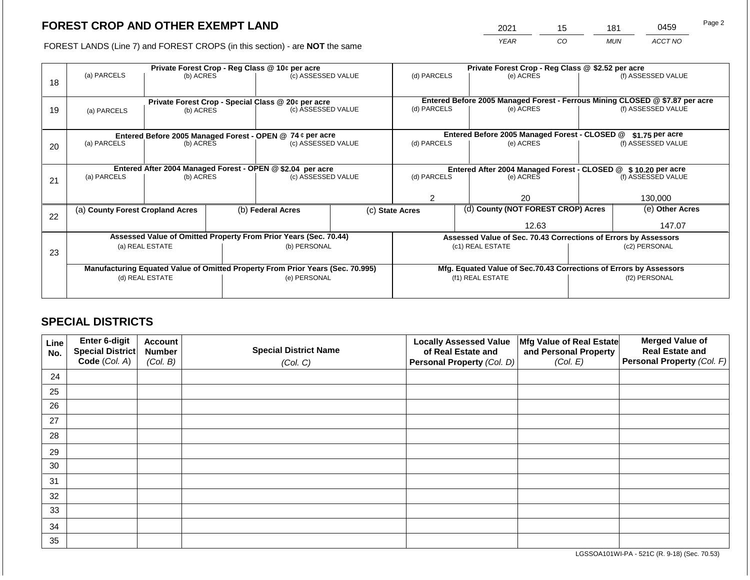2021 15 181 0459 Page 2

FOREST LANDS (Line 7) and FOREST CROPS (in this section) - are **NOT** the same *YEAR CO MUN ACCT NO*

| 18 | (a) PARCELS                                                                    | Private Forest Crop - Reg Class @ 10¢ per acre<br>(b) ACRES |                                      | (c) ASSESSED VALUE                                                       |  | (d) PARCELS                                                        |                                    | Private Forest Crop - Reg Class @ \$2.52 per acre<br>(e) ACRES |                                                               | (f) ASSESSED VALUE                                                                                 |  |
|----|--------------------------------------------------------------------------------|-------------------------------------------------------------|--------------------------------------|--------------------------------------------------------------------------|--|--------------------------------------------------------------------|------------------------------------|----------------------------------------------------------------|---------------------------------------------------------------|----------------------------------------------------------------------------------------------------|--|
| 19 | (a) PARCELS                                                                    | (b) ACRES                                                   |                                      | Private Forest Crop - Special Class @ 20¢ per acre<br>(c) ASSESSED VALUE |  | (d) PARCELS                                                        |                                    | (e) ACRES                                                      |                                                               | Entered Before 2005 Managed Forest - Ferrous Mining CLOSED @ \$7.87 per acre<br>(f) ASSESSED VALUE |  |
|    |                                                                                |                                                             |                                      | Entered Before 2005 Managed Forest - OPEN @ 74 ¢ per acre                |  |                                                                    |                                    | Entered Before 2005 Managed Forest - CLOSED @                  |                                                               | $$1.75$ per acre                                                                                   |  |
| 20 | (a) PARCELS                                                                    | (b) ACRES                                                   |                                      | (c) ASSESSED VALUE                                                       |  | (d) PARCELS                                                        |                                    | (e) ACRES                                                      |                                                               | (f) ASSESSED VALUE                                                                                 |  |
|    | Entered After 2004 Managed Forest - OPEN @ \$2.04 per acre                     |                                                             |                                      |                                                                          |  |                                                                    |                                    |                                                                | Entered After 2004 Managed Forest - CLOSED @ \$10.20 per acre |                                                                                                    |  |
| 21 | (a) PARCELS                                                                    | (b) ACRES                                                   |                                      | (c) ASSESSED VALUE                                                       |  | (d) PARCELS                                                        |                                    | (e) ACRES                                                      |                                                               | (f) ASSESSED VALUE                                                                                 |  |
|    |                                                                                |                                                             |                                      |                                                                          |  |                                                                    |                                    | 20                                                             |                                                               | 130,000                                                                                            |  |
| 22 | (a) County Forest Cropland Acres                                               |                                                             | (b) Federal Acres<br>(c) State Acres |                                                                          |  |                                                                    | (d) County (NOT FOREST CROP) Acres |                                                                | (e) Other Acres                                               |                                                                                                    |  |
|    |                                                                                |                                                             |                                      |                                                                          |  | 12.63                                                              |                                    | 147.07                                                         |                                                               |                                                                                                    |  |
|    |                                                                                |                                                             |                                      | Assessed Value of Omitted Property From Prior Years (Sec. 70.44)         |  | Assessed Value of Sec. 70.43 Corrections of Errors by Assessors    |                                    |                                                                |                                                               |                                                                                                    |  |
| 23 | (a) REAL ESTATE                                                                |                                                             |                                      | (b) PERSONAL                                                             |  |                                                                    |                                    | (c1) REAL ESTATE                                               | (c2) PERSONAL                                                 |                                                                                                    |  |
|    |                                                                                |                                                             |                                      |                                                                          |  |                                                                    |                                    |                                                                |                                                               |                                                                                                    |  |
|    | Manufacturing Equated Value of Omitted Property From Prior Years (Sec. 70.995) |                                                             |                                      |                                                                          |  | Mfg. Equated Value of Sec.70.43 Corrections of Errors by Assessors |                                    |                                                                |                                                               |                                                                                                    |  |
|    | (d) REAL ESTATE                                                                |                                                             |                                      | (e) PERSONAL                                                             |  |                                                                    |                                    | (f1) REAL ESTATE                                               |                                                               | (f2) PERSONAL                                                                                      |  |
|    |                                                                                |                                                             |                                      |                                                                          |  |                                                                    |                                    |                                                                |                                                               |                                                                                                    |  |

## **SPECIAL DISTRICTS**

| Line<br>No. | <b>Enter 6-digit</b><br>Special District | <b>Account</b><br><b>Number</b> | <b>Special District Name</b> | <b>Locally Assessed Value</b><br>of Real Estate and | Mfg Value of Real Estate<br>and Personal Property | <b>Merged Value of</b><br><b>Real Estate and</b> |
|-------------|------------------------------------------|---------------------------------|------------------------------|-----------------------------------------------------|---------------------------------------------------|--------------------------------------------------|
|             | Code (Col. A)                            | (Col. B)                        | (Col. C)                     | Personal Property (Col. D)                          | (Col. E)                                          | <b>Personal Property (Col. F)</b>                |
| 24          |                                          |                                 |                              |                                                     |                                                   |                                                  |
| 25          |                                          |                                 |                              |                                                     |                                                   |                                                  |
| 26          |                                          |                                 |                              |                                                     |                                                   |                                                  |
| 27          |                                          |                                 |                              |                                                     |                                                   |                                                  |
| 28          |                                          |                                 |                              |                                                     |                                                   |                                                  |
| 29          |                                          |                                 |                              |                                                     |                                                   |                                                  |
| 30          |                                          |                                 |                              |                                                     |                                                   |                                                  |
| 31          |                                          |                                 |                              |                                                     |                                                   |                                                  |
| 32          |                                          |                                 |                              |                                                     |                                                   |                                                  |
| 33          |                                          |                                 |                              |                                                     |                                                   |                                                  |
| 34          |                                          |                                 |                              |                                                     |                                                   |                                                  |
| 35          |                                          |                                 |                              |                                                     |                                                   |                                                  |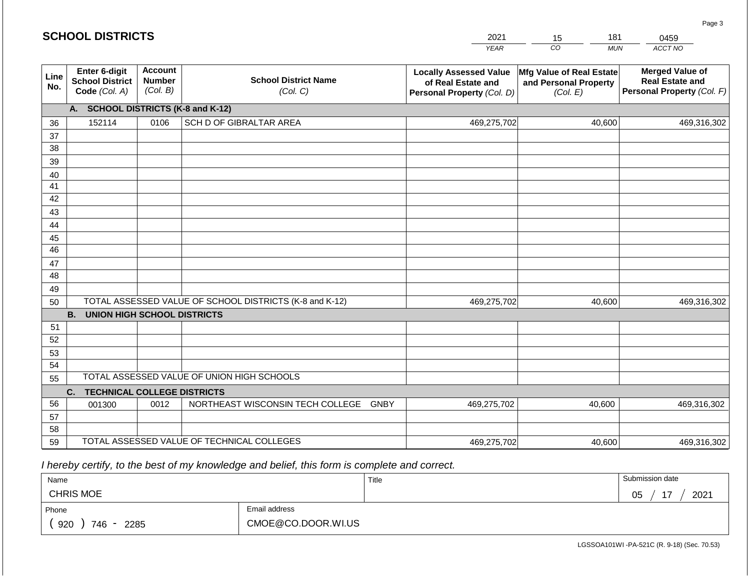|             | <b>SCHOOL DISTRICTS</b>                                         |                                             |                                                         | 2021                                                                              | 181<br>15                                                     | 0459                                                                           |
|-------------|-----------------------------------------------------------------|---------------------------------------------|---------------------------------------------------------|-----------------------------------------------------------------------------------|---------------------------------------------------------------|--------------------------------------------------------------------------------|
|             |                                                                 |                                             |                                                         | <b>YEAR</b>                                                                       | CO                                                            | ACCT NO<br><b>MUN</b>                                                          |
| Line<br>No. | <b>Enter 6-digit</b><br><b>School District</b><br>Code (Col. A) | <b>Account</b><br><b>Number</b><br>(Col. B) | <b>School District Name</b><br>(Col. C)                 | <b>Locally Assessed Value</b><br>of Real Estate and<br>Personal Property (Col. D) | Mfg Value of Real Estate<br>and Personal Property<br>(Col. E) | <b>Merged Value of</b><br><b>Real Estate and</b><br>Personal Property (Col. F) |
|             | A.                                                              |                                             | <b>SCHOOL DISTRICTS (K-8 and K-12)</b>                  |                                                                                   |                                                               |                                                                                |
| 36          | 152114                                                          | 0106                                        | SCH D OF GIBRALTAR AREA                                 | 469,275,702                                                                       | 40,600                                                        | 469,316,302                                                                    |
| 37          |                                                                 |                                             |                                                         |                                                                                   |                                                               |                                                                                |
| 38          |                                                                 |                                             |                                                         |                                                                                   |                                                               |                                                                                |
| 39          |                                                                 |                                             |                                                         |                                                                                   |                                                               |                                                                                |
| 40          |                                                                 |                                             |                                                         |                                                                                   |                                                               |                                                                                |
| 41          |                                                                 |                                             |                                                         |                                                                                   |                                                               |                                                                                |
| 42          |                                                                 |                                             |                                                         |                                                                                   |                                                               |                                                                                |
| 43          |                                                                 |                                             |                                                         |                                                                                   |                                                               |                                                                                |
| 44          |                                                                 |                                             |                                                         |                                                                                   |                                                               |                                                                                |
| 45<br>46    |                                                                 |                                             |                                                         |                                                                                   |                                                               |                                                                                |
| 47          |                                                                 |                                             |                                                         |                                                                                   |                                                               |                                                                                |
| 48          |                                                                 |                                             |                                                         |                                                                                   |                                                               |                                                                                |
| 49          |                                                                 |                                             |                                                         |                                                                                   |                                                               |                                                                                |
| 50          |                                                                 |                                             | TOTAL ASSESSED VALUE OF SCHOOL DISTRICTS (K-8 and K-12) | 469,275,702                                                                       | 40,600                                                        | 469,316,302                                                                    |
|             | <b>B.</b><br><b>UNION HIGH SCHOOL DISTRICTS</b>                 |                                             |                                                         |                                                                                   |                                                               |                                                                                |
| 51          |                                                                 |                                             |                                                         |                                                                                   |                                                               |                                                                                |
| 52          |                                                                 |                                             |                                                         |                                                                                   |                                                               |                                                                                |
| 53          |                                                                 |                                             |                                                         |                                                                                   |                                                               |                                                                                |
| 54          |                                                                 |                                             |                                                         |                                                                                   |                                                               |                                                                                |
| 55          |                                                                 |                                             | TOTAL ASSESSED VALUE OF UNION HIGH SCHOOLS              |                                                                                   |                                                               |                                                                                |
|             | C.<br><b>TECHNICAL COLLEGE DISTRICTS</b>                        |                                             |                                                         |                                                                                   |                                                               |                                                                                |
| 56          | 001300                                                          | 0012                                        | NORTHEAST WISCONSIN TECH COLLEGE GNBY                   | 469,275,702                                                                       | 40,600                                                        | 469,316,302                                                                    |
| 57          |                                                                 |                                             |                                                         |                                                                                   |                                                               |                                                                                |
| 58          |                                                                 |                                             |                                                         |                                                                                   |                                                               |                                                                                |
| 59          |                                                                 |                                             | TOTAL ASSESSED VALUE OF TECHNICAL COLLEGES              | 469,275,702                                                                       | 40,600                                                        | 469,316,302                                                                    |

 *I hereby certify, to the best of my knowledge and belief, this form is complete and correct.*

| Name                    |                    | Title | Submission date       |
|-------------------------|--------------------|-------|-----------------------|
| <b>CHRIS MOE</b>        |                    |       | 2021<br>—<br>∩ҕ<br>◡◡ |
| Phone                   | Email address      |       |                       |
| 920<br>746<br>2285<br>- | CMOE@CO.DOOR.WI.US |       |                       |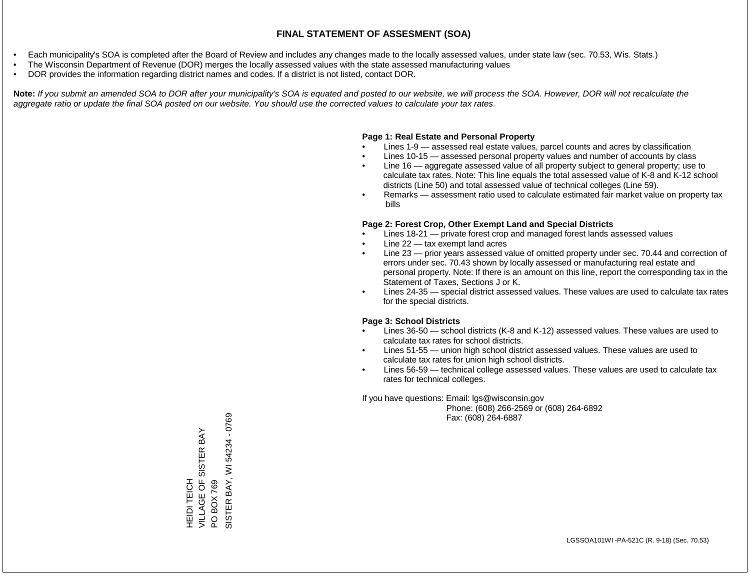- Each municipality's SOA is completed after the Board of Review and includes any changes made to the locally assessed values, under state law (sec. 70.53, Wis. Stats.)
- The Wisconsin Department of Revenue (DOR) merges the locally assessed values with the state assessed manufacturing values
- DOR provides the information regarding district names and codes. If a district is not listed, contact DOR.

Note: If you submit an amended SOA to DOR after your municipality's SOA is equated and posted to our website, we will process the SOA. However, DOR will not recalculate the *aggregate ratio or update the final SOA posted on our website. You should use the corrected values to calculate your tax rates.*

### **Page 1: Real Estate and Personal Property**

- Lines 1-9 assessed real estate values, parcel counts and acres by classification
- Lines 10-15 assessed personal property values and number of accounts by class
- Line 16 aggregate assessed value of all property subject to general property; use to calculate tax rates. Note: This line equals the total assessed value of K-8 and K-12 school districts (Line 50) and total assessed value of technical colleges (Line 59).
- Remarks assessment ratio used to calculate estimated fair market value on property tax bills

### **Page 2: Forest Crop, Other Exempt Land and Special Districts**

- Lines 18-21 private forest crop and managed forest lands assessed values
- Line  $22 -$  tax exempt land acres
- Line 23 prior years assessed value of omitted property under sec. 70.44 and correction of errors under sec. 70.43 shown by locally assessed or manufacturing real estate and personal property. Note: If there is an amount on this line, report the corresponding tax in the Statement of Taxes, Sections J or K.
- Lines 24-35 special district assessed values. These values are used to calculate tax rates for the special districts.

### **Page 3: School Districts**

- Lines 36-50 school districts (K-8 and K-12) assessed values. These values are used to calculate tax rates for school districts.
- Lines 51-55 union high school district assessed values. These values are used to calculate tax rates for union high school districts.
- Lines 56-59 technical college assessed values. These values are used to calculate tax rates for technical colleges.

If you have questions: Email: lgs@wisconsin.gov

 Phone: (608) 266-2569 or (608) 264-6892 Fax: (608) 264-6887

HEIDI TEICH<br>VILLAGE OF SISTER BAY VILLAGE OF SISTER BAY PO BOX 769<br>SISTER BAY, WI 54234 - 0769 SISTER BAY, WI 54234 - 0769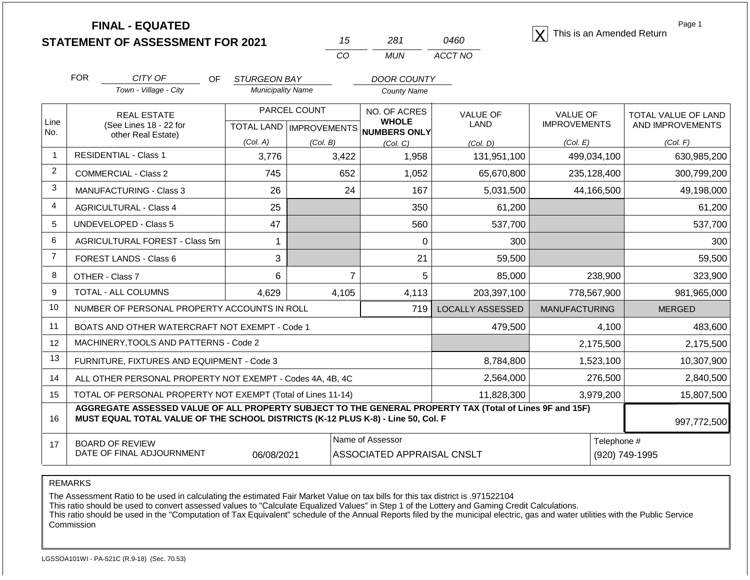|                |                                                                                                                                                                                              | <b>FINAL - EQUATED</b><br><b>STATEMENT OF ASSESSMENT FOR 2021</b>  |                                                  |          | 15                                  | 281                                                   | 0460                    |                               |             | Page 1<br>This is an Amended Return |
|----------------|----------------------------------------------------------------------------------------------------------------------------------------------------------------------------------------------|--------------------------------------------------------------------|--------------------------------------------------|----------|-------------------------------------|-------------------------------------------------------|-------------------------|-------------------------------|-------------|-------------------------------------|
|                |                                                                                                                                                                                              |                                                                    |                                                  |          | CO                                  | <b>MUN</b>                                            | ACCT NO                 |                               |             |                                     |
|                | <b>FOR</b>                                                                                                                                                                                   | CITY OF<br>OF.                                                     | STURGEON BAY                                     |          |                                     | <b>DOOR COUNTY</b>                                    |                         |                               |             |                                     |
|                |                                                                                                                                                                                              | Town - Village - City                                              | <b>Municipality Name</b>                         |          |                                     | <b>County Name</b>                                    |                         |                               |             |                                     |
|                |                                                                                                                                                                                              | <b>REAL ESTATE</b><br>(See Lines 18 - 22 for<br>other Real Estate) | PARCEL COUNT<br><b>TOTAL LAND   IMPROVEMENTS</b> |          |                                     | NO. OF ACRES                                          | <b>VALUE OF</b>         | <b>VALUE OF</b>               |             | TOTAL VALUE OF LAND                 |
| Line<br>No.    |                                                                                                                                                                                              |                                                                    |                                                  |          | <b>WHOLE</b><br><b>NUMBERS ONLY</b> | LAND                                                  | <b>IMPROVEMENTS</b>     | AND IMPROVEMENTS              |             |                                     |
|                |                                                                                                                                                                                              |                                                                    | (Col. A)                                         | (Col. B) |                                     | (Col. C)                                              | (Col. D)                | (Col. E)                      |             | (Col. F)                            |
| 1              |                                                                                                                                                                                              | <b>RESIDENTIAL - Class 1</b>                                       | 3,776                                            |          | 3,422                               | 1,958                                                 | 131,951,100             |                               | 499,034,100 | 630,985,200                         |
| $\overline{2}$ |                                                                                                                                                                                              | COMMERCIAL - Class 2                                               | 745                                              |          | 652                                 | 1,052                                                 | 65,670,800              |                               | 235,128,400 | 300,799,200                         |
| 3              | <b>MANUFACTURING - Class 3</b>                                                                                                                                                               |                                                                    | 26                                               |          | 24                                  | 167                                                   | 5,031,500               |                               | 44,166,500  | 49,198,000                          |
| 4              |                                                                                                                                                                                              | <b>AGRICULTURAL - Class 4</b>                                      | 25                                               |          |                                     | 350                                                   | 61,200                  |                               |             | 61,200                              |
| 5              | <b>UNDEVELOPED - Class 5</b>                                                                                                                                                                 |                                                                    | 47                                               |          |                                     | 560                                                   | 537,700                 |                               |             | 537,700                             |
| 6              | AGRICULTURAL FOREST - Class 5m                                                                                                                                                               |                                                                    | 1                                                |          |                                     | $\mathbf 0$                                           | 300                     |                               |             | 300                                 |
| $\overline{7}$ | FOREST LANDS - Class 6                                                                                                                                                                       |                                                                    | 3                                                |          |                                     | 21                                                    | 59,500                  |                               |             | 59,500                              |
| 8              | OTHER - Class 7                                                                                                                                                                              |                                                                    | 6                                                |          | $\overline{7}$                      | 5                                                     | 85,000                  |                               | 238,900     | 323,900                             |
| 9              |                                                                                                                                                                                              | TOTAL - ALL COLUMNS                                                | 4.629                                            |          | 4,105                               | 4,113                                                 | 203,397,100             |                               | 778,567,900 | 981,965,000                         |
| 10             | NUMBER OF PERSONAL PROPERTY ACCOUNTS IN ROLL                                                                                                                                                 |                                                                    |                                                  |          |                                     | 719                                                   | <b>LOCALLY ASSESSED</b> | <b>MANUFACTURING</b>          |             | <b>MERGED</b>                       |
| 11             |                                                                                                                                                                                              | BOATS AND OTHER WATERCRAFT NOT EXEMPT - Code 1                     |                                                  |          |                                     |                                                       | 479,500                 |                               | 4,100       | 483,600                             |
| 12             | MACHINERY, TOOLS AND PATTERNS - Code 2                                                                                                                                                       |                                                                    |                                                  |          |                                     |                                                       |                         |                               | 2,175,500   | 2,175,500                           |
| 13             | FURNITURE, FIXTURES AND EQUIPMENT - Code 3                                                                                                                                                   |                                                                    |                                                  |          |                                     |                                                       | 8,784,800               | 1,523,100                     |             | 10,307,900                          |
| 14             | ALL OTHER PERSONAL PROPERTY NOT EXEMPT - Codes 4A, 4B, 4C                                                                                                                                    |                                                                    |                                                  |          |                                     |                                                       | 2,564,000               | 276,500                       |             | 2,840,500                           |
| 15             | TOTAL OF PERSONAL PROPERTY NOT EXEMPT (Total of Lines 11-14)                                                                                                                                 |                                                                    |                                                  |          |                                     |                                                       | 11,828,300              |                               | 3,979,200   | 15,807,500                          |
| 16             | AGGREGATE ASSESSED VALUE OF ALL PROPERTY SUBJECT TO THE GENERAL PROPERTY TAX (Total of Lines 9F and 15F)<br>MUST EQUAL TOTAL VALUE OF THE SCHOOL DISTRICTS (K-12 PLUS K-8) - Line 50, Col. F |                                                                    |                                                  |          |                                     |                                                       |                         | 997,772,500                   |             |                                     |
| 17             | <b>BOARD OF REVIEW</b><br>DATE OF FINAL ADJOURNMENT<br>06/08/2021                                                                                                                            |                                                                    |                                                  |          |                                     | Name of Assessor<br><b>ASSOCIATED APPRAISAL CNSLT</b> |                         | Telephone #<br>(920) 749-1995 |             |                                     |

REMARKS

The Assessment Ratio to be used in calculating the estimated Fair Market Value on tax bills for this tax district is .971522104

This ratio should be used to convert assessed values to "Calculate Equalized Values" in Step 1 of the Lottery and Gaming Credit Calculations.

 This ratio should be used in the "Computation of Tax Equivalent" schedule of the Annual Reports filed by the municipal electric, gas and water utilities with the Public Service Commission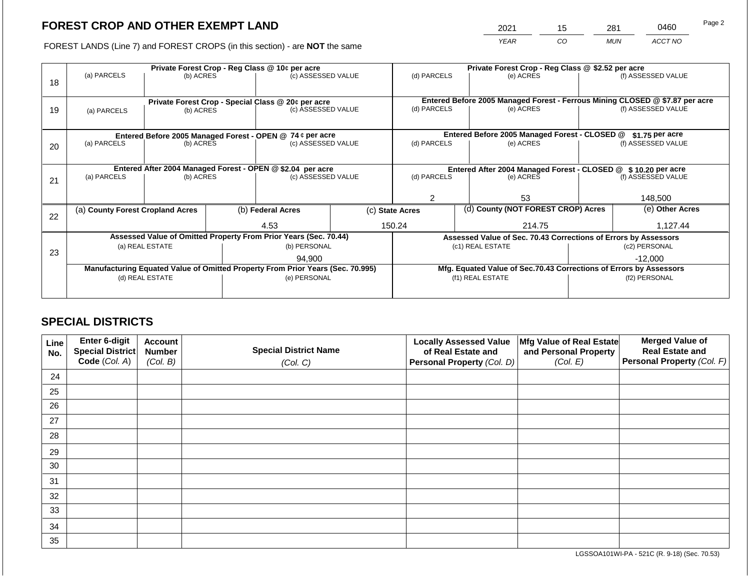# **FOREST CROP AND OTHER EXEMPT LAND**

2021 15 281 0460

FOREST LANDS (Line 7) and FOREST CROPS (in this section) - are **NOT** the same *YEAR CO MUN ACCT NO*

|    | Private Forest Crop - Reg Class @ 10¢ per acre                                 |           |                                                                 |                                                                          |                                                                              | Private Forest Crop - Reg Class @ \$2.52 per acre                  |        |                                               |                    |                    |
|----|--------------------------------------------------------------------------------|-----------|-----------------------------------------------------------------|--------------------------------------------------------------------------|------------------------------------------------------------------------------|--------------------------------------------------------------------|--------|-----------------------------------------------|--------------------|--------------------|
| 18 | (a) PARCELS                                                                    | (b) ACRES |                                                                 | (c) ASSESSED VALUE                                                       |                                                                              | (d) PARCELS                                                        |        | (e) ACRES                                     |                    | (f) ASSESSED VALUE |
|    |                                                                                |           |                                                                 |                                                                          |                                                                              |                                                                    |        |                                               |                    |                    |
|    |                                                                                |           |                                                                 |                                                                          | Entered Before 2005 Managed Forest - Ferrous Mining CLOSED @ \$7.87 per acre |                                                                    |        |                                               |                    |                    |
| 19 | (b) ACRES<br>(a) PARCELS                                                       |           |                                                                 | Private Forest Crop - Special Class @ 20¢ per acre<br>(c) ASSESSED VALUE |                                                                              | (d) PARCELS<br>(e) ACRES                                           |        | (f) ASSESSED VALUE                            |                    |                    |
|    |                                                                                |           |                                                                 |                                                                          |                                                                              |                                                                    |        |                                               |                    |                    |
|    |                                                                                |           |                                                                 |                                                                          |                                                                              |                                                                    |        |                                               |                    |                    |
|    |                                                                                |           |                                                                 | Entered Before 2005 Managed Forest - OPEN @ 74 ¢ per acre                |                                                                              |                                                                    |        | Entered Before 2005 Managed Forest - CLOSED @ |                    | \$1.75 per acre    |
| 20 | (a) PARCELS<br>(b) ACRES                                                       |           |                                                                 | (c) ASSESSED VALUE                                                       |                                                                              | (d) PARCELS                                                        |        | (e) ACRES                                     |                    | (f) ASSESSED VALUE |
|    |                                                                                |           |                                                                 |                                                                          |                                                                              |                                                                    |        |                                               |                    |                    |
|    |                                                                                |           |                                                                 | Entered After 2004 Managed Forest - OPEN @ \$2.04 per acre               |                                                                              | Entered After 2004 Managed Forest - CLOSED @ \$10.20 per acre      |        |                                               |                    |                    |
| 21 | (a) PARCELS<br>(b) ACRES                                                       |           |                                                                 | (c) ASSESSED VALUE                                                       |                                                                              | (d) PARCELS                                                        |        | (e) ACRES                                     | (f) ASSESSED VALUE |                    |
|    |                                                                                |           |                                                                 |                                                                          |                                                                              |                                                                    |        |                                               |                    |                    |
|    |                                                                                |           |                                                                 |                                                                          | 53                                                                           |                                                                    |        | 148,500                                       |                    |                    |
|    | (a) County Forest Cropland Acres                                               |           |                                                                 | (b) Federal Acres                                                        |                                                                              | (c) State Acres                                                    |        | (d) County (NOT FOREST CROP) Acres            |                    | (e) Other Acres    |
| 22 |                                                                                |           |                                                                 |                                                                          |                                                                              |                                                                    |        |                                               |                    |                    |
|    |                                                                                |           | 4.53                                                            |                                                                          | 150.24                                                                       |                                                                    | 214.75 | 1,127.44                                      |                    |                    |
|    | Assessed Value of Omitted Property From Prior Years (Sec. 70.44)               |           | Assessed Value of Sec. 70.43 Corrections of Errors by Assessors |                                                                          |                                                                              |                                                                    |        |                                               |                    |                    |
| 23 | (a) REAL ESTATE                                                                |           |                                                                 | (b) PERSONAL                                                             |                                                                              | (c1) REAL ESTATE                                                   |        | (c2) PERSONAL                                 |                    |                    |
|    |                                                                                |           |                                                                 | 94.900                                                                   |                                                                              |                                                                    |        | $-12,000$                                     |                    |                    |
|    | Manufacturing Equated Value of Omitted Property From Prior Years (Sec. 70.995) |           |                                                                 |                                                                          |                                                                              | Mfg. Equated Value of Sec.70.43 Corrections of Errors by Assessors |        |                                               |                    |                    |
|    | (d) REAL ESTATE                                                                |           |                                                                 | (e) PERSONAL                                                             |                                                                              | (f1) REAL ESTATE                                                   |        | (f2) PERSONAL                                 |                    |                    |
|    |                                                                                |           |                                                                 |                                                                          |                                                                              |                                                                    |        |                                               |                    |                    |
|    |                                                                                |           |                                                                 |                                                                          |                                                                              |                                                                    |        |                                               |                    |                    |

# **SPECIAL DISTRICTS**

| Line<br>No. | Enter 6-digit<br>Special District<br>Code (Col. A) | <b>Account</b><br><b>Number</b><br>(Col. B) | <b>Special District Name</b><br>(Col. C) | <b>Locally Assessed Value</b><br>of Real Estate and<br><b>Personal Property (Col. D)</b> | Mfg Value of Real Estate<br>and Personal Property<br>(Col. E) | <b>Merged Value of</b><br><b>Real Estate and</b><br>Personal Property (Col. F) |
|-------------|----------------------------------------------------|---------------------------------------------|------------------------------------------|------------------------------------------------------------------------------------------|---------------------------------------------------------------|--------------------------------------------------------------------------------|
| 24          |                                                    |                                             |                                          |                                                                                          |                                                               |                                                                                |
| 25          |                                                    |                                             |                                          |                                                                                          |                                                               |                                                                                |
| 26          |                                                    |                                             |                                          |                                                                                          |                                                               |                                                                                |
| 27          |                                                    |                                             |                                          |                                                                                          |                                                               |                                                                                |
| 28          |                                                    |                                             |                                          |                                                                                          |                                                               |                                                                                |
| 29          |                                                    |                                             |                                          |                                                                                          |                                                               |                                                                                |
| 30          |                                                    |                                             |                                          |                                                                                          |                                                               |                                                                                |
| 31          |                                                    |                                             |                                          |                                                                                          |                                                               |                                                                                |
| 32          |                                                    |                                             |                                          |                                                                                          |                                                               |                                                                                |
| 33          |                                                    |                                             |                                          |                                                                                          |                                                               |                                                                                |
| 34          |                                                    |                                             |                                          |                                                                                          |                                                               |                                                                                |
| 35          |                                                    |                                             |                                          |                                                                                          |                                                               |                                                                                |

LGSSOA101WI-PA - 521C (R. 9-18) (Sec. 70.53)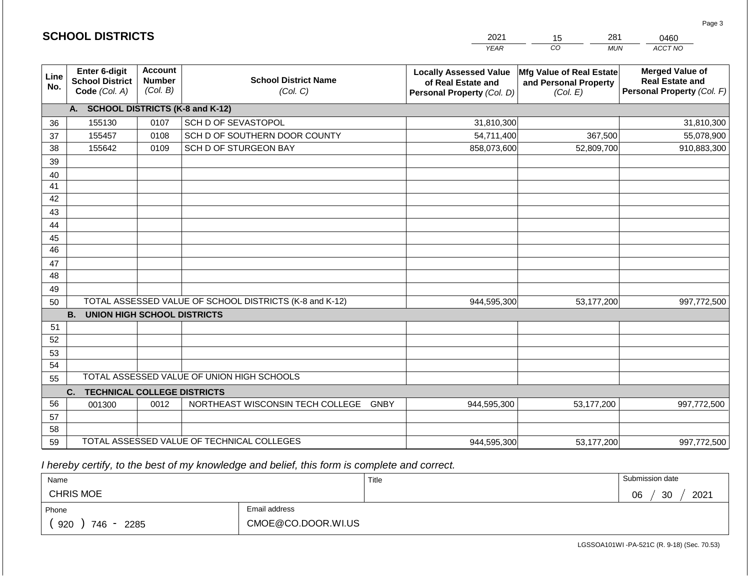|                 | <b>SCHOOL DISTRICTS</b>                                         |                                             |                                                         | 2021                                                                              | 281<br>15                                                            | 0460                                                                           |
|-----------------|-----------------------------------------------------------------|---------------------------------------------|---------------------------------------------------------|-----------------------------------------------------------------------------------|----------------------------------------------------------------------|--------------------------------------------------------------------------------|
|                 |                                                                 |                                             |                                                         | <b>YEAR</b>                                                                       | CO<br><b>MUN</b>                                                     | ACCT NO                                                                        |
| Line<br>No.     | <b>Enter 6-digit</b><br><b>School District</b><br>Code (Col. A) | <b>Account</b><br><b>Number</b><br>(Col. B) | <b>School District Name</b><br>(Col. C)                 | <b>Locally Assessed Value</b><br>of Real Estate and<br>Personal Property (Col. D) | <b>Mfg Value of Real Estate</b><br>and Personal Property<br>(Col. E) | <b>Merged Value of</b><br><b>Real Estate and</b><br>Personal Property (Col. F) |
|                 | A. SCHOOL DISTRICTS (K-8 and K-12)                              |                                             |                                                         |                                                                                   |                                                                      |                                                                                |
| 36              | 155130                                                          | 0107                                        | SCH D OF SEVASTOPOL                                     | 31,810,300                                                                        |                                                                      | 31,810,300                                                                     |
| 37              | 155457                                                          | 0108                                        | SCH D OF SOUTHERN DOOR COUNTY                           | 54,711,400                                                                        | 367,500                                                              | 55,078,900                                                                     |
| 38              | 155642                                                          | 0109                                        | SCH D OF STURGEON BAY                                   | 858,073,600                                                                       | 52,809,700                                                           | 910,883,300                                                                    |
| 39              |                                                                 |                                             |                                                         |                                                                                   |                                                                      |                                                                                |
| 40              |                                                                 |                                             |                                                         |                                                                                   |                                                                      |                                                                                |
| 41              |                                                                 |                                             |                                                         |                                                                                   |                                                                      |                                                                                |
| 42              |                                                                 |                                             |                                                         |                                                                                   |                                                                      |                                                                                |
| 43              |                                                                 |                                             |                                                         |                                                                                   |                                                                      |                                                                                |
| 44              |                                                                 |                                             |                                                         |                                                                                   |                                                                      |                                                                                |
| 45              |                                                                 |                                             |                                                         |                                                                                   |                                                                      |                                                                                |
| $\overline{46}$ |                                                                 |                                             |                                                         |                                                                                   |                                                                      |                                                                                |
| 47              |                                                                 |                                             |                                                         |                                                                                   |                                                                      |                                                                                |
| 48              |                                                                 |                                             |                                                         |                                                                                   |                                                                      |                                                                                |
| 49              |                                                                 |                                             |                                                         |                                                                                   |                                                                      |                                                                                |
| 50              |                                                                 |                                             | TOTAL ASSESSED VALUE OF SCHOOL DISTRICTS (K-8 and K-12) | 944,595,300                                                                       | 53,177,200                                                           | 997,772,500                                                                    |
| 51              | <b>UNION HIGH SCHOOL DISTRICTS</b><br><b>B.</b>                 |                                             |                                                         |                                                                                   |                                                                      |                                                                                |
| 52              |                                                                 |                                             |                                                         |                                                                                   |                                                                      |                                                                                |
| 53              |                                                                 |                                             |                                                         |                                                                                   |                                                                      |                                                                                |
| 54              |                                                                 |                                             |                                                         |                                                                                   |                                                                      |                                                                                |
| 55              |                                                                 |                                             | TOTAL ASSESSED VALUE OF UNION HIGH SCHOOLS              |                                                                                   |                                                                      |                                                                                |
|                 | <b>TECHNICAL COLLEGE DISTRICTS</b><br>C.                        |                                             |                                                         |                                                                                   |                                                                      |                                                                                |
| 56              | 001300                                                          | 0012                                        | NORTHEAST WISCONSIN TECH COLLEGE GNBY                   | 944,595,300                                                                       | 53,177,200                                                           | 997,772,500                                                                    |
| 57              |                                                                 |                                             |                                                         |                                                                                   |                                                                      |                                                                                |
| 58              |                                                                 |                                             |                                                         |                                                                                   |                                                                      |                                                                                |
| 59              |                                                                 |                                             | TOTAL ASSESSED VALUE OF TECHNICAL COLLEGES              | 944,595,300                                                                       | 53,177,200                                                           | 997,772,500                                                                    |

2021

 *I hereby certify, to the best of my knowledge and belief, this form is complete and correct.*

**SCHOOL DISTRICTS**

| Name               |                    | Title | Submission date  |
|--------------------|--------------------|-------|------------------|
| <b>CHRIS MOE</b>   |                    |       | 2021<br>30<br>06 |
| Phone              | Email address      |       |                  |
| 920<br>746<br>2285 | CMOE@CO.DOOR.WI.US |       |                  |

Page 3